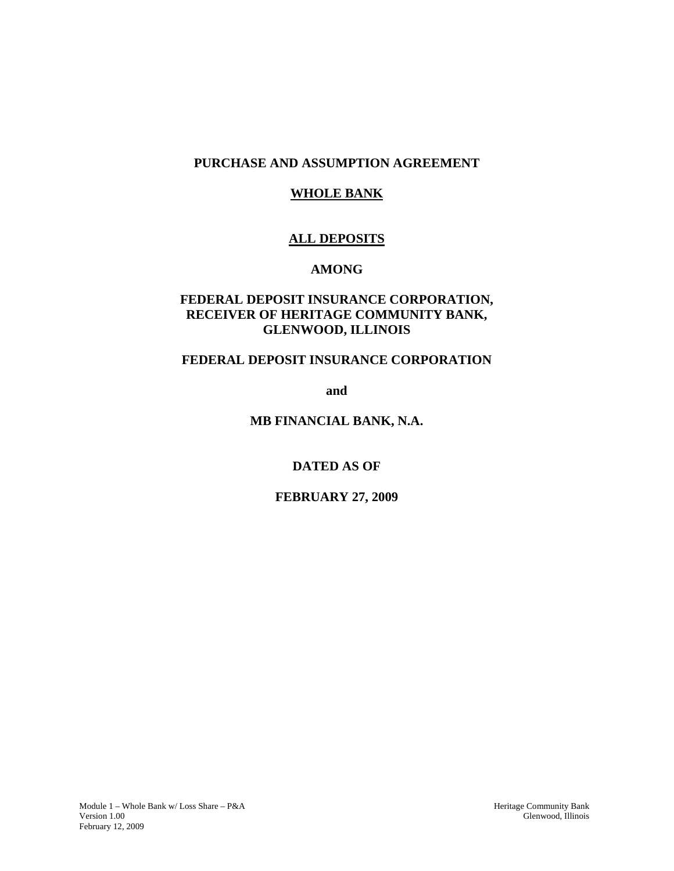### **PURCHASE AND ASSUMPTION AGREEMENT**

### **WHOLE BANK**

### **ALL DEPOSITS**

### **AMONG**

### **FEDERAL DEPOSIT INSURANCE CORPORATION, RECEIVER OF HERITAGE COMMUNITY BANK, GLENWOOD, ILLINOIS**

#### **FEDERAL DEPOSIT INSURANCE CORPORATION**

**and** 

### **MB FINANCIAL BANK, N.A.**

## **DATED AS OF**

#### **FEBRUARY 27, 2009**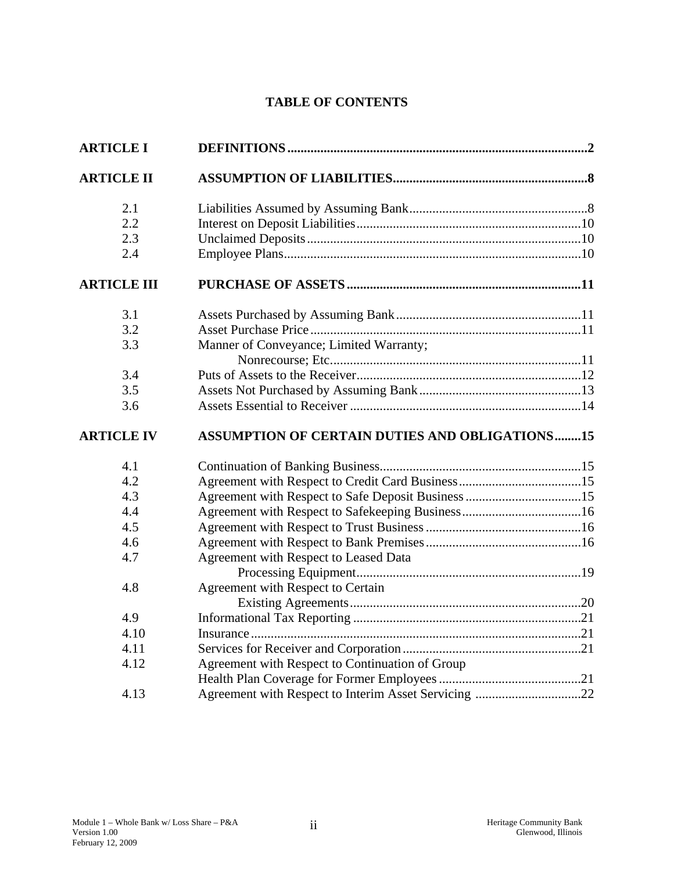# **TABLE OF CONTENTS**

| <b>ARTICLE I</b>   |                                                       |  |
|--------------------|-------------------------------------------------------|--|
| <b>ARTICLE II</b>  |                                                       |  |
| 2.1                |                                                       |  |
| 2.2                |                                                       |  |
| 2.3                |                                                       |  |
| 2.4                |                                                       |  |
| <b>ARTICLE III</b> |                                                       |  |
| 3.1                |                                                       |  |
| 3.2                |                                                       |  |
| 3.3                | Manner of Conveyance; Limited Warranty;               |  |
|                    |                                                       |  |
| 3.4                |                                                       |  |
| 3.5                |                                                       |  |
| 3.6                |                                                       |  |
|                    |                                                       |  |
| <b>ARTICLE IV</b>  | <b>ASSUMPTION OF CERTAIN DUTIES AND OBLIGATIONS15</b> |  |
| 4.1                |                                                       |  |
| 4.2                |                                                       |  |
| 4.3                |                                                       |  |
| 4.4                |                                                       |  |
| 4.5                |                                                       |  |
| 4.6                |                                                       |  |
| 4.7                | Agreement with Respect to Leased Data                 |  |
|                    |                                                       |  |
| 4.8                | Agreement with Respect to Certain                     |  |
|                    |                                                       |  |
| 4.9                |                                                       |  |
| 4.10               |                                                       |  |
| 4.11               |                                                       |  |
| 4.12               | Agreement with Respect to Continuation of Group       |  |
|                    | Agreement with Respect to Interim Asset Servicing 22  |  |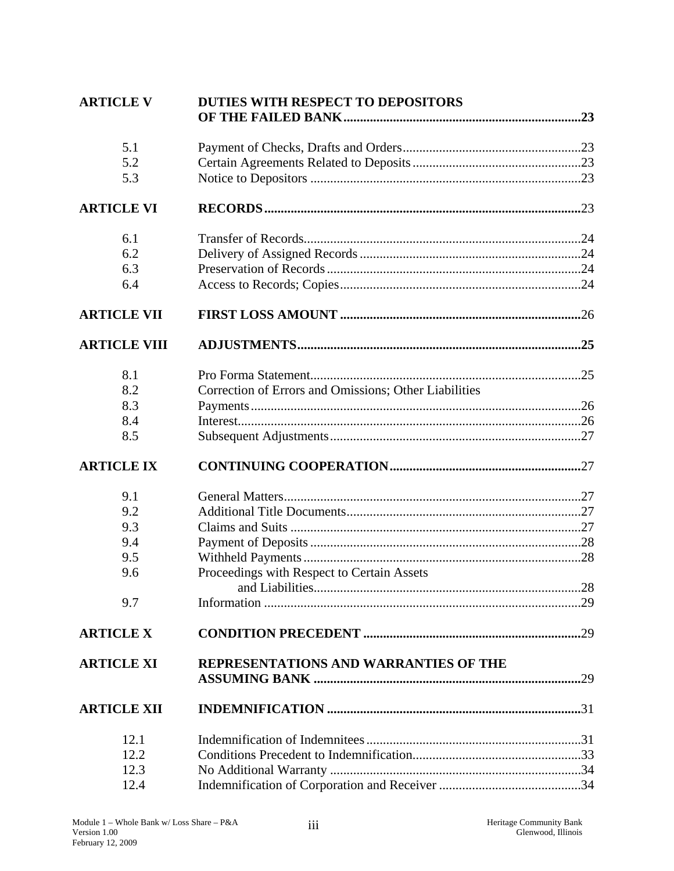| <b>ARTICLE V</b>    | <b>DUTIES WITH RESPECT TO DEPOSITORS</b>              |  |
|---------------------|-------------------------------------------------------|--|
|                     |                                                       |  |
| 5.1                 |                                                       |  |
| 5.2                 |                                                       |  |
| 5.3                 |                                                       |  |
| <b>ARTICLE VI</b>   |                                                       |  |
| 6.1                 |                                                       |  |
| 6.2                 |                                                       |  |
| 6.3                 |                                                       |  |
| 6.4                 |                                                       |  |
| <b>ARTICLE VII</b>  |                                                       |  |
| <b>ARTICLE VIII</b> |                                                       |  |
| 8.1                 |                                                       |  |
| 8.2                 | Correction of Errors and Omissions; Other Liabilities |  |
| 8.3                 |                                                       |  |
| 8.4                 |                                                       |  |
| 8.5                 |                                                       |  |
| <b>ARTICLE IX</b>   |                                                       |  |
| 9.1                 |                                                       |  |
| 9.2                 |                                                       |  |
| 9.3                 |                                                       |  |
| 9.4                 |                                                       |  |
| 9.5                 |                                                       |  |
| 9.6                 | Proceedings with Respect to Certain Assets            |  |
|                     |                                                       |  |
| 9.7                 |                                                       |  |
| <b>ARTICLE X</b>    |                                                       |  |
| <b>ARTICLE XI</b>   | REPRESENTATIONS AND WARRANTIES OF THE                 |  |
| <b>ARTICLE XII</b>  |                                                       |  |
| 12.1                |                                                       |  |
| 12.2                |                                                       |  |
| 12.3                |                                                       |  |
| 12.4                |                                                       |  |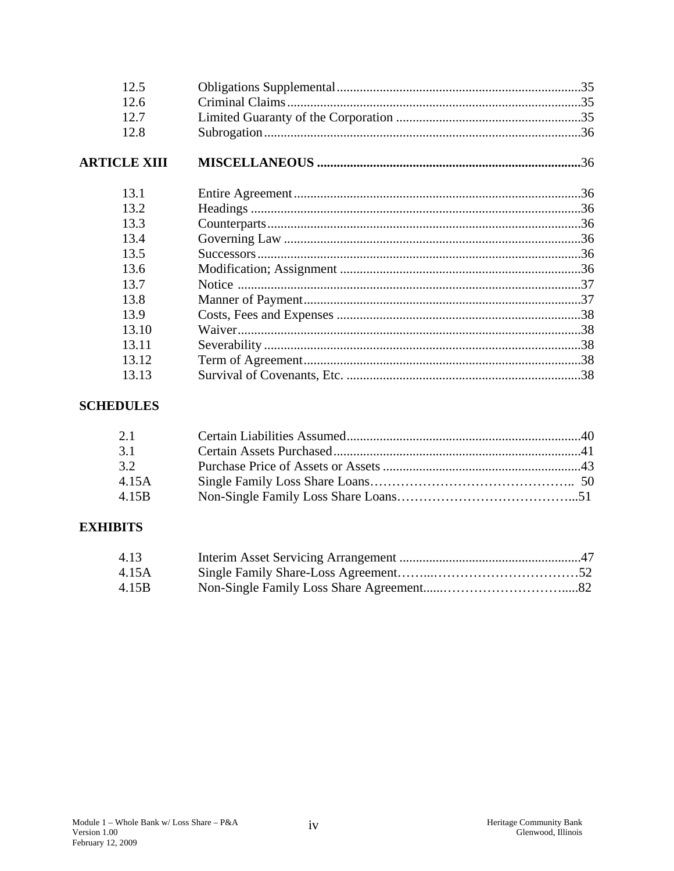| 12.5                |  |
|---------------------|--|
| 12.6                |  |
| 12.7                |  |
| 12.8                |  |
| <b>ARTICLE XIII</b> |  |
| 13.1                |  |
| 13.2                |  |
| 13.3                |  |
| 13.4                |  |
| 13.5                |  |
| 13.6                |  |
| 13.7                |  |
| 13.8                |  |
| 13.9                |  |
| 13.10               |  |
| 13.11               |  |
| 13.12               |  |
| 13.13               |  |

## **SCHEDULES**

| 2.1   |  |
|-------|--|
| 3.1   |  |
| 3.2   |  |
| 4.15A |  |
| 4.15B |  |

# **EXHIBITS**

| 4.13  |  |
|-------|--|
| 4.15A |  |
| 4.15B |  |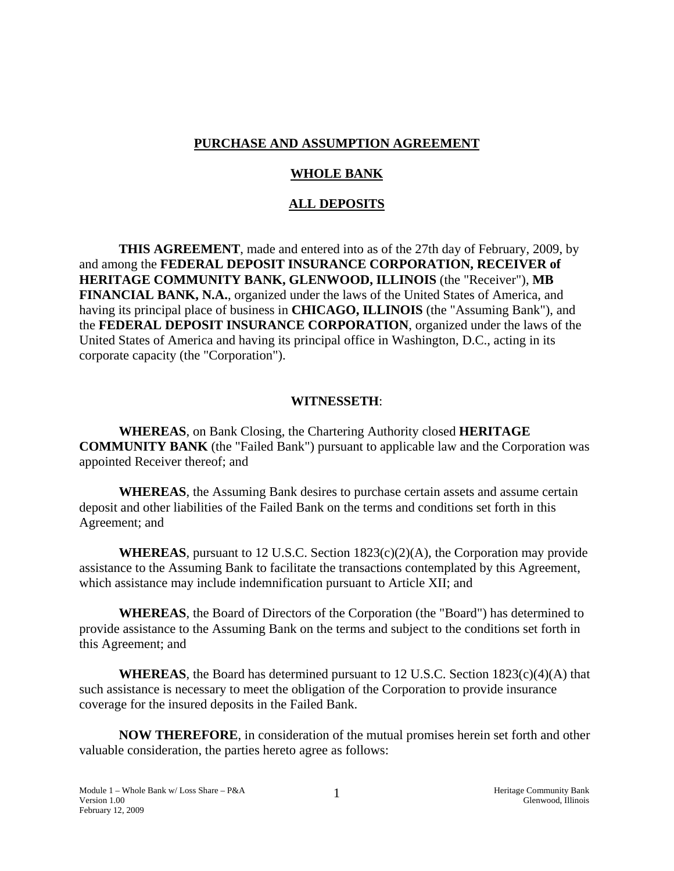### **PURCHASE AND ASSUMPTION AGREEMENT**

## **WHOLE BANK**

## **ALL DEPOSITS**

 **THIS AGREEMENT**, made and entered into as of the 27th day of February, 2009, by and among the **FEDERAL DEPOSIT INSURANCE CORPORATION, RECEIVER of HERITAGE COMMUNITY BANK, GLENWOOD, ILLINOIS** (the "Receiver"), **MB FINANCIAL BANK, N.A.**, organized under the laws of the United States of America, and having its principal place of business in **CHICAGO, ILLINOIS** (the "Assuming Bank"), and the **FEDERAL DEPOSIT INSURANCE CORPORATION**, organized under the laws of the United States of America and having its principal office in Washington, D.C., acting in its corporate capacity (the "Corporation").

### **WITNESSETH**:

**WHEREAS**, on Bank Closing, the Chartering Authority closed **HERITAGE COMMUNITY BANK** (the "Failed Bank") pursuant to applicable law and the Corporation was appointed Receiver thereof; and

**WHEREAS**, the Assuming Bank desires to purchase certain assets and assume certain deposit and other liabilities of the Failed Bank on the terms and conditions set forth in this Agreement; and

**WHEREAS**, pursuant to 12 U.S.C. Section 1823(c)(2)(A), the Corporation may provide assistance to the Assuming Bank to facilitate the transactions contemplated by this Agreement, which assistance may include indemnification pursuant to Article XII; and

**WHEREAS**, the Board of Directors of the Corporation (the "Board") has determined to provide assistance to the Assuming Bank on the terms and subject to the conditions set forth in this Agreement; and

**WHEREAS**, the Board has determined pursuant to 12 U.S.C. Section 1823(c)(4)(A) that such assistance is necessary to meet the obligation of the Corporation to provide insurance coverage for the insured deposits in the Failed Bank.

 **NOW THEREFORE**, in consideration of the mutual promises herein set forth and other valuable consideration, the parties hereto agree as follows: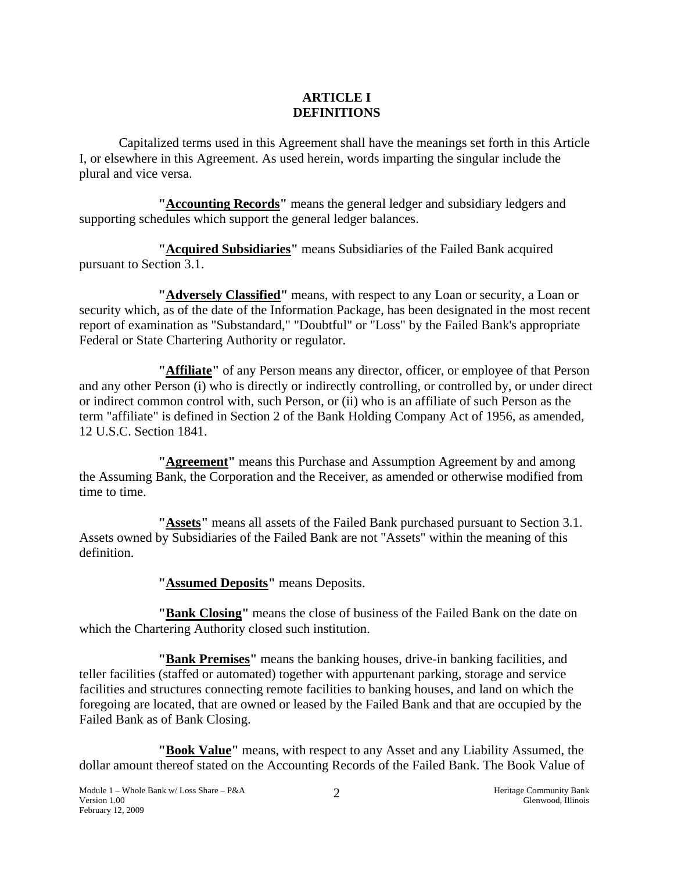## **ARTICLE I DEFINITIONS**

<span id="page-5-0"></span>Capitalized terms used in this Agreement shall have the meanings set forth in this Article I, or elsewhere in this Agreement. As used herein, words imparting the singular include the plural and vice versa.

**"Accounting Records"** means the general ledger and subsidiary ledgers and supporting schedules which support the general ledger balances.

**"Acquired Subsidiaries"** means Subsidiaries of the Failed Bank acquired pursuant to Section 3.1.

**"Adversely Classified"** means, with respect to any Loan or security, a Loan or security which, as of the date of the Information Package, has been designated in the most recent report of examination as "Substandard," "Doubtful" or "Loss" by the Failed Bank's appropriate Federal or State Chartering Authority or regulator.

**"Affiliate"** of any Person means any director, officer, or employee of that Person and any other Person (i) who is directly or indirectly controlling, or controlled by, or under direct or indirect common control with, such Person, or (ii) who is an affiliate of such Person as the term "affiliate" is defined in Section 2 of the Bank Holding Company Act of 1956, as amended, 12 U.S.C. Section 1841.

**"Agreement"** means this Purchase and Assumption Agreement by and among the Assuming Bank, the Corporation and the Receiver, as amended or otherwise modified from time to time.

**"Assets"** means all assets of the Failed Bank purchased pursuant to Section 3.1. Assets owned by Subsidiaries of the Failed Bank are not "Assets" within the meaning of this definition.

**"Assumed Deposits"** means Deposits.

**"Bank Closing"** means the close of business of the Failed Bank on the date on which the Chartering Authority closed such institution.

**"Bank Premises"** means the banking houses, drive-in banking facilities, and teller facilities (staffed or automated) together with appurtenant parking, storage and service facilities and structures connecting remote facilities to banking houses, and land on which the foregoing are located, that are owned or leased by the Failed Bank and that are occupied by the Failed Bank as of Bank Closing.

**"Book Value"** means, with respect to any Asset and any Liability Assumed, the dollar amount thereof stated on the Accounting Records of the Failed Bank. The Book Value of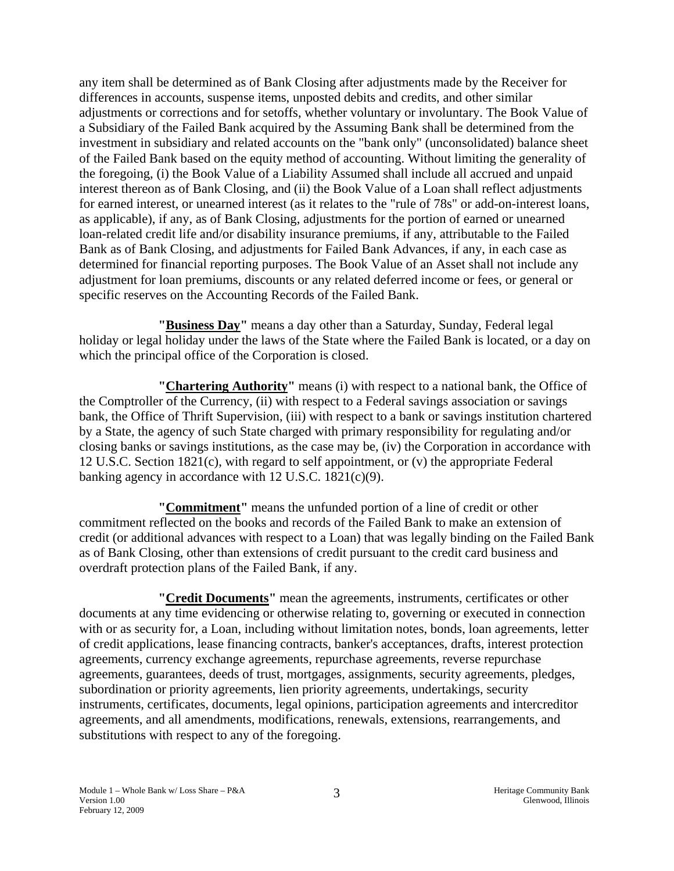any item shall be determined as of Bank Closing after adjustments made by the Receiver for differences in accounts, suspense items, unposted debits and credits, and other similar adjustments or corrections and for setoffs, whether voluntary or involuntary. The Book Value of a Subsidiary of the Failed Bank acquired by the Assuming Bank shall be determined from the investment in subsidiary and related accounts on the "bank only" (unconsolidated) balance sheet of the Failed Bank based on the equity method of accounting. Without limiting the generality of the foregoing, (i) the Book Value of a Liability Assumed shall include all accrued and unpaid interest thereon as of Bank Closing, and (ii) the Book Value of a Loan shall reflect adjustments for earned interest, or unearned interest (as it relates to the "rule of 78s" or add-on-interest loans, as applicable), if any, as of Bank Closing, adjustments for the portion of earned or unearned loan-related credit life and/or disability insurance premiums, if any, attributable to the Failed Bank as of Bank Closing, and adjustments for Failed Bank Advances, if any, in each case as determined for financial reporting purposes. The Book Value of an Asset shall not include any adjustment for loan premiums, discounts or any related deferred income or fees, or general or specific reserves on the Accounting Records of the Failed Bank.

**"Business Day"** means a day other than a Saturday, Sunday, Federal legal holiday or legal holiday under the laws of the State where the Failed Bank is located, or a day on which the principal office of the Corporation is closed.

**"Chartering Authority"** means (i) with respect to a national bank, the Office of the Comptroller of the Currency, (ii) with respect to a Federal savings association or savings bank, the Office of Thrift Supervision, (iii) with respect to a bank or savings institution chartered by a State, the agency of such State charged with primary responsibility for regulating and/or closing banks or savings institutions, as the case may be, (iv) the Corporation in accordance with 12 U.S.C. Section 1821(c), with regard to self appointment, or (v) the appropriate Federal banking agency in accordance with 12 U.S.C. 1821(c)(9).

**"Commitment"** means the unfunded portion of a line of credit or other commitment reflected on the books and records of the Failed Bank to make an extension of credit (or additional advances with respect to a Loan) that was legally binding on the Failed Bank as of Bank Closing, other than extensions of credit pursuant to the credit card business and overdraft protection plans of the Failed Bank, if any.

**"Credit Documents"** mean the agreements, instruments, certificates or other documents at any time evidencing or otherwise relating to, governing or executed in connection with or as security for, a Loan, including without limitation notes, bonds, loan agreements, letter of credit applications, lease financing contracts, banker's acceptances, drafts, interest protection agreements, currency exchange agreements, repurchase agreements, reverse repurchase agreements, guarantees, deeds of trust, mortgages, assignments, security agreements, pledges, subordination or priority agreements, lien priority agreements, undertakings, security instruments, certificates, documents, legal opinions, participation agreements and intercreditor agreements, and all amendments, modifications, renewals, extensions, rearrangements, and substitutions with respect to any of the foregoing.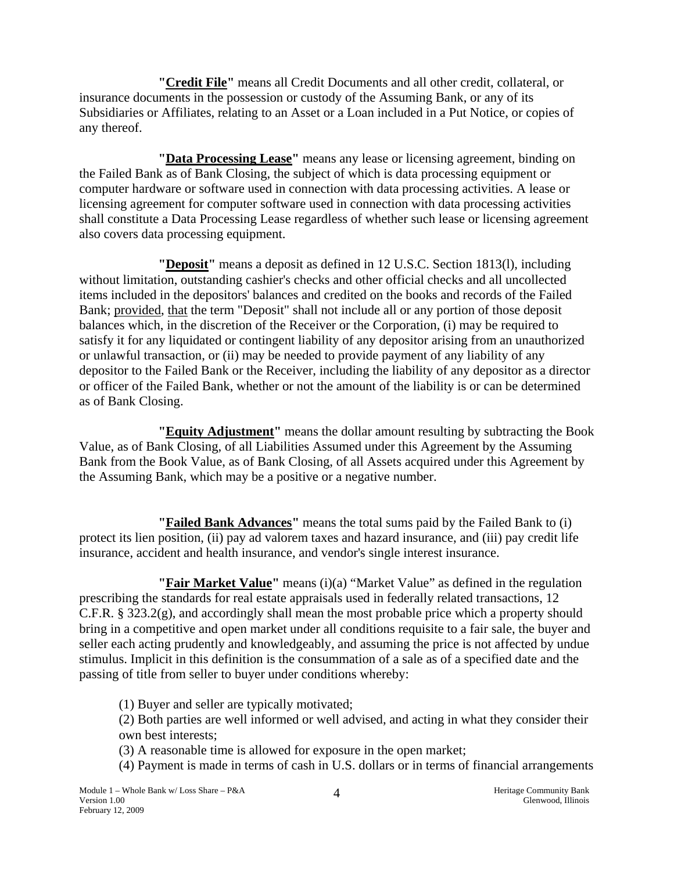**"Credit File"** means all Credit Documents and all other credit, collateral, or insurance documents in the possession or custody of the Assuming Bank, or any of its Subsidiaries or Affiliates, relating to an Asset or a Loan included in a Put Notice, or copies of any thereof.

**"Data Processing Lease"** means any lease or licensing agreement, binding on the Failed Bank as of Bank Closing, the subject of which is data processing equipment or computer hardware or software used in connection with data processing activities. A lease or licensing agreement for computer software used in connection with data processing activities shall constitute a Data Processing Lease regardless of whether such lease or licensing agreement also covers data processing equipment.

**"Deposit"** means a deposit as defined in 12 U.S.C. Section 1813(l), including without limitation, outstanding cashier's checks and other official checks and all uncollected items included in the depositors' balances and credited on the books and records of the Failed Bank; provided, that the term "Deposit" shall not include all or any portion of those deposit balances which, in the discretion of the Receiver or the Corporation, (i) may be required to satisfy it for any liquidated or contingent liability of any depositor arising from an unauthorized or unlawful transaction, or (ii) may be needed to provide payment of any liability of any depositor to the Failed Bank or the Receiver, including the liability of any depositor as a director or officer of the Failed Bank, whether or not the amount of the liability is or can be determined as of Bank Closing.

**"Equity Adjustment"** means the dollar amount resulting by subtracting the Book Value, as of Bank Closing, of all Liabilities Assumed under this Agreement by the Assuming Bank from the Book Value, as of Bank Closing, of all Assets acquired under this Agreement by the Assuming Bank, which may be a positive or a negative number.

**"Failed Bank Advances"** means the total sums paid by the Failed Bank to (i) protect its lien position, (ii) pay ad valorem taxes and hazard insurance, and (iii) pay credit life insurance, accident and health insurance, and vendor's single interest insurance.

**"Fair Market Value"** means (i)(a) "Market Value" as defined in the regulation prescribing the standards for real estate appraisals used in federally related transactions, 12 C.F.R. § 323.2(g), and accordingly shall mean the most probable price which a property should bring in a competitive and open market under all conditions requisite to a fair sale, the buyer and seller each acting prudently and knowledgeably, and assuming the price is not affected by undue stimulus. Implicit in this definition is the consummation of a sale as of a specified date and the passing of title from seller to buyer under conditions whereby:

- (1) Buyer and seller are typically motivated;
- (2) Both parties are well informed or well advised, and acting in what they consider their own best interests;
- (3) A reasonable time is allowed for exposure in the open market;
- (4) Payment is made in terms of cash in U.S. dollars or in terms of financial arrangements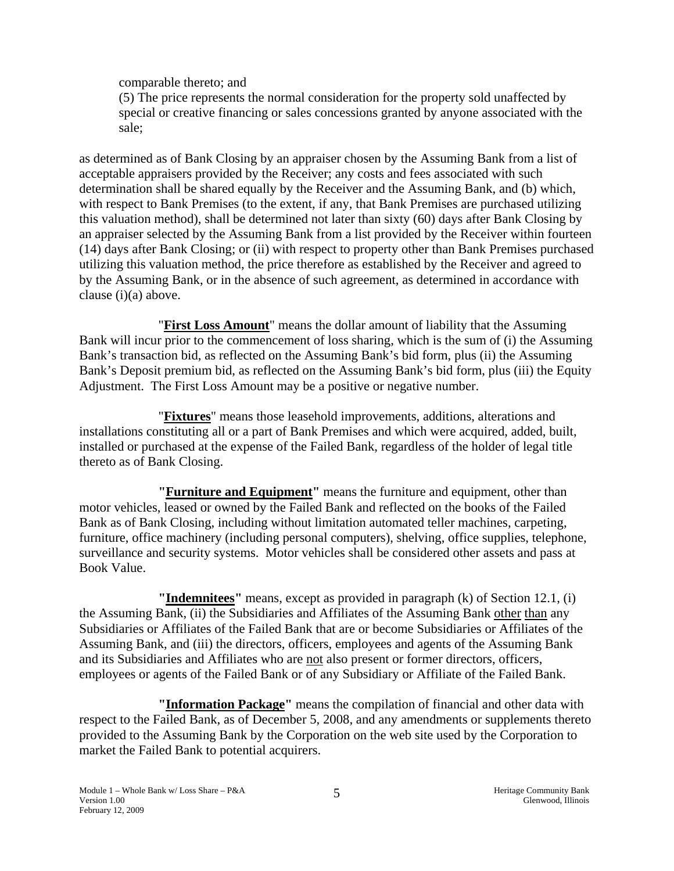comparable thereto; and

(5) The price represents the normal consideration for the property sold unaffected by special or creative financing or sales concessions granted by anyone associated with the sale;

as determined as of Bank Closing by an appraiser chosen by the Assuming Bank from a list of acceptable appraisers provided by the Receiver; any costs and fees associated with such determination shall be shared equally by the Receiver and the Assuming Bank, and (b) which, with respect to Bank Premises (to the extent, if any, that Bank Premises are purchased utilizing this valuation method), shall be determined not later than sixty (60) days after Bank Closing by an appraiser selected by the Assuming Bank from a list provided by the Receiver within fourteen (14) days after Bank Closing; or (ii) with respect to property other than Bank Premises purchased utilizing this valuation method, the price therefore as established by the Receiver and agreed to by the Assuming Bank, or in the absence of such agreement, as determined in accordance with clause (i)(a) above.

"**First Loss Amount**" means the dollar amount of liability that the Assuming Bank will incur prior to the commencement of loss sharing, which is the sum of (i) the Assuming Bank's transaction bid, as reflected on the Assuming Bank's bid form, plus (ii) the Assuming Bank's Deposit premium bid, as reflected on the Assuming Bank's bid form, plus (iii) the Equity Adjustment. The First Loss Amount may be a positive or negative number.

"**Fixtures**" means those leasehold improvements, additions, alterations and installations constituting all or a part of Bank Premises and which were acquired, added, built, installed or purchased at the expense of the Failed Bank, regardless of the holder of legal title thereto as of Bank Closing.

**"Furniture and Equipment"** means the furniture and equipment, other than motor vehicles, leased or owned by the Failed Bank and reflected on the books of the Failed Bank as of Bank Closing, including without limitation automated teller machines, carpeting, furniture, office machinery (including personal computers), shelving, office supplies, telephone, surveillance and security systems. Motor vehicles shall be considered other assets and pass at Book Value.

**"Indemnitees"** means, except as provided in paragraph (k) of Section 12.1, (i) the Assuming Bank, (ii) the Subsidiaries and Affiliates of the Assuming Bank other than any Subsidiaries or Affiliates of the Failed Bank that are or become Subsidiaries or Affiliates of the Assuming Bank, and (iii) the directors, officers, employees and agents of the Assuming Bank and its Subsidiaries and Affiliates who are not also present or former directors, officers, employees or agents of the Failed Bank or of any Subsidiary or Affiliate of the Failed Bank.

**"Information Package"** means the compilation of financial and other data with respect to the Failed Bank, as of December 5, 2008, and any amendments or supplements thereto provided to the Assuming Bank by the Corporation on the web site used by the Corporation to market the Failed Bank to potential acquirers.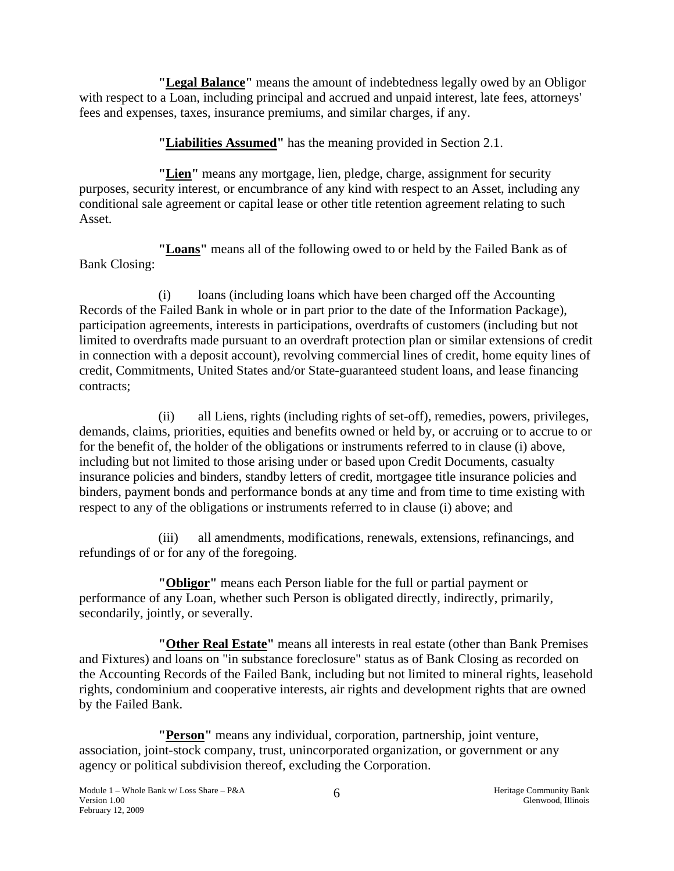**"Legal Balance"** means the amount of indebtedness legally owed by an Obligor with respect to a Loan, including principal and accrued and unpaid interest, late fees, attorneys' fees and expenses, taxes, insurance premiums, and similar charges, if any.

**"Liabilities Assumed"** has the meaning provided in Section 2.1.

**"Lien"** means any mortgage, lien, pledge, charge, assignment for security purposes, security interest, or encumbrance of any kind with respect to an Asset, including any conditional sale agreement or capital lease or other title retention agreement relating to such Asset.

**"Loans"** means all of the following owed to or held by the Failed Bank as of Bank Closing:

(i) loans (including loans which have been charged off the Accounting Records of the Failed Bank in whole or in part prior to the date of the Information Package), participation agreements, interests in participations, overdrafts of customers (including but not limited to overdrafts made pursuant to an overdraft protection plan or similar extensions of credit in connection with a deposit account), revolving commercial lines of credit, home equity lines of credit, Commitments, United States and/or State-guaranteed student loans, and lease financing contracts;

(ii) all Liens, rights (including rights of set-off), remedies, powers, privileges, demands, claims, priorities, equities and benefits owned or held by, or accruing or to accrue to or for the benefit of, the holder of the obligations or instruments referred to in clause (i) above, including but not limited to those arising under or based upon Credit Documents, casualty insurance policies and binders, standby letters of credit, mortgagee title insurance policies and binders, payment bonds and performance bonds at any time and from time to time existing with respect to any of the obligations or instruments referred to in clause (i) above; and

(iii) all amendments, modifications, renewals, extensions, refinancings, and refundings of or for any of the foregoing.

**"Obligor"** means each Person liable for the full or partial payment or performance of any Loan, whether such Person is obligated directly, indirectly, primarily, secondarily, jointly, or severally.

**"Other Real Estate"** means all interests in real estate (other than Bank Premises and Fixtures) and loans on "in substance foreclosure" status as of Bank Closing as recorded on the Accounting Records of the Failed Bank, including but not limited to mineral rights, leasehold rights, condominium and cooperative interests, air rights and development rights that are owned by the Failed Bank.

**"Person"** means any individual, corporation, partnership, joint venture, association, joint-stock company, trust, unincorporated organization, or government or any agency or political subdivision thereof, excluding the Corporation.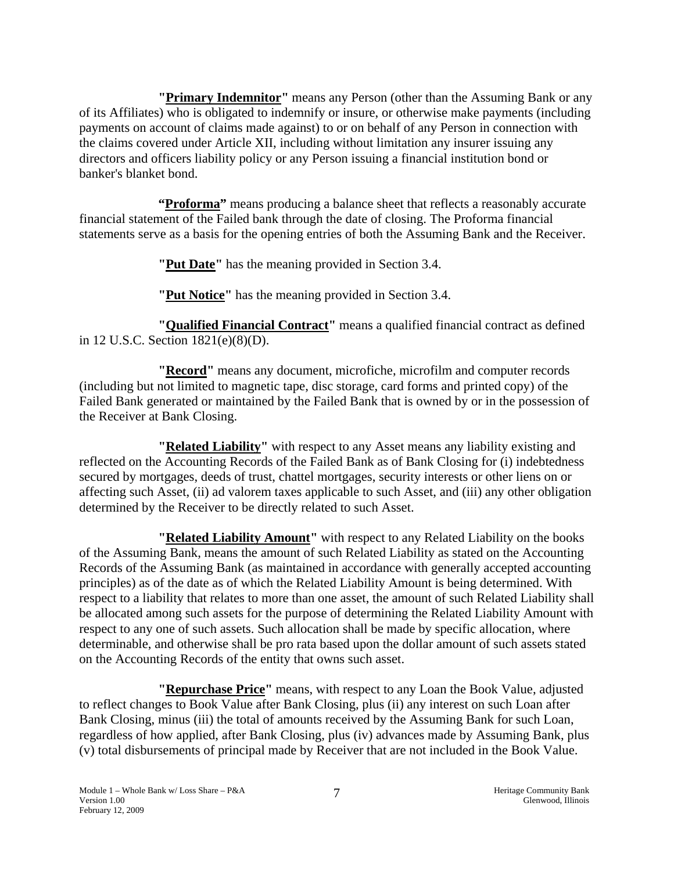**"Primary Indemnitor"** means any Person (other than the Assuming Bank or any of its Affiliates) who is obligated to indemnify or insure, or otherwise make payments (including payments on account of claims made against) to or on behalf of any Person in connection with the claims covered under Article XII, including without limitation any insurer issuing any directors and officers liability policy or any Person issuing a financial institution bond or banker's blanket bond.

**"Proforma"** means producing a balance sheet that reflects a reasonably accurate financial statement of the Failed bank through the date of closing. The Proforma financial statements serve as a basis for the opening entries of both the Assuming Bank and the Receiver.

**"Put Date"** has the meaning provided in Section 3.4.

**"Put Notice"** has the meaning provided in Section 3.4.

**"Qualified Financial Contract"** means a qualified financial contract as defined in 12 U.S.C. Section 1821(e)(8)(D).

**"Record"** means any document, microfiche, microfilm and computer records (including but not limited to magnetic tape, disc storage, card forms and printed copy) of the Failed Bank generated or maintained by the Failed Bank that is owned by or in the possession of the Receiver at Bank Closing.

**"Related Liability"** with respect to any Asset means any liability existing and reflected on the Accounting Records of the Failed Bank as of Bank Closing for (i) indebtedness secured by mortgages, deeds of trust, chattel mortgages, security interests or other liens on or affecting such Asset, (ii) ad valorem taxes applicable to such Asset, and (iii) any other obligation determined by the Receiver to be directly related to such Asset.

**"Related Liability Amount"** with respect to any Related Liability on the books of the Assuming Bank, means the amount of such Related Liability as stated on the Accounting Records of the Assuming Bank (as maintained in accordance with generally accepted accounting principles) as of the date as of which the Related Liability Amount is being determined. With respect to a liability that relates to more than one asset, the amount of such Related Liability shall be allocated among such assets for the purpose of determining the Related Liability Amount with respect to any one of such assets. Such allocation shall be made by specific allocation, where determinable, and otherwise shall be pro rata based upon the dollar amount of such assets stated on the Accounting Records of the entity that owns such asset.

 **"Repurchase Price"** means, with respect to any Loan the Book Value, adjusted to reflect changes to Book Value after Bank Closing, plus (ii) any interest on such Loan after Bank Closing, minus (iii) the total of amounts received by the Assuming Bank for such Loan, regardless of how applied, after Bank Closing, plus (iv) advances made by Assuming Bank, plus (v) total disbursements of principal made by Receiver that are not included in the Book Value.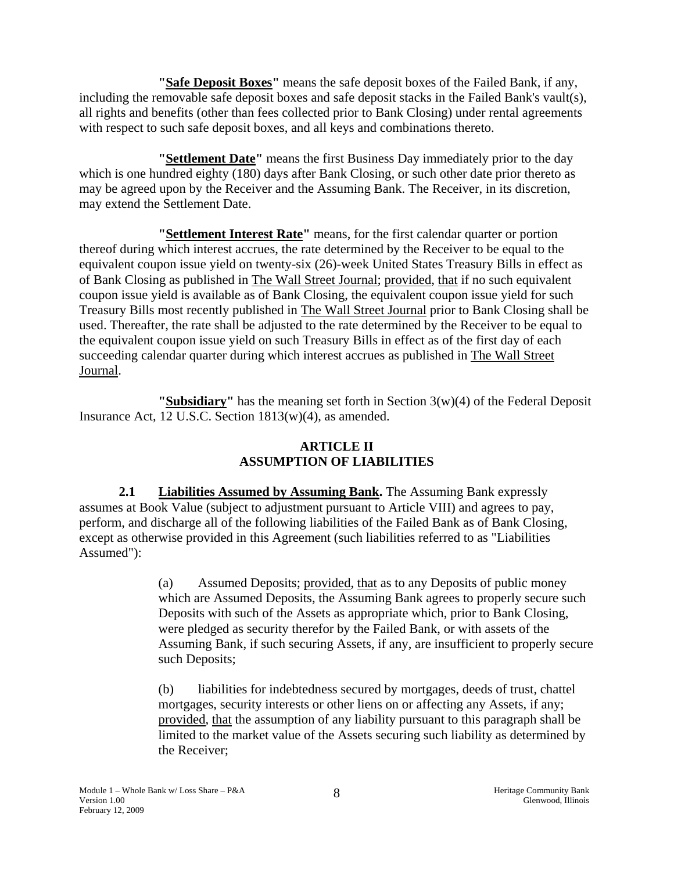<span id="page-11-0"></span> **"Safe Deposit Boxes"** means the safe deposit boxes of the Failed Bank, if any, including the removable safe deposit boxes and safe deposit stacks in the Failed Bank's vault(s), all rights and benefits (other than fees collected prior to Bank Closing) under rental agreements with respect to such safe deposit boxes, and all keys and combinations thereto.

**"Settlement Date"** means the first Business Day immediately prior to the day which is one hundred eighty (180) days after Bank Closing, or such other date prior thereto as may be agreed upon by the Receiver and the Assuming Bank. The Receiver, in its discretion, may extend the Settlement Date.

**"Settlement Interest Rate"** means, for the first calendar quarter or portion thereof during which interest accrues, the rate determined by the Receiver to be equal to the equivalent coupon issue yield on twenty-six (26)-week United States Treasury Bills in effect as of Bank Closing as published in The Wall Street Journal; provided, that if no such equivalent coupon issue yield is available as of Bank Closing, the equivalent coupon issue yield for such Treasury Bills most recently published in The Wall Street Journal prior to Bank Closing shall be used. Thereafter, the rate shall be adjusted to the rate determined by the Receiver to be equal to the equivalent coupon issue yield on such Treasury Bills in effect as of the first day of each succeeding calendar quarter during which interest accrues as published in The Wall Street Journal.

**"Subsidiary"** has the meaning set forth in Section 3(w)(4) of the Federal Deposit Insurance Act, 12 U.S.C. Section 1813(w)(4), as amended.

### **ARTICLE II ASSUMPTION OF LIABILITIES**

 **2.1 Liabilities Assumed by Assuming Bank.** The Assuming Bank expressly assumes at Book Value (subject to adjustment pursuant to Article VIII) and agrees to pay, perform, and discharge all of the following liabilities of the Failed Bank as of Bank Closing, except as otherwise provided in this Agreement (such liabilities referred to as "Liabilities Assumed"):

> (a) Assumed Deposits; provided, that as to any Deposits of public money which are Assumed Deposits, the Assuming Bank agrees to properly secure such Deposits with such of the Assets as appropriate which, prior to Bank Closing, were pledged as security therefor by the Failed Bank, or with assets of the Assuming Bank, if such securing Assets, if any, are insufficient to properly secure such Deposits;

(b) liabilities for indebtedness secured by mortgages, deeds of trust, chattel mortgages, security interests or other liens on or affecting any Assets, if any; provided, that the assumption of any liability pursuant to this paragraph shall be limited to the market value of the Assets securing such liability as determined by the Receiver;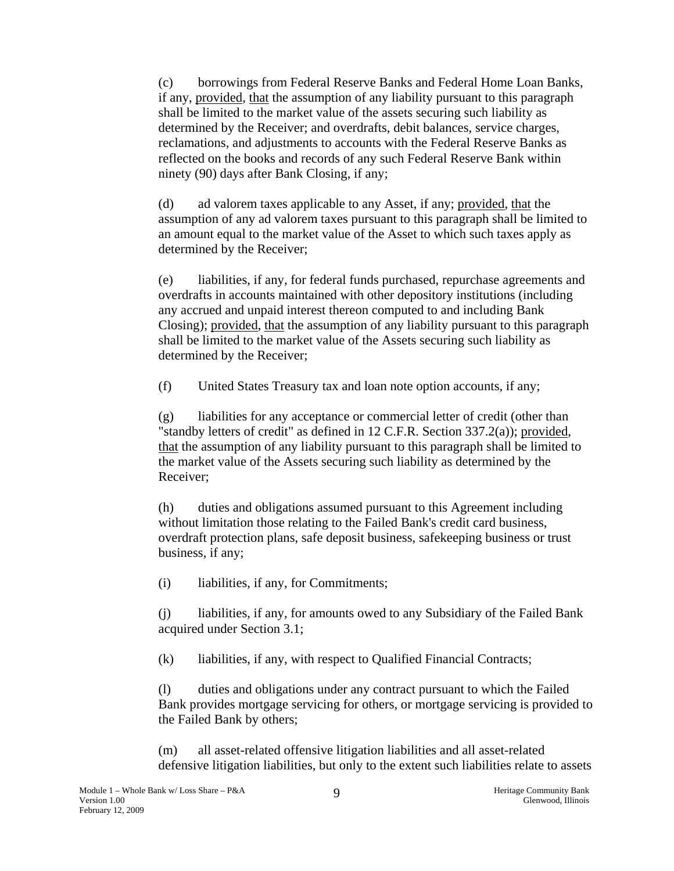(c) borrowings from Federal Reserve Banks and Federal Home Loan Banks, if any, provided, that the assumption of any liability pursuant to this paragraph shall be limited to the market value of the assets securing such liability as determined by the Receiver; and overdrafts, debit balances, service charges, reclamations, and adjustments to accounts with the Federal Reserve Banks as reflected on the books and records of any such Federal Reserve Bank within ninety (90) days after Bank Closing, if any;

(d) ad valorem taxes applicable to any Asset, if any; provided, that the assumption of any ad valorem taxes pursuant to this paragraph shall be limited to an amount equal to the market value of the Asset to which such taxes apply as determined by the Receiver;

(e) liabilities, if any, for federal funds purchased, repurchase agreements and overdrafts in accounts maintained with other depository institutions (including any accrued and unpaid interest thereon computed to and including Bank Closing); provided, that the assumption of any liability pursuant to this paragraph shall be limited to the market value of the Assets securing such liability as determined by the Receiver;

(f) United States Treasury tax and loan note option accounts, if any;

(g) liabilities for any acceptance or commercial letter of credit (other than "standby letters of credit" as defined in 12 C.F.R. Section 337.2(a)); provided, that the assumption of any liability pursuant to this paragraph shall be limited to the market value of the Assets securing such liability as determined by the Receiver;

(h) duties and obligations assumed pursuant to this Agreement including without limitation those relating to the Failed Bank's credit card business, overdraft protection plans, safe deposit business, safekeeping business or trust business, if any;

(i) liabilities, if any, for Commitments;

(j) liabilities, if any, for amounts owed to any Subsidiary of the Failed Bank acquired under Section 3.1;

(k) liabilities, if any, with respect to Qualified Financial Contracts;

(l) duties and obligations under any contract pursuant to which the Failed Bank provides mortgage servicing for others, or mortgage servicing is provided to the Failed Bank by others;

(m) all asset-related offensive litigation liabilities and all asset-related defensive litigation liabilities, but only to the extent such liabilities relate to assets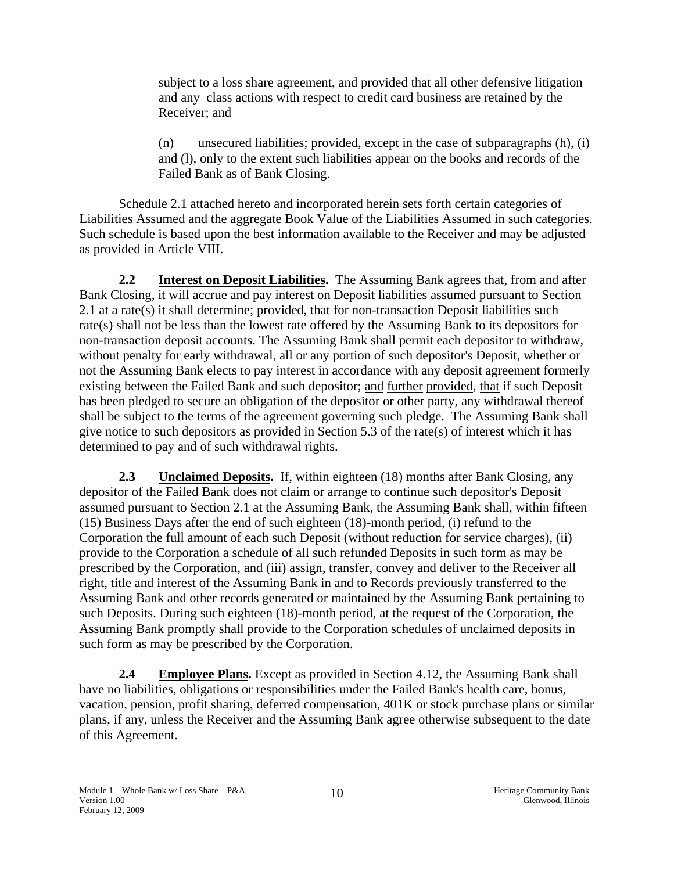<span id="page-13-0"></span>subject to a loss share agreement, and provided that all other defensive litigation and any class actions with respect to credit card business are retained by the Receiver; and

(n) unsecured liabilities; provided, except in the case of subparagraphs (h), (i) and (l), only to the extent such liabilities appear on the books and records of the Failed Bank as of Bank Closing.

Schedule 2.1 attached hereto and incorporated herein sets forth certain categories of Liabilities Assumed and the aggregate Book Value of the Liabilities Assumed in such categories. Such schedule is based upon the best information available to the Receiver and may be adjusted as provided in Article VIII.

**2.2 Interest on Deposit Liabilities.** The Assuming Bank agrees that, from and after Bank Closing, it will accrue and pay interest on Deposit liabilities assumed pursuant to Section 2.1 at a rate(s) it shall determine; provided, that for non-transaction Deposit liabilities such rate(s) shall not be less than the lowest rate offered by the Assuming Bank to its depositors for non-transaction deposit accounts. The Assuming Bank shall permit each depositor to withdraw, without penalty for early withdrawal, all or any portion of such depositor's Deposit, whether or not the Assuming Bank elects to pay interest in accordance with any deposit agreement formerly existing between the Failed Bank and such depositor; and further provided, that if such Deposit has been pledged to secure an obligation of the depositor or other party, any withdrawal thereof shall be subject to the terms of the agreement governing such pledge. The Assuming Bank shall give notice to such depositors as provided in Section 5.3 of the rate(s) of interest which it has determined to pay and of such withdrawal rights.

**2.3 Unclaimed Deposits.** If, within eighteen (18) months after Bank Closing, any depositor of the Failed Bank does not claim or arrange to continue such depositor's Deposit assumed pursuant to Section 2.1 at the Assuming Bank, the Assuming Bank shall, within fifteen (15) Business Days after the end of such eighteen (18)-month period, (i) refund to the Corporation the full amount of each such Deposit (without reduction for service charges), (ii) provide to the Corporation a schedule of all such refunded Deposits in such form as may be prescribed by the Corporation, and (iii) assign, transfer, convey and deliver to the Receiver all right, title and interest of the Assuming Bank in and to Records previously transferred to the Assuming Bank and other records generated or maintained by the Assuming Bank pertaining to such Deposits. During such eighteen (18)-month period, at the request of the Corporation, the Assuming Bank promptly shall provide to the Corporation schedules of unclaimed deposits in such form as may be prescribed by the Corporation.

**2.4 Employee Plans.** Except as provided in Section 4.12, the Assuming Bank shall have no liabilities, obligations or responsibilities under the Failed Bank's health care, bonus, vacation, pension, profit sharing, deferred compensation, 401K or stock purchase plans or similar plans, if any, unless the Receiver and the Assuming Bank agree otherwise subsequent to the date of this Agreement.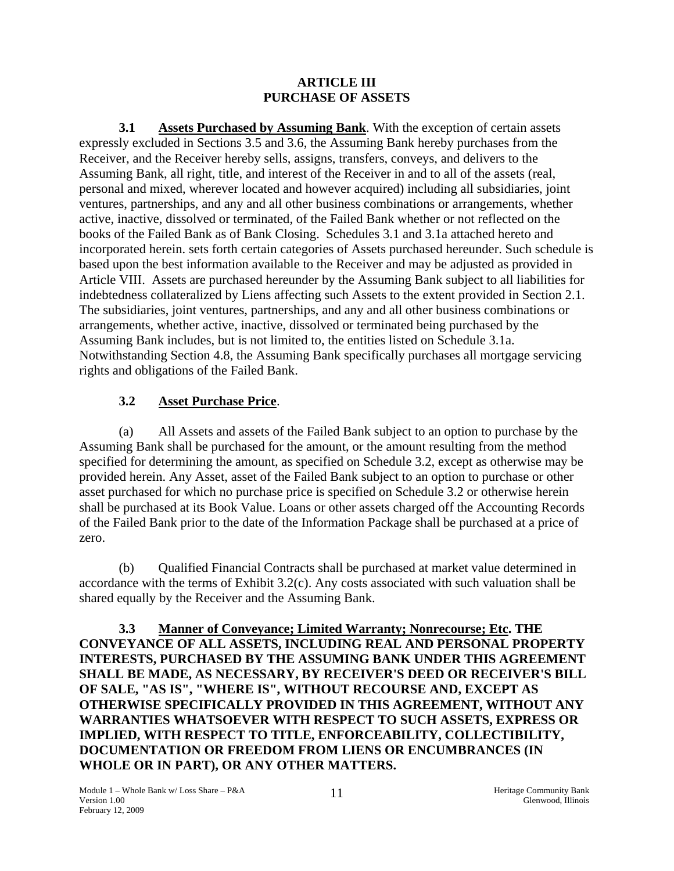### **ARTICLE III PURCHASE OF ASSETS**

<span id="page-14-0"></span>Assuming Bank includes, but is not limited to, the entities listed on Schedule 3.1a.  **3.1 Assets Purchased by Assuming Bank**. With the exception of certain assets expressly excluded in Sections 3.5 and 3.6, the Assuming Bank hereby purchases from the Receiver, and the Receiver hereby sells, assigns, transfers, conveys, and delivers to the Assuming Bank, all right, title, and interest of the Receiver in and to all of the assets (real, personal and mixed, wherever located and however acquired) including all subsidiaries, joint ventures, partnerships, and any and all other business combinations or arrangements, whether active, inactive, dissolved or terminated, of the Failed Bank whether or not reflected on the books of the Failed Bank as of Bank Closing. Schedules 3.1 and 3.1a attached hereto and incorporated herein. sets forth certain categories of Assets purchased hereunder. Such schedule is based upon the best information available to the Receiver and may be adjusted as provided in Article VIII. Assets are purchased hereunder by the Assuming Bank subject to all liabilities for indebtedness collateralized by Liens affecting such Assets to the extent provided in Section 2.1. The subsidiaries, joint ventures, partnerships, and any and all other business combinations or arrangements, whether active, inactive, dissolved or terminated being purchased by the Notwithstanding Section 4.8, the Assuming Bank specifically purchases all mortgage servicing rights and obligations of the Failed Bank.

## **3.2 Asset Purchase Price**.

(a) All Assets and assets of the Failed Bank subject to an option to purchase by the Assuming Bank shall be purchased for the amount, or the amount resulting from the method specified for determining the amount, as specified on Schedule 3.2, except as otherwise may be provided herein. Any Asset, asset of the Failed Bank subject to an option to purchase or other asset purchased for which no purchase price is specified on Schedule 3.2 or otherwise herein shall be purchased at its Book Value. Loans or other assets charged off the Accounting Records of the Failed Bank prior to the date of the Information Package shall be purchased at a price of zero.

(b) Qualified Financial Contracts shall be purchased at market value determined in accordance with the terms of Exhibit 3.2(c). Any costs associated with such valuation shall be shared equally by the Receiver and the Assuming Bank.

**3.3 Manner of Conveyance; Limited Warranty; Nonrecourse; Etc. THE CONVEYANCE OF ALL ASSETS, INCLUDING REAL AND PERSONAL PROPERTY INTERESTS, PURCHASED BY THE ASSUMING BANK UNDER THIS AGREEMENT SHALL BE MADE, AS NECESSARY, BY RECEIVER'S DEED OR RECEIVER'S BILL OF SALE, "AS IS", "WHERE IS", WITHOUT RECOURSE AND, EXCEPT AS OTHERWISE SPECIFICALLY PROVIDED IN THIS AGREEMENT, WITHOUT ANY WARRANTIES WHATSOEVER WITH RESPECT TO SUCH ASSETS, EXPRESS OR IMPLIED, WITH RESPECT TO TITLE, ENFORCEABILITY, COLLECTIBILITY, DOCUMENTATION OR FREEDOM FROM LIENS OR ENCUMBRANCES (IN WHOLE OR IN PART), OR ANY OTHER MATTERS.**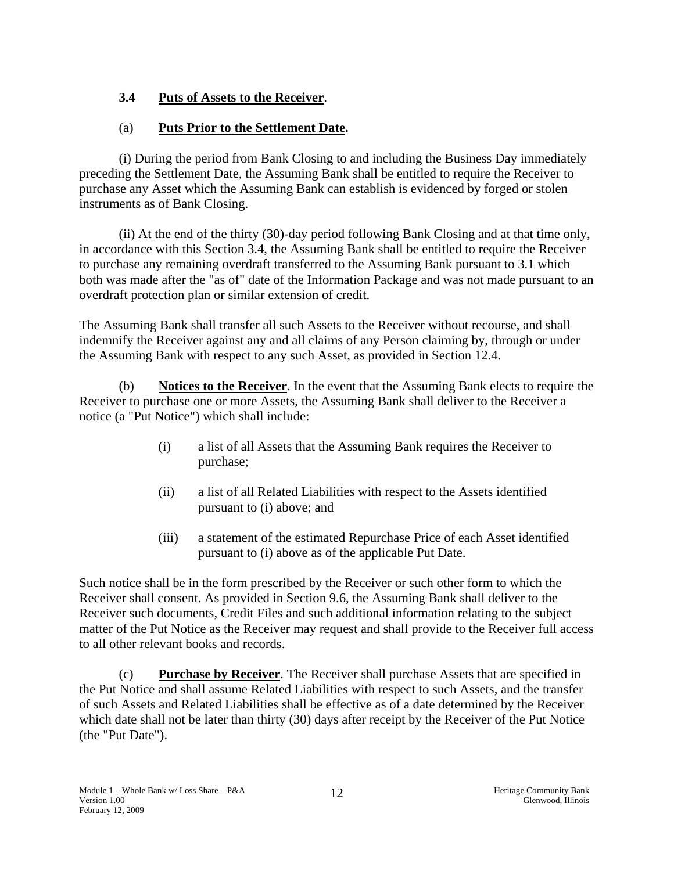## <span id="page-15-0"></span> **3.4 Puts of Assets to the Receiver**.

# (a) **Puts Prior to the Settlement Date.**

(i) During the period from Bank Closing to and including the Business Day immediately preceding the Settlement Date, the Assuming Bank shall be entitled to require the Receiver to purchase any Asset which the Assuming Bank can establish is evidenced by forged or stolen instruments as of Bank Closing.

(ii) At the end of the thirty (30)-day period following Bank Closing and at that time only, in accordance with this Section 3.4, the Assuming Bank shall be entitled to require the Receiver to purchase any remaining overdraft transferred to the Assuming Bank pursuant to 3.1 which both was made after the "as of" date of the Information Package and was not made pursuant to an overdraft protection plan or similar extension of credit.

The Assuming Bank shall transfer all such Assets to the Receiver without recourse, and shall indemnify the Receiver against any and all claims of any Person claiming by, through or under the Assuming Bank with respect to any such Asset, as provided in Section 12.4.

(b) **Notices to the Receiver**. In the event that the Assuming Bank elects to require the Receiver to purchase one or more Assets, the Assuming Bank shall deliver to the Receiver a notice (a "Put Notice") which shall include:

- (i) a list of all Assets that the Assuming Bank requires the Receiver to purchase;
- (ii) a list of all Related Liabilities with respect to the Assets identified pursuant to (i) above; and
- (iii) a statement of the estimated Repurchase Price of each Asset identified pursuant to (i) above as of the applicable Put Date.

Such notice shall be in the form prescribed by the Receiver or such other form to which the Receiver shall consent. As provided in Section 9.6, the Assuming Bank shall deliver to the Receiver such documents, Credit Files and such additional information relating to the subject matter of the Put Notice as the Receiver may request and shall provide to the Receiver full access to all other relevant books and records.

(c) **Purchase by Receiver**. The Receiver shall purchase Assets that are specified in the Put Notice and shall assume Related Liabilities with respect to such Assets, and the transfer of such Assets and Related Liabilities shall be effective as of a date determined by the Receiver which date shall not be later than thirty (30) days after receipt by the Receiver of the Put Notice (the "Put Date").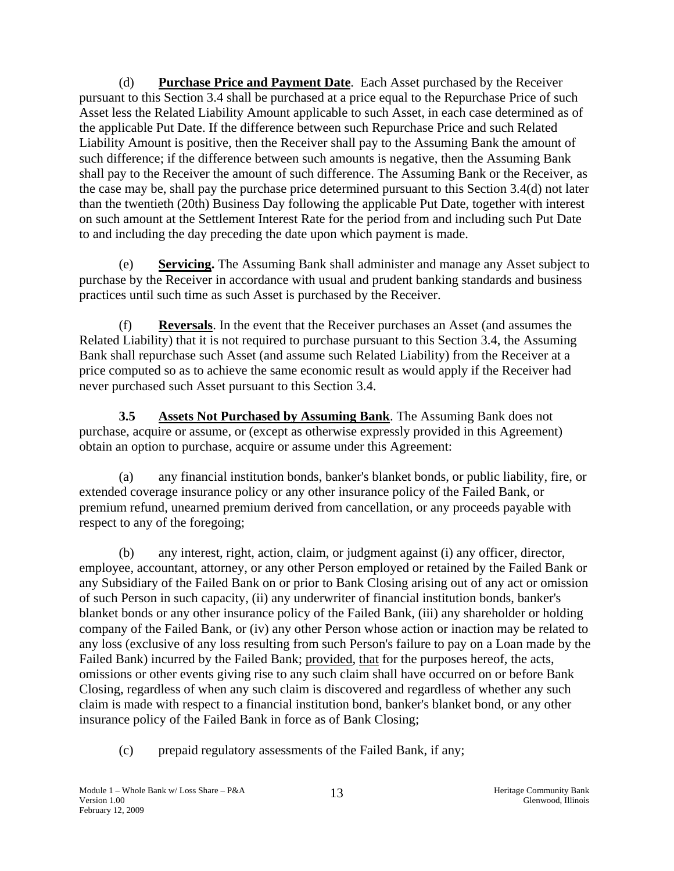<span id="page-16-0"></span> (d) **Purchase Price and Payment Date**. Each Asset purchased by the Receiver pursuant to this Section 3.4 shall be purchased at a price equal to the Repurchase Price of such Asset less the Related Liability Amount applicable to such Asset, in each case determined as of the applicable Put Date. If the difference between such Repurchase Price and such Related Liability Amount is positive, then the Receiver shall pay to the Assuming Bank the amount of such difference; if the difference between such amounts is negative, then the Assuming Bank shall pay to the Receiver the amount of such difference. The Assuming Bank or the Receiver, as the case may be, shall pay the purchase price determined pursuant to this Section 3.4(d) not later than the twentieth (20th) Business Day following the applicable Put Date, together with interest on such amount at the Settlement Interest Rate for the period from and including such Put Date to and including the day preceding the date upon which payment is made.

(e) **Servicing.** The Assuming Bank shall administer and manage any Asset subject to purchase by the Receiver in accordance with usual and prudent banking standards and business practices until such time as such Asset is purchased by the Receiver.

(f) **Reversals**. In the event that the Receiver purchases an Asset (and assumes the Related Liability) that it is not required to purchase pursuant to this Section 3.4, the Assuming Bank shall repurchase such Asset (and assume such Related Liability) from the Receiver at a price computed so as to achieve the same economic result as would apply if the Receiver had never purchased such Asset pursuant to this Section 3.4.

**3.5 Assets Not Purchased by Assuming Bank**. The Assuming Bank does not purchase, acquire or assume, or (except as otherwise expressly provided in this Agreement) obtain an option to purchase, acquire or assume under this Agreement:

(a) any financial institution bonds, banker's blanket bonds, or public liability, fire, or extended coverage insurance policy or any other insurance policy of the Failed Bank, or premium refund, unearned premium derived from cancellation, or any proceeds payable with respect to any of the foregoing;

(b) any interest, right, action, claim, or judgment against (i) any officer, director, employee, accountant, attorney, or any other Person employed or retained by the Failed Bank or any Subsidiary of the Failed Bank on or prior to Bank Closing arising out of any act or omission of such Person in such capacity, (ii) any underwriter of financial institution bonds, banker's blanket bonds or any other insurance policy of the Failed Bank, (iii) any shareholder or holding company of the Failed Bank, or (iv) any other Person whose action or inaction may be related to any loss (exclusive of any loss resulting from such Person's failure to pay on a Loan made by the Failed Bank) incurred by the Failed Bank; provided, that for the purposes hereof, the acts, omissions or other events giving rise to any such claim shall have occurred on or before Bank Closing, regardless of when any such claim is discovered and regardless of whether any such claim is made with respect to a financial institution bond, banker's blanket bond, or any other insurance policy of the Failed Bank in force as of Bank Closing;

(c) prepaid regulatory assessments of the Failed Bank, if any;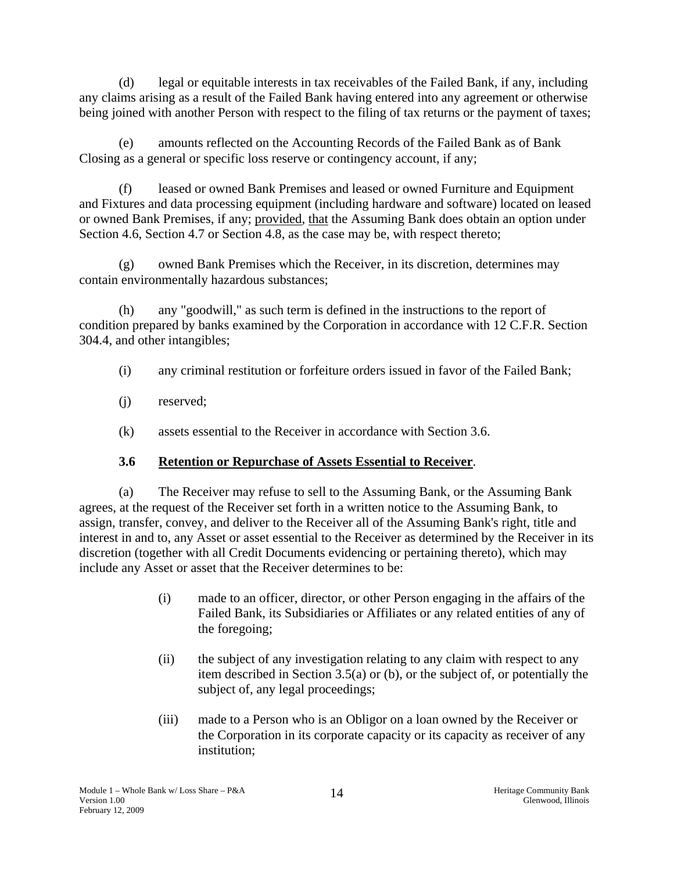<span id="page-17-0"></span>(d) legal or equitable interests in tax receivables of the Failed Bank, if any, including any claims arising as a result of the Failed Bank having entered into any agreement or otherwise being joined with another Person with respect to the filing of tax returns or the payment of taxes;

(e) amounts reflected on the Accounting Records of the Failed Bank as of Bank Closing as a general or specific loss reserve or contingency account, if any;

(f) leased or owned Bank Premises and leased or owned Furniture and Equipment and Fixtures and data processing equipment (including hardware and software) located on leased or owned Bank Premises, if any; provided, that the Assuming Bank does obtain an option under Section 4.6, Section 4.7 or Section 4.8, as the case may be, with respect thereto;

(g) owned Bank Premises which the Receiver, in its discretion, determines may contain environmentally hazardous substances;

(h) any "goodwill," as such term is defined in the instructions to the report of condition prepared by banks examined by the Corporation in accordance with 12 C.F.R. Section 304.4, and other intangibles;

- (i) any criminal restitution or forfeiture orders issued in favor of the Failed Bank;
- (j) reserved;
- (k) assets essential to the Receiver in accordance with Section 3.6.

# **3.6 Retention or Repurchase of Assets Essential to Receiver**.

(a) The Receiver may refuse to sell to the Assuming Bank, or the Assuming Bank agrees, at the request of the Receiver set forth in a written notice to the Assuming Bank, to assign, transfer, convey, and deliver to the Receiver all of the Assuming Bank's right, title and interest in and to, any Asset or asset essential to the Receiver as determined by the Receiver in its discretion (together with all Credit Documents evidencing or pertaining thereto), which may include any Asset or asset that the Receiver determines to be:

- (i) made to an officer, director, or other Person engaging in the affairs of the Failed Bank, its Subsidiaries or Affiliates or any related entities of any of the foregoing;
- (ii) the subject of any investigation relating to any claim with respect to any item described in Section 3.5(a) or (b), or the subject of, or potentially the subject of, any legal proceedings;
- (iii) made to a Person who is an Obligor on a loan owned by the Receiver or the Corporation in its corporate capacity or its capacity as receiver of any institution;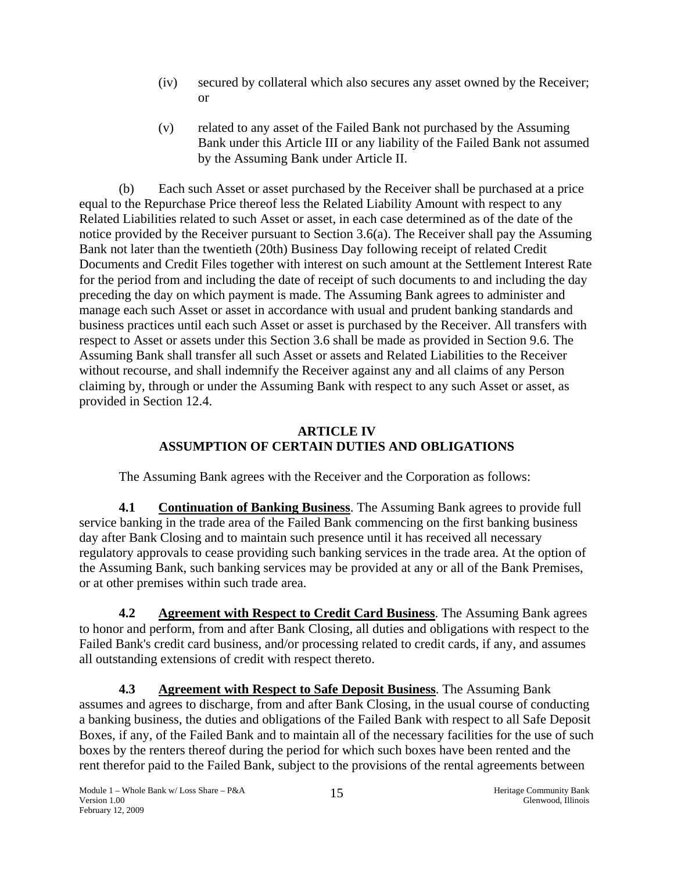- <span id="page-18-0"></span>(iv) secured by collateral which also secures any asset owned by the Receiver; or
- (v) related to any asset of the Failed Bank not purchased by the Assuming Bank under this Article III or any liability of the Failed Bank not assumed by the Assuming Bank under Article II.

(b) Each such Asset or asset purchased by the Receiver shall be purchased at a price equal to the Repurchase Price thereof less the Related Liability Amount with respect to any Related Liabilities related to such Asset or asset, in each case determined as of the date of the notice provided by the Receiver pursuant to Section 3.6(a). The Receiver shall pay the Assuming Bank not later than the twentieth (20th) Business Day following receipt of related Credit Documents and Credit Files together with interest on such amount at the Settlement Interest Rate for the period from and including the date of receipt of such documents to and including the day preceding the day on which payment is made. The Assuming Bank agrees to administer and manage each such Asset or asset in accordance with usual and prudent banking standards and business practices until each such Asset or asset is purchased by the Receiver. All transfers with respect to Asset or assets under this Section 3.6 shall be made as provided in Section 9.6. The Assuming Bank shall transfer all such Asset or assets and Related Liabilities to the Receiver without recourse, and shall indemnify the Receiver against any and all claims of any Person claiming by, through or under the Assuming Bank with respect to any such Asset or asset, as provided in Section 12.4.

# **ARTICLE IV ASSUMPTION OF CERTAIN DUTIES AND OBLIGATIONS**

The Assuming Bank agrees with the Receiver and the Corporation as follows:

**4.1 Continuation of Banking Business**. The Assuming Bank agrees to provide full service banking in the trade area of the Failed Bank commencing on the first banking business day after Bank Closing and to maintain such presence until it has received all necessary regulatory approvals to cease providing such banking services in the trade area. At the option of the Assuming Bank, such banking services may be provided at any or all of the Bank Premises, or at other premises within such trade area.

**4.2** Agreement with Respect to Credit Card Business. The Assuming Bank agrees to honor and perform, from and after Bank Closing, all duties and obligations with respect to the Failed Bank's credit card business, and/or processing related to credit cards, if any, and assumes all outstanding extensions of credit with respect thereto.

**4.3 Agreement with Respect to Safe Deposit Business**. The Assuming Bank assumes and agrees to discharge, from and after Bank Closing, in the usual course of conducting a banking business, the duties and obligations of the Failed Bank with respect to all Safe Deposit Boxes, if any, of the Failed Bank and to maintain all of the necessary facilities for the use of such boxes by the renters thereof during the period for which such boxes have been rented and the rent therefor paid to the Failed Bank, subject to the provisions of the rental agreements between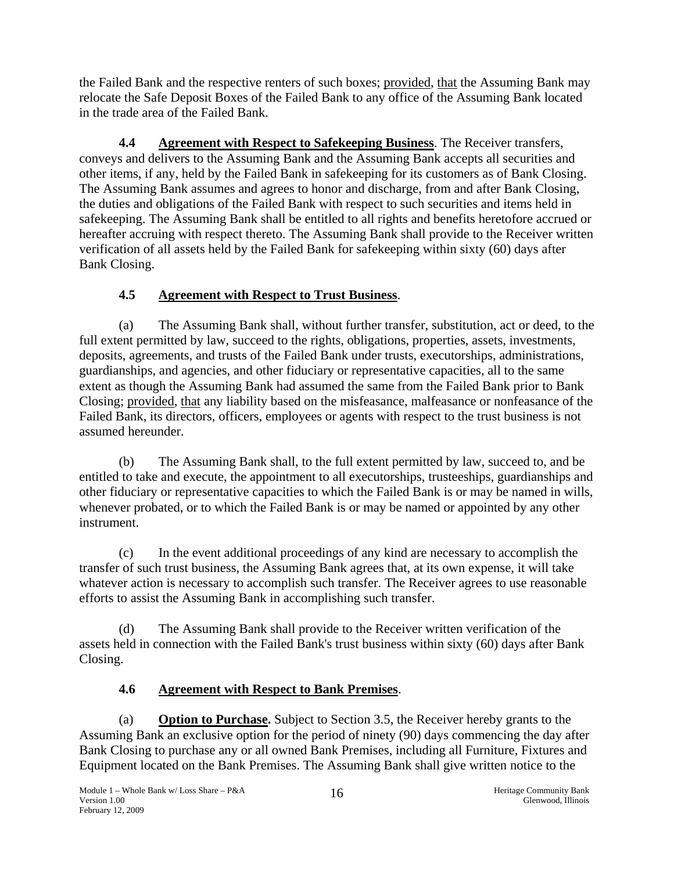<span id="page-19-0"></span>the Failed Bank and the respective renters of such boxes; provided, that the Assuming Bank may relocate the Safe Deposit Boxes of the Failed Bank to any office of the Assuming Bank located in the trade area of the Failed Bank.

**4.4** Agreement with Respect to Safekeeping Business. The Receiver transfers, conveys and delivers to the Assuming Bank and the Assuming Bank accepts all securities and other items, if any, held by the Failed Bank in safekeeping for its customers as of Bank Closing. The Assuming Bank assumes and agrees to honor and discharge, from and after Bank Closing, the duties and obligations of the Failed Bank with respect to such securities and items held in safekeeping. The Assuming Bank shall be entitled to all rights and benefits heretofore accrued or hereafter accruing with respect thereto. The Assuming Bank shall provide to the Receiver written verification of all assets held by the Failed Bank for safekeeping within sixty (60) days after Bank Closing.

# **4.5 Agreement with Respect to Trust Business**.

(a) The Assuming Bank shall, without further transfer, substitution, act or deed, to the full extent permitted by law, succeed to the rights, obligations, properties, assets, investments, deposits, agreements, and trusts of the Failed Bank under trusts, executorships, administrations, guardianships, and agencies, and other fiduciary or representative capacities, all to the same extent as though the Assuming Bank had assumed the same from the Failed Bank prior to Bank Closing; provided, that any liability based on the misfeasance, malfeasance or nonfeasance of the Failed Bank, its directors, officers, employees or agents with respect to the trust business is not assumed hereunder.

(b) The Assuming Bank shall, to the full extent permitted by law, succeed to, and be entitled to take and execute, the appointment to all executorships, trusteeships, guardianships and other fiduciary or representative capacities to which the Failed Bank is or may be named in wills, whenever probated, or to which the Failed Bank is or may be named or appointed by any other instrument.

(c) In the event additional proceedings of any kind are necessary to accomplish the transfer of such trust business, the Assuming Bank agrees that, at its own expense, it will take whatever action is necessary to accomplish such transfer. The Receiver agrees to use reasonable efforts to assist the Assuming Bank in accomplishing such transfer.

(d) The Assuming Bank shall provide to the Receiver written verification of the assets held in connection with the Failed Bank's trust business within sixty (60) days after Bank Closing.

# **4.6 Agreement with Respect to Bank Premises**.

(a) **Option to Purchase.** Subject to Section 3.5, the Receiver hereby grants to the Assuming Bank an exclusive option for the period of ninety (90) days commencing the day after Bank Closing to purchase any or all owned Bank Premises, including all Furniture, Fixtures and Equipment located on the Bank Premises. The Assuming Bank shall give written notice to the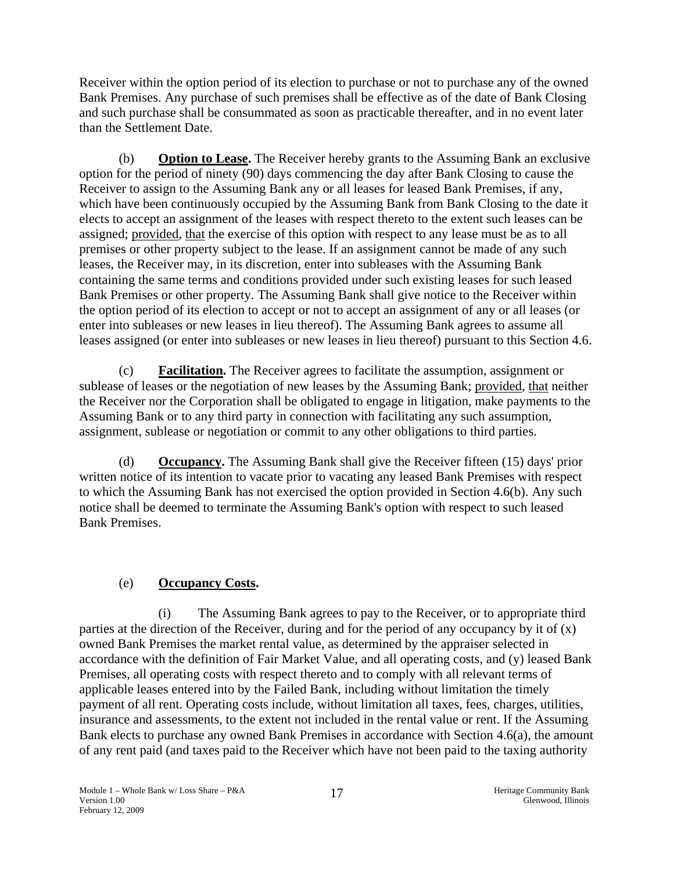Receiver within the option period of its election to purchase or not to purchase any of the owned Bank Premises. Any purchase of such premises shall be effective as of the date of Bank Closing and such purchase shall be consummated as soon as practicable thereafter, and in no event later than the Settlement Date.

(b) **Option to Lease.** The Receiver hereby grants to the Assuming Bank an exclusive option for the period of ninety (90) days commencing the day after Bank Closing to cause the Receiver to assign to the Assuming Bank any or all leases for leased Bank Premises, if any, which have been continuously occupied by the Assuming Bank from Bank Closing to the date it elects to accept an assignment of the leases with respect thereto to the extent such leases can be assigned; provided, that the exercise of this option with respect to any lease must be as to all premises or other property subject to the lease. If an assignment cannot be made of any such leases, the Receiver may, in its discretion, enter into subleases with the Assuming Bank containing the same terms and conditions provided under such existing leases for such leased Bank Premises or other property. The Assuming Bank shall give notice to the Receiver within the option period of its election to accept or not to accept an assignment of any or all leases (or enter into subleases or new leases in lieu thereof). The Assuming Bank agrees to assume all leases assigned (or enter into subleases or new leases in lieu thereof) pursuant to this Section 4.6.

(c) **Facilitation.** The Receiver agrees to facilitate the assumption, assignment or sublease of leases or the negotiation of new leases by the Assuming Bank; provided, that neither the Receiver nor the Corporation shall be obligated to engage in litigation, make payments to the Assuming Bank or to any third party in connection with facilitating any such assumption, assignment, sublease or negotiation or commit to any other obligations to third parties.

(d) **Occupancy.** The Assuming Bank shall give the Receiver fifteen (15) days' prior written notice of its intention to vacate prior to vacating any leased Bank Premises with respect to which the Assuming Bank has not exercised the option provided in Section 4.6(b). Any such notice shall be deemed to terminate the Assuming Bank's option with respect to such leased Bank Premises.

## (e) **Occupancy Costs.**

(i) The Assuming Bank agrees to pay to the Receiver, or to appropriate third parties at the direction of the Receiver, during and for the period of any occupancy by it of (x) owned Bank Premises the market rental value, as determined by the appraiser selected in accordance with the definition of Fair Market Value, and all operating costs, and (y) leased Bank Premises, all operating costs with respect thereto and to comply with all relevant terms of applicable leases entered into by the Failed Bank, including without limitation the timely payment of all rent. Operating costs include, without limitation all taxes, fees, charges, utilities, insurance and assessments, to the extent not included in the rental value or rent. If the Assuming Bank elects to purchase any owned Bank Premises in accordance with Section 4.6(a), the amount of any rent paid (and taxes paid to the Receiver which have not been paid to the taxing authority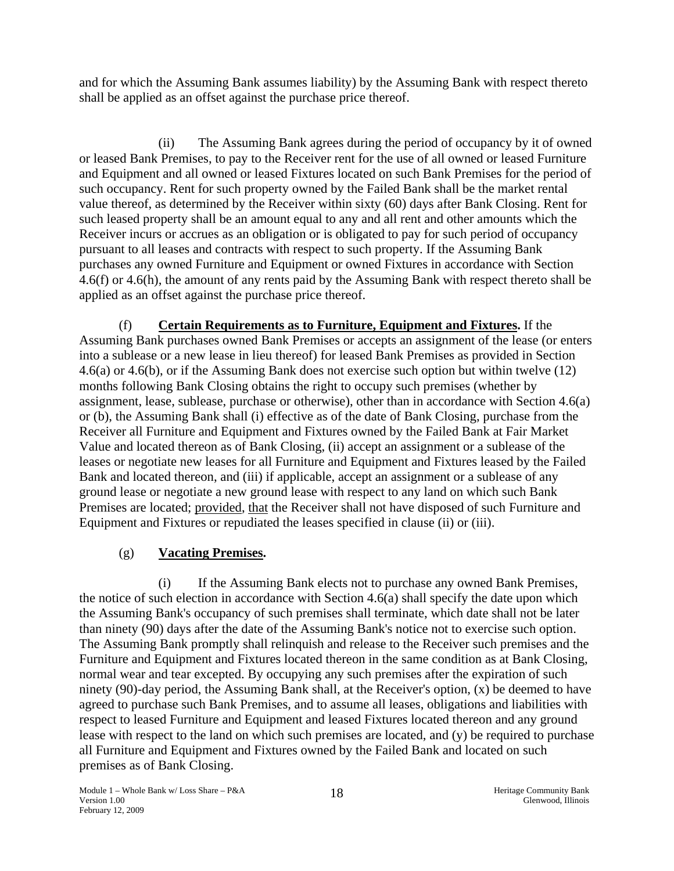and for which the Assuming Bank assumes liability) by the Assuming Bank with respect thereto shall be applied as an offset against the purchase price thereof.

(ii) The Assuming Bank agrees during the period of occupancy by it of owned or leased Bank Premises, to pay to the Receiver rent for the use of all owned or leased Furniture and Equipment and all owned or leased Fixtures located on such Bank Premises for the period of such occupancy. Rent for such property owned by the Failed Bank shall be the market rental value thereof, as determined by the Receiver within sixty (60) days after Bank Closing. Rent for such leased property shall be an amount equal to any and all rent and other amounts which the Receiver incurs or accrues as an obligation or is obligated to pay for such period of occupancy pursuant to all leases and contracts with respect to such property. If the Assuming Bank purchases any owned Furniture and Equipment or owned Fixtures in accordance with Section 4.6(f) or 4.6(h), the amount of any rents paid by the Assuming Bank with respect thereto shall be applied as an offset against the purchase price thereof.

(f) **Certain Requirements as to Furniture, Equipment and Fixtures.** If the Assuming Bank purchases owned Bank Premises or accepts an assignment of the lease (or enters into a sublease or a new lease in lieu thereof) for leased Bank Premises as provided in Section 4.6(a) or 4.6(b), or if the Assuming Bank does not exercise such option but within twelve (12) months following Bank Closing obtains the right to occupy such premises (whether by assignment, lease, sublease, purchase or otherwise), other than in accordance with Section 4.6(a) or (b), the Assuming Bank shall (i) effective as of the date of Bank Closing, purchase from the Receiver all Furniture and Equipment and Fixtures owned by the Failed Bank at Fair Market Value and located thereon as of Bank Closing, (ii) accept an assignment or a sublease of the leases or negotiate new leases for all Furniture and Equipment and Fixtures leased by the Failed Bank and located thereon, and (iii) if applicable, accept an assignment or a sublease of any ground lease or negotiate a new ground lease with respect to any land on which such Bank Premises are located; provided, that the Receiver shall not have disposed of such Furniture and Equipment and Fixtures or repudiated the leases specified in clause (ii) or (iii).

# (g) **Vacating Premises.**

(i) If the Assuming Bank elects not to purchase any owned Bank Premises, the notice of such election in accordance with Section 4.6(a) shall specify the date upon which the Assuming Bank's occupancy of such premises shall terminate, which date shall not be later than ninety (90) days after the date of the Assuming Bank's notice not to exercise such option. The Assuming Bank promptly shall relinquish and release to the Receiver such premises and the Furniture and Equipment and Fixtures located thereon in the same condition as at Bank Closing, normal wear and tear excepted. By occupying any such premises after the expiration of such ninety (90)-day period, the Assuming Bank shall, at the Receiver's option, (x) be deemed to have agreed to purchase such Bank Premises, and to assume all leases, obligations and liabilities with respect to leased Furniture and Equipment and leased Fixtures located thereon and any ground lease with respect to the land on which such premises are located, and (y) be required to purchase all Furniture and Equipment and Fixtures owned by the Failed Bank and located on such premises as of Bank Closing.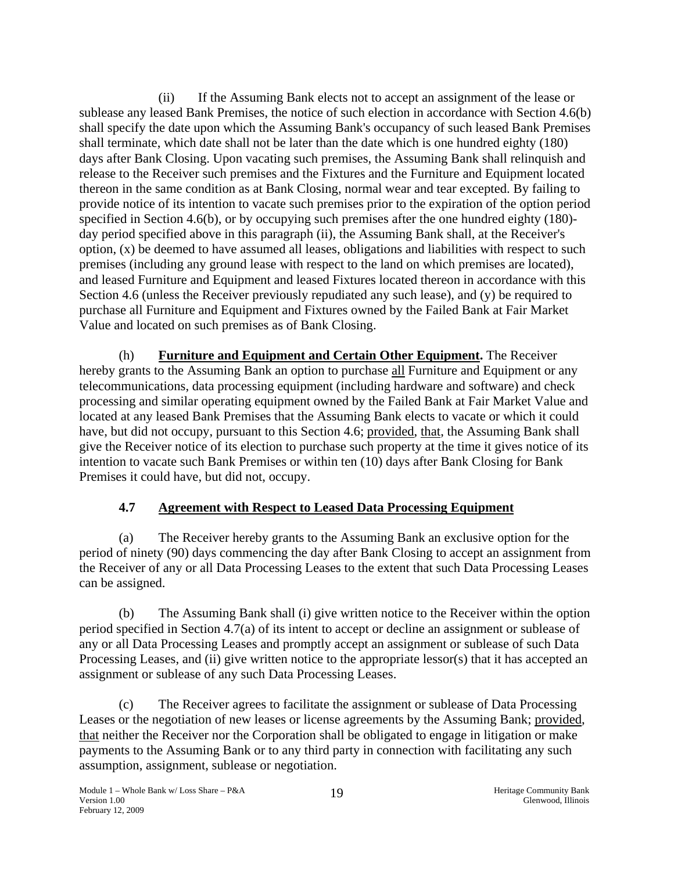<span id="page-22-0"></span>(ii) If the Assuming Bank elects not to accept an assignment of the lease or sublease any leased Bank Premises, the notice of such election in accordance with Section 4.6(b) shall specify the date upon which the Assuming Bank's occupancy of such leased Bank Premises shall terminate, which date shall not be later than the date which is one hundred eighty (180) days after Bank Closing. Upon vacating such premises, the Assuming Bank shall relinquish and release to the Receiver such premises and the Fixtures and the Furniture and Equipment located thereon in the same condition as at Bank Closing, normal wear and tear excepted. By failing to provide notice of its intention to vacate such premises prior to the expiration of the option period specified in Section 4.6(b), or by occupying such premises after the one hundred eighty (180) day period specified above in this paragraph (ii), the Assuming Bank shall, at the Receiver's option, (x) be deemed to have assumed all leases, obligations and liabilities with respect to such premises (including any ground lease with respect to the land on which premises are located), and leased Furniture and Equipment and leased Fixtures located thereon in accordance with this Section 4.6 (unless the Receiver previously repudiated any such lease), and (y) be required to purchase all Furniture and Equipment and Fixtures owned by the Failed Bank at Fair Market Value and located on such premises as of Bank Closing.

(h) **Furniture and Equipment and Certain Other Equipment.** The Receiver hereby grants to the Assuming Bank an option to purchase all Furniture and Equipment or any telecommunications, data processing equipment (including hardware and software) and check processing and similar operating equipment owned by the Failed Bank at Fair Market Value and located at any leased Bank Premises that the Assuming Bank elects to vacate or which it could have, but did not occupy, pursuant to this Section 4.6; provided, that, the Assuming Bank shall give the Receiver notice of its election to purchase such property at the time it gives notice of its intention to vacate such Bank Premises or within ten (10) days after Bank Closing for Bank Premises it could have, but did not, occupy.

# **4.7 Agreement with Respect to Leased Data Processing Equipment**

(a) The Receiver hereby grants to the Assuming Bank an exclusive option for the period of ninety (90) days commencing the day after Bank Closing to accept an assignment from the Receiver of any or all Data Processing Leases to the extent that such Data Processing Leases can be assigned.

(b) The Assuming Bank shall (i) give written notice to the Receiver within the option period specified in Section 4.7(a) of its intent to accept or decline an assignment or sublease of any or all Data Processing Leases and promptly accept an assignment or sublease of such Data Processing Leases, and (ii) give written notice to the appropriate lessor(s) that it has accepted an assignment or sublease of any such Data Processing Leases.

(c) The Receiver agrees to facilitate the assignment or sublease of Data Processing Leases or the negotiation of new leases or license agreements by the Assuming Bank; provided, that neither the Receiver nor the Corporation shall be obligated to engage in litigation or make payments to the Assuming Bank or to any third party in connection with facilitating any such assumption, assignment, sublease or negotiation.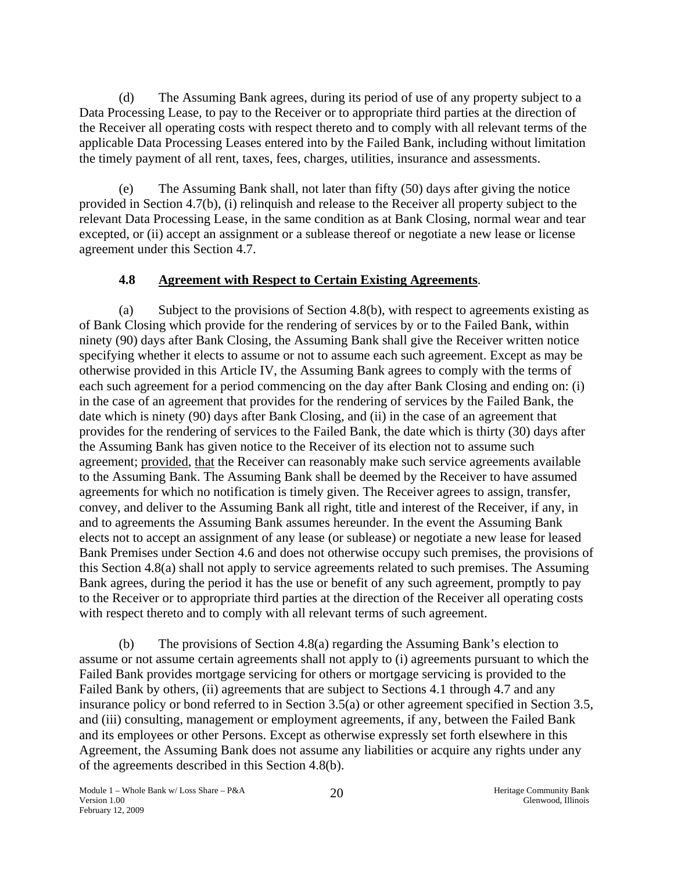<span id="page-23-0"></span>(d) The Assuming Bank agrees, during its period of use of any property subject to a Data Processing Lease, to pay to the Receiver or to appropriate third parties at the direction of the Receiver all operating costs with respect thereto and to comply with all relevant terms of the applicable Data Processing Leases entered into by the Failed Bank, including without limitation the timely payment of all rent, taxes, fees, charges, utilities, insurance and assessments.

(e) The Assuming Bank shall, not later than fifty (50) days after giving the notice provided in Section 4.7(b), (i) relinquish and release to the Receiver all property subject to the relevant Data Processing Lease, in the same condition as at Bank Closing, normal wear and tear excepted, or (ii) accept an assignment or a sublease thereof or negotiate a new lease or license agreement under this Section 4.7.

## **4.8 Agreement with Respect to Certain Existing Agreements**.

(a) Subject to the provisions of Section 4.8(b), with respect to agreements existing as of Bank Closing which provide for the rendering of services by or to the Failed Bank, within ninety (90) days after Bank Closing, the Assuming Bank shall give the Receiver written notice specifying whether it elects to assume or not to assume each such agreement. Except as may be otherwise provided in this Article IV, the Assuming Bank agrees to comply with the terms of each such agreement for a period commencing on the day after Bank Closing and ending on: (i) in the case of an agreement that provides for the rendering of services by the Failed Bank, the date which is ninety (90) days after Bank Closing, and (ii) in the case of an agreement that provides for the rendering of services to the Failed Bank, the date which is thirty (30) days after the Assuming Bank has given notice to the Receiver of its election not to assume such agreement; provided, that the Receiver can reasonably make such service agreements available to the Assuming Bank. The Assuming Bank shall be deemed by the Receiver to have assumed agreements for which no notification is timely given. The Receiver agrees to assign, transfer, convey, and deliver to the Assuming Bank all right, title and interest of the Receiver, if any, in and to agreements the Assuming Bank assumes hereunder. In the event the Assuming Bank elects not to accept an assignment of any lease (or sublease) or negotiate a new lease for leased Bank Premises under Section 4.6 and does not otherwise occupy such premises, the provisions of this Section 4.8(a) shall not apply to service agreements related to such premises. The Assuming Bank agrees, during the period it has the use or benefit of any such agreement, promptly to pay to the Receiver or to appropriate third parties at the direction of the Receiver all operating costs with respect thereto and to comply with all relevant terms of such agreement.

(b) The provisions of Section 4.8(a) regarding the Assuming Bank's election to assume or not assume certain agreements shall not apply to (i) agreements pursuant to which the Failed Bank provides mortgage servicing for others or mortgage servicing is provided to the Failed Bank by others, (ii) agreements that are subject to Sections 4.1 through 4.7 and any insurance policy or bond referred to in Section 3.5(a) or other agreement specified in Section 3.5, and (iii) consulting, management or employment agreements, if any, between the Failed Bank and its employees or other Persons. Except as otherwise expressly set forth elsewhere in this Agreement, the Assuming Bank does not assume any liabilities or acquire any rights under any of the agreements described in this Section 4.8(b).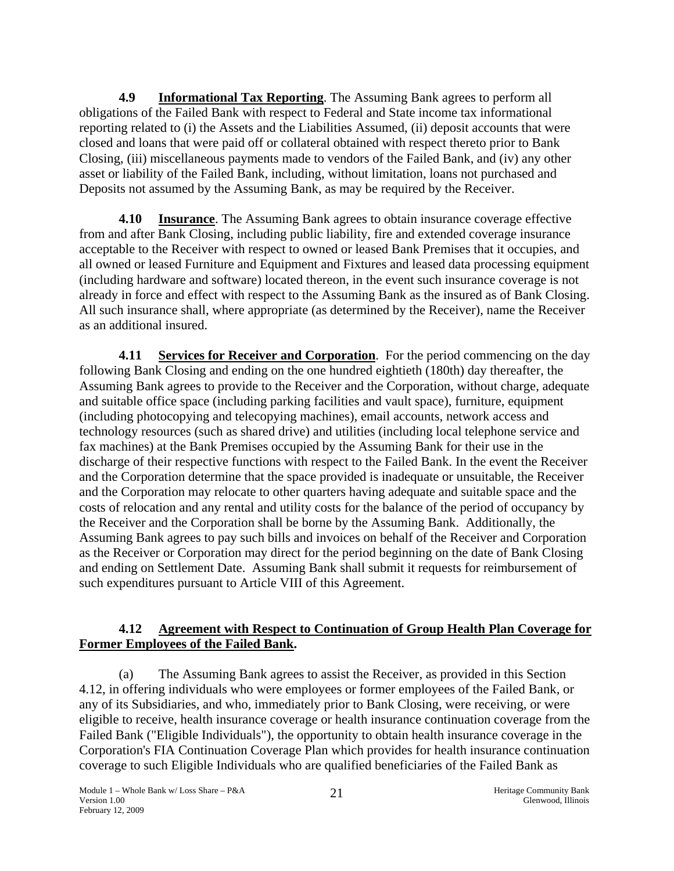<span id="page-24-0"></span> **4.9 Informational Tax Reporting**. The Assuming Bank agrees to perform all obligations of the Failed Bank with respect to Federal and State income tax informational reporting related to (i) the Assets and the Liabilities Assumed, (ii) deposit accounts that were closed and loans that were paid off or collateral obtained with respect thereto prior to Bank Closing, (iii) miscellaneous payments made to vendors of the Failed Bank, and (iv) any other asset or liability of the Failed Bank, including, without limitation, loans not purchased and Deposits not assumed by the Assuming Bank, as may be required by the Receiver.

**4.10 Insurance**. The Assuming Bank agrees to obtain insurance coverage effective from and after Bank Closing, including public liability, fire and extended coverage insurance acceptable to the Receiver with respect to owned or leased Bank Premises that it occupies, and all owned or leased Furniture and Equipment and Fixtures and leased data processing equipment (including hardware and software) located thereon, in the event such insurance coverage is not already in force and effect with respect to the Assuming Bank as the insured as of Bank Closing. All such insurance shall, where appropriate (as determined by the Receiver), name the Receiver as an additional insured.

**4.11 Services for Receiver and Corporation**. For the period commencing on the day following Bank Closing and ending on the one hundred eightieth (180th) day thereafter, the Assuming Bank agrees to provide to the Receiver and the Corporation, without charge, adequate and suitable office space (including parking facilities and vault space), furniture, equipment (including photocopying and telecopying machines), email accounts, network access and technology resources (such as shared drive) and utilities (including local telephone service and fax machines) at the Bank Premises occupied by the Assuming Bank for their use in the discharge of their respective functions with respect to the Failed Bank. In the event the Receiver and the Corporation determine that the space provided is inadequate or unsuitable, the Receiver and the Corporation may relocate to other quarters having adequate and suitable space and the costs of relocation and any rental and utility costs for the balance of the period of occupancy by the Receiver and the Corporation shall be borne by the Assuming Bank. Additionally, the Assuming Bank agrees to pay such bills and invoices on behalf of the Receiver and Corporation as the Receiver or Corporation may direct for the period beginning on the date of Bank Closing and ending on Settlement Date. Assuming Bank shall submit it requests for reimbursement of such expenditures pursuant to Article VIII of this Agreement.

## **4.12 Agreement with Respect to Continuation of Group Health Plan Coverage for Former Employees of the Failed Bank.**

(a) The Assuming Bank agrees to assist the Receiver, as provided in this Section 4.12, in offering individuals who were employees or former employees of the Failed Bank, or any of its Subsidiaries, and who, immediately prior to Bank Closing, were receiving, or were eligible to receive, health insurance coverage or health insurance continuation coverage from the Failed Bank ("Eligible Individuals"), the opportunity to obtain health insurance coverage in the Corporation's FIA Continuation Coverage Plan which provides for health insurance continuation coverage to such Eligible Individuals who are qualified beneficiaries of the Failed Bank as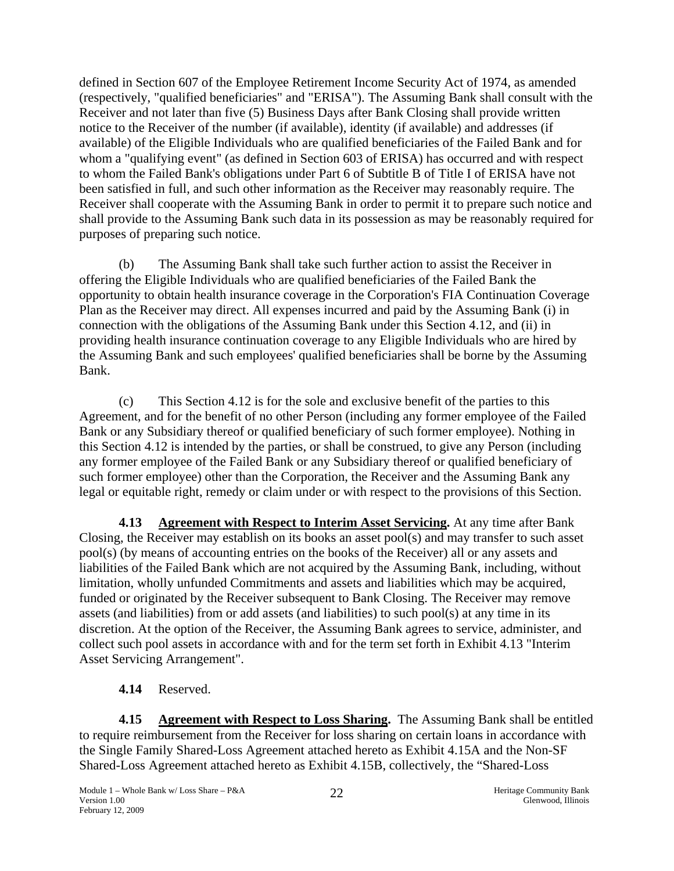<span id="page-25-0"></span>defined in Section 607 of the Employee Retirement Income Security Act of 1974, as amended (respectively, "qualified beneficiaries" and "ERISA"). The Assuming Bank shall consult with the Receiver and not later than five (5) Business Days after Bank Closing shall provide written notice to the Receiver of the number (if available), identity (if available) and addresses (if available) of the Eligible Individuals who are qualified beneficiaries of the Failed Bank and for whom a "qualifying event" (as defined in Section 603 of ERISA) has occurred and with respect to whom the Failed Bank's obligations under Part 6 of Subtitle B of Title I of ERISA have not been satisfied in full, and such other information as the Receiver may reasonably require. The Receiver shall cooperate with the Assuming Bank in order to permit it to prepare such notice and shall provide to the Assuming Bank such data in its possession as may be reasonably required for purposes of preparing such notice.

(b) The Assuming Bank shall take such further action to assist the Receiver in offering the Eligible Individuals who are qualified beneficiaries of the Failed Bank the opportunity to obtain health insurance coverage in the Corporation's FIA Continuation Coverage Plan as the Receiver may direct. All expenses incurred and paid by the Assuming Bank (i) in connection with the obligations of the Assuming Bank under this Section 4.12, and (ii) in providing health insurance continuation coverage to any Eligible Individuals who are hired by the Assuming Bank and such employees' qualified beneficiaries shall be borne by the Assuming Bank.

(c) This Section 4.12 is for the sole and exclusive benefit of the parties to this Agreement, and for the benefit of no other Person (including any former employee of the Failed Bank or any Subsidiary thereof or qualified beneficiary of such former employee). Nothing in this Section 4.12 is intended by the parties, or shall be construed, to give any Person (including any former employee of the Failed Bank or any Subsidiary thereof or qualified beneficiary of such former employee) other than the Corporation, the Receiver and the Assuming Bank any legal or equitable right, remedy or claim under or with respect to the provisions of this Section.

**4.13 Agreement with Respect to Interim Asset Servicing.** At any time after Bank Closing, the Receiver may establish on its books an asset pool(s) and may transfer to such asset pool(s) (by means of accounting entries on the books of the Receiver) all or any assets and liabilities of the Failed Bank which are not acquired by the Assuming Bank, including, without limitation, wholly unfunded Commitments and assets and liabilities which may be acquired, funded or originated by the Receiver subsequent to Bank Closing. The Receiver may remove assets (and liabilities) from or add assets (and liabilities) to such pool(s) at any time in its discretion. At the option of the Receiver, the Assuming Bank agrees to service, administer, and collect such pool assets in accordance with and for the term set forth in Exhibit 4.13 "Interim Asset Servicing Arrangement".

**4.14** Reserved.

**4.15 Agreement with Respect to Loss Sharing.** The Assuming Bank shall be entitled to require reimbursement from the Receiver for loss sharing on certain loans in accordance with the Single Family Shared-Loss Agreement attached hereto as Exhibit 4.15A and the Non-SF Shared-Loss Agreement attached hereto as Exhibit 4.15B, collectively, the "Shared-Loss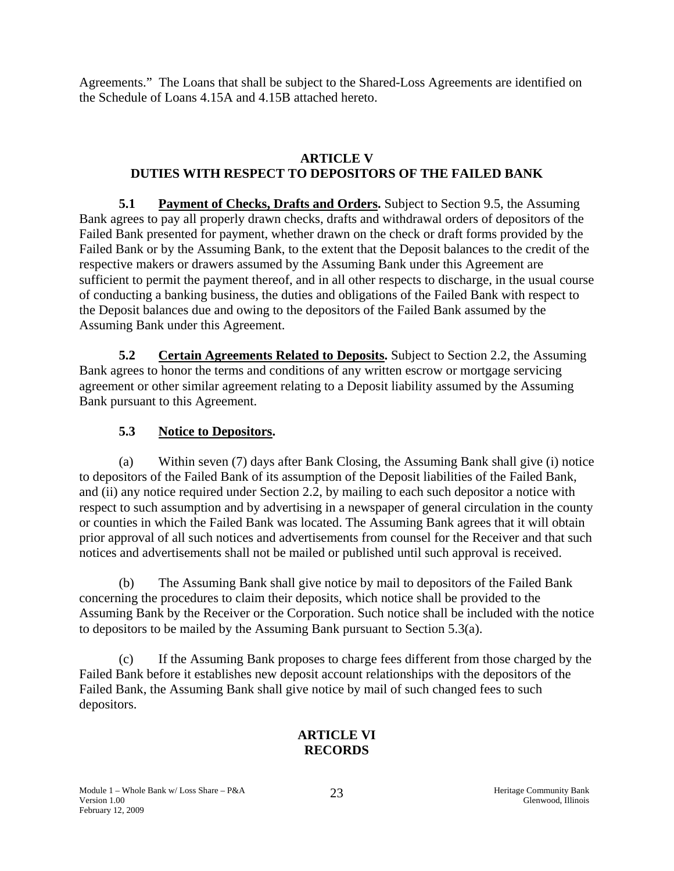<span id="page-26-0"></span>Agreements." The Loans that shall be subject to the Shared-Loss Agreements are identified on the Schedule of Loans 4.15A and 4.15B attached hereto.

## **ARTICLE V DUTIES WITH RESPECT TO DEPOSITORS OF THE FAILED BANK**

**5.1 Payment of Checks, Drafts and Orders.** Subject to Section 9.5, the Assuming Bank agrees to pay all properly drawn checks, drafts and withdrawal orders of depositors of the Failed Bank presented for payment, whether drawn on the check or draft forms provided by the Failed Bank or by the Assuming Bank, to the extent that the Deposit balances to the credit of the respective makers or drawers assumed by the Assuming Bank under this Agreement are sufficient to permit the payment thereof, and in all other respects to discharge, in the usual course of conducting a banking business, the duties and obligations of the Failed Bank with respect to the Deposit balances due and owing to the depositors of the Failed Bank assumed by the Assuming Bank under this Agreement.

**5.2 Certain Agreements Related to Deposits.** Subject to Section 2.2, the Assuming Bank agrees to honor the terms and conditions of any written escrow or mortgage servicing agreement or other similar agreement relating to a Deposit liability assumed by the Assuming Bank pursuant to this Agreement.

## **5.3 Notice to Depositors.**

(a) Within seven (7) days after Bank Closing, the Assuming Bank shall give (i) notice to depositors of the Failed Bank of its assumption of the Deposit liabilities of the Failed Bank, and (ii) any notice required under Section 2.2, by mailing to each such depositor a notice with respect to such assumption and by advertising in a newspaper of general circulation in the county or counties in which the Failed Bank was located. The Assuming Bank agrees that it will obtain prior approval of all such notices and advertisements from counsel for the Receiver and that such notices and advertisements shall not be mailed or published until such approval is received.

(b) The Assuming Bank shall give notice by mail to depositors of the Failed Bank concerning the procedures to claim their deposits, which notice shall be provided to the Assuming Bank by the Receiver or the Corporation. Such notice shall be included with the notice to depositors to be mailed by the Assuming Bank pursuant to Section 5.3(a).

(c) If the Assuming Bank proposes to charge fees different from those charged by the Failed Bank before it establishes new deposit account relationships with the depositors of the Failed Bank, the Assuming Bank shall give notice by mail of such changed fees to such depositors.

## **ARTICLE VI RECORDS**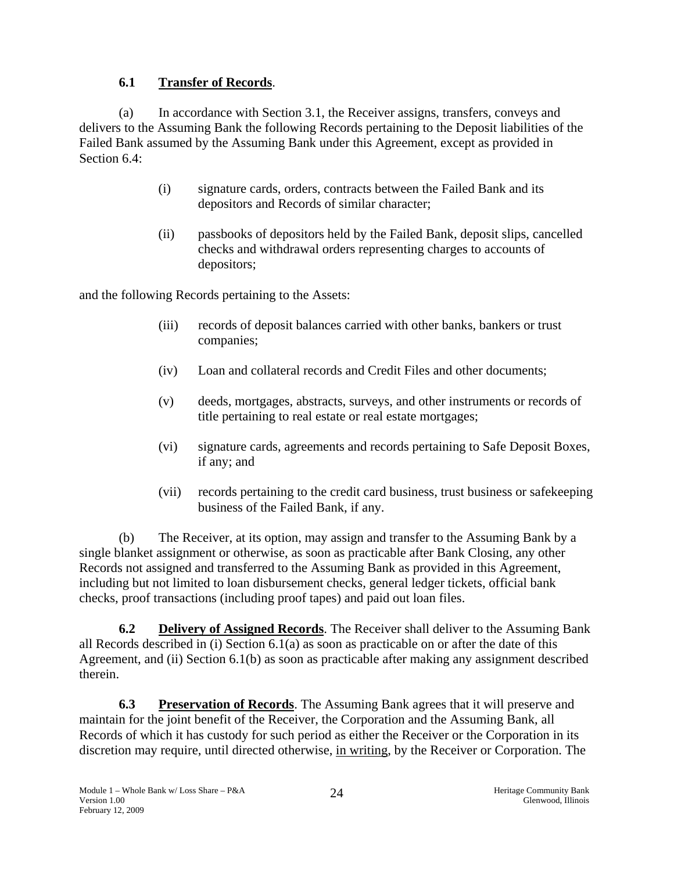# **6.1 Transfer of Records**.

<span id="page-27-0"></span>(a) In accordance with Section 3.1, the Receiver assigns, transfers, conveys and delivers to the Assuming Bank the following Records pertaining to the Deposit liabilities of the Failed Bank assumed by the Assuming Bank under this Agreement, except as provided in Section 6.4:

- (i) signature cards, orders, contracts between the Failed Bank and its depositors and Records of similar character;
- (ii) passbooks of depositors held by the Failed Bank, deposit slips, cancelled checks and withdrawal orders representing charges to accounts of depositors;

and the following Records pertaining to the Assets:

- (iii) records of deposit balances carried with other banks, bankers or trust companies;
- (iv) Loan and collateral records and Credit Files and other documents;
- (v) deeds, mortgages, abstracts, surveys, and other instruments or records of title pertaining to real estate or real estate mortgages;
- (vi) signature cards, agreements and records pertaining to Safe Deposit Boxes, if any; and
- (vii) records pertaining to the credit card business, trust business or safekeeping business of the Failed Bank, if any.

(b) The Receiver, at its option, may assign and transfer to the Assuming Bank by a single blanket assignment or otherwise, as soon as practicable after Bank Closing, any other Records not assigned and transferred to the Assuming Bank as provided in this Agreement, including but not limited to loan disbursement checks, general ledger tickets, official bank checks, proof transactions (including proof tapes) and paid out loan files.

**6.2 Delivery of Assigned Records**. The Receiver shall deliver to the Assuming Bank all Records described in (i) Section 6.1(a) as soon as practicable on or after the date of this Agreement, and (ii) Section 6.1(b) as soon as practicable after making any assignment described therein.

**6.3 Preservation of Records**. The Assuming Bank agrees that it will preserve and maintain for the joint benefit of the Receiver, the Corporation and the Assuming Bank, all Records of which it has custody for such period as either the Receiver or the Corporation in its discretion may require, until directed otherwise, in writing, by the Receiver or Corporation. The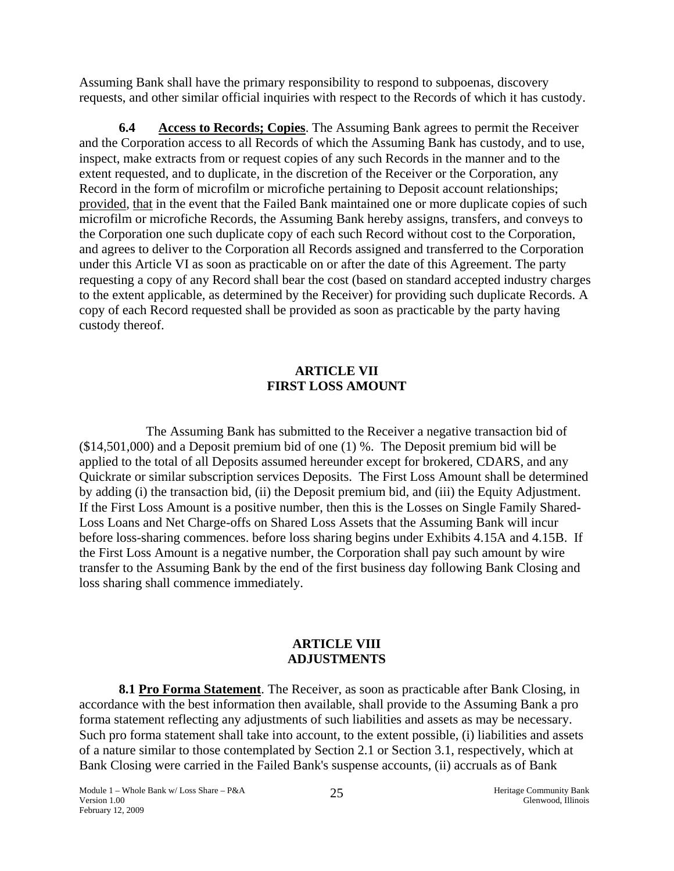<span id="page-28-0"></span>Assuming Bank shall have the primary responsibility to respond to subpoenas, discovery requests, and other similar official inquiries with respect to the Records of which it has custody.

**6.4 Access to Records; Copies**. The Assuming Bank agrees to permit the Receiver and the Corporation access to all Records of which the Assuming Bank has custody, and to use, inspect, make extracts from or request copies of any such Records in the manner and to the extent requested, and to duplicate, in the discretion of the Receiver or the Corporation, any Record in the form of microfilm or microfiche pertaining to Deposit account relationships; provided, that in the event that the Failed Bank maintained one or more duplicate copies of such microfilm or microfiche Records, the Assuming Bank hereby assigns, transfers, and conveys to the Corporation one such duplicate copy of each such Record without cost to the Corporation, and agrees to deliver to the Corporation all Records assigned and transferred to the Corporation under this Article VI as soon as practicable on or after the date of this Agreement. The party requesting a copy of any Record shall bear the cost (based on standard accepted industry charges to the extent applicable, as determined by the Receiver) for providing such duplicate Records. A copy of each Record requested shall be provided as soon as practicable by the party having custody thereof.

### **ARTICLE VII FIRST LOSS AMOUNT**

 The Assuming Bank has submitted to the Receiver a negative transaction bid of (\$14,501,000) and a Deposit premium bid of one (1) %. The Deposit premium bid will be applied to the total of all Deposits assumed hereunder except for brokered, CDARS, and any Quickrate or similar subscription services Deposits. The First Loss Amount shall be determined by adding (i) the transaction bid, (ii) the Deposit premium bid, and (iii) the Equity Adjustment. If the First Loss Amount is a positive number, then this is the Losses on Single Family Shared-Loss Loans and Net Charge-offs on Shared Loss Assets that the Assuming Bank will incur before loss-sharing commences. before loss sharing begins under Exhibits 4.15A and 4.15B. If the First Loss Amount is a negative number, the Corporation shall pay such amount by wire transfer to the Assuming Bank by the end of the first business day following Bank Closing and loss sharing shall commence immediately.

#### **ARTICLE VIII ADJUSTMENTS**

**8.1 Pro Forma Statement**. The Receiver, as soon as practicable after Bank Closing, in accordance with the best information then available, shall provide to the Assuming Bank a pro forma statement reflecting any adjustments of such liabilities and assets as may be necessary. Such pro forma statement shall take into account, to the extent possible, (i) liabilities and assets of a nature similar to those contemplated by Section 2.1 or Section 3.1, respectively, which at Bank Closing were carried in the Failed Bank's suspense accounts, (ii) accruals as of Bank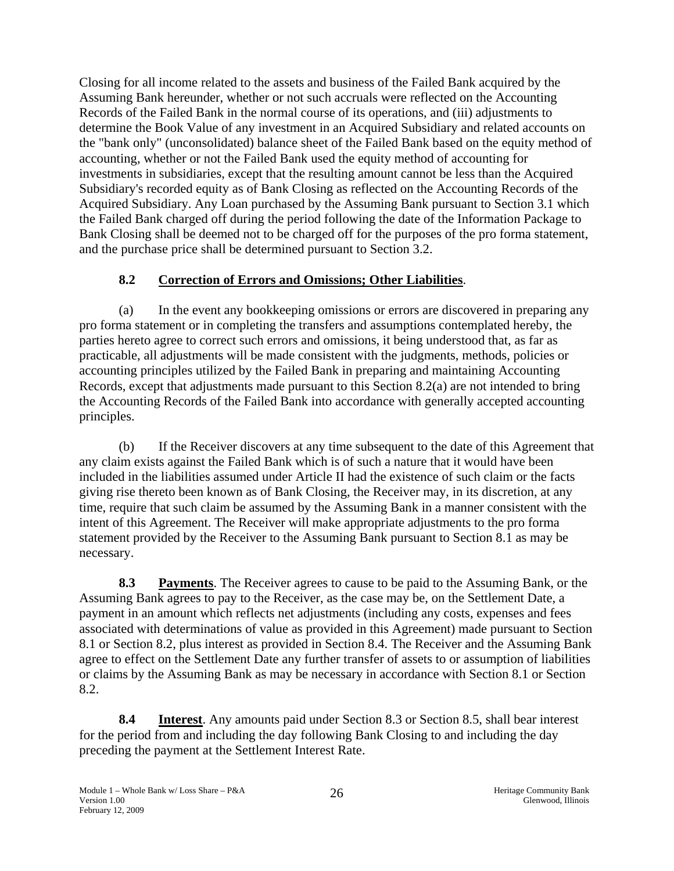<span id="page-29-1"></span><span id="page-29-0"></span>Closing for all income related to the assets and business of the Failed Bank acquired by the Assuming Bank hereunder, whether or not such accruals were reflected on the Accounting Records of the Failed Bank in the normal course of its operations, and (iii) adjustments to determine the Book Value of any investment in an Acquired Subsidiary and related accounts on the "bank only" (unconsolidated) balance sheet of the Failed Bank based on the equity method of accounting, whether or not the Failed Bank used the equity method of accounting for investments in subsidiaries, except that the resulting amount cannot be less than the Acquired Subsidiary's recorded equity as of Bank Closing as reflected on the Accounting Records of the Acquired Subsidiary. Any Loan purchased by the Assuming Bank pursuant to Section 3.1 which the Failed Bank charged off during the period following the date of the Information Package to Bank Closing shall be deemed not to be charged off for the purposes of the pro forma statement, and the purchase price shall be determined pursuant to Section 3.2.

# **8.2 Correction of Errors and Omissions; Other Liabilities**.

(a) In the event any bookkeeping omissions or errors are discovered in preparing any pro forma statement or in completing the transfers and assumptions contemplated hereby, the parties hereto agree to correct such errors and omissions, it being understood that, as far as practicable, all adjustments will be made consistent with the judgments, methods, policies or accounting principles utilized by the Failed Bank in preparing and maintaining Accounting Records, except that adjustments made pursuant to this Section 8.2(a) are not intended to bring the Accounting Records of the Failed Bank into accordance with generally accepted accounting principles.

(b) If the Receiver discovers at any time subsequent to the date of this Agreement that any claim exists against the Failed Bank which is of such a nature that it would have been included in the liabilities assumed under Article II had the existence of such claim or the facts giving rise thereto been known as of Bank Closing, the Receiver may, in its discretion, at any time, require that such claim be assumed by the Assuming Bank in a manner consistent with the intent of this Agreement. The Receiver will make appropriate adjustments to the pro forma statement provided by the Receiver to the Assuming Bank pursuant to Section 8.1 as may be necessary.

**8.3 Payments**. The Receiver agrees to cause to be paid to the Assuming Bank, or the Assuming Bank agrees to pay to the Receiver, as the case may be, on the Settlement Date, a payment in an amount which reflects net adjustments (including any costs, expenses and fees associated with determinations of value as provided in this Agreement) made pursuant to Section 8.1 or Section 8.2, plus interest as provided in Section 8.4. The Receiver and the Assuming Bank agree to effect on the Settlement Date any further transfer of assets to or assumption of liabilities or claims by the Assuming Bank as may be necessary in accordance with Section 8.1 or Section 8.2.

**8.4 Interest**. Any amounts paid under Section 8.3 or Section 8.5, shall bear interest for the period from and including the day following Bank Closing to and including the day preceding the payment at the Settlement Interest Rate.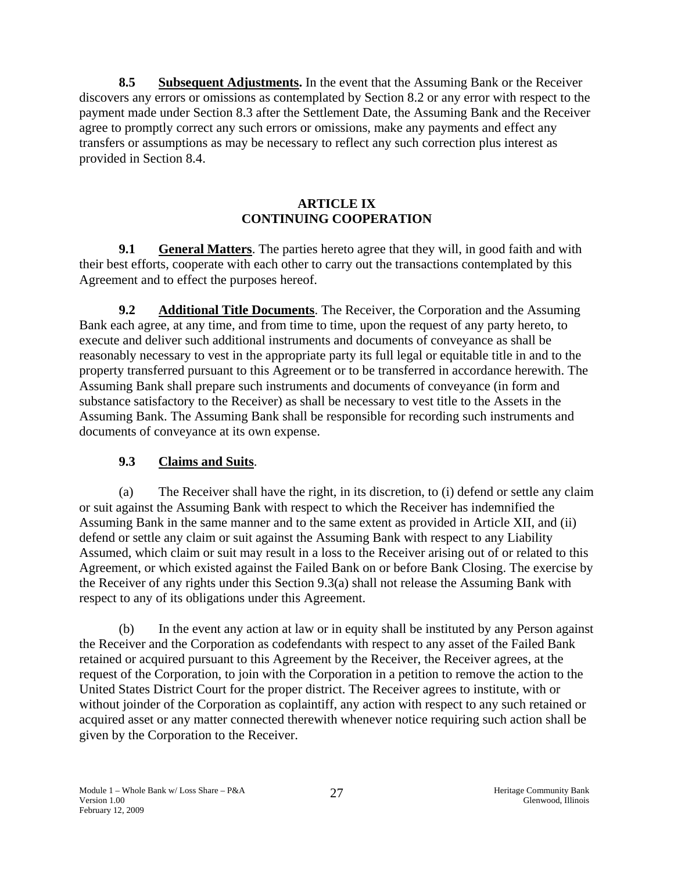<span id="page-30-0"></span>**8.5** Subsequent Adjustments. In the event that the Assuming Bank or the Receiver discovers any errors or omissions as contemplated by Section 8.2 or any error with respect to the payment made under Section 8.3 after the Settlement Date, the Assuming Bank and the Receiver agree to promptly correct any such errors or omissions, make any payments and effect any transfers or assumptions as may be necessary to reflect any such correction plus interest as provided in Section 8.4.

## **ARTICLE IX CONTINUING COOPERATION**

**9.1** General Matters. The parties hereto agree that they will, in good faith and with their best efforts, cooperate with each other to carry out the transactions contemplated by this Agreement and to effect the purposes hereof.

**9.2 Additional Title Documents**. The Receiver, the Corporation and the Assuming Bank each agree, at any time, and from time to time, upon the request of any party hereto, to execute and deliver such additional instruments and documents of conveyance as shall be reasonably necessary to vest in the appropriate party its full legal or equitable title in and to the property transferred pursuant to this Agreement or to be transferred in accordance herewith. The Assuming Bank shall prepare such instruments and documents of conveyance (in form and substance satisfactory to the Receiver) as shall be necessary to vest title to the Assets in the Assuming Bank. The Assuming Bank shall be responsible for recording such instruments and documents of conveyance at its own expense.

# **9.3 Claims and Suits**.

(a) The Receiver shall have the right, in its discretion, to (i) defend or settle any claim or suit against the Assuming Bank with respect to which the Receiver has indemnified the Assuming Bank in the same manner and to the same extent as provided in Article XII, and (ii) defend or settle any claim or suit against the Assuming Bank with respect to any Liability Assumed, which claim or suit may result in a loss to the Receiver arising out of or related to this Agreement, or which existed against the Failed Bank on or before Bank Closing. The exercise by the Receiver of any rights under this Section 9.3(a) shall not release the Assuming Bank with respect to any of its obligations under this Agreement.

(b) In the event any action at law or in equity shall be instituted by any Person against the Receiver and the Corporation as codefendants with respect to any asset of the Failed Bank retained or acquired pursuant to this Agreement by the Receiver, the Receiver agrees, at the request of the Corporation, to join with the Corporation in a petition to remove the action to the United States District Court for the proper district. The Receiver agrees to institute, with or without joinder of the Corporation as coplaintiff, any action with respect to any such retained or acquired asset or any matter connected therewith whenever notice requiring such action shall be given by the Corporation to the Receiver.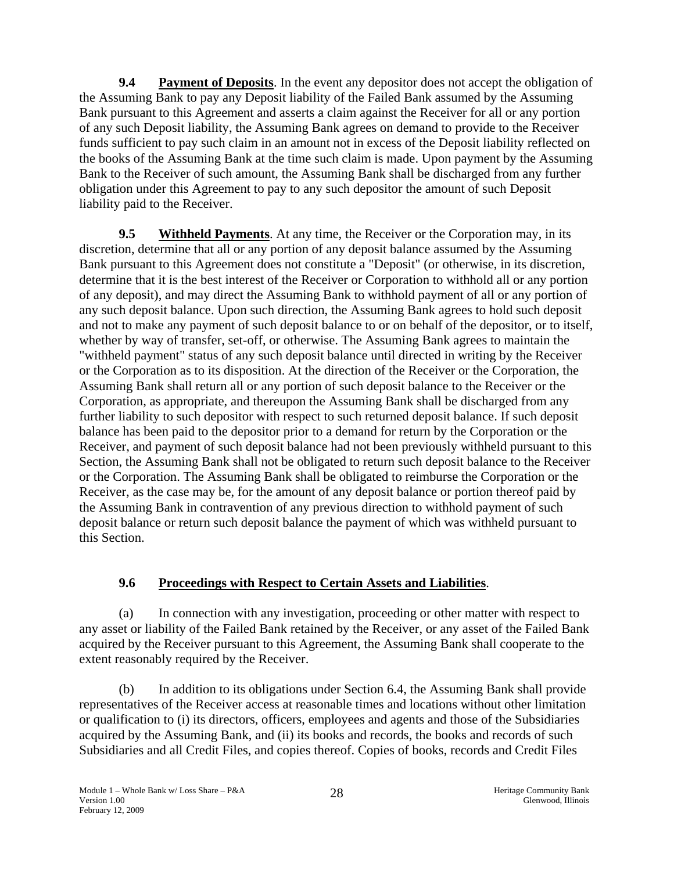<span id="page-31-0"></span>**9.4** Payment of Deposits. In the event any depositor does not accept the obligation of the Assuming Bank to pay any Deposit liability of the Failed Bank assumed by the Assuming Bank pursuant to this Agreement and asserts a claim against the Receiver for all or any portion of any such Deposit liability, the Assuming Bank agrees on demand to provide to the Receiver funds sufficient to pay such claim in an amount not in excess of the Deposit liability reflected on the books of the Assuming Bank at the time such claim is made. Upon payment by the Assuming Bank to the Receiver of such amount, the Assuming Bank shall be discharged from any further obligation under this Agreement to pay to any such depositor the amount of such Deposit liability paid to the Receiver.

**9.5 Withheld Payments**. At any time, the Receiver or the Corporation may, in its discretion, determine that all or any portion of any deposit balance assumed by the Assuming Bank pursuant to this Agreement does not constitute a "Deposit" (or otherwise, in its discretion, determine that it is the best interest of the Receiver or Corporation to withhold all or any portion of any deposit), and may direct the Assuming Bank to withhold payment of all or any portion of any such deposit balance. Upon such direction, the Assuming Bank agrees to hold such deposit and not to make any payment of such deposit balance to or on behalf of the depositor, or to itself, whether by way of transfer, set-off, or otherwise. The Assuming Bank agrees to maintain the "withheld payment" status of any such deposit balance until directed in writing by the Receiver or the Corporation as to its disposition. At the direction of the Receiver or the Corporation, the Assuming Bank shall return all or any portion of such deposit balance to the Receiver or the Corporation, as appropriate, and thereupon the Assuming Bank shall be discharged from any further liability to such depositor with respect to such returned deposit balance. If such deposit balance has been paid to the depositor prior to a demand for return by the Corporation or the Receiver, and payment of such deposit balance had not been previously withheld pursuant to this Section, the Assuming Bank shall not be obligated to return such deposit balance to the Receiver or the Corporation. The Assuming Bank shall be obligated to reimburse the Corporation or the Receiver, as the case may be, for the amount of any deposit balance or portion thereof paid by the Assuming Bank in contravention of any previous direction to withhold payment of such deposit balance or return such deposit balance the payment of which was withheld pursuant to this Section.

# **9.6 Proceedings with Respect to Certain Assets and Liabilities**.

(a) In connection with any investigation, proceeding or other matter with respect to any asset or liability of the Failed Bank retained by the Receiver, or any asset of the Failed Bank acquired by the Receiver pursuant to this Agreement, the Assuming Bank shall cooperate to the extent reasonably required by the Receiver.

(b) In addition to its obligations under Section 6.4, the Assuming Bank shall provide representatives of the Receiver access at reasonable times and locations without other limitation or qualification to (i) its directors, officers, employees and agents and those of the Subsidiaries acquired by the Assuming Bank, and (ii) its books and records, the books and records of such Subsidiaries and all Credit Files, and copies thereof. Copies of books, records and Credit Files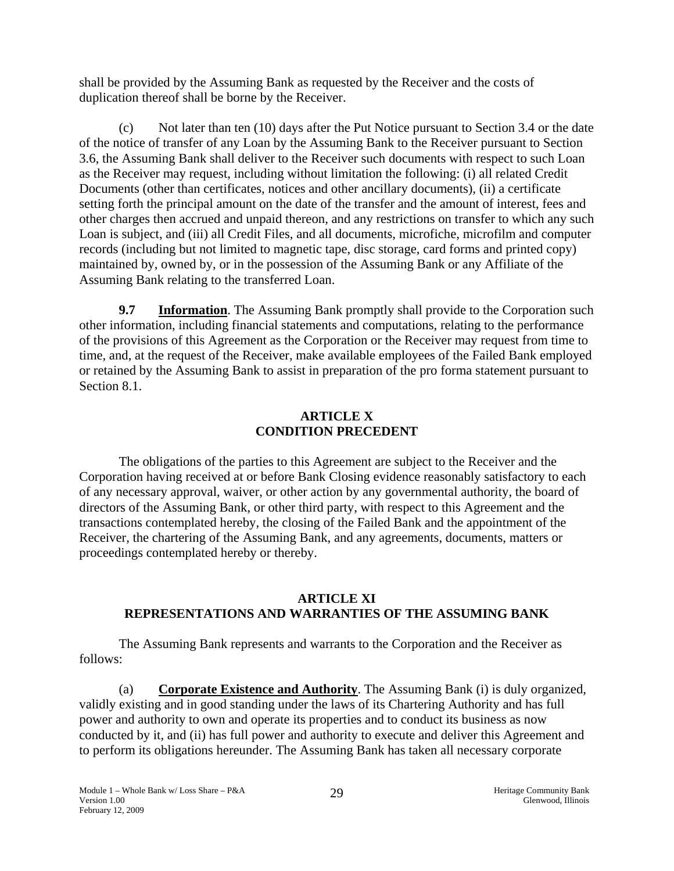<span id="page-32-0"></span>shall be provided by the Assuming Bank as requested by the Receiver and the costs of duplication thereof shall be borne by the Receiver.

(c) Not later than ten (10) days after the Put Notice pursuant to Section 3.4 or the date of the notice of transfer of any Loan by the Assuming Bank to the Receiver pursuant to Section 3.6, the Assuming Bank shall deliver to the Receiver such documents with respect to such Loan as the Receiver may request, including without limitation the following: (i) all related Credit Documents (other than certificates, notices and other ancillary documents), (ii) a certificate setting forth the principal amount on the date of the transfer and the amount of interest, fees and other charges then accrued and unpaid thereon, and any restrictions on transfer to which any such Loan is subject, and (iii) all Credit Files, and all documents, microfiche, microfilm and computer records (including but not limited to magnetic tape, disc storage, card forms and printed copy) maintained by, owned by, or in the possession of the Assuming Bank or any Affiliate of the Assuming Bank relating to the transferred Loan.

**9.7** Information. The Assuming Bank promptly shall provide to the Corporation such other information, including financial statements and computations, relating to the performance of the provisions of this Agreement as the Corporation or the Receiver may request from time to time, and, at the request of the Receiver, make available employees of the Failed Bank employed or retained by the Assuming Bank to assist in preparation of the pro forma statement pursuant to Section 8.1.

### **ARTICLE X CONDITION PRECEDENT**

The obligations of the parties to this Agreement are subject to the Receiver and the Corporation having received at or before Bank Closing evidence reasonably satisfactory to each of any necessary approval, waiver, or other action by any governmental authority, the board of directors of the Assuming Bank, or other third party, with respect to this Agreement and the transactions contemplated hereby, the closing of the Failed Bank and the appointment of the Receiver, the chartering of the Assuming Bank, and any agreements, documents, matters or proceedings contemplated hereby or thereby.

## **ARTICLE XI REPRESENTATIONS AND WARRANTIES OF THE ASSUMING BANK**

The Assuming Bank represents and warrants to the Corporation and the Receiver as follows:

(a) **Corporate Existence and Authority**. The Assuming Bank (i) is duly organized, validly existing and in good standing under the laws of its Chartering Authority and has full power and authority to own and operate its properties and to conduct its business as now conducted by it, and (ii) has full power and authority to execute and deliver this Agreement and to perform its obligations hereunder. The Assuming Bank has taken all necessary corporate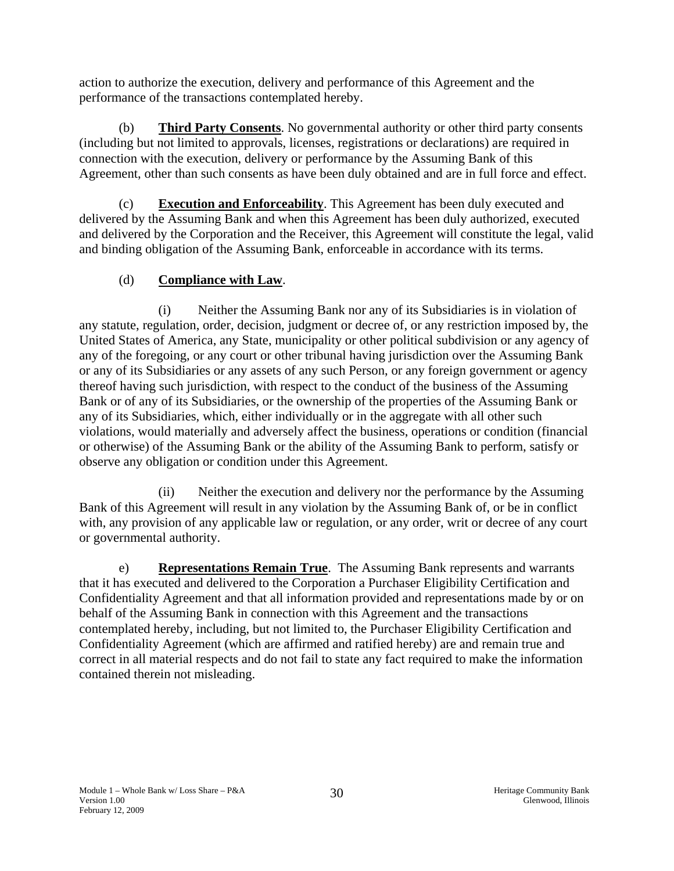action to authorize the execution, delivery and performance of this Agreement and the performance of the transactions contemplated hereby.

(b) **Third Party Consents**. No governmental authority or other third party consents (including but not limited to approvals, licenses, registrations or declarations) are required in connection with the execution, delivery or performance by the Assuming Bank of this Agreement, other than such consents as have been duly obtained and are in full force and effect.

(c) **Execution and Enforceability**. This Agreement has been duly executed and delivered by the Assuming Bank and when this Agreement has been duly authorized, executed and delivered by the Corporation and the Receiver, this Agreement will constitute the legal, valid and binding obligation of the Assuming Bank, enforceable in accordance with its terms.

# (d) **Compliance with Law**.

(i) Neither the Assuming Bank nor any of its Subsidiaries is in violation of any statute, regulation, order, decision, judgment or decree of, or any restriction imposed by, the United States of America, any State, municipality or other political subdivision or any agency of any of the foregoing, or any court or other tribunal having jurisdiction over the Assuming Bank or any of its Subsidiaries or any assets of any such Person, or any foreign government or agency thereof having such jurisdiction, with respect to the conduct of the business of the Assuming Bank or of any of its Subsidiaries, or the ownership of the properties of the Assuming Bank or any of its Subsidiaries, which, either individually or in the aggregate with all other such violations, would materially and adversely affect the business, operations or condition (financial or otherwise) of the Assuming Bank or the ability of the Assuming Bank to perform, satisfy or observe any obligation or condition under this Agreement.

(ii) Neither the execution and delivery nor the performance by the Assuming Bank of this Agreement will result in any violation by the Assuming Bank of, or be in conflict with, any provision of any applicable law or regulation, or any order, writ or decree of any court or governmental authority.

e) **Representations Remain True**. The Assuming Bank represents and warrants that it has executed and delivered to the Corporation a Purchaser Eligibility Certification and Confidentiality Agreement and that all information provided and representations made by or on behalf of the Assuming Bank in connection with this Agreement and the transactions contemplated hereby, including, but not limited to, the Purchaser Eligibility Certification and Confidentiality Agreement (which are affirmed and ratified hereby) are and remain true and correct in all material respects and do not fail to state any fact required to make the information contained therein not misleading.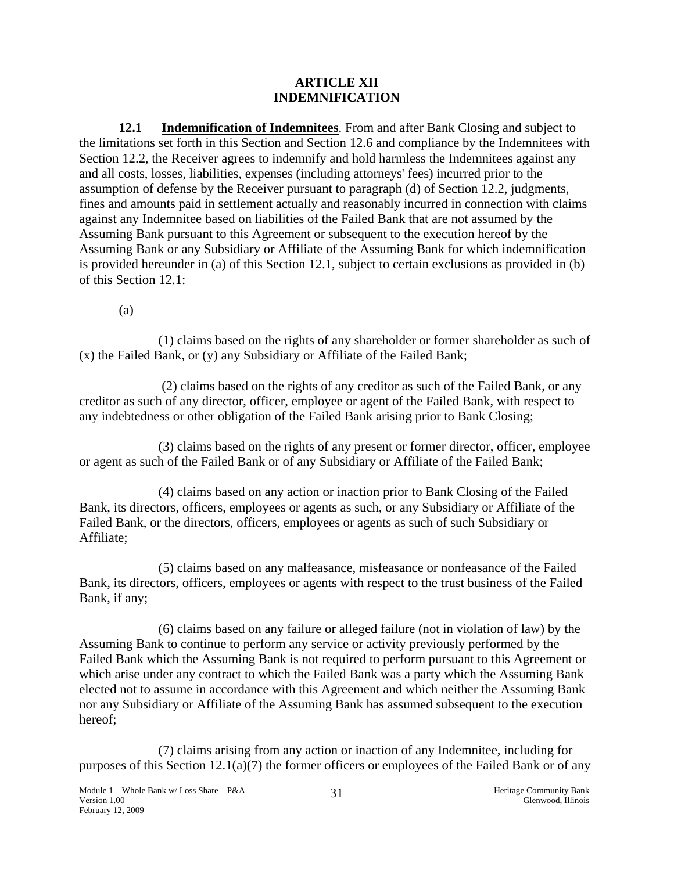### **ARTICLE XII INDEMNIFICATION**

<span id="page-34-0"></span>**12.1 Indemnification of Indemnitees**. From and after Bank Closing and subject to the limitations set forth in this Section and Section 12.6 and compliance by the Indemnitees with Section 12.2, the Receiver agrees to indemnify and hold harmless the Indemnitees against any and all costs, losses, liabilities, expenses (including attorneys' fees) incurred prior to the assumption of defense by the Receiver pursuant to paragraph (d) of Section 12.2, judgments, fines and amounts paid in settlement actually and reasonably incurred in connection with claims against any Indemnitee based on liabilities of the Failed Bank that are not assumed by the Assuming Bank pursuant to this Agreement or subsequent to the execution hereof by the Assuming Bank or any Subsidiary or Affiliate of the Assuming Bank for which indemnification is provided hereunder in (a) of this Section 12.1, subject to certain exclusions as provided in (b) of this Section 12.1:

(a)

(1) claims based on the rights of any shareholder or former shareholder as such of (x) the Failed Bank, or (y) any Subsidiary or Affiliate of the Failed Bank;

(2) claims based on the rights of any creditor as such of the Failed Bank, or any creditor as such of any director, officer, employee or agent of the Failed Bank, with respect to any indebtedness or other obligation of the Failed Bank arising prior to Bank Closing;

(3) claims based on the rights of any present or former director, officer, employee or agent as such of the Failed Bank or of any Subsidiary or Affiliate of the Failed Bank;

(4) claims based on any action or inaction prior to Bank Closing of the Failed Bank, its directors, officers, employees or agents as such, or any Subsidiary or Affiliate of the Failed Bank, or the directors, officers, employees or agents as such of such Subsidiary or Affiliate;

(5) claims based on any malfeasance, misfeasance or nonfeasance of the Failed Bank, its directors, officers, employees or agents with respect to the trust business of the Failed Bank, if any;

(6) claims based on any failure or alleged failure (not in violation of law) by the Assuming Bank to continue to perform any service or activity previously performed by the Failed Bank which the Assuming Bank is not required to perform pursuant to this Agreement or which arise under any contract to which the Failed Bank was a party which the Assuming Bank elected not to assume in accordance with this Agreement and which neither the Assuming Bank nor any Subsidiary or Affiliate of the Assuming Bank has assumed subsequent to the execution hereof;

(7) claims arising from any action or inaction of any Indemnitee, including for purposes of this Section 12.1(a)(7) the former officers or employees of the Failed Bank or of any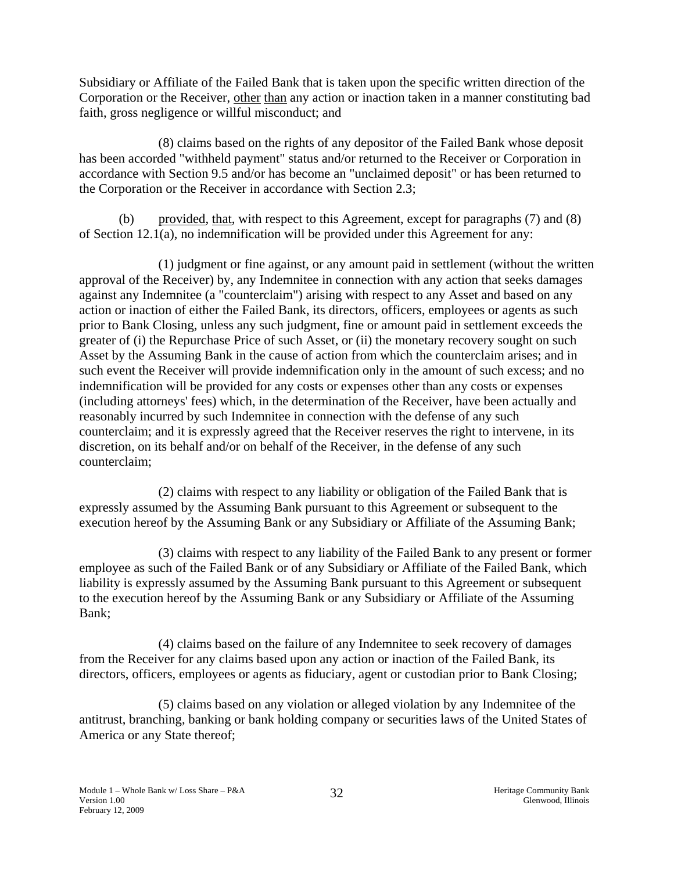Subsidiary or Affiliate of the Failed Bank that is taken upon the specific written direction of the Corporation or the Receiver, other than any action or inaction taken in a manner constituting bad faith, gross negligence or willful misconduct; and

(8) claims based on the rights of any depositor of the Failed Bank whose deposit has been accorded "withheld payment" status and/or returned to the Receiver or Corporation in accordance with Section 9.5 and/or has become an "unclaimed deposit" or has been returned to the Corporation or the Receiver in accordance with Section 2.3;

(b) provided, that, with respect to this Agreement, except for paragraphs (7) and (8) of Section 12.1(a), no indemnification will be provided under this Agreement for any:

(1) judgment or fine against, or any amount paid in settlement (without the written approval of the Receiver) by, any Indemnitee in connection with any action that seeks damages against any Indemnitee (a "counterclaim") arising with respect to any Asset and based on any action or inaction of either the Failed Bank, its directors, officers, employees or agents as such prior to Bank Closing, unless any such judgment, fine or amount paid in settlement exceeds the greater of (i) the Repurchase Price of such Asset, or (ii) the monetary recovery sought on such Asset by the Assuming Bank in the cause of action from which the counterclaim arises; and in such event the Receiver will provide indemnification only in the amount of such excess; and no indemnification will be provided for any costs or expenses other than any costs or expenses (including attorneys' fees) which, in the determination of the Receiver, have been actually and reasonably incurred by such Indemnitee in connection with the defense of any such counterclaim; and it is expressly agreed that the Receiver reserves the right to intervene, in its discretion, on its behalf and/or on behalf of the Receiver, in the defense of any such counterclaim;

(2) claims with respect to any liability or obligation of the Failed Bank that is expressly assumed by the Assuming Bank pursuant to this Agreement or subsequent to the execution hereof by the Assuming Bank or any Subsidiary or Affiliate of the Assuming Bank;

(3) claims with respect to any liability of the Failed Bank to any present or former employee as such of the Failed Bank or of any Subsidiary or Affiliate of the Failed Bank, which liability is expressly assumed by the Assuming Bank pursuant to this Agreement or subsequent to the execution hereof by the Assuming Bank or any Subsidiary or Affiliate of the Assuming Bank;

(4) claims based on the failure of any Indemnitee to seek recovery of damages from the Receiver for any claims based upon any action or inaction of the Failed Bank, its directors, officers, employees or agents as fiduciary, agent or custodian prior to Bank Closing;

(5) claims based on any violation or alleged violation by any Indemnitee of the antitrust, branching, banking or bank holding company or securities laws of the United States of America or any State thereof;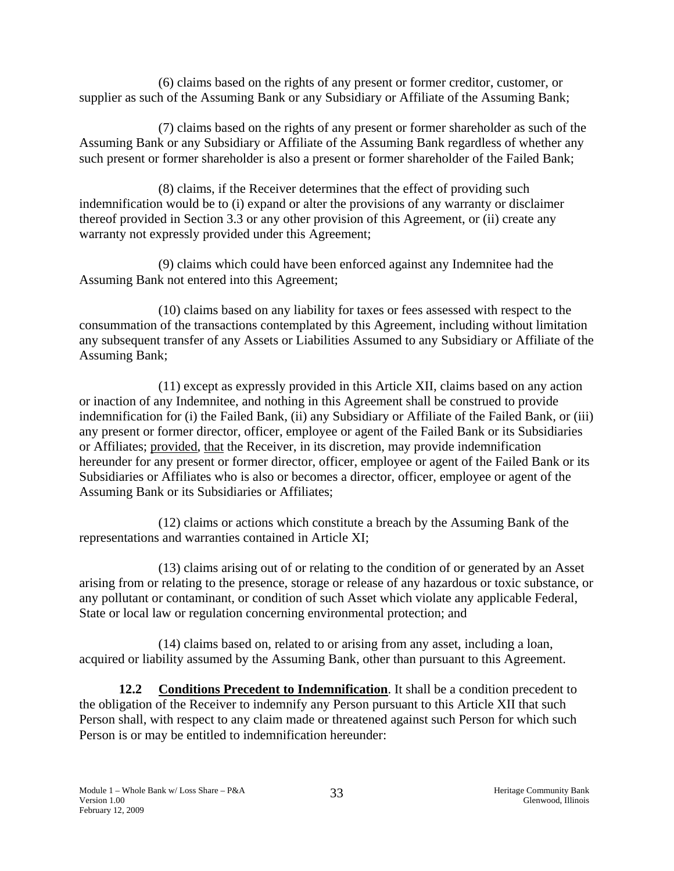(6) claims based on the rights of any present or former creditor, customer, or supplier as such of the Assuming Bank or any Subsidiary or Affiliate of the Assuming Bank;

(7) claims based on the rights of any present or former shareholder as such of the Assuming Bank or any Subsidiary or Affiliate of the Assuming Bank regardless of whether any such present or former shareholder is also a present or former shareholder of the Failed Bank;

(8) claims, if the Receiver determines that the effect of providing such indemnification would be to (i) expand or alter the provisions of any warranty or disclaimer thereof provided in Section 3.3 or any other provision of this Agreement, or (ii) create any warranty not expressly provided under this Agreement;

(9) claims which could have been enforced against any Indemnitee had the Assuming Bank not entered into this Agreement;

(10) claims based on any liability for taxes or fees assessed with respect to the consummation of the transactions contemplated by this Agreement, including without limitation any subsequent transfer of any Assets or Liabilities Assumed to any Subsidiary or Affiliate of the Assuming Bank;

(11) except as expressly provided in this Article XII, claims based on any action or inaction of any Indemnitee, and nothing in this Agreement shall be construed to provide indemnification for (i) the Failed Bank, (ii) any Subsidiary or Affiliate of the Failed Bank, or (iii) any present or former director, officer, employee or agent of the Failed Bank or its Subsidiaries or Affiliates; provided, that the Receiver, in its discretion, may provide indemnification hereunder for any present or former director, officer, employee or agent of the Failed Bank or its Subsidiaries or Affiliates who is also or becomes a director, officer, employee or agent of the Assuming Bank or its Subsidiaries or Affiliates;

(12) claims or actions which constitute a breach by the Assuming Bank of the representations and warranties contained in Article XI;

(13) claims arising out of or relating to the condition of or generated by an Asset arising from or relating to the presence, storage or release of any hazardous or toxic substance, or any pollutant or contaminant, or condition of such Asset which violate any applicable Federal, State or local law or regulation concerning environmental protection; and

(14) claims based on, related to or arising from any asset, including a loan, acquired or liability assumed by the Assuming Bank, other than pursuant to this Agreement.

**12.2 Conditions Precedent to Indemnification**. It shall be a condition precedent to the obligation of the Receiver to indemnify any Person pursuant to this Article XII that such Person shall, with respect to any claim made or threatened against such Person for which such Person is or may be entitled to indemnification hereunder: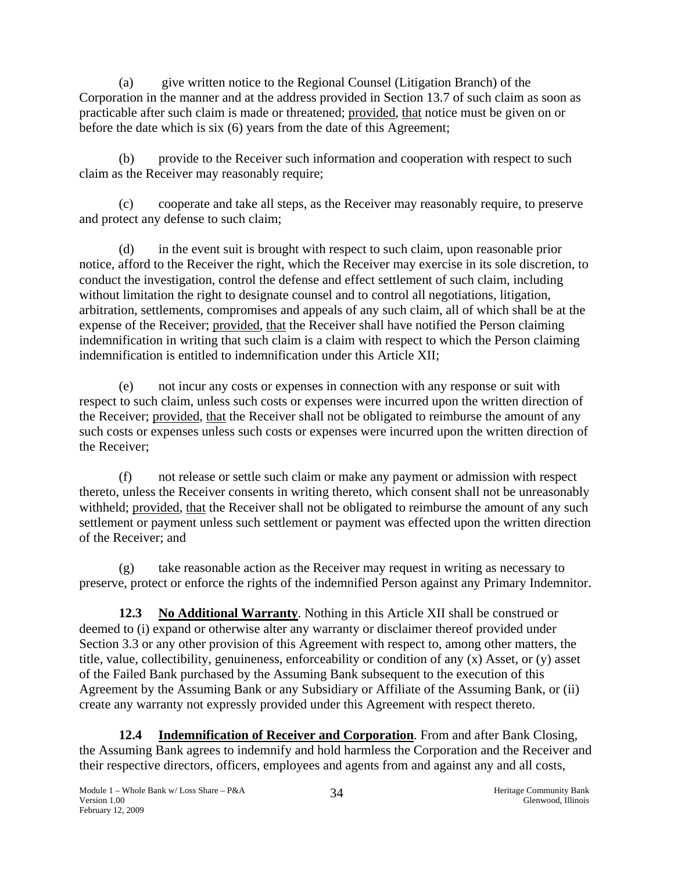(a) give written notice to the Regional Counsel (Litigation Branch) of the Corporation in the manner and at the address provided in Section 13.7 of such claim as soon as practicable after such claim is made or threatened; provided, that notice must be given on or before the date which is six (6) years from the date of this Agreement;

(b) provide to the Receiver such information and cooperation with respect to such claim as the Receiver may reasonably require;

(c) cooperate and take all steps, as the Receiver may reasonably require, to preserve and protect any defense to such claim;

(d) in the event suit is brought with respect to such claim, upon reasonable prior notice, afford to the Receiver the right, which the Receiver may exercise in its sole discretion, to conduct the investigation, control the defense and effect settlement of such claim, including without limitation the right to designate counsel and to control all negotiations, litigation, arbitration, settlements, compromises and appeals of any such claim, all of which shall be at the expense of the Receiver; provided, that the Receiver shall have notified the Person claiming indemnification in writing that such claim is a claim with respect to which the Person claiming indemnification is entitled to indemnification under this Article XII;

(e) not incur any costs or expenses in connection with any response or suit with respect to such claim, unless such costs or expenses were incurred upon the written direction of the Receiver; provided, that the Receiver shall not be obligated to reimburse the amount of any such costs or expenses unless such costs or expenses were incurred upon the written direction of the Receiver;

(f) not release or settle such claim or make any payment or admission with respect thereto, unless the Receiver consents in writing thereto, which consent shall not be unreasonably withheld; provided, that the Receiver shall not be obligated to reimburse the amount of any such settlement or payment unless such settlement or payment was effected upon the written direction of the Receiver; and

(g) take reasonable action as the Receiver may request in writing as necessary to preserve, protect or enforce the rights of the indemnified Person against any Primary Indemnitor.

**12.3 No Additional Warranty**. Nothing in this Article XII shall be construed or deemed to (i) expand or otherwise alter any warranty or disclaimer thereof provided under Section 3.3 or any other provision of this Agreement with respect to, among other matters, the title, value, collectibility, genuineness, enforceability or condition of any (x) Asset, or (y) asset of the Failed Bank purchased by the Assuming Bank subsequent to the execution of this Agreement by the Assuming Bank or any Subsidiary or Affiliate of the Assuming Bank, or (ii) create any warranty not expressly provided under this Agreement with respect thereto.

**12.4 Indemnification of Receiver and Corporation**. From and after Bank Closing, the Assuming Bank agrees to indemnify and hold harmless the Corporation and the Receiver and their respective directors, officers, employees and agents from and against any and all costs,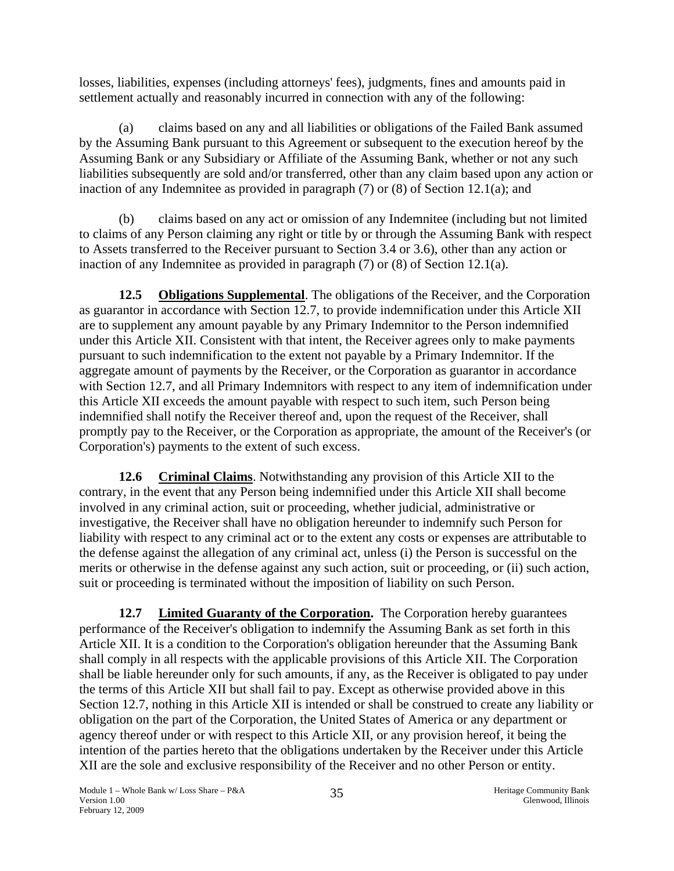losses, liabilities, expenses (including attorneys' fees), judgments, fines and amounts paid in settlement actually and reasonably incurred in connection with any of the following:

(a) claims based on any and all liabilities or obligations of the Failed Bank assumed by the Assuming Bank pursuant to this Agreement or subsequent to the execution hereof by the Assuming Bank or any Subsidiary or Affiliate of the Assuming Bank, whether or not any such liabilities subsequently are sold and/or transferred, other than any claim based upon any action or inaction of any Indemnitee as provided in paragraph (7) or (8) of Section 12.1(a); and

(b) claims based on any act or omission of any Indemnitee (including but not limited to claims of any Person claiming any right or title by or through the Assuming Bank with respect to Assets transferred to the Receiver pursuant to Section 3.4 or 3.6), other than any action or inaction of any Indemnitee as provided in paragraph (7) or (8) of Section 12.1(a).

**12.5 Obligations Supplemental**. The obligations of the Receiver, and the Corporation as guarantor in accordance with Section 12.7, to provide indemnification under this Article XII are to supplement any amount payable by any Primary Indemnitor to the Person indemnified under this Article XII. Consistent with that intent, the Receiver agrees only to make payments pursuant to such indemnification to the extent not payable by a Primary Indemnitor. If the aggregate amount of payments by the Receiver, or the Corporation as guarantor in accordance with Section 12.7, and all Primary Indemnitors with respect to any item of indemnification under this Article XII exceeds the amount payable with respect to such item, such Person being indemnified shall notify the Receiver thereof and, upon the request of the Receiver, shall promptly pay to the Receiver, or the Corporation as appropriate, the amount of the Receiver's (or Corporation's) payments to the extent of such excess.

**12.6 Criminal Claims**. Notwithstanding any provision of this Article XII to the contrary, in the event that any Person being indemnified under this Article XII shall become involved in any criminal action, suit or proceeding, whether judicial, administrative or investigative, the Receiver shall have no obligation hereunder to indemnify such Person for liability with respect to any criminal act or to the extent any costs or expenses are attributable to the defense against the allegation of any criminal act, unless (i) the Person is successful on the merits or otherwise in the defense against any such action, suit or proceeding, or (ii) such action, suit or proceeding is terminated without the imposition of liability on such Person.

**12.7 Limited Guaranty of the Corporation.** The Corporation hereby guarantees performance of the Receiver's obligation to indemnify the Assuming Bank as set forth in this Article XII. It is a condition to the Corporation's obligation hereunder that the Assuming Bank shall comply in all respects with the applicable provisions of this Article XII. The Corporation shall be liable hereunder only for such amounts, if any, as the Receiver is obligated to pay under the terms of this Article XII but shall fail to pay. Except as otherwise provided above in this Section 12.7, nothing in this Article XII is intended or shall be construed to create any liability or obligation on the part of the Corporation, the United States of America or any department or agency thereof under or with respect to this Article XII, or any provision hereof, it being the intention of the parties hereto that the obligations undertaken by the Receiver under this Article XII are the sole and exclusive responsibility of the Receiver and no other Person or entity.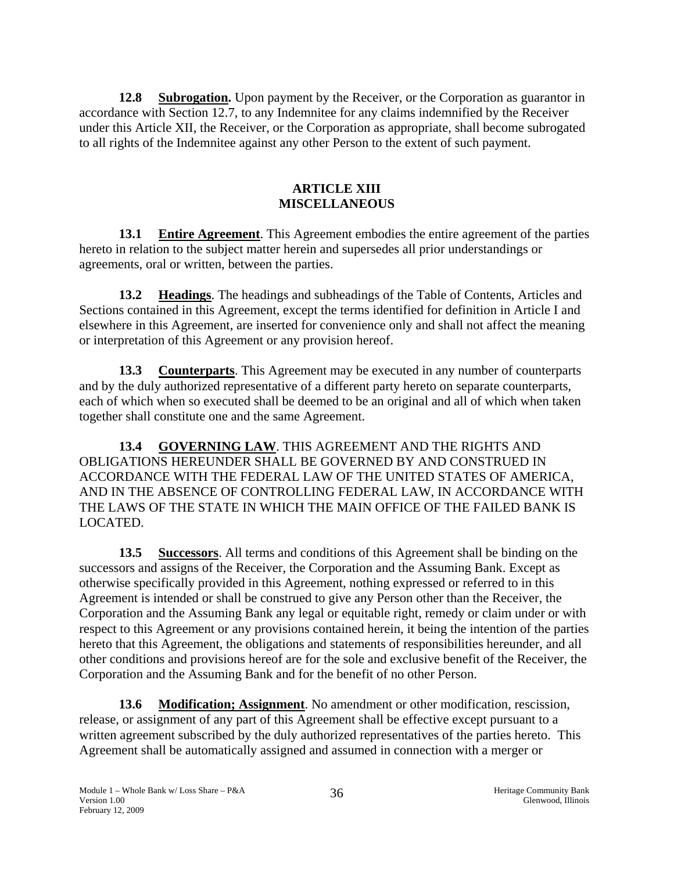**12.8 Subrogation.** Upon payment by the Receiver, or the Corporation as guarantor in accordance with Section 12.7, to any Indemnitee for any claims indemnified by the Receiver under this Article XII, the Receiver, or the Corporation as appropriate, shall become subrogated to all rights of the Indemnitee against any other Person to the extent of such payment.

### **ARTICLE XIII MISCELLANEOUS**

**13.1 Entire Agreement**. This Agreement embodies the entire agreement of the parties hereto in relation to the subject matter herein and supersedes all prior understandings or agreements, oral or written, between the parties.

**13.2 Headings**. The headings and subheadings of the Table of Contents, Articles and Sections contained in this Agreement, except the terms identified for definition in Article I and elsewhere in this Agreement, are inserted for convenience only and shall not affect the meaning or interpretation of this Agreement or any provision hereof.

**13.3 Counterparts**. This Agreement may be executed in any number of counterparts and by the duly authorized representative of a different party hereto on separate counterparts, each of which when so executed shall be deemed to be an original and all of which when taken together shall constitute one and the same Agreement.

**13.4 GOVERNING LAW**. THIS AGREEMENT AND THE RIGHTS AND OBLIGATIONS HEREUNDER SHALL BE GOVERNED BY AND CONSTRUED IN ACCORDANCE WITH THE FEDERAL LAW OF THE UNITED STATES OF AMERICA, AND IN THE ABSENCE OF CONTROLLING FEDERAL LAW, IN ACCORDANCE WITH THE LAWS OF THE STATE IN WHICH THE MAIN OFFICE OF THE FAILED BANK IS LOCATED.

 **13.5 Successors**. All terms and conditions of this Agreement shall be binding on the successors and assigns of the Receiver, the Corporation and the Assuming Bank. Except as otherwise specifically provided in this Agreement, nothing expressed or referred to in this Agreement is intended or shall be construed to give any Person other than the Receiver, the Corporation and the Assuming Bank any legal or equitable right, remedy or claim under or with respect to this Agreement or any provisions contained herein, it being the intention of the parties hereto that this Agreement, the obligations and statements of responsibilities hereunder, and all other conditions and provisions hereof are for the sole and exclusive benefit of the Receiver, the Corporation and the Assuming Bank and for the benefit of no other Person.

**13.6 Modification; Assignment**. No amendment or other modification, rescission, release, or assignment of any part of this Agreement shall be effective except pursuant to a written agreement subscribed by the duly authorized representatives of the parties hereto. This Agreement shall be automatically assigned and assumed in connection with a merger or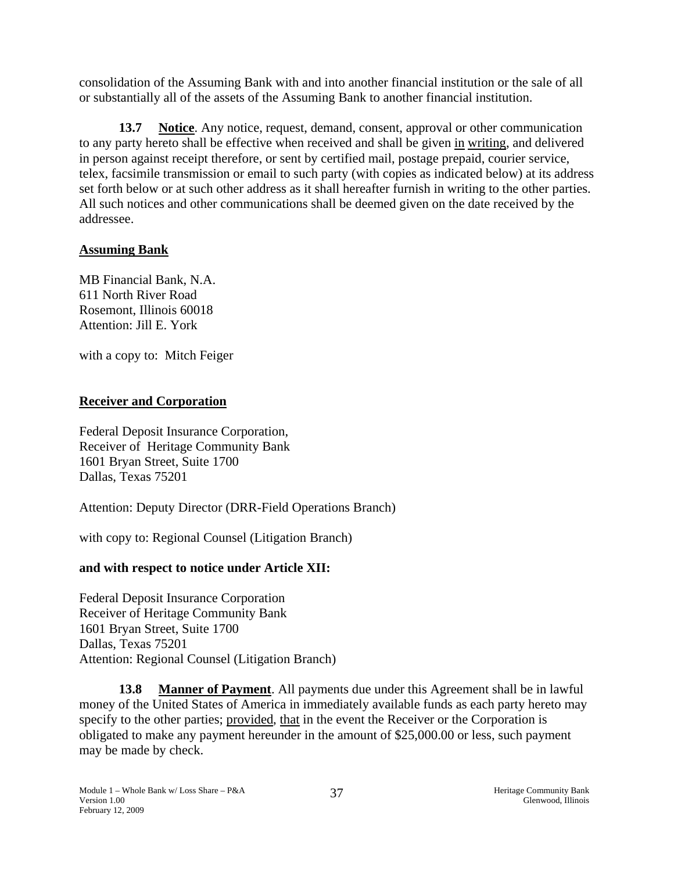consolidation of the Assuming Bank with and into another financial institution or the sale of all or substantially all of the assets of the Assuming Bank to another financial institution.

**13.7 Notice**. Any notice, request, demand, consent, approval or other communication to any party hereto shall be effective when received and shall be given in writing, and delivered in person against receipt therefore, or sent by certified mail, postage prepaid, courier service, telex, facsimile transmission or email to such party (with copies as indicated below) at its address set forth below or at such other address as it shall hereafter furnish in writing to the other parties. All such notices and other communications shall be deemed given on the date received by the addressee.

### **Assuming Bank**

MB Financial Bank, N.A. 611 North River Road Rosemont, Illinois 60018 Attention: Jill E. York

with a copy to: Mitch Feiger

## **Receiver and Corporation**

Federal Deposit Insurance Corporation, Receiver of Heritage Community Bank 1601 Bryan Street, Suite 1700 Dallas, Texas 75201

Attention: Deputy Director (DRR-Field Operations Branch)

with copy to: Regional Counsel (Litigation Branch)

## **and with respect to notice under Article XII:**

Federal Deposit Insurance Corporation Receiver of Heritage Community Bank 1601 Bryan Street, Suite 1700 Dallas, Texas 75201 Attention: Regional Counsel (Litigation Branch)

 **13.8 Manner of Payment**. All payments due under this Agreement shall be in lawful money of the United States of America in immediately available funds as each party hereto may specify to the other parties; provided, that in the event the Receiver or the Corporation is obligated to make any payment hereunder in the amount of \$25,000.00 or less, such payment may be made by check.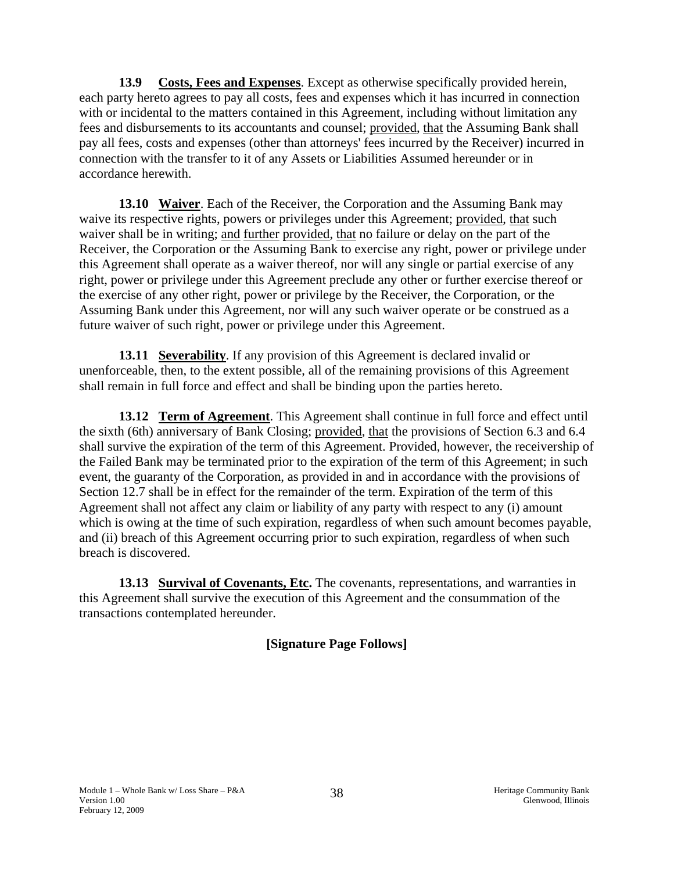**13.9 Costs, Fees and Expenses**. Except as otherwise specifically provided herein, each party hereto agrees to pay all costs, fees and expenses which it has incurred in connection with or incidental to the matters contained in this Agreement, including without limitation any fees and disbursements to its accountants and counsel; provided, that the Assuming Bank shall pay all fees, costs and expenses (other than attorneys' fees incurred by the Receiver) incurred in connection with the transfer to it of any Assets or Liabilities Assumed hereunder or in accordance herewith.

**13.10 Waiver**. Each of the Receiver, the Corporation and the Assuming Bank may waive its respective rights, powers or privileges under this Agreement; provided, that such waiver shall be in writing; and further provided, that no failure or delay on the part of the Receiver, the Corporation or the Assuming Bank to exercise any right, power or privilege under this Agreement shall operate as a waiver thereof, nor will any single or partial exercise of any right, power or privilege under this Agreement preclude any other or further exercise thereof or the exercise of any other right, power or privilege by the Receiver, the Corporation, or the Assuming Bank under this Agreement, nor will any such waiver operate or be construed as a future waiver of such right, power or privilege under this Agreement.

**13.11 Severability**. If any provision of this Agreement is declared invalid or unenforceable, then, to the extent possible, all of the remaining provisions of this Agreement shall remain in full force and effect and shall be binding upon the parties hereto.

**13.12 Term of Agreement**. This Agreement shall continue in full force and effect until the sixth (6th) anniversary of Bank Closing; provided, that the provisions of Section 6.3 and 6.4 shall survive the expiration of the term of this Agreement. Provided, however, the receivership of the Failed Bank may be terminated prior to the expiration of the term of this Agreement; in such event, the guaranty of the Corporation, as provided in and in accordance with the provisions of Section 12.7 shall be in effect for the remainder of the term. Expiration of the term of this Agreement shall not affect any claim or liability of any party with respect to any (i) amount which is owing at the time of such expiration, regardless of when such amount becomes payable, and (ii) breach of this Agreement occurring prior to such expiration, regardless of when such breach is discovered.

**13.13 Survival of Covenants, Etc.** The covenants, representations, and warranties in this Agreement shall survive the execution of this Agreement and the consummation of the transactions contemplated hereunder.

### **[Signature Page Follows]**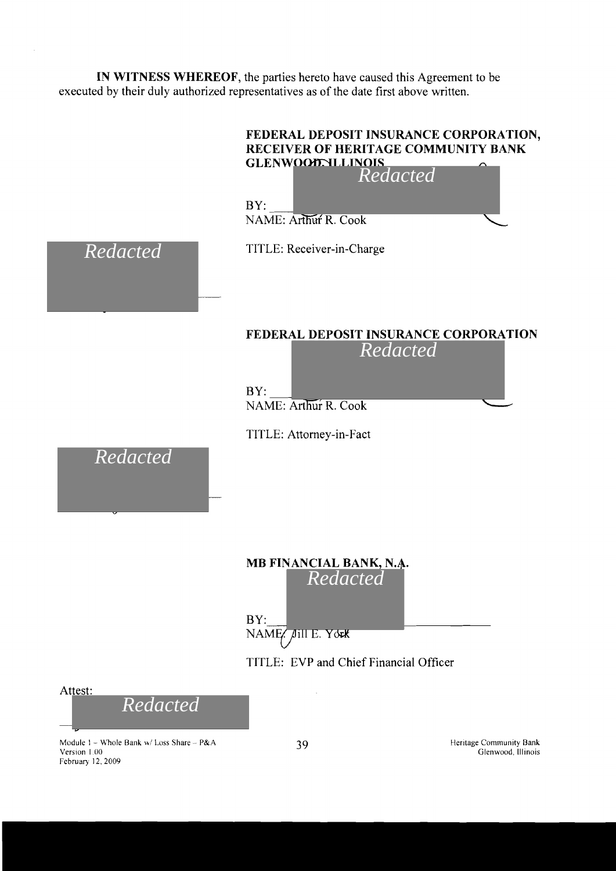**IN WITNESS WHEREOF,** the parties hereto have caused this Agreement to be executed by their duly authorized representatives as of the date first above written.

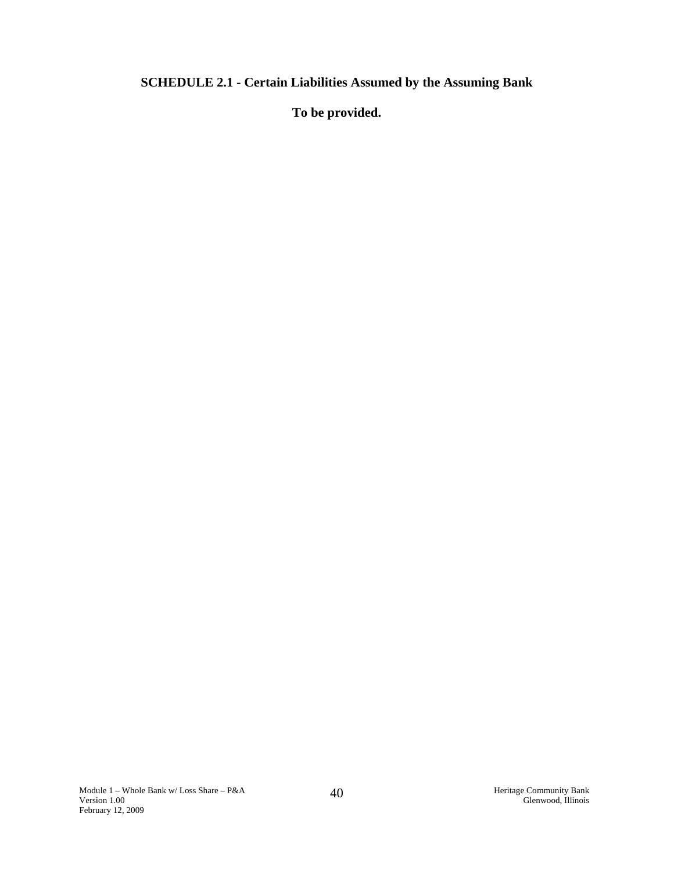# **SCHEDULE 2.1 - Certain Liabilities Assumed by the Assuming Bank**

**To be provided.**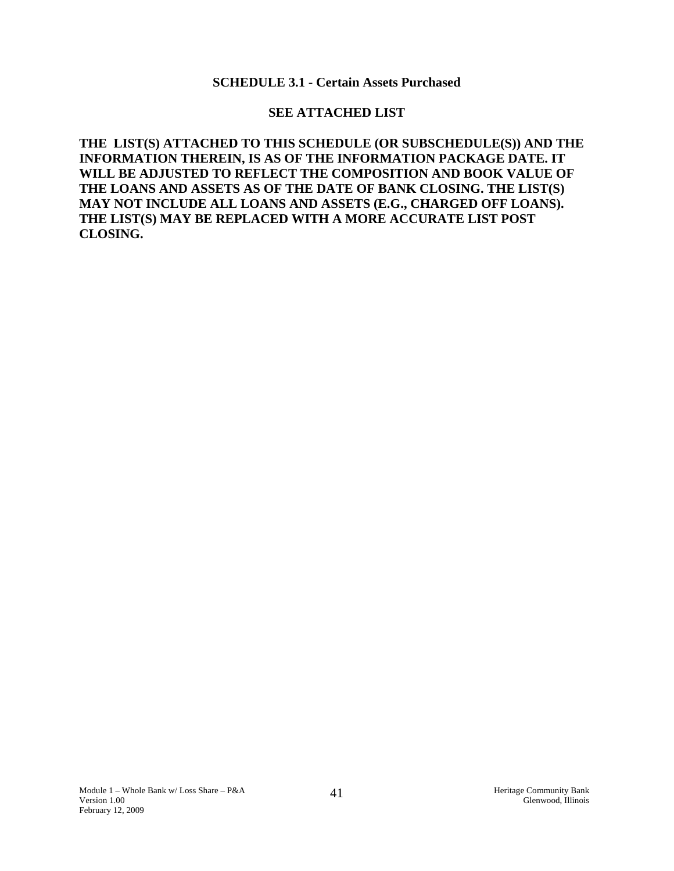#### **SCHEDULE 3.1 - Certain Assets Purchased**

#### **SEE ATTACHED LIST**

THE LIST(S) ATTACHED TO THIS SCHEDULE (OR SUBSCHEDULE(S)) AND THE **INFORMATION THEREIN, IS AS OF THE INFORMATION PACKAGE DATE. IT WILL BE ADJUSTED TO REFLECT THE COMPOSITION AND BOOK VALUE OF THE LOANS AND ASSETS AS OF THE DATE OF BANK CLOSING. THE LIST(S) MAY NOT INCLUDE ALL LOANS AND ASSETS (E.G., CHARGED OFF LOANS). THE LIST(S) MAY BE REPLACED WITH A MORE ACCURATE LIST POST CLOSING.**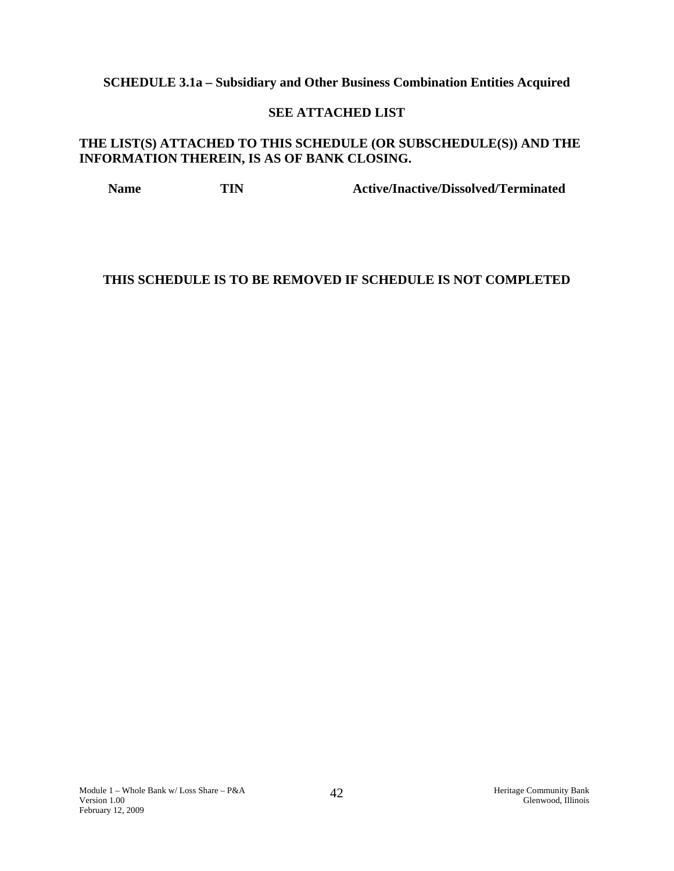#### **SCHEDULE 3.1a – Subsidiary and Other Business Combination Entities Acquired**

#### **SEE ATTACHED LIST**

### **THE LIST(S) ATTACHED TO THIS SCHEDULE (OR SUBSCHEDULE(S)) AND THE INFORMATION THEREIN, IS AS OF BANK CLOSING.**

**Name TIN Active/Inactive/Dissolved/Terminated** 

#### **THIS SCHEDULE IS TO BE REMOVED IF SCHEDULE IS NOT COMPLETED**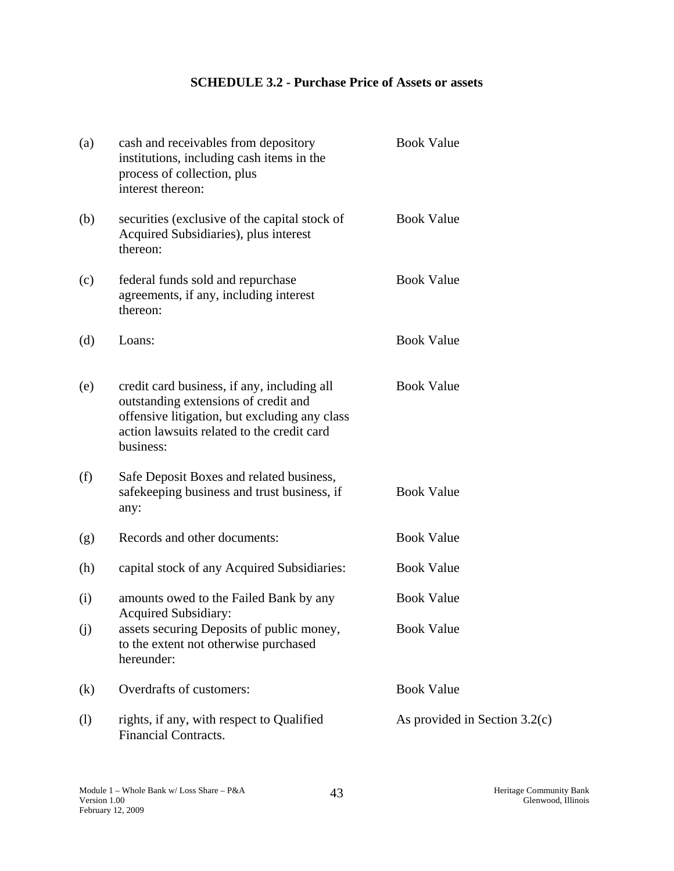## **SCHEDULE 3.2 - Purchase Price of Assets or assets**

| (a) | cash and receivables from depository<br>institutions, including cash items in the<br>process of collection, plus<br>interest thereon:                                                           | <b>Book Value</b>               |
|-----|-------------------------------------------------------------------------------------------------------------------------------------------------------------------------------------------------|---------------------------------|
| (b) | securities (exclusive of the capital stock of<br>Acquired Subsidiaries), plus interest<br>thereon:                                                                                              | <b>Book Value</b>               |
| (c) | federal funds sold and repurchase<br>agreements, if any, including interest<br>thereon:                                                                                                         | <b>Book Value</b>               |
| (d) | Loans:                                                                                                                                                                                          | <b>Book Value</b>               |
| (e) | credit card business, if any, including all<br>outstanding extensions of credit and<br>offensive litigation, but excluding any class<br>action lawsuits related to the credit card<br>business: | <b>Book Value</b>               |
| (f) | Safe Deposit Boxes and related business,<br>safekeeping business and trust business, if<br>any:                                                                                                 | <b>Book Value</b>               |
| (g) | Records and other documents:                                                                                                                                                                    | <b>Book Value</b>               |
| (h) | capital stock of any Acquired Subsidiaries:                                                                                                                                                     | <b>Book Value</b>               |
| (i) | amounts owed to the Failed Bank by any<br><b>Acquired Subsidiary:</b>                                                                                                                           | <b>Book Value</b>               |
| (j) | assets securing Deposits of public money,<br>to the extent not otherwise purchased<br>hereunder:                                                                                                | <b>Book Value</b>               |
| (k) | Overdrafts of customers:                                                                                                                                                                        | <b>Book Value</b>               |
| (1) | rights, if any, with respect to Qualified<br><b>Financial Contracts.</b>                                                                                                                        | As provided in Section $3.2(c)$ |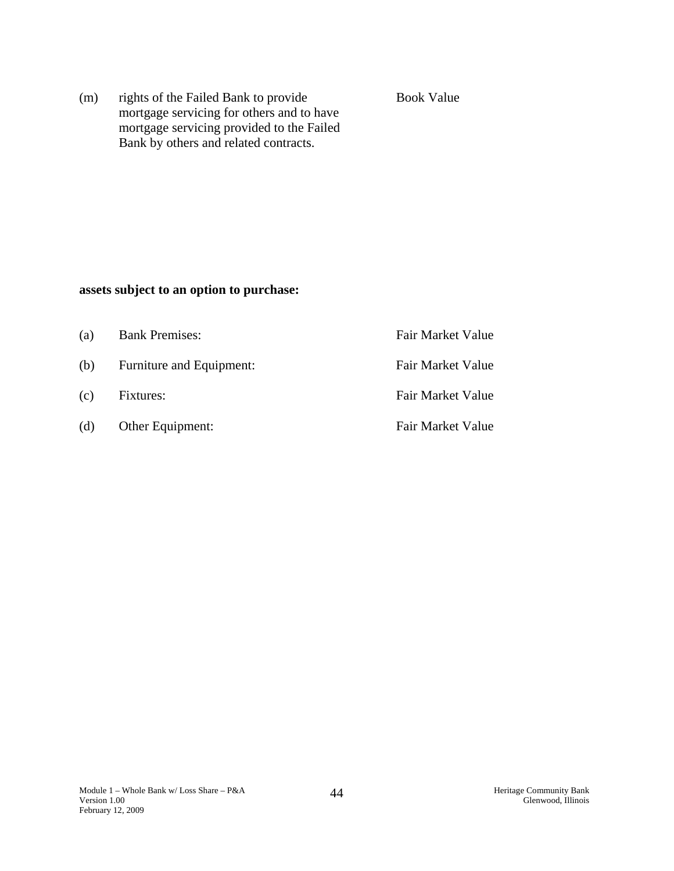(m) rights of the Failed Bank to provide Book Value mortgage servicing for others and to have mortgage servicing provided to the Failed Bank by others and related contracts.

#### **assets subject to an option to purchase:**

| (a) | <b>Bank Premises:</b>    | Fair Market Value |
|-----|--------------------------|-------------------|
| (b) | Furniture and Equipment: | Fair Market Value |
| (c) | Fixtures:                | Fair Market Value |
| (d) | Other Equipment:         | Fair Market Value |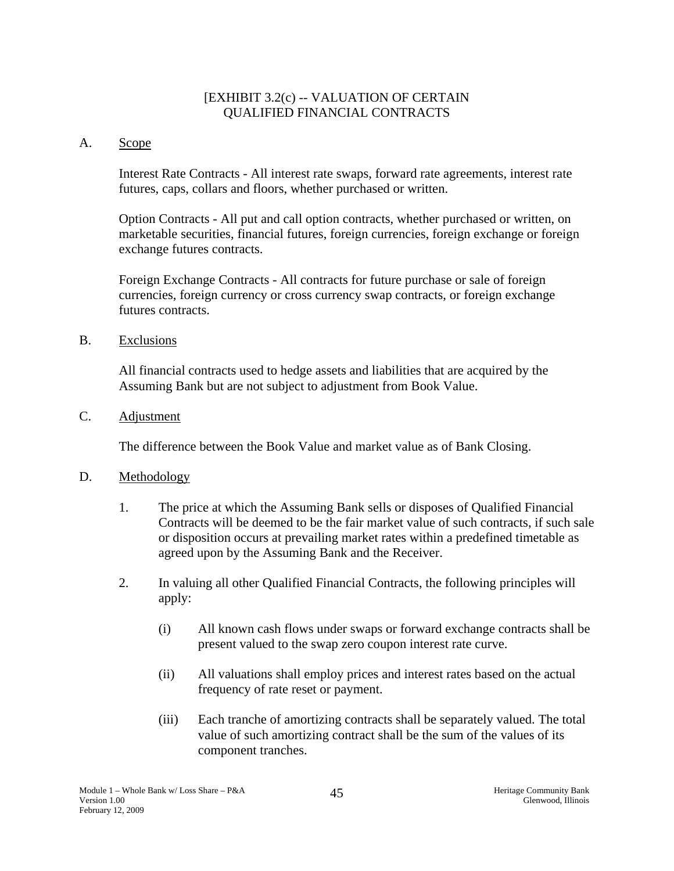#### [EXHIBIT 3.2(c) -- VALUATION OF CERTAIN QUALIFIED FINANCIAL CONTRACTS

#### A. Scope

Interest Rate Contracts - All interest rate swaps, forward rate agreements, interest rate futures, caps, collars and floors, whether purchased or written.

Option Contracts - All put and call option contracts, whether purchased or written, on marketable securities, financial futures, foreign currencies, foreign exchange or foreign exchange futures contracts.

Foreign Exchange Contracts - All contracts for future purchase or sale of foreign currencies, foreign currency or cross currency swap contracts, or foreign exchange futures contracts.

#### B. Exclusions

All financial contracts used to hedge assets and liabilities that are acquired by the Assuming Bank but are not subject to adjustment from Book Value.

C. Adjustment

The difference between the Book Value and market value as of Bank Closing.

### D. Methodology

- 1. The price at which the Assuming Bank sells or disposes of Qualified Financial Contracts will be deemed to be the fair market value of such contracts, if such sale or disposition occurs at prevailing market rates within a predefined timetable as agreed upon by the Assuming Bank and the Receiver.
- 2. In valuing all other Qualified Financial Contracts, the following principles will apply:
	- (i) All known cash flows under swaps or forward exchange contracts shall be present valued to the swap zero coupon interest rate curve.
	- (ii) All valuations shall employ prices and interest rates based on the actual frequency of rate reset or payment.
	- (iii) Each tranche of amortizing contracts shall be separately valued. The total value of such amortizing contract shall be the sum of the values of its component tranches.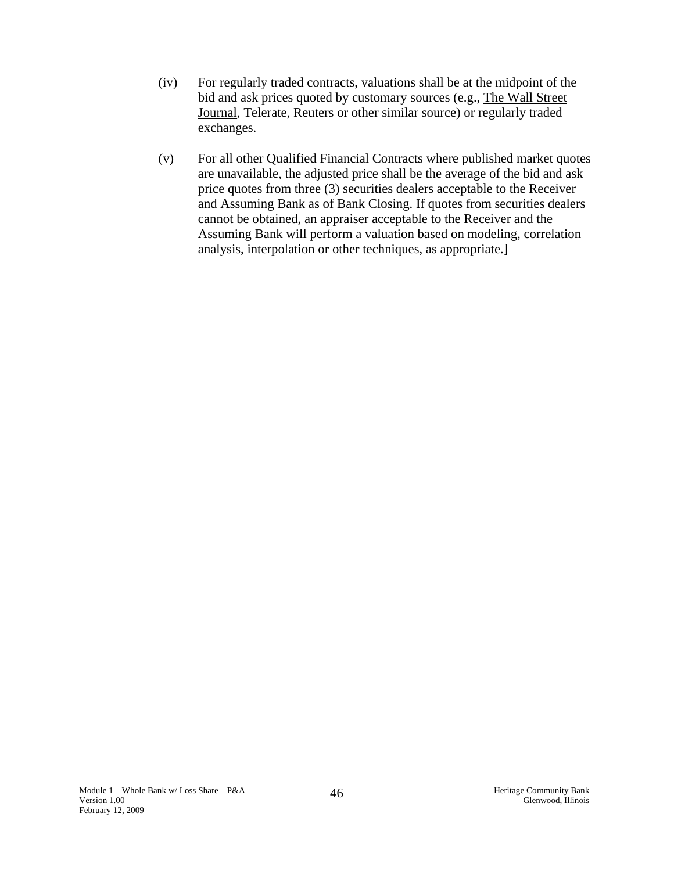- (iv) For regularly traded contracts, valuations shall be at the midpoint of the bid and ask prices quoted by customary sources (e.g., The Wall Street Journal, Telerate, Reuters or other similar source) or regularly traded exchanges.
- (v) For all other Qualified Financial Contracts where published market quotes are unavailable, the adjusted price shall be the average of the bid and ask price quotes from three (3) securities dealers acceptable to the Receiver and Assuming Bank as of Bank Closing. If quotes from securities dealers cannot be obtained, an appraiser acceptable to the Receiver and the Assuming Bank will perform a valuation based on modeling, correlation analysis, interpolation or other techniques, as appropriate.]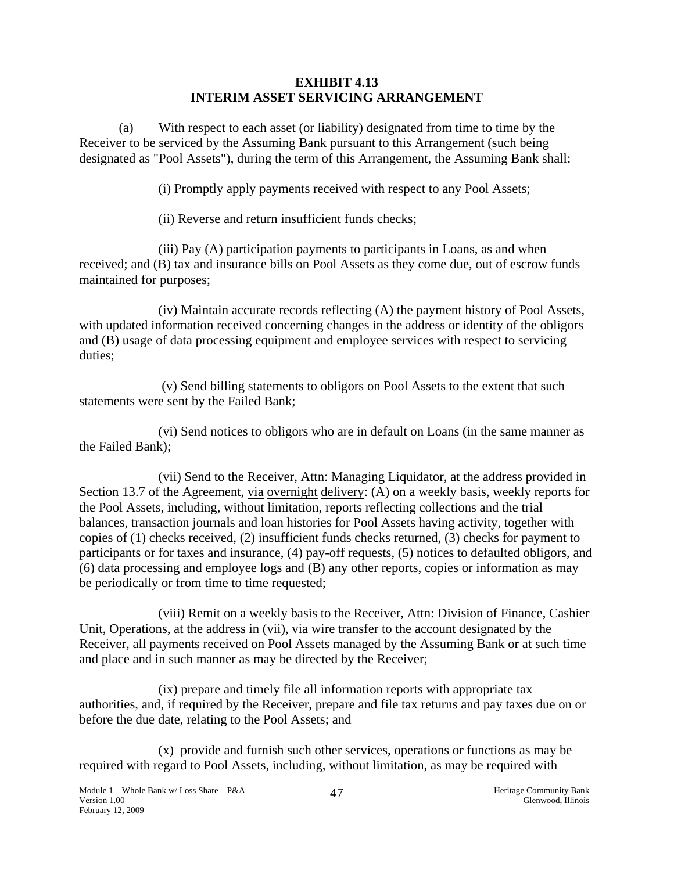### **EXHIBIT 4.13 INTERIM ASSET SERVICING ARRANGEMENT**

(a) With respect to each asset (or liability) designated from time to time by the Receiver to be serviced by the Assuming Bank pursuant to this Arrangement (such being designated as "Pool Assets"), during the term of this Arrangement, the Assuming Bank shall:

(i) Promptly apply payments received with respect to any Pool Assets;

(ii) Reverse and return insufficient funds checks;

(iii) Pay (A) participation payments to participants in Loans, as and when received; and (B) tax and insurance bills on Pool Assets as they come due, out of escrow funds maintained for purposes;

(iv) Maintain accurate records reflecting (A) the payment history of Pool Assets, with updated information received concerning changes in the address or identity of the obligors and (B) usage of data processing equipment and employee services with respect to servicing duties;

 (v) Send billing statements to obligors on Pool Assets to the extent that such statements were sent by the Failed Bank;

(vi) Send notices to obligors who are in default on Loans (in the same manner as the Failed Bank);

(vii) Send to the Receiver, Attn: Managing Liquidator, at the address provided in Section 13.7 of the Agreement, via overnight delivery: (A) on a weekly basis, weekly reports for the Pool Assets, including, without limitation, reports reflecting collections and the trial balances, transaction journals and loan histories for Pool Assets having activity, together with copies of (1) checks received, (2) insufficient funds checks returned, (3) checks for payment to participants or for taxes and insurance, (4) pay-off requests, (5) notices to defaulted obligors, and (6) data processing and employee logs and (B) any other reports, copies or information as may be periodically or from time to time requested;

(viii) Remit on a weekly basis to the Receiver, Attn: Division of Finance, Cashier Unit, Operations, at the address in (vii), via wire transfer to the account designated by the Receiver, all payments received on Pool Assets managed by the Assuming Bank or at such time and place and in such manner as may be directed by the Receiver;

(ix) prepare and timely file all information reports with appropriate tax authorities, and, if required by the Receiver, prepare and file tax returns and pay taxes due on or before the due date, relating to the Pool Assets; and

(x) provide and furnish such other services, operations or functions as may be required with regard to Pool Assets, including, without limitation, as may be required with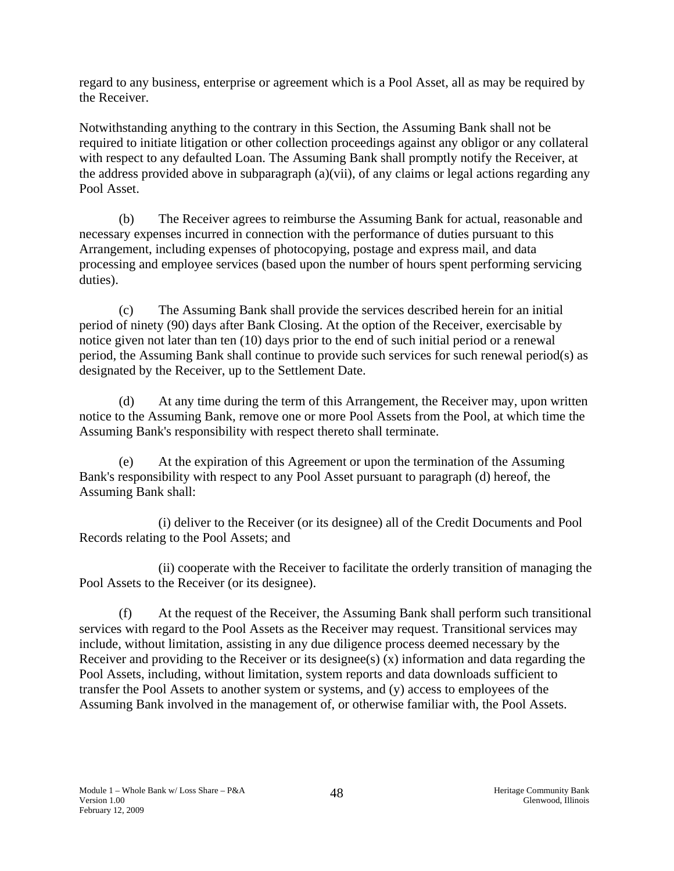regard to any business, enterprise or agreement which is a Pool Asset, all as may be required by the Receiver.

Notwithstanding anything to the contrary in this Section, the Assuming Bank shall not be required to initiate litigation or other collection proceedings against any obligor or any collateral with respect to any defaulted Loan. The Assuming Bank shall promptly notify the Receiver, at the address provided above in subparagraph (a)(vii), of any claims or legal actions regarding any Pool Asset.

(b) The Receiver agrees to reimburse the Assuming Bank for actual, reasonable and necessary expenses incurred in connection with the performance of duties pursuant to this Arrangement, including expenses of photocopying, postage and express mail, and data processing and employee services (based upon the number of hours spent performing servicing duties).

(c) The Assuming Bank shall provide the services described herein for an initial period of ninety (90) days after Bank Closing. At the option of the Receiver, exercisable by notice given not later than ten (10) days prior to the end of such initial period or a renewal period, the Assuming Bank shall continue to provide such services for such renewal period(s) as designated by the Receiver, up to the Settlement Date.

(d) At any time during the term of this Arrangement, the Receiver may, upon written notice to the Assuming Bank, remove one or more Pool Assets from the Pool, at which time the Assuming Bank's responsibility with respect thereto shall terminate.

(e) At the expiration of this Agreement or upon the termination of the Assuming Bank's responsibility with respect to any Pool Asset pursuant to paragraph (d) hereof, the Assuming Bank shall:

(i) deliver to the Receiver (or its designee) all of the Credit Documents and Pool Records relating to the Pool Assets; and

(ii) cooperate with the Receiver to facilitate the orderly transition of managing the Pool Assets to the Receiver (or its designee).

(f) At the request of the Receiver, the Assuming Bank shall perform such transitional services with regard to the Pool Assets as the Receiver may request. Transitional services may include, without limitation, assisting in any due diligence process deemed necessary by the Receiver and providing to the Receiver or its designee(s) (x) information and data regarding the Pool Assets, including, without limitation, system reports and data downloads sufficient to transfer the Pool Assets to another system or systems, and (y) access to employees of the Assuming Bank involved in the management of, or otherwise familiar with, the Pool Assets.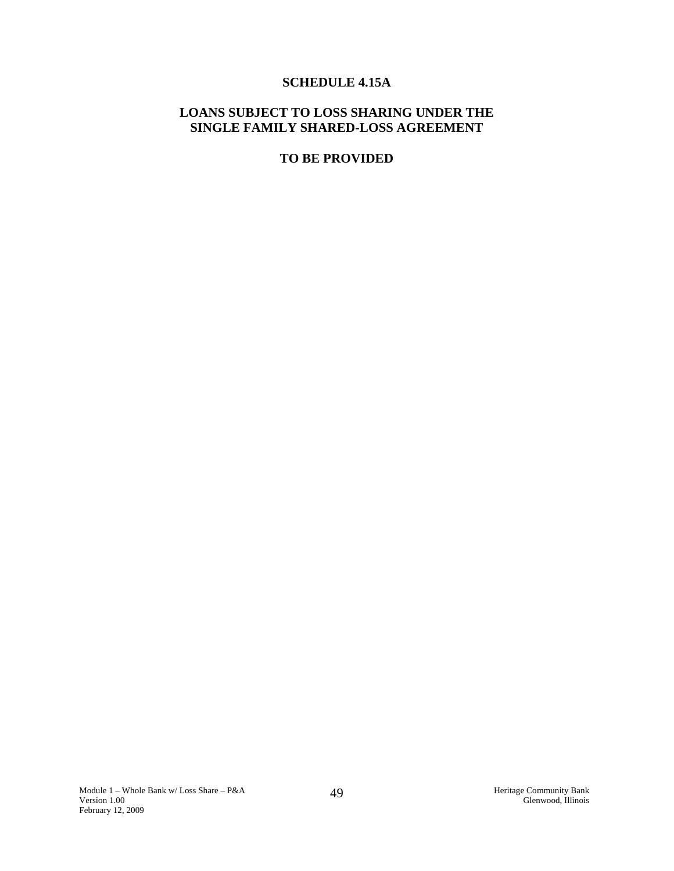#### **SCHEDULE 4.15A**

### **LOANS SUBJECT TO LOSS SHARING UNDER THE SINGLE FAMILY SHARED-LOSS AGREEMENT**

### **TO BE PROVIDED**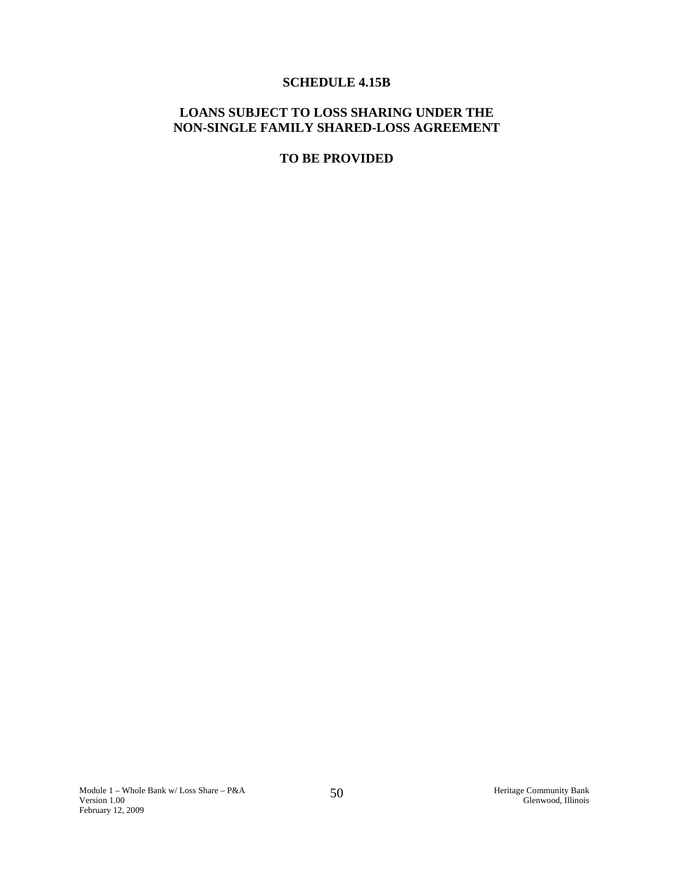#### **SCHEDULE 4.15B**

### **LOANS SUBJECT TO LOSS SHARING UNDER THE NON-SINGLE FAMILY SHARED-LOSS AGREEMENT**

### **TO BE PROVIDED**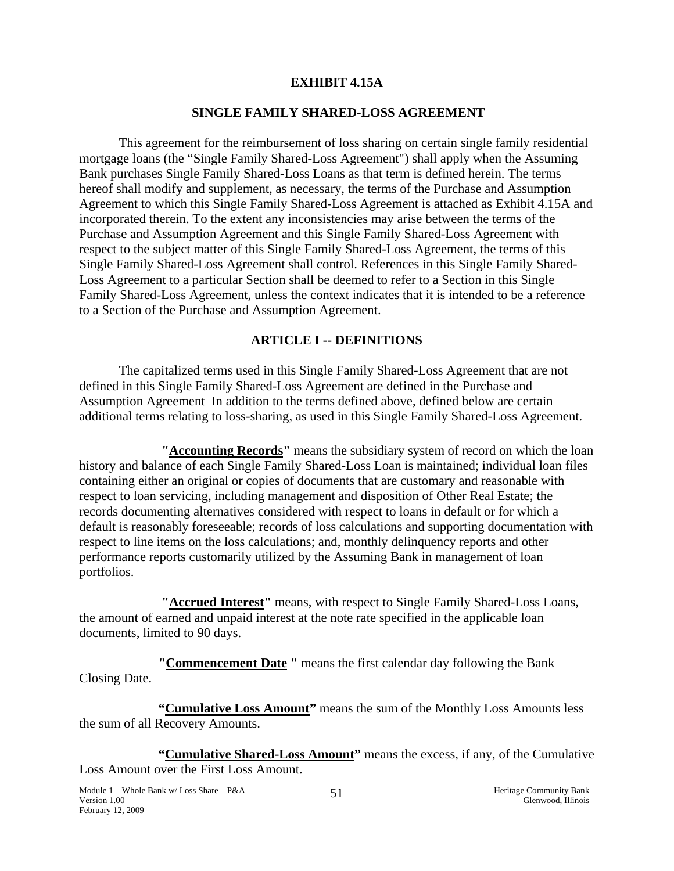#### **EXHIBIT 4.15A**

#### **SINGLE FAMILY SHARED-LOSS AGREEMENT**

This agreement for the reimbursement of loss sharing on certain single family residential mortgage loans (the "Single Family Shared-Loss Agreement") shall apply when the Assuming Bank purchases Single Family Shared-Loss Loans as that term is defined herein. The terms hereof shall modify and supplement, as necessary, the terms of the Purchase and Assumption Agreement to which this Single Family Shared-Loss Agreement is attached as Exhibit 4.15A and incorporated therein. To the extent any inconsistencies may arise between the terms of the Purchase and Assumption Agreement and this Single Family Shared-Loss Agreement with respect to the subject matter of this Single Family Shared-Loss Agreement, the terms of this Single Family Shared-Loss Agreement shall control. References in this Single Family Shared-Loss Agreement to a particular Section shall be deemed to refer to a Section in this Single Family Shared-Loss Agreement, unless the context indicates that it is intended to be a reference to a Section of the Purchase and Assumption Agreement.

#### **ARTICLE I -- DEFINITIONS**

The capitalized terms used in this Single Family Shared-Loss Agreement that are not defined in this Single Family Shared-Loss Agreement are defined in the Purchase and Assumption Agreement In addition to the terms defined above, defined below are certain additional terms relating to loss-sharing, as used in this Single Family Shared-Loss Agreement.

**"Accounting Records"** means the subsidiary system of record on which the loan history and balance of each Single Family Shared-Loss Loan is maintained; individual loan files containing either an original or copies of documents that are customary and reasonable with respect to loan servicing, including management and disposition of Other Real Estate; the records documenting alternatives considered with respect to loans in default or for which a default is reasonably foreseeable; records of loss calculations and supporting documentation with respect to line items on the loss calculations; and, monthly delinquency reports and other performance reports customarily utilized by the Assuming Bank in management of loan portfolios.

**"Accrued Interest"** means, with respect to Single Family Shared-Loss Loans, the amount of earned and unpaid interest at the note rate specified in the applicable loan documents, limited to 90 days.

**"Commencement Date "** means the first calendar day following the Bank Closing Date.

**"Cumulative Loss Amount"** means the sum of the Monthly Loss Amounts less the sum of all Recovery Amounts.

**"Cumulative Shared-Loss Amount"** means the excess, if any, of the Cumulative Loss Amount over the First Loss Amount.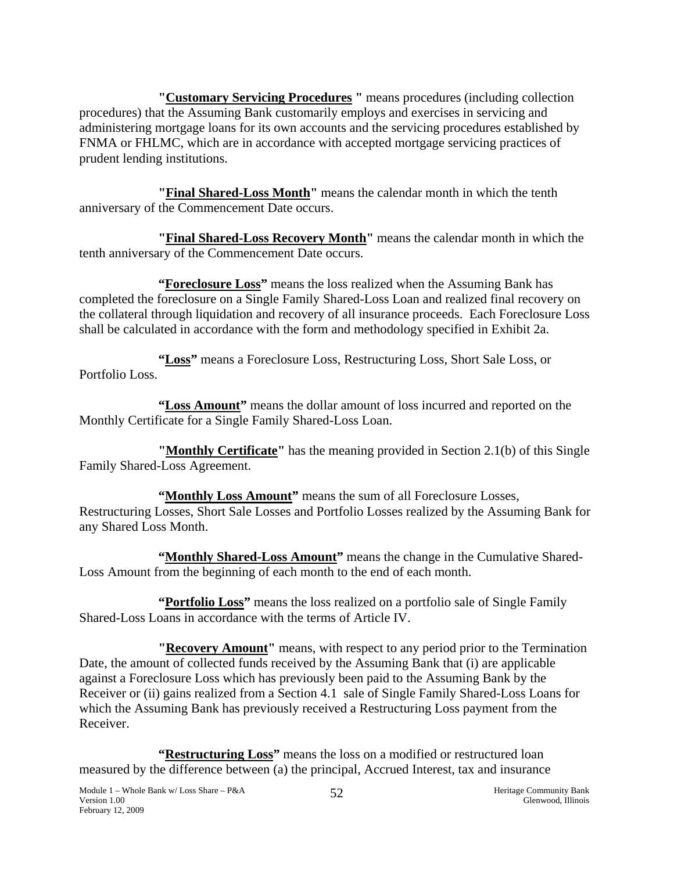**"Customary Servicing Procedures "** means procedures (including collection procedures) that the Assuming Bank customarily employs and exercises in servicing and administering mortgage loans for its own accounts and the servicing procedures established by FNMA or FHLMC, which are in accordance with accepted mortgage servicing practices of prudent lending institutions.

 anniversary of the Commencement Date occurs. **"Final Shared-Loss Month"** means the calendar month in which the tenth

**"Final Shared-Loss Recovery Month"** means the calendar month in which the tenth anniversary of the Commencement Date occurs.

**"Foreclosure Loss"** means the loss realized when the Assuming Bank has completed the foreclosure on a Single Family Shared-Loss Loan and realized final recovery on the collateral through liquidation and recovery of all insurance proceeds. Each Foreclosure Loss shall be calculated in accordance with the form and methodology specified in Exhibit 2a.

**"Loss"** means a Foreclosure Loss, Restructuring Loss, Short Sale Loss, or Portfolio Loss.

**"Loss Amount"** means the dollar amount of loss incurred and reported on the Monthly Certificate for a Single Family Shared-Loss Loan.

**"Monthly Certificate"** has the meaning provided in Section 2.1(b) of this Single Family Shared-Loss Agreement.

"Monthly Loss Amount" means the sum of all Foreclosure Losses, Restructuring Losses, Short Sale Losses and Portfolio Losses realized by the Assuming Bank for any Shared Loss Month.

**"Monthly Shared-Loss Amount"** means the change in the Cumulative Shared-Loss Amount from the beginning of each month to the end of each month.

**"Portfolio Loss"** means the loss realized on a portfolio sale of Single Family Shared-Loss Loans in accordance with the terms of Article IV.

**"Recovery Amount"** means, with respect to any period prior to the Termination Date, the amount of collected funds received by the Assuming Bank that (i) are applicable against a Foreclosure Loss which has previously been paid to the Assuming Bank by the Receiver or (ii) gains realized from a Section 4.1 sale of Single Family Shared-Loss Loans for which the Assuming Bank has previously received a Restructuring Loss payment from the Receiver.

"Restructuring Loss" means the loss on a modified or restructured loan measured by the difference between (a) the principal, Accrued Interest, tax and insurance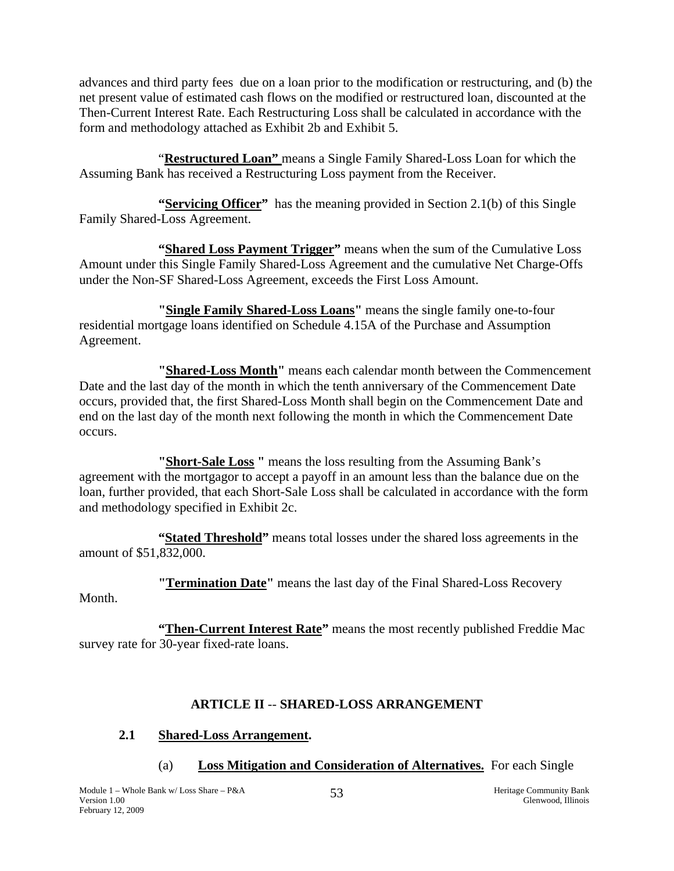advances and third party fees due on a loan prior to the modification or restructuring, and (b) the net present value of estimated cash flows on the modified or restructured loan, discounted at the Then-Current Interest Rate. Each Restructuring Loss shall be calculated in accordance with the form and methodology attached as Exhibit 2b and Exhibit 5.

"**Restructured Loan"** means a Single Family Shared-Loss Loan for which the Assuming Bank has received a Restructuring Loss payment from the Receiver.

**"Servicing Officer"** has the meaning provided in Section 2.1(b) of this Single Family Shared-Loss Agreement.

"Shared Loss Payment Trigger" means when the sum of the Cumulative Loss Amount under this Single Family Shared-Loss Agreement and the cumulative Net Charge-Offs under the Non-SF Shared-Loss Agreement, exceeds the First Loss Amount.

**"Single Family Shared-Loss Loans"** means the single family one-to-four residential mortgage loans identified on Schedule 4.15A of the Purchase and Assumption Agreement.

**"Shared-Loss Month"** means each calendar month between the Commencement Date and the last day of the month in which the tenth anniversary of the Commencement Date occurs, provided that, the first Shared-Loss Month shall begin on the Commencement Date and end on the last day of the month next following the month in which the Commencement Date occurs.

**"Short-Sale Loss "** means the loss resulting from the Assuming Bank's agreement with the mortgagor to accept a payoff in an amount less than the balance due on the loan, further provided, that each Short-Sale Loss shall be calculated in accordance with the form and methodology specified in Exhibit 2c.

**"Stated Threshold"** means total losses under the shared loss agreements in the amount of \$51,832,000.

**"Termination Date"** means the last day of the Final Shared-Loss Recovery

Month.

**"Then-Current Interest Rate"** means the most recently published Freddie Mac survey rate for 30-year fixed-rate loans.

## **ARTICLE II** -- **SHARED-LOSS ARRANGEMENT**

### **2.1 Shared-Loss Arrangement.**

(a) **Loss Mitigation and Consideration of Alternatives.** For each Single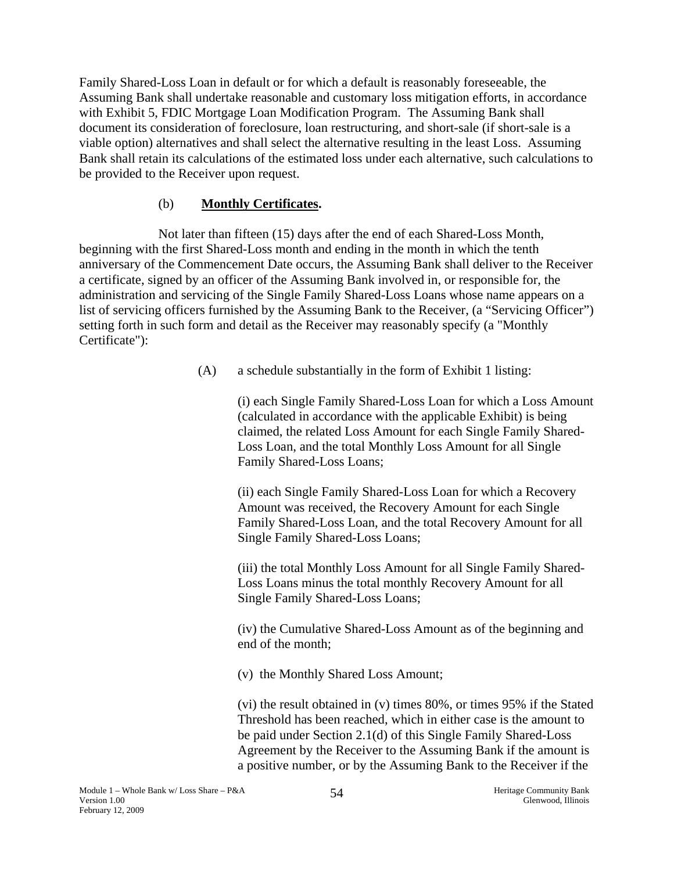Family Shared-Loss Loan in default or for which a default is reasonably foreseeable, the Assuming Bank shall undertake reasonable and customary loss mitigation efforts, in accordance with Exhibit 5, FDIC Mortgage Loan Modification Program. The Assuming Bank shall document its consideration of foreclosure, loan restructuring, and short-sale (if short-sale is a viable option) alternatives and shall select the alternative resulting in the least Loss. Assuming Bank shall retain its calculations of the estimated loss under each alternative, such calculations to be provided to the Receiver upon request.

### (b) **Monthly Certificates.**

Not later than fifteen (15) days after the end of each Shared-Loss Month, beginning with the first Shared-Loss month and ending in the month in which the tenth anniversary of the Commencement Date occurs, the Assuming Bank shall deliver to the Receiver a certificate, signed by an officer of the Assuming Bank involved in, or responsible for, the administration and servicing of the Single Family Shared-Loss Loans whose name appears on a list of servicing officers furnished by the Assuming Bank to the Receiver, (a "Servicing Officer") setting forth in such form and detail as the Receiver may reasonably specify (a "Monthly Certificate"):

(A) a schedule substantially in the form of Exhibit 1 listing:

(i) each Single Family Shared-Loss Loan for which a Loss Amount (calculated in accordance with the applicable Exhibit) is being claimed, the related Loss Amount for each Single Family Shared-Loss Loan, and the total Monthly Loss Amount for all Single Family Shared-Loss Loans;

(ii) each Single Family Shared-Loss Loan for which a Recovery Amount was received, the Recovery Amount for each Single Family Shared-Loss Loan, and the total Recovery Amount for all Single Family Shared-Loss Loans;

(iii) the total Monthly Loss Amount for all Single Family Shared-Loss Loans minus the total monthly Recovery Amount for all Single Family Shared-Loss Loans;

(iv) the Cumulative Shared-Loss Amount as of the beginning and end of the month;

(v) the Monthly Shared Loss Amount;

(vi) the result obtained in (v) times 80%, or times 95% if the Stated Threshold has been reached, which in either case is the amount to be paid under Section 2.1(d) of this Single Family Shared-Loss Agreement by the Receiver to the Assuming Bank if the amount is a positive number, or by the Assuming Bank to the Receiver if the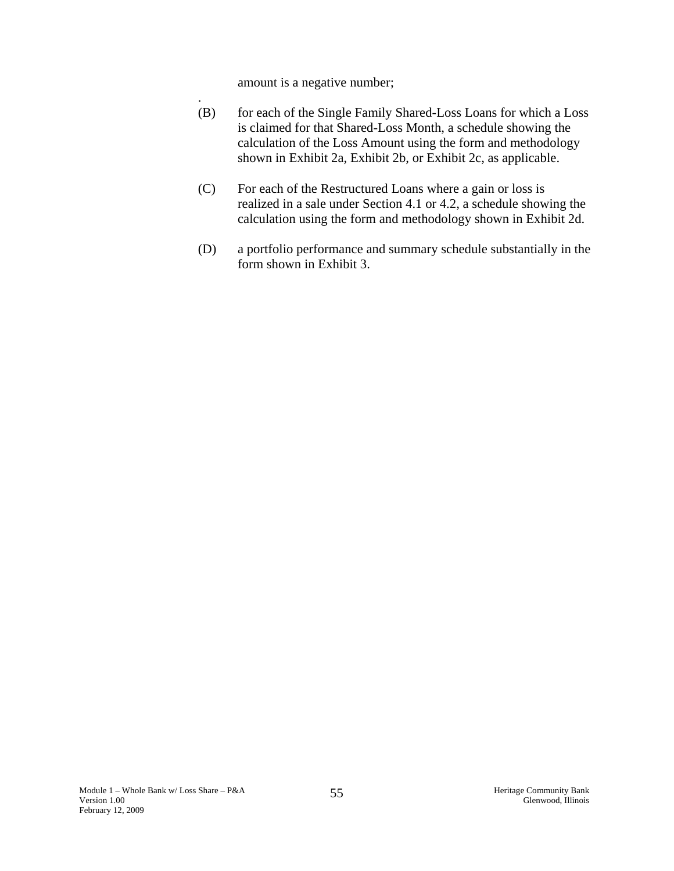amount is a negative number;

.

- (B) for each of the Single Family Shared-Loss Loans for which a Loss is claimed for that Shared-Loss Month, a schedule showing the calculation of the Loss Amount using the form and methodology shown in Exhibit 2a, Exhibit 2b, or Exhibit 2c, as applicable.
- (C) For each of the Restructured Loans where a gain or loss is realized in a sale under Section 4.1 or 4.2, a schedule showing the calculation using the form and methodology shown in Exhibit 2d.
- (D) a portfolio performance and summary schedule substantially in the form shown in Exhibit 3.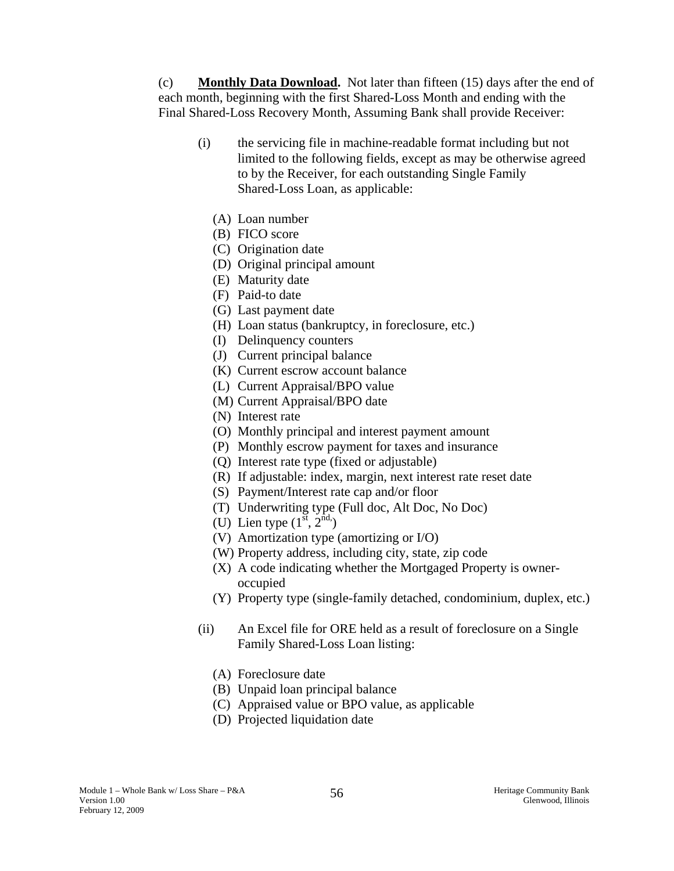(c) **Monthly Data Download.** Not later than fifteen (15) days after the end of each month, beginning with the first Shared-Loss Month and ending with the Final Shared-Loss Recovery Month, Assuming Bank shall provide Receiver:

- (i) the servicing file in machine-readable format including but not limited to the following fields, except as may be otherwise agreed to by the Receiver, for each outstanding Single Family Shared-Loss Loan, as applicable:
	- (A) Loan number
	- (B) FICO score
	- (C) Origination date
	- (D) Original principal amount
	- (E) Maturity date
	- (F) Paid-to date
	- (G) Last payment date
	- (H) Loan status (bankruptcy, in foreclosure, etc.)
	- (I) Delinquency counters
	- (J) Current principal balance
	- (K) Current escrow account balance
	- (L) Current Appraisal/BPO value
	- (M) Current Appraisal/BPO date
	- (N) Interest rate
	- (O) Monthly principal and interest payment amount
	- (P) Monthly escrow payment for taxes and insurance
	- (Q) Interest rate type (fixed or adjustable)
	- (R) If adjustable: index, margin, next interest rate reset date
	- (S) Payment/Interest rate cap and/or floor
	- (T) Underwriting type (Full doc, Alt Doc, No Doc)
	- (U) Lien type  $(1<sup>st</sup>, 2<sup>nd</sup>)$
	- (V) Amortization type (amortizing or I/O)
	- (W) Property address, including city, state, zip code
	- (X) A code indicating whether the Mortgaged Property is owneroccupied
	- (Y) Property type (single-family detached, condominium, duplex, etc.)
- (ii) An Excel file for ORE held as a result of foreclosure on a Single Family Shared-Loss Loan listing:
	- (A) Foreclosure date
	- (B) Unpaid loan principal balance
	- (C) Appraised value or BPO value, as applicable
	- (D) Projected liquidation date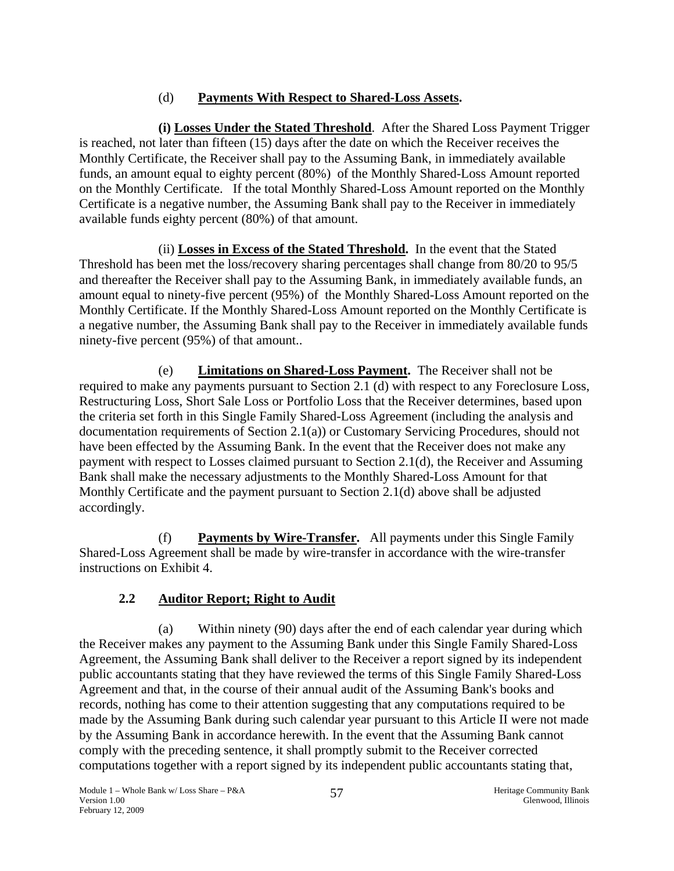## (d) **Payments With Respect to Shared-Loss Assets.**

**(i) Losses Under the Stated Threshold**. After the Shared Loss Payment Trigger is reached, not later than fifteen (15) days after the date on which the Receiver receives the Monthly Certificate, the Receiver shall pay to the Assuming Bank, in immediately available funds, an amount equal to eighty percent (80%) of the Monthly Shared-Loss Amount reported on the Monthly Certificate. If the total Monthly Shared-Loss Amount reported on the Monthly Certificate is a negative number, the Assuming Bank shall pay to the Receiver in immediately available funds eighty percent (80%) of that amount.

(ii) **Losses in Excess of the Stated Threshold.** In the event that the Stated Threshold has been met the loss/recovery sharing percentages shall change from 80/20 to 95/5 and thereafter the Receiver shall pay to the Assuming Bank, in immediately available funds, an amount equal to ninety-five percent (95%) of the Monthly Shared-Loss Amount reported on the Monthly Certificate. If the Monthly Shared-Loss Amount reported on the Monthly Certificate is a negative number, the Assuming Bank shall pay to the Receiver in immediately available funds ninety-five percent (95%) of that amount..

 accordingly. (e) **Limitations on Shared-Loss Payment.** The Receiver shall not be required to make any payments pursuant to Section 2.1 (d) with respect to any Foreclosure Loss, Restructuring Loss, Short Sale Loss or Portfolio Loss that the Receiver determines, based upon the criteria set forth in this Single Family Shared-Loss Agreement (including the analysis and documentation requirements of Section 2.1(a)) or Customary Servicing Procedures, should not have been effected by the Assuming Bank. In the event that the Receiver does not make any payment with respect to Losses claimed pursuant to Section 2.1(d), the Receiver and Assuming Bank shall make the necessary adjustments to the Monthly Shared-Loss Amount for that Monthly Certificate and the payment pursuant to Section 2.1(d) above shall be adjusted

 (f) **Payments by Wire-Transfer.** All payments under this Single Family Shared-Loss Agreement shall be made by wire-transfer in accordance with the wire-transfer instructions on Exhibit 4.

## **2.2 Auditor Report; Right to Audit**

(a) Within ninety (90) days after the end of each calendar year during which the Receiver makes any payment to the Assuming Bank under this Single Family Shared-Loss Agreement, the Assuming Bank shall deliver to the Receiver a report signed by its independent public accountants stating that they have reviewed the terms of this Single Family Shared-Loss Agreement and that, in the course of their annual audit of the Assuming Bank's books and records, nothing has come to their attention suggesting that any computations required to be made by the Assuming Bank during such calendar year pursuant to this Article II were not made by the Assuming Bank in accordance herewith. In the event that the Assuming Bank cannot comply with the preceding sentence, it shall promptly submit to the Receiver corrected computations together with a report signed by its independent public accountants stating that,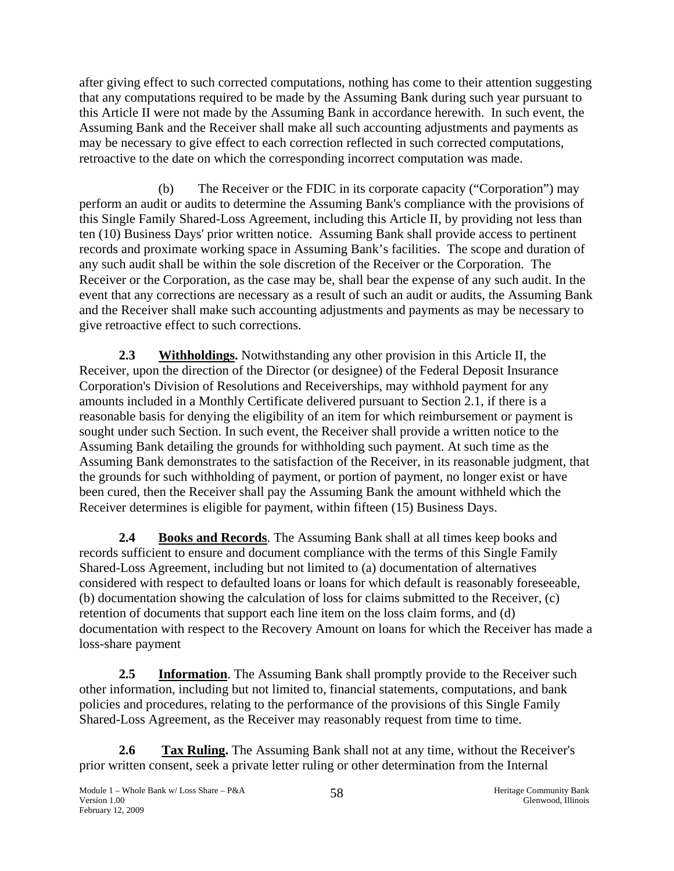after giving effect to such corrected computations, nothing has come to their attention suggesting that any computations required to be made by the Assuming Bank during such year pursuant to this Article II were not made by the Assuming Bank in accordance herewith. In such event, the Assuming Bank and the Receiver shall make all such accounting adjustments and payments as may be necessary to give effect to each correction reflected in such corrected computations, retroactive to the date on which the corresponding incorrect computation was made.

(b) The Receiver or the FDIC in its corporate capacity ("Corporation") may perform an audit or audits to determine the Assuming Bank's compliance with the provisions of this Single Family Shared-Loss Agreement, including this Article II, by providing not less than ten (10) Business Days' prior written notice. Assuming Bank shall provide access to pertinent records and proximate working space in Assuming Bank's facilities. The scope and duration of any such audit shall be within the sole discretion of the Receiver or the Corporation. The Receiver or the Corporation, as the case may be, shall bear the expense of any such audit. In the event that any corrections are necessary as a result of such an audit or audits, the Assuming Bank and the Receiver shall make such accounting adjustments and payments as may be necessary to give retroactive effect to such corrections.

**2.3 Withholdings.** Notwithstanding any other provision in this Article II, the Receiver, upon the direction of the Director (or designee) of the Federal Deposit Insurance Corporation's Division of Resolutions and Receiverships, may withhold payment for any amounts included in a Monthly Certificate delivered pursuant to Section 2.1, if there is a reasonable basis for denying the eligibility of an item for which reimbursement or payment is sought under such Section. In such event, the Receiver shall provide a written notice to the Assuming Bank detailing the grounds for withholding such payment. At such time as the Assuming Bank demonstrates to the satisfaction of the Receiver, in its reasonable judgment, that the grounds for such withholding of payment, or portion of payment, no longer exist or have been cured, then the Receiver shall pay the Assuming Bank the amount withheld which the Receiver determines is eligible for payment, within fifteen (15) Business Days.

**2.4 Books and Records**. The Assuming Bank shall at all times keep books and records sufficient to ensure and document compliance with the terms of this Single Family Shared-Loss Agreement, including but not limited to (a) documentation of alternatives considered with respect to defaulted loans or loans for which default is reasonably foreseeable, (b) documentation showing the calculation of loss for claims submitted to the Receiver, (c) retention of documents that support each line item on the loss claim forms, and (d) documentation with respect to the Recovery Amount on loans for which the Receiver has made a loss-share payment

**2.5 Information**. The Assuming Bank shall promptly provide to the Receiver such other information, including but not limited to, financial statements, computations, and bank policies and procedures, relating to the performance of the provisions of this Single Family Shared-Loss Agreement, as the Receiver may reasonably request from time to time.

**2.6 Tax Ruling.** The Assuming Bank shall not at any time, without the Receiver's prior written consent, seek a private letter ruling or other determination from the Internal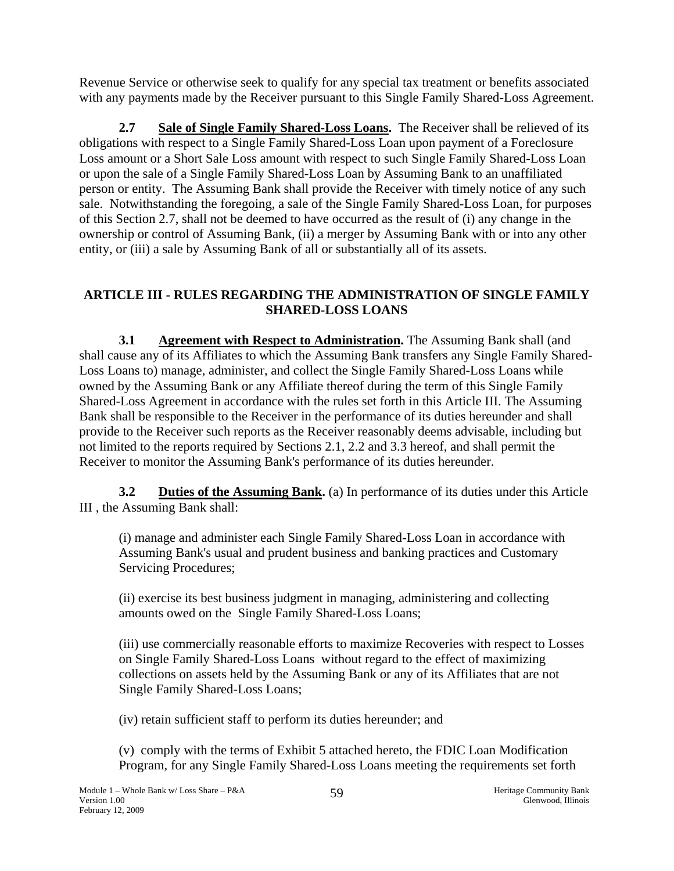Revenue Service or otherwise seek to qualify for any special tax treatment or benefits associated with any payments made by the Receiver pursuant to this Single Family Shared-Loss Agreement.

**2.7 Sale of Single Family Shared-Loss Loans.** The Receiver shall be relieved of its obligations with respect to a Single Family Shared-Loss Loan upon payment of a Foreclosure Loss amount or a Short Sale Loss amount with respect to such Single Family Shared-Loss Loan or upon the sale of a Single Family Shared-Loss Loan by Assuming Bank to an unaffiliated person or entity. The Assuming Bank shall provide the Receiver with timely notice of any such sale. Notwithstanding the foregoing, a sale of the Single Family Shared-Loss Loan, for purposes of this Section 2.7, shall not be deemed to have occurred as the result of (i) any change in the ownership or control of Assuming Bank, (ii) a merger by Assuming Bank with or into any other entity, or (iii) a sale by Assuming Bank of all or substantially all of its assets.

### **ARTICLE III - RULES REGARDING THE ADMINISTRATION OF SINGLE FAMILY SHARED-LOSS LOANS**

**3.1 Agreement with Respect to Administration.** The Assuming Bank shall (and shall cause any of its Affiliates to which the Assuming Bank transfers any Single Family Shared-Loss Loans to) manage, administer, and collect the Single Family Shared-Loss Loans while owned by the Assuming Bank or any Affiliate thereof during the term of this Single Family Shared-Loss Agreement in accordance with the rules set forth in this Article III. The Assuming Bank shall be responsible to the Receiver in the performance of its duties hereunder and shall provide to the Receiver such reports as the Receiver reasonably deems advisable, including but not limited to the reports required by Sections 2.1, 2.2 and 3.3 hereof, and shall permit the Receiver to monitor the Assuming Bank's performance of its duties hereunder.

**3.2 Duties of the Assuming Bank.** (a) In performance of its duties under this Article III , the Assuming Bank shall:

(i) manage and administer each Single Family Shared-Loss Loan in accordance with Assuming Bank's usual and prudent business and banking practices and Customary Servicing Procedures;

(ii) exercise its best business judgment in managing, administering and collecting amounts owed on the Single Family Shared-Loss Loans;

(iii) use commercially reasonable efforts to maximize Recoveries with respect to Losses on Single Family Shared-Loss Loans without regard to the effect of maximizing collections on assets held by the Assuming Bank or any of its Affiliates that are not Single Family Shared-Loss Loans;

(iv) retain sufficient staff to perform its duties hereunder; and

(v) comply with the terms of Exhibit 5 attached hereto, the FDIC Loan Modification Program, for any Single Family Shared-Loss Loans meeting the requirements set forth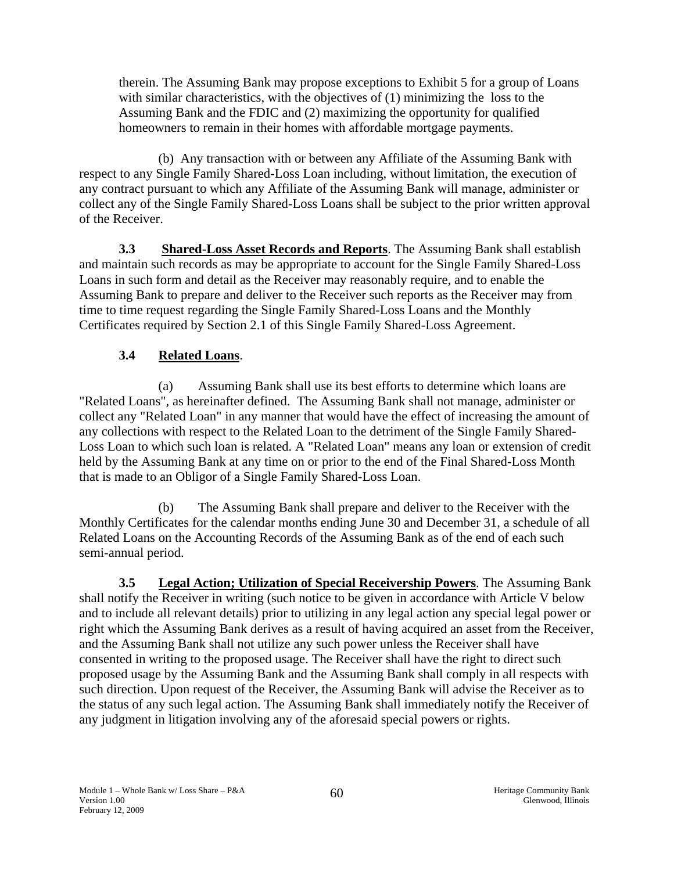therein. The Assuming Bank may propose exceptions to Exhibit 5 for a group of Loans with similar characteristics, with the objectives of (1) minimizing the loss to the Assuming Bank and the FDIC and (2) maximizing the opportunity for qualified homeowners to remain in their homes with affordable mortgage payments.

(b) Any transaction with or between any Affiliate of the Assuming Bank with respect to any Single Family Shared-Loss Loan including, without limitation, the execution of any contract pursuant to which any Affiliate of the Assuming Bank will manage, administer or collect any of the Single Family Shared-Loss Loans shall be subject to the prior written approval of the Receiver.

**3.3 Shared-Loss Asset Records and Reports**. The Assuming Bank shall establish and maintain such records as may be appropriate to account for the Single Family Shared-Loss Loans in such form and detail as the Receiver may reasonably require, and to enable the Assuming Bank to prepare and deliver to the Receiver such reports as the Receiver may from time to time request regarding the Single Family Shared-Loss Loans and the Monthly Certificates required by Section 2.1 of this Single Family Shared-Loss Agreement.

## **3.4 Related Loans**.

(a) Assuming Bank shall use its best efforts to determine which loans are "Related Loans", as hereinafter defined. The Assuming Bank shall not manage, administer or collect any "Related Loan" in any manner that would have the effect of increasing the amount of any collections with respect to the Related Loan to the detriment of the Single Family Shared-Loss Loan to which such loan is related. A "Related Loan" means any loan or extension of credit held by the Assuming Bank at any time on or prior to the end of the Final Shared-Loss Month that is made to an Obligor of a Single Family Shared-Loss Loan.

(b) The Assuming Bank shall prepare and deliver to the Receiver with the Monthly Certificates for the calendar months ending June 30 and December 31, a schedule of all Related Loans on the Accounting Records of the Assuming Bank as of the end of each such semi-annual period.

**3.5 Legal Action; Utilization of Special Receivership Powers**. The Assuming Bank shall notify the Receiver in writing (such notice to be given in accordance with Article V below and to include all relevant details) prior to utilizing in any legal action any special legal power or right which the Assuming Bank derives as a result of having acquired an asset from the Receiver, and the Assuming Bank shall not utilize any such power unless the Receiver shall have consented in writing to the proposed usage. The Receiver shall have the right to direct such proposed usage by the Assuming Bank and the Assuming Bank shall comply in all respects with such direction. Upon request of the Receiver, the Assuming Bank will advise the Receiver as to the status of any such legal action. The Assuming Bank shall immediately notify the Receiver of any judgment in litigation involving any of the aforesaid special powers or rights.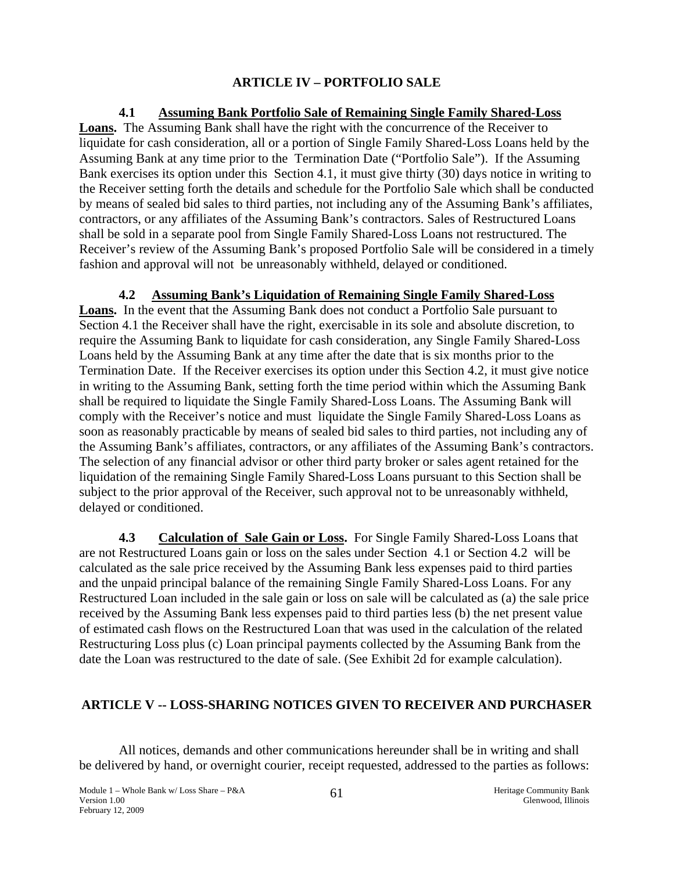### **ARTICLE IV – PORTFOLIO SALE**

**4.1 Assuming Bank Portfolio Sale of Remaining Single Family Shared-Loss Loans.** The Assuming Bank shall have the right with the concurrence of the Receiver to liquidate for cash consideration, all or a portion of Single Family Shared-Loss Loans held by the Assuming Bank at any time prior to the Termination Date ("Portfolio Sale"). If the Assuming Bank exercises its option under this Section 4.1, it must give thirty (30) days notice in writing to the Receiver setting forth the details and schedule for the Portfolio Sale which shall be conducted by means of sealed bid sales to third parties, not including any of the Assuming Bank's affiliates, contractors, or any affiliates of the Assuming Bank's contractors. Sales of Restructured Loans shall be sold in a separate pool from Single Family Shared-Loss Loans not restructured. The Receiver's review of the Assuming Bank's proposed Portfolio Sale will be considered in a timely fashion and approval will not be unreasonably withheld, delayed or conditioned.

**4.2 Assuming Bank's Liquidation of Remaining Single Family Shared-Loss** 

**Loans.** In the event that the Assuming Bank does not conduct a Portfolio Sale pursuant to Section 4.1 the Receiver shall have the right, exercisable in its sole and absolute discretion, to require the Assuming Bank to liquidate for cash consideration, any Single Family Shared-Loss Loans held by the Assuming Bank at any time after the date that is six months prior to the Termination Date. If the Receiver exercises its option under this Section 4.2, it must give notice in writing to the Assuming Bank, setting forth the time period within which the Assuming Bank shall be required to liquidate the Single Family Shared-Loss Loans. The Assuming Bank will comply with the Receiver's notice and must liquidate the Single Family Shared-Loss Loans as soon as reasonably practicable by means of sealed bid sales to third parties, not including any of the Assuming Bank's affiliates, contractors, or any affiliates of the Assuming Bank's contractors. The selection of any financial advisor or other third party broker or sales agent retained for the liquidation of the remaining Single Family Shared-Loss Loans pursuant to this Section shall be subject to the prior approval of the Receiver, such approval not to be unreasonably withheld, delayed or conditioned.

**4.3 Calculation of Sale Gain or Loss.** For Single Family Shared-Loss Loans that are not Restructured Loans gain or loss on the sales under Section 4.1 or Section 4.2 will be calculated as the sale price received by the Assuming Bank less expenses paid to third parties and the unpaid principal balance of the remaining Single Family Shared-Loss Loans. For any Restructured Loan included in the sale gain or loss on sale will be calculated as (a) the sale price received by the Assuming Bank less expenses paid to third parties less (b) the net present value of estimated cash flows on the Restructured Loan that was used in the calculation of the related Restructuring Loss plus (c) Loan principal payments collected by the Assuming Bank from the date the Loan was restructured to the date of sale. (See Exhibit 2d for example calculation).

### **ARTICLE V -- LOSS-SHARING NOTICES GIVEN TO RECEIVER AND PURCHASER**

All notices, demands and other communications hereunder shall be in writing and shall be delivered by hand, or overnight courier, receipt requested, addressed to the parties as follows: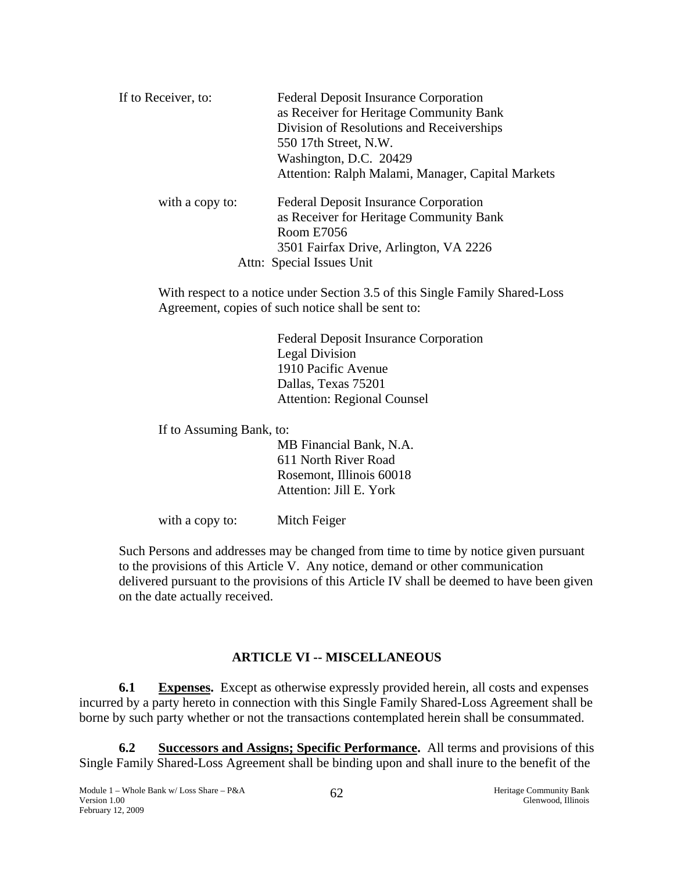| If to Receiver, to: | <b>Federal Deposit Insurance Corporation</b><br>as Receiver for Heritage Community Bank<br>Division of Resolutions and Receiverships                                         |  |  |
|---------------------|------------------------------------------------------------------------------------------------------------------------------------------------------------------------------|--|--|
|                     | 550 17th Street, N.W.<br>Washington, D.C. 20429<br>Attention: Ralph Malami, Manager, Capital Markets                                                                         |  |  |
| with a copy to:     | <b>Federal Deposit Insurance Corporation</b><br>as Receiver for Heritage Community Bank<br>Room E7056<br>3501 Fairfax Drive, Arlington, VA 2226<br>Attn: Special Issues Unit |  |  |

With respect to a notice under Section 3.5 of this Single Family Shared-Loss Agreement, copies of such notice shall be sent to:

> Federal Deposit Insurance Corporation Legal Division 1910 Pacific Avenue Dallas, Texas 75201 Attention: Regional Counsel

If to Assuming Bank, to:

MB Financial Bank, N.A. 611 North River Road Rosemont, Illinois 60018 Attention: Jill E. York

with a copy to: Mitch Feiger

Such Persons and addresses may be changed from time to time by notice given pursuant to the provisions of this Article V. Any notice, demand or other communication delivered pursuant to the provisions of this Article IV shall be deemed to have been given on the date actually received.

### **ARTICLE VI -- MISCELLANEOUS**

**6.1 Expenses.** Except as otherwise expressly provided herein, all costs and expenses incurred by a party hereto in connection with this Single Family Shared-Loss Agreement shall be borne by such party whether or not the transactions contemplated herein shall be consummated.

**6.2 Successors and Assigns; Specific Performance.** All terms and provisions of this Single Family Shared-Loss Agreement shall be binding upon and shall inure to the benefit of the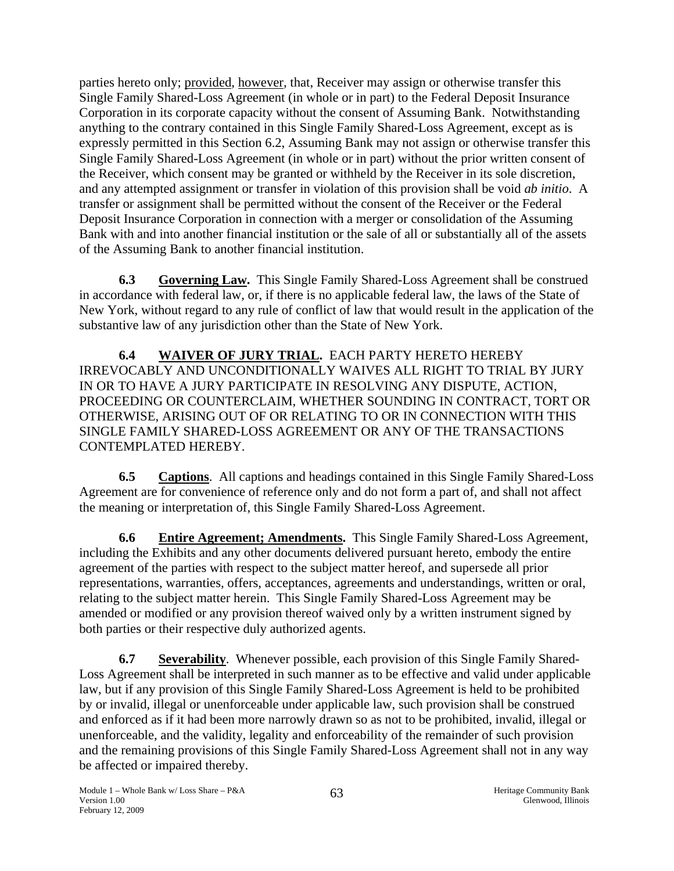parties hereto only; provided, however, that, Receiver may assign or otherwise transfer this Single Family Shared-Loss Agreement (in whole or in part) to the Federal Deposit Insurance Corporation in its corporate capacity without the consent of Assuming Bank. Notwithstanding anything to the contrary contained in this Single Family Shared-Loss Agreement, except as is expressly permitted in this Section 6.2, Assuming Bank may not assign or otherwise transfer this Single Family Shared-Loss Agreement (in whole or in part) without the prior written consent of the Receiver, which consent may be granted or withheld by the Receiver in its sole discretion, and any attempted assignment or transfer in violation of this provision shall be void *ab initio*. A transfer or assignment shall be permitted without the consent of the Receiver or the Federal Deposit Insurance Corporation in connection with a merger or consolidation of the Assuming Bank with and into another financial institution or the sale of all or substantially all of the assets of the Assuming Bank to another financial institution.

**6.3 Governing Law.** This Single Family Shared-Loss Agreement shall be construed in accordance with federal law, or, if there is no applicable federal law, the laws of the State of New York, without regard to any rule of conflict of law that would result in the application of the substantive law of any jurisdiction other than the State of New York.

**6.4 WAIVER OF JURY TRIAL.** EACH PARTY HERETO HEREBY IRREVOCABLY AND UNCONDITIONALLY WAIVES ALL RIGHT TO TRIAL BY JURY IN OR TO HAVE A JURY PARTICIPATE IN RESOLVING ANY DISPUTE, ACTION, PROCEEDING OR COUNTERCLAIM, WHETHER SOUNDING IN CONTRACT, TORT OR OTHERWISE, ARISING OUT OF OR RELATING TO OR IN CONNECTION WITH THIS SINGLE FAMILY SHARED-LOSS AGREEMENT OR ANY OF THE TRANSACTIONS CONTEMPLATED HEREBY.

**6.5 Captions**. All captions and headings contained in this Single Family Shared-Loss Agreement are for convenience of reference only and do not form a part of, and shall not affect the meaning or interpretation of, this Single Family Shared-Loss Agreement.

**6.6 Entire Agreement; Amendments.** This Single Family Shared-Loss Agreement, including the Exhibits and any other documents delivered pursuant hereto, embody the entire agreement of the parties with respect to the subject matter hereof, and supersede all prior representations, warranties, offers, acceptances, agreements and understandings, written or oral, relating to the subject matter herein. This Single Family Shared-Loss Agreement may be amended or modified or any provision thereof waived only by a written instrument signed by both parties or their respective duly authorized agents.

**6.7 Severability**. Whenever possible, each provision of this Single Family Shared-Loss Agreement shall be interpreted in such manner as to be effective and valid under applicable law, but if any provision of this Single Family Shared-Loss Agreement is held to be prohibited by or invalid, illegal or unenforceable under applicable law, such provision shall be construed and enforced as if it had been more narrowly drawn so as not to be prohibited, invalid, illegal or unenforceable, and the validity, legality and enforceability of the remainder of such provision and the remaining provisions of this Single Family Shared-Loss Agreement shall not in any way be affected or impaired thereby.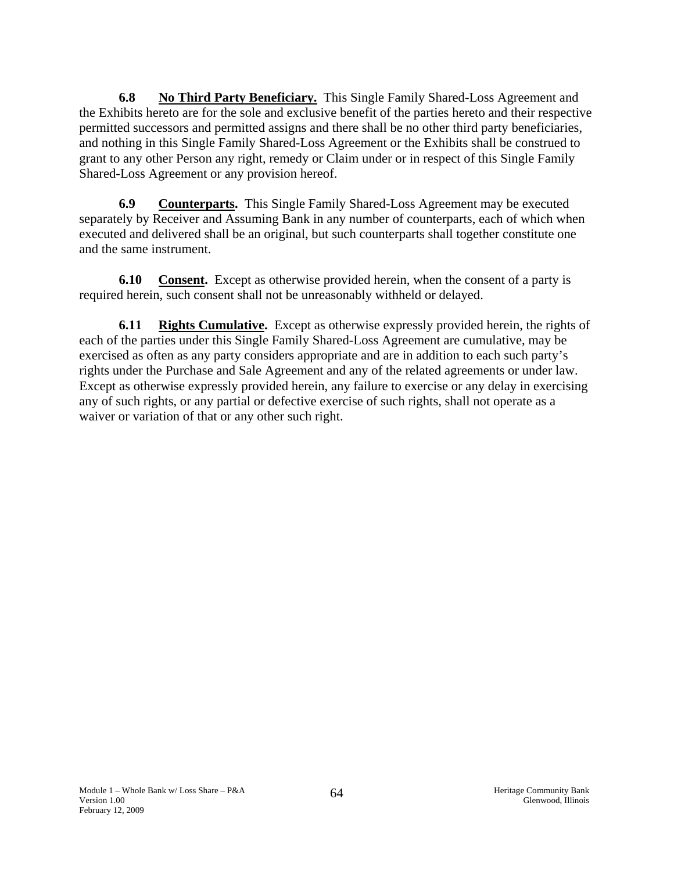**6.8 No Third Party Beneficiary.** This Single Family Shared-Loss Agreement and the Exhibits hereto are for the sole and exclusive benefit of the parties hereto and their respective permitted successors and permitted assigns and there shall be no other third party beneficiaries, and nothing in this Single Family Shared-Loss Agreement or the Exhibits shall be construed to grant to any other Person any right, remedy or Claim under or in respect of this Single Family Shared-Loss Agreement or any provision hereof.

**6.9 Counterparts.** This Single Family Shared-Loss Agreement may be executed separately by Receiver and Assuming Bank in any number of counterparts, each of which when executed and delivered shall be an original, but such counterparts shall together constitute one and the same instrument.

**6.10 Consent.** Except as otherwise provided herein, when the consent of a party is required herein, such consent shall not be unreasonably withheld or delayed.

**6.11 Rights Cumulative.** Except as otherwise expressly provided herein, the rights of each of the parties under this Single Family Shared-Loss Agreement are cumulative, may be exercised as often as any party considers appropriate and are in addition to each such party's rights under the Purchase and Sale Agreement and any of the related agreements or under law. Except as otherwise expressly provided herein, any failure to exercise or any delay in exercising any of such rights, or any partial or defective exercise of such rights, shall not operate as a waiver or variation of that or any other such right.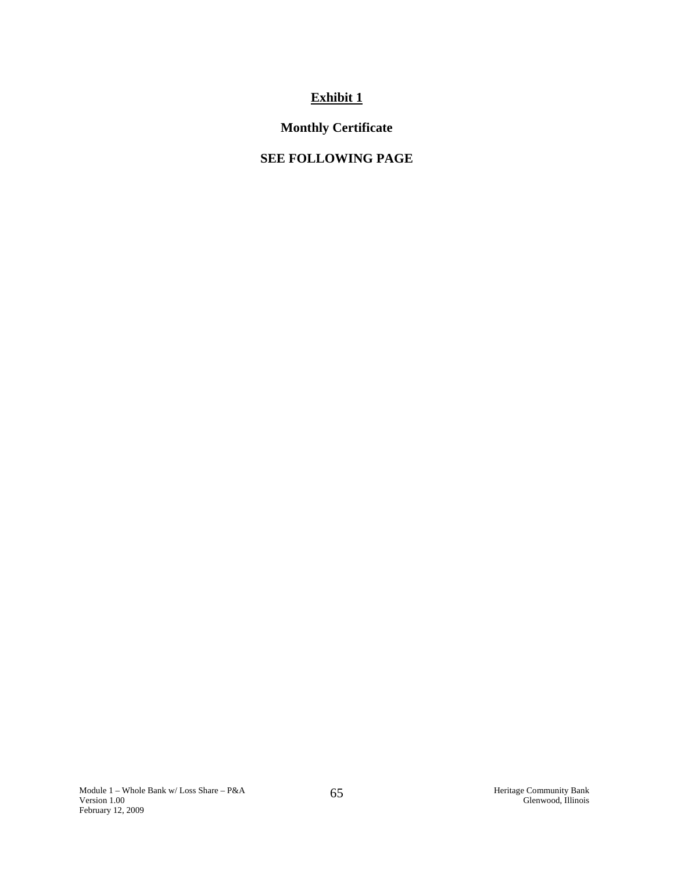## **Exhibit 1**

## **Monthly Certificate**

### **SEE FOLLOWING PAGE**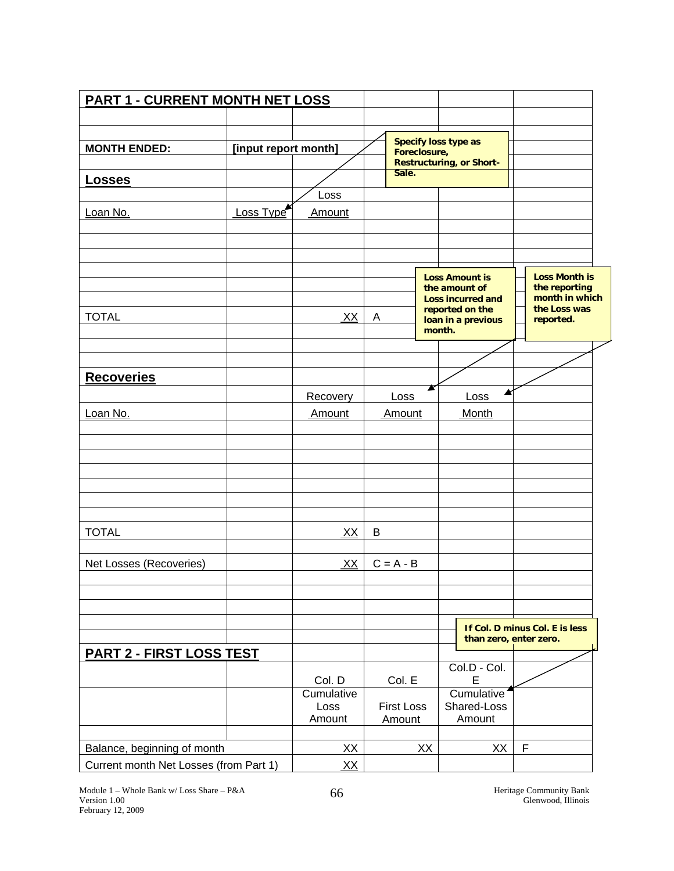| <b>PART 1 - CURRENT MONTH NET LOSS</b> |                      |                    |   |                   |                                                                    |                                       |                                                          |
|----------------------------------------|----------------------|--------------------|---|-------------------|--------------------------------------------------------------------|---------------------------------------|----------------------------------------------------------|
|                                        |                      |                    |   |                   |                                                                    |                                       |                                                          |
|                                        |                      |                    |   |                   |                                                                    | Specify loss type as                  |                                                          |
| <b>MONTH ENDED:</b>                    | [input report month] |                    |   | Foreclosure,      |                                                                    |                                       |                                                          |
|                                        |                      |                    |   | Sale.             |                                                                    | <b>Restructuring, or Short-</b>       |                                                          |
| <b>Losses</b>                          |                      |                    |   |                   |                                                                    |                                       |                                                          |
|                                        |                      | Loss               |   |                   |                                                                    |                                       |                                                          |
| Loan No.                               | Loss Type            | Amount             |   |                   |                                                                    |                                       |                                                          |
|                                        |                      |                    |   |                   |                                                                    |                                       |                                                          |
|                                        |                      |                    |   |                   |                                                                    |                                       |                                                          |
|                                        |                      |                    |   |                   |                                                                    |                                       |                                                          |
|                                        |                      |                    |   |                   | <b>Loss Amount is</b><br>the amount of<br><b>Loss incurred and</b> |                                       | <b>Loss Month is</b><br>the reporting                    |
|                                        |                      |                    |   |                   |                                                                    |                                       | month in which                                           |
| <b>TOTAL</b>                           |                      | XX                 | Α |                   |                                                                    | reported on the<br>loan in a previous | the Loss was<br>reported.                                |
|                                        |                      |                    |   |                   |                                                                    | month.                                |                                                          |
|                                        |                      |                    |   |                   |                                                                    |                                       |                                                          |
|                                        |                      |                    |   |                   |                                                                    |                                       |                                                          |
| <b>Recoveries</b>                      |                      |                    |   |                   |                                                                    |                                       |                                                          |
|                                        |                      | Recovery           |   | Loss              | А                                                                  | Loss                                  |                                                          |
| Loan No.                               |                      | Amount             |   | Amount            |                                                                    | Month                                 |                                                          |
|                                        |                      |                    |   |                   |                                                                    |                                       |                                                          |
|                                        |                      |                    |   |                   |                                                                    |                                       |                                                          |
|                                        |                      |                    |   |                   |                                                                    |                                       |                                                          |
|                                        |                      |                    |   |                   |                                                                    |                                       |                                                          |
|                                        |                      |                    |   |                   |                                                                    |                                       |                                                          |
|                                        |                      |                    |   |                   |                                                                    |                                       |                                                          |
|                                        |                      |                    |   |                   |                                                                    |                                       |                                                          |
| <b>TOTAL</b>                           |                      | XX                 | B |                   |                                                                    |                                       |                                                          |
|                                        |                      |                    |   |                   |                                                                    |                                       |                                                          |
| Net Losses (Recoveries)                |                      | <u>XX</u>          |   | $C = A - B$       |                                                                    |                                       |                                                          |
|                                        |                      |                    |   |                   |                                                                    |                                       |                                                          |
|                                        |                      |                    |   |                   |                                                                    |                                       |                                                          |
|                                        |                      |                    |   |                   |                                                                    |                                       |                                                          |
|                                        |                      |                    |   |                   |                                                                    |                                       | If Col. D minus Col. E is less<br>than zero, enter zero. |
| <b>PART 2 - FIRST LOSS TEST</b>        |                      |                    |   |                   |                                                                    |                                       |                                                          |
|                                        |                      |                    |   |                   |                                                                    | Col.D - Col.                          |                                                          |
|                                        |                      | Col. D             |   | Col. E            |                                                                    | E                                     |                                                          |
|                                        |                      | Cumulative<br>Loss |   | <b>First Loss</b> |                                                                    | Cumulative<br>Shared-Loss             |                                                          |
|                                        |                      | Amount             |   | Amount            |                                                                    | Amount                                |                                                          |
|                                        |                      |                    |   |                   |                                                                    |                                       |                                                          |
| Balance, beginning of month            |                      | XX                 |   |                   | XX                                                                 | XX                                    | F                                                        |
| Current month Net Losses (from Part 1) |                      | XX                 |   |                   |                                                                    |                                       |                                                          |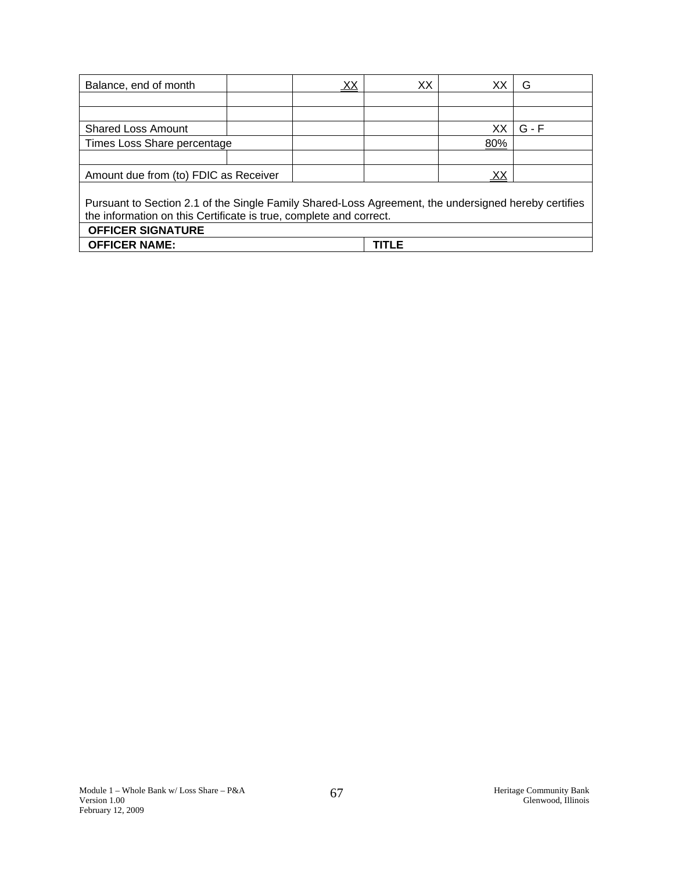| Balance, end of month                                                                                                                                                      |  | XX           | XХ  |    | G       |  |  |
|----------------------------------------------------------------------------------------------------------------------------------------------------------------------------|--|--------------|-----|----|---------|--|--|
|                                                                                                                                                                            |  |              |     |    |         |  |  |
|                                                                                                                                                                            |  |              |     |    |         |  |  |
| <b>Shared Loss Amount</b>                                                                                                                                                  |  |              |     | xх | $G - F$ |  |  |
| Times Loss Share percentage                                                                                                                                                |  |              | 80% |    |         |  |  |
|                                                                                                                                                                            |  |              |     |    |         |  |  |
| Amount due from (to) FDIC as Receiver                                                                                                                                      |  |              | XХ  |    |         |  |  |
| Pursuant to Section 2.1 of the Single Family Shared-Loss Agreement, the undersigned hereby certifies<br>the information on this Certificate is true, complete and correct. |  |              |     |    |         |  |  |
| <b>OFFICER SIGNATURE</b>                                                                                                                                                   |  |              |     |    |         |  |  |
| <b>OFFICER NAME:</b>                                                                                                                                                       |  | <b>TITLE</b> |     |    |         |  |  |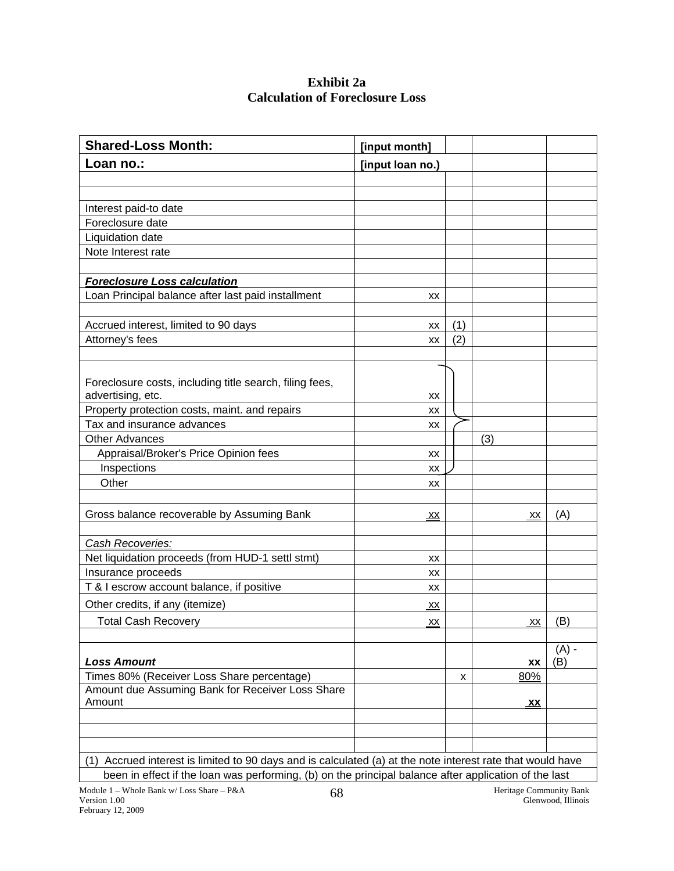### **Exhibit 2a Calculation of Foreclosure Loss**

| <b>Shared-Loss Month:</b>                                                                                  | [input month]    |     |           |                |  |  |  |
|------------------------------------------------------------------------------------------------------------|------------------|-----|-----------|----------------|--|--|--|
| Loan no.:                                                                                                  | [input loan no.) |     |           |                |  |  |  |
|                                                                                                            |                  |     |           |                |  |  |  |
|                                                                                                            |                  |     |           |                |  |  |  |
| Interest paid-to date                                                                                      |                  |     |           |                |  |  |  |
| Foreclosure date                                                                                           |                  |     |           |                |  |  |  |
| Liquidation date                                                                                           |                  |     |           |                |  |  |  |
| Note Interest rate                                                                                         |                  |     |           |                |  |  |  |
|                                                                                                            |                  |     |           |                |  |  |  |
| <b>Foreclosure Loss calculation</b>                                                                        |                  |     |           |                |  |  |  |
| Loan Principal balance after last paid installment                                                         | ХX               |     |           |                |  |  |  |
|                                                                                                            |                  |     |           |                |  |  |  |
| Accrued interest, limited to 90 days                                                                       | XХ               | (1) |           |                |  |  |  |
| Attorney's fees                                                                                            | XX               | (2) |           |                |  |  |  |
|                                                                                                            |                  |     |           |                |  |  |  |
|                                                                                                            |                  |     |           |                |  |  |  |
| Foreclosure costs, including title search, filing fees,                                                    |                  |     |           |                |  |  |  |
| advertising, etc.                                                                                          | XХ               |     |           |                |  |  |  |
| Property protection costs, maint. and repairs                                                              | XX               |     |           |                |  |  |  |
| Tax and insurance advances                                                                                 | XX               |     |           |                |  |  |  |
| <b>Other Advances</b>                                                                                      |                  |     | (3)       |                |  |  |  |
| Appraisal/Broker's Price Opinion fees                                                                      | XX               |     |           |                |  |  |  |
| Inspections                                                                                                | XX               |     |           |                |  |  |  |
| Other                                                                                                      | ХX               |     |           |                |  |  |  |
|                                                                                                            |                  |     |           |                |  |  |  |
| Gross balance recoverable by Assuming Bank                                                                 | <u>xx</u>        |     | ХX        | (A)            |  |  |  |
|                                                                                                            |                  |     |           |                |  |  |  |
| Cash Recoveries:                                                                                           |                  |     |           |                |  |  |  |
| Net liquidation proceeds (from HUD-1 settl stmt)                                                           | XX               |     |           |                |  |  |  |
| Insurance proceeds                                                                                         | XX               |     |           |                |  |  |  |
| T & I escrow account balance, if positive                                                                  | XХ               |     |           |                |  |  |  |
| Other credits, if any (itemize)                                                                            |                  |     |           |                |  |  |  |
|                                                                                                            | xх               |     |           |                |  |  |  |
| <b>Total Cash Recovery</b>                                                                                 | <u>XX</u>        |     | <u>XX</u> | (B)            |  |  |  |
|                                                                                                            |                  |     |           |                |  |  |  |
| <b>Loss Amount</b>                                                                                         |                  |     | XX        | $(A)$ -<br>(B) |  |  |  |
| Times 80% (Receiver Loss Share percentage)                                                                 |                  | x   | 80%       |                |  |  |  |
| Amount due Assuming Bank for Receiver Loss Share                                                           |                  |     |           |                |  |  |  |
| Amount                                                                                                     |                  |     | <u>XX</u> |                |  |  |  |
|                                                                                                            |                  |     |           |                |  |  |  |
|                                                                                                            |                  |     |           |                |  |  |  |
|                                                                                                            |                  |     |           |                |  |  |  |
| (1) Accrued interest is limited to 90 days and is calculated (a) at the note interest rate that would have |                  |     |           |                |  |  |  |
| been in effect if the loan was performing, (b) on the principal balance after application of the last      |                  |     |           |                |  |  |  |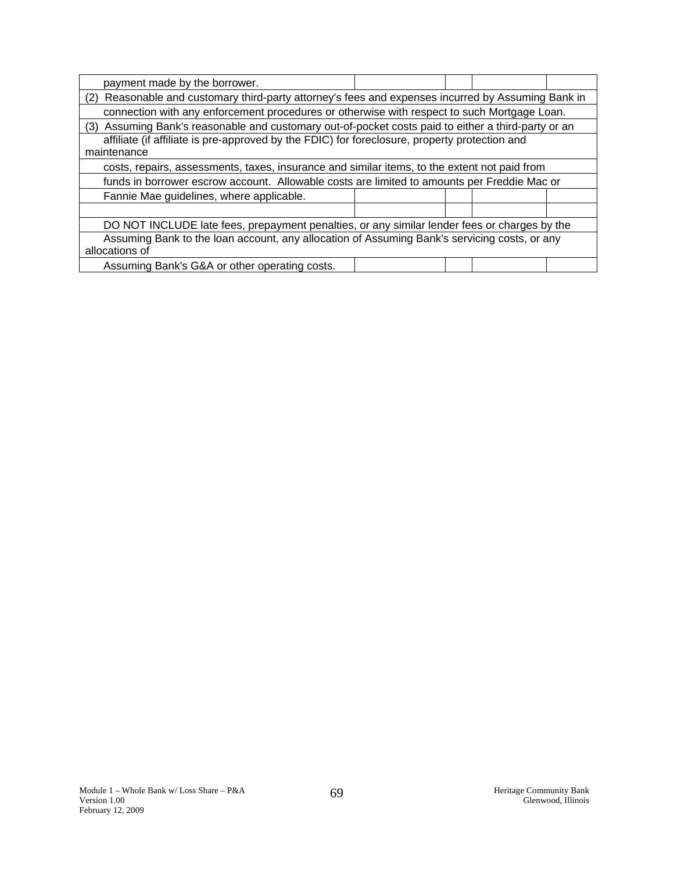| payment made by the borrower.                                                                                |                                                                                                    |  |  |  |  |  |  |
|--------------------------------------------------------------------------------------------------------------|----------------------------------------------------------------------------------------------------|--|--|--|--|--|--|
|                                                                                                              | (2) Reasonable and customary third-party attorney's fees and expenses incurred by Assuming Bank in |  |  |  |  |  |  |
| connection with any enforcement procedures or otherwise with respect to such Mortgage Loan.                  |                                                                                                    |  |  |  |  |  |  |
| (3) Assuming Bank's reasonable and customary out-of-pocket costs paid to either a third-party or an          |                                                                                                    |  |  |  |  |  |  |
| affiliate (if affiliate is pre-approved by the FDIC) for foreclosure, property protection and<br>maintenance |                                                                                                    |  |  |  |  |  |  |
|                                                                                                              | costs, repairs, assessments, taxes, insurance and similar items, to the extent not paid from       |  |  |  |  |  |  |
| funds in borrower escrow account. Allowable costs are limited to amounts per Freddie Mac or                  |                                                                                                    |  |  |  |  |  |  |
| Fannie Mae guidelines, where applicable.                                                                     |                                                                                                    |  |  |  |  |  |  |
|                                                                                                              |                                                                                                    |  |  |  |  |  |  |
| DO NOT INCLUDE late fees, prepayment penalties, or any similar lender fees or charges by the                 |                                                                                                    |  |  |  |  |  |  |
| Assuming Bank to the loan account, any allocation of Assuming Bank's servicing costs, or any                 |                                                                                                    |  |  |  |  |  |  |
| allocations of                                                                                               |                                                                                                    |  |  |  |  |  |  |
| Assuming Bank's G&A or other operating costs.                                                                |                                                                                                    |  |  |  |  |  |  |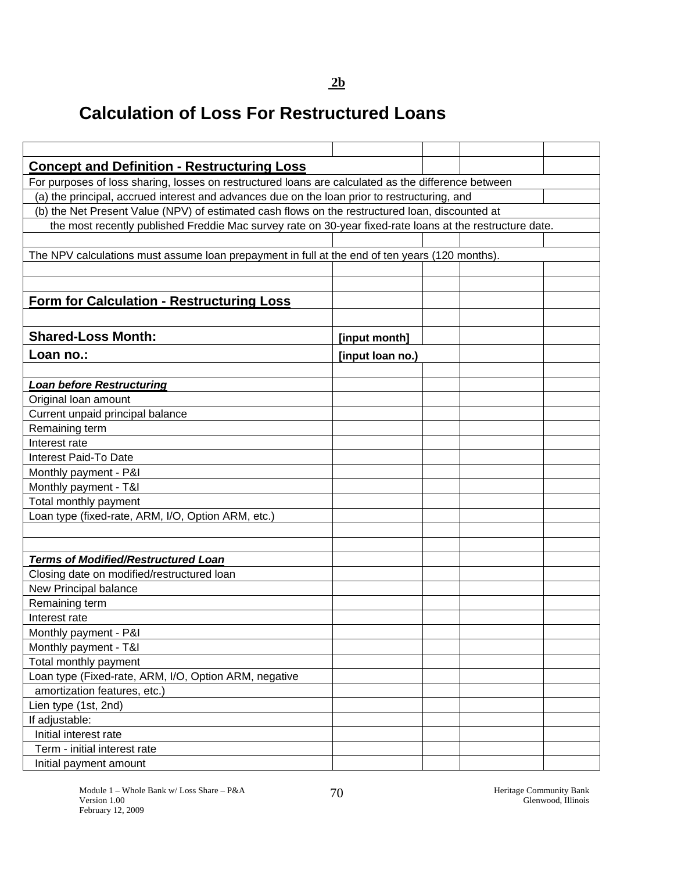# **Calculation of Loss For Restructured Loans**

| <b>Concept and Definition - Restructuring Loss</b>                                                       |                  |  |  |
|----------------------------------------------------------------------------------------------------------|------------------|--|--|
| For purposes of loss sharing, losses on restructured loans are calculated as the difference between      |                  |  |  |
| (a) the principal, accrued interest and advances due on the loan prior to restructuring, and             |                  |  |  |
| (b) the Net Present Value (NPV) of estimated cash flows on the restructured loan, discounted at          |                  |  |  |
| the most recently published Freddie Mac survey rate on 30-year fixed-rate loans at the restructure date. |                  |  |  |
|                                                                                                          |                  |  |  |
| The NPV calculations must assume loan prepayment in full at the end of ten years (120 months).           |                  |  |  |
|                                                                                                          |                  |  |  |
|                                                                                                          |                  |  |  |
| <b>Form for Calculation - Restructuring Loss</b>                                                         |                  |  |  |
|                                                                                                          |                  |  |  |
| <b>Shared-Loss Month:</b>                                                                                | [input month]    |  |  |
| Loan no.:                                                                                                |                  |  |  |
|                                                                                                          | [input loan no.) |  |  |
| <b>Loan before Restructuring</b>                                                                         |                  |  |  |
| Original loan amount                                                                                     |                  |  |  |
| Current unpaid principal balance                                                                         |                  |  |  |
| Remaining term                                                                                           |                  |  |  |
| Interest rate                                                                                            |                  |  |  |
| Interest Paid-To Date                                                                                    |                  |  |  |
| Monthly payment - P&I                                                                                    |                  |  |  |
| Monthly payment - T&I                                                                                    |                  |  |  |
| Total monthly payment                                                                                    |                  |  |  |
| Loan type (fixed-rate, ARM, I/O, Option ARM, etc.)                                                       |                  |  |  |
|                                                                                                          |                  |  |  |
|                                                                                                          |                  |  |  |
| <b>Terms of Modified/Restructured Loan</b>                                                               |                  |  |  |
| Closing date on modified/restructured loan                                                               |                  |  |  |
| New Principal balance                                                                                    |                  |  |  |
| Remaining term                                                                                           |                  |  |  |
| Interest rate                                                                                            |                  |  |  |
| Monthly payment - P&I                                                                                    |                  |  |  |
| Monthly payment - T&I                                                                                    |                  |  |  |
| Total monthly payment                                                                                    |                  |  |  |
| Loan type (Fixed-rate, ARM, I/O, Option ARM, negative                                                    |                  |  |  |
| amortization features, etc.)                                                                             |                  |  |  |
| Lien type (1st, 2nd)                                                                                     |                  |  |  |
| If adjustable:                                                                                           |                  |  |  |
| Initial interest rate                                                                                    |                  |  |  |
| Term - initial interest rate                                                                             |                  |  |  |
| Initial payment amount                                                                                   |                  |  |  |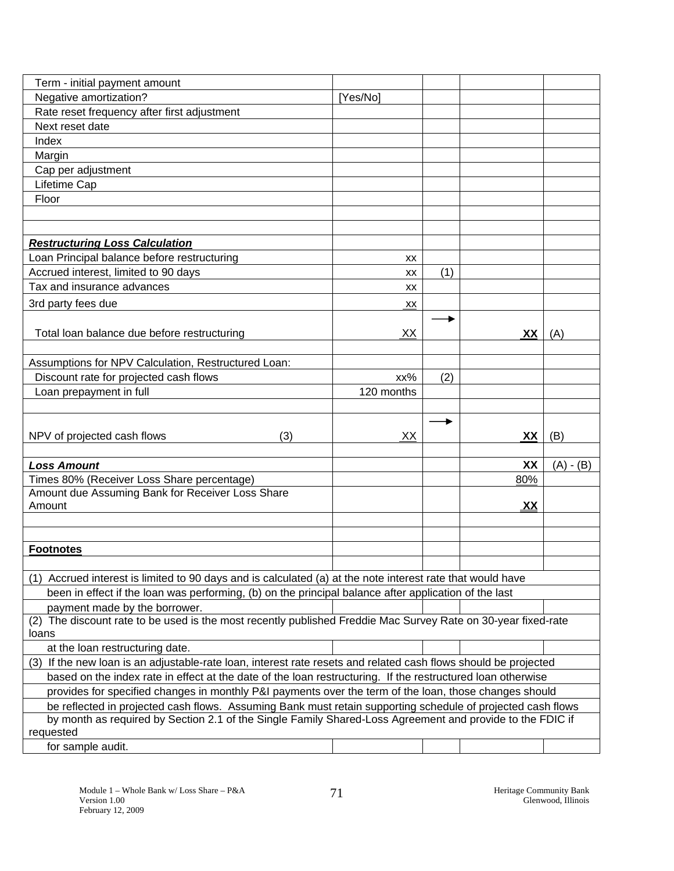| Term - initial payment amount                                                                                                                  |            |     |     |             |  |
|------------------------------------------------------------------------------------------------------------------------------------------------|------------|-----|-----|-------------|--|
| Negative amortization?                                                                                                                         | [Yes/No]   |     |     |             |  |
| Rate reset frequency after first adjustment                                                                                                    |            |     |     |             |  |
| Next reset date                                                                                                                                |            |     |     |             |  |
| Index                                                                                                                                          |            |     |     |             |  |
| Margin                                                                                                                                         |            |     |     |             |  |
| Cap per adjustment                                                                                                                             |            |     |     |             |  |
| Lifetime Cap                                                                                                                                   |            |     |     |             |  |
| Floor                                                                                                                                          |            |     |     |             |  |
|                                                                                                                                                |            |     |     |             |  |
|                                                                                                                                                |            |     |     |             |  |
| <b>Restructuring Loss Calculation</b>                                                                                                          |            |     |     |             |  |
| Loan Principal balance before restructuring                                                                                                    | XX         |     |     |             |  |
| Accrued interest, limited to 90 days                                                                                                           | XX         | (1) |     |             |  |
| Tax and insurance advances                                                                                                                     | XX         |     |     |             |  |
|                                                                                                                                                |            |     |     |             |  |
| 3rd party fees due                                                                                                                             | XX         |     |     |             |  |
|                                                                                                                                                |            |     |     |             |  |
| Total loan balance due before restructuring                                                                                                    | XX         |     | XX  | (A)         |  |
|                                                                                                                                                |            |     |     |             |  |
| Assumptions for NPV Calculation, Restructured Loan:                                                                                            |            |     |     |             |  |
| Discount rate for projected cash flows                                                                                                         | xx%        | (2) |     |             |  |
| Loan prepayment in full                                                                                                                        | 120 months |     |     |             |  |
|                                                                                                                                                |            |     |     |             |  |
|                                                                                                                                                |            |     |     |             |  |
| NPV of projected cash flows<br>(3)                                                                                                             | XX         |     | XX  | (B)         |  |
|                                                                                                                                                |            |     |     |             |  |
| <b>Loss Amount</b>                                                                                                                             |            |     | XX  | $(A) - (B)$ |  |
| Times 80% (Receiver Loss Share percentage)                                                                                                     |            |     | 80% |             |  |
| Amount due Assuming Bank for Receiver Loss Share<br>Amount                                                                                     |            |     |     |             |  |
|                                                                                                                                                |            |     | XX  |             |  |
|                                                                                                                                                |            |     |     |             |  |
|                                                                                                                                                |            |     |     |             |  |
| <b>Footnotes</b>                                                                                                                               |            |     |     |             |  |
|                                                                                                                                                |            |     |     |             |  |
| (1) Accrued interest is limited to 90 days and is calculated (a) at the note interest rate that would have                                     |            |     |     |             |  |
| been in effect if the loan was performing, (b) on the principal balance after application of the last                                          |            |     |     |             |  |
| payment made by the borrower.<br>(2) The discount rate to be used is the most recently published Freddie Mac Survey Rate on 30-year fixed-rate |            |     |     |             |  |
| loans                                                                                                                                          |            |     |     |             |  |
| at the loan restructuring date.                                                                                                                |            |     |     |             |  |
| (3) If the new loan is an adjustable-rate loan, interest rate resets and related cash flows should be projected                                |            |     |     |             |  |
| based on the index rate in effect at the date of the loan restructuring. If the restructured loan otherwise                                    |            |     |     |             |  |
| provides for specified changes in monthly P&I payments over the term of the loan, those changes should                                         |            |     |     |             |  |
| be reflected in projected cash flows. Assuming Bank must retain supporting schedule of projected cash flows                                    |            |     |     |             |  |
| by month as required by Section 2.1 of the Single Family Shared-Loss Agreement and provide to the FDIC if                                      |            |     |     |             |  |
| requested                                                                                                                                      |            |     |     |             |  |
| for sample audit.                                                                                                                              |            |     |     |             |  |
|                                                                                                                                                |            |     |     |             |  |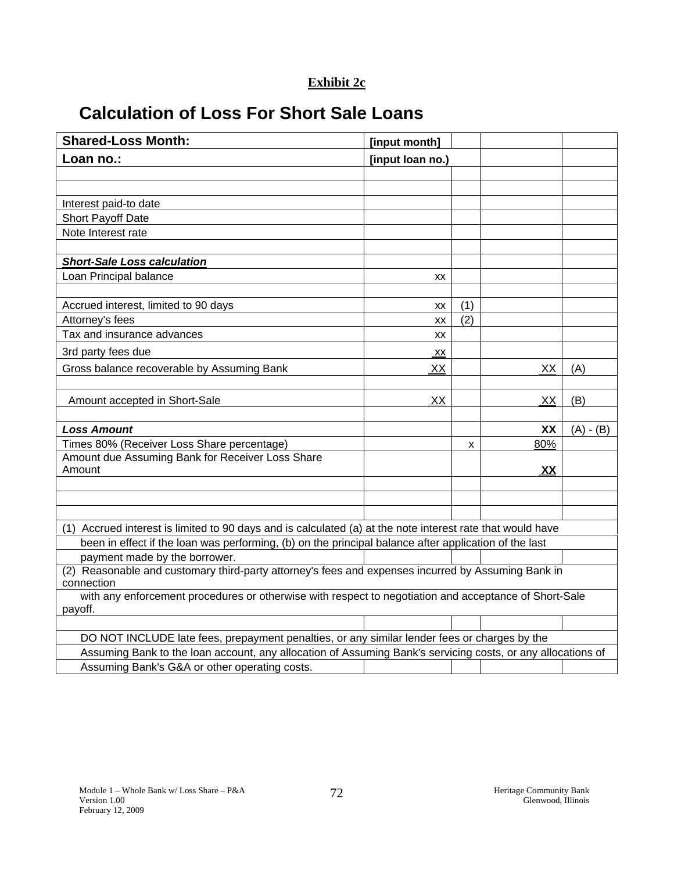| <b>Shared-Loss Month:</b>                                                                                        | [input month]    |     |     |             |
|------------------------------------------------------------------------------------------------------------------|------------------|-----|-----|-------------|
| Loan no.:                                                                                                        | [input loan no.) |     |     |             |
|                                                                                                                  |                  |     |     |             |
|                                                                                                                  |                  |     |     |             |
| Interest paid-to date                                                                                            |                  |     |     |             |
| Short Payoff Date                                                                                                |                  |     |     |             |
| Note Interest rate                                                                                               |                  |     |     |             |
| <b>Short-Sale Loss calculation</b>                                                                               |                  |     |     |             |
| Loan Principal balance                                                                                           | XX               |     |     |             |
|                                                                                                                  |                  |     |     |             |
| Accrued interest, limited to 90 days                                                                             | XX               | (1) |     |             |
| Attorney's fees                                                                                                  | XX               | (2) |     |             |
| Tax and insurance advances                                                                                       | XX               |     |     |             |
| 3rd party fees due                                                                                               | XX               |     |     |             |
| Gross balance recoverable by Assuming Bank                                                                       | XX               |     | XX  | (A)         |
| Amount accepted in Short-Sale                                                                                    | <u>XX</u>        |     | XX  | (B)         |
| <b>Loss Amount</b>                                                                                               |                  |     | XX  | $(A) - (B)$ |
| Times 80% (Receiver Loss Share percentage)                                                                       |                  | X   | 80% |             |
| Amount due Assuming Bank for Receiver Loss Share                                                                 |                  |     |     |             |
| Amount                                                                                                           |                  |     | XX  |             |
|                                                                                                                  |                  |     |     |             |
|                                                                                                                  |                  |     |     |             |
| (1) Accrued interest is limited to 90 days and is calculated (a) at the note interest rate that would have       |                  |     |     |             |
| been in effect if the loan was performing, (b) on the principal balance after application of the last            |                  |     |     |             |
| payment made by the borrower.                                                                                    |                  |     |     |             |
| (2) Reasonable and customary third-party attorney's fees and expenses incurred by Assuming Bank in<br>connection |                  |     |     |             |
| with any enforcement procedures or otherwise with respect to negotiation and acceptance of Short-Sale<br>payoff. |                  |     |     |             |
|                                                                                                                  |                  |     |     |             |
| DO NOT INCLUDE late fees, prepayment penalties, or any similar lender fees or charges by the                     |                  |     |     |             |
| Assuming Bank to the loan account, any allocation of Assuming Bank's servicing costs, or any allocations of      |                  |     |     |             |
| Assuming Bank's G&A or other operating costs.                                                                    |                  |     |     |             |

**Exhibit 2c** 

# **Calculation of Loss For Short Sale Loans**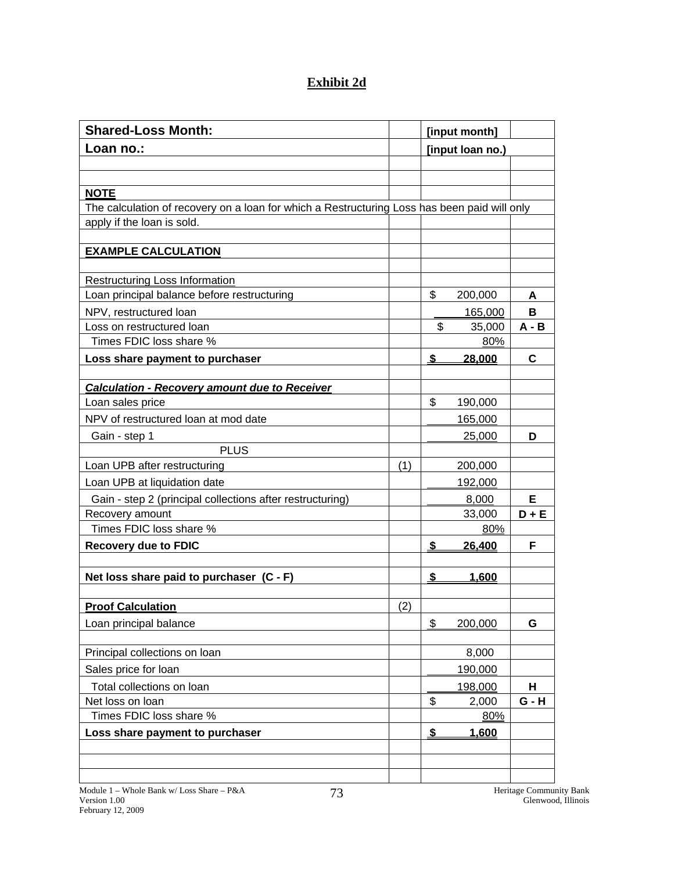# **Exhibit 2d**

| <b>Shared-Loss Month:</b>                                                                    | [input month] |                           |                  |         |
|----------------------------------------------------------------------------------------------|---------------|---------------------------|------------------|---------|
| Loan no.:                                                                                    |               |                           | [input loan no.) |         |
|                                                                                              |               |                           |                  |         |
|                                                                                              |               |                           |                  |         |
| <b>NOTE</b>                                                                                  |               |                           |                  |         |
| The calculation of recovery on a loan for which a Restructuring Loss has been paid will only |               |                           |                  |         |
| apply if the loan is sold.                                                                   |               |                           |                  |         |
|                                                                                              |               |                           |                  |         |
| <b>EXAMPLE CALCULATION</b>                                                                   |               |                           |                  |         |
| Restructuring Loss Information                                                               |               |                           |                  |         |
| Loan principal balance before restructuring                                                  |               | \$                        | 200,000          | A       |
| NPV, restructured loan                                                                       |               |                           | 165,000          | B       |
| Loss on restructured loan                                                                    |               | \$                        | 35,000           | $A - B$ |
| Times FDIC loss share %                                                                      |               |                           | 80%              |         |
| Loss share payment to purchaser                                                              |               | $\mathbf{\mathfrak{L}}$   | 28,000           | C       |
|                                                                                              |               |                           |                  |         |
| <b>Calculation - Recovery amount due to Receiver</b>                                         |               |                           |                  |         |
| Loan sales price                                                                             |               | $\mathfrak{S}$            | 190,000          |         |
| NPV of restructured loan at mod date                                                         |               |                           | 165,000          |         |
| Gain - step 1                                                                                |               |                           | 25,000           | D       |
| <b>PLUS</b>                                                                                  |               |                           |                  |         |
| Loan UPB after restructuring                                                                 | (1)           |                           | 200,000          |         |
| Loan UPB at liquidation date                                                                 |               |                           | 192,000          |         |
| Gain - step 2 (principal collections after restructuring)                                    |               |                           | 8,000            | Е       |
| Recovery amount                                                                              |               |                           | 33,000           | $D + E$ |
| Times FDIC loss share %                                                                      |               |                           | 80%              |         |
| <b>Recovery due to FDIC</b>                                                                  |               | $\mathbf{\hat{s}}$        | 26.400           | F       |
|                                                                                              |               |                           |                  |         |
| Net loss share paid to purchaser (C - F)                                                     |               | <u>\$</u>                 | 1,600            |         |
| <b>Proof Calculation</b>                                                                     | (2)           |                           |                  |         |
| Loan principal balance                                                                       |               | \$                        | 200,000          | G       |
|                                                                                              |               |                           |                  |         |
| Principal collections on loan                                                                |               |                           | 8,000            |         |
| Sales price for loan                                                                         |               |                           | 190,000          |         |
| Total collections on loan                                                                    |               |                           | 198,000          | н       |
| Net loss on loan                                                                             |               | \$                        | 2,000            | G - H   |
| Times FDIC loss share %                                                                      |               |                           | 80%              |         |
| Loss share payment to purchaser                                                              |               | $\boldsymbol{\mathsf{s}}$ | 1,600            |         |
|                                                                                              |               |                           |                  |         |
|                                                                                              |               |                           |                  |         |
|                                                                                              |               |                           |                  |         |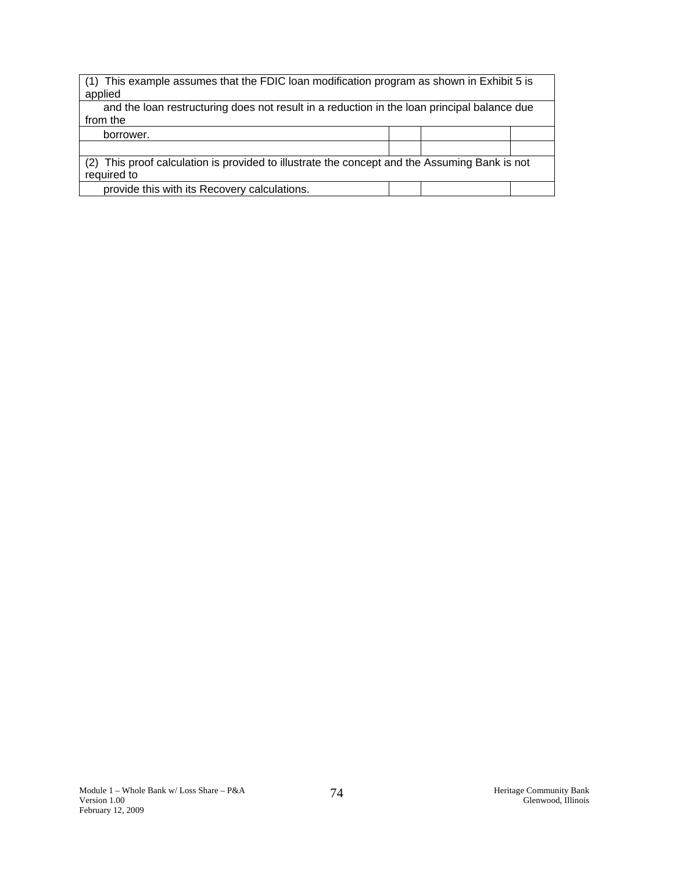| (1) This example assumes that the FDIC loan modification program as shown in Exhibit 5 is<br>applied         |  |  |  |  |  |  |
|--------------------------------------------------------------------------------------------------------------|--|--|--|--|--|--|
| and the loan restructuring does not result in a reduction in the loan principal balance due                  |  |  |  |  |  |  |
| from the                                                                                                     |  |  |  |  |  |  |
| borrower.                                                                                                    |  |  |  |  |  |  |
|                                                                                                              |  |  |  |  |  |  |
| (2) This proof calculation is provided to illustrate the concept and the Assuming Bank is not<br>required to |  |  |  |  |  |  |
| provide this with its Recovery calculations.                                                                 |  |  |  |  |  |  |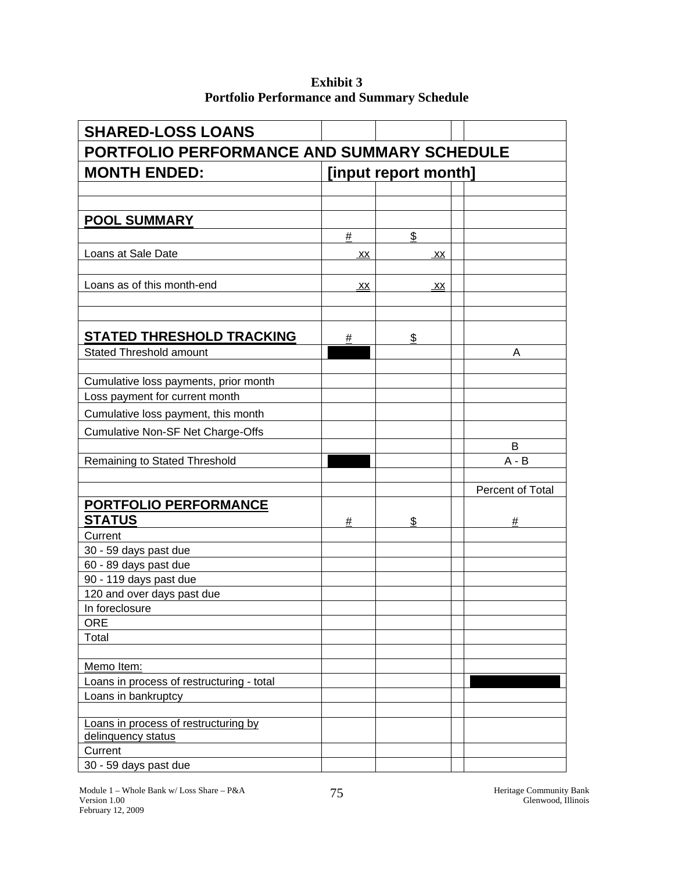| <b>Exhibit 3</b>                                  |
|---------------------------------------------------|
| <b>Portfolio Performance and Summary Schedule</b> |

| <b>SHARED-LOSS LOANS</b>                   |           |                      |                  |
|--------------------------------------------|-----------|----------------------|------------------|
| PORTFOLIO PERFORMANCE AND SUMMARY SCHEDULE |           |                      |                  |
| <b>MONTH ENDED:</b>                        |           | [input report month] |                  |
|                                            |           |                      |                  |
|                                            |           |                      |                  |
| <b>POOL SUMMARY</b>                        |           |                      |                  |
|                                            | #         | $\frac{1}{2}$        |                  |
| Loans at Sale Date                         |           |                      |                  |
|                                            | <u>XX</u> | XX                   |                  |
| Loans as of this month-end                 |           |                      |                  |
|                                            | XX        | xх                   |                  |
|                                            |           |                      |                  |
|                                            |           |                      |                  |
| STATED THRESHOLD TRACKING                  | #         | \$                   |                  |
| <b>Stated Threshold amount</b>             |           |                      | A                |
|                                            |           |                      |                  |
| Cumulative loss payments, prior month      |           |                      |                  |
| Loss payment for current month             |           |                      |                  |
| Cumulative loss payment, this month        |           |                      |                  |
| <b>Cumulative Non-SF Net Charge-Offs</b>   |           |                      |                  |
|                                            |           |                      | B                |
| Remaining to Stated Threshold              |           |                      | $A - B$          |
|                                            |           |                      | Percent of Total |
| PORTFOLIO PERFORMANCE                      |           |                      |                  |
| <b>STATUS</b>                              | #         | \$                   | #                |
| Current                                    |           |                      |                  |
| 30 - 59 days past due                      |           |                      |                  |
| 60 - 89 days past due                      |           |                      |                  |
| 90 - 119 days past due                     |           |                      |                  |
| 120 and over days past due                 |           |                      |                  |
| In foreclosure                             |           |                      |                  |
| <b>ORE</b>                                 |           |                      |                  |
| Total                                      |           |                      |                  |
|                                            |           |                      |                  |
| Memo Item:                                 |           |                      |                  |
| Loans in process of restructuring - total  |           |                      |                  |
| Loans in bankruptcy                        |           |                      |                  |
| Loans in process of restructuring by       |           |                      |                  |
| delinquency status                         |           |                      |                  |
| Current                                    |           |                      |                  |
| 30 - 59 days past due                      |           |                      |                  |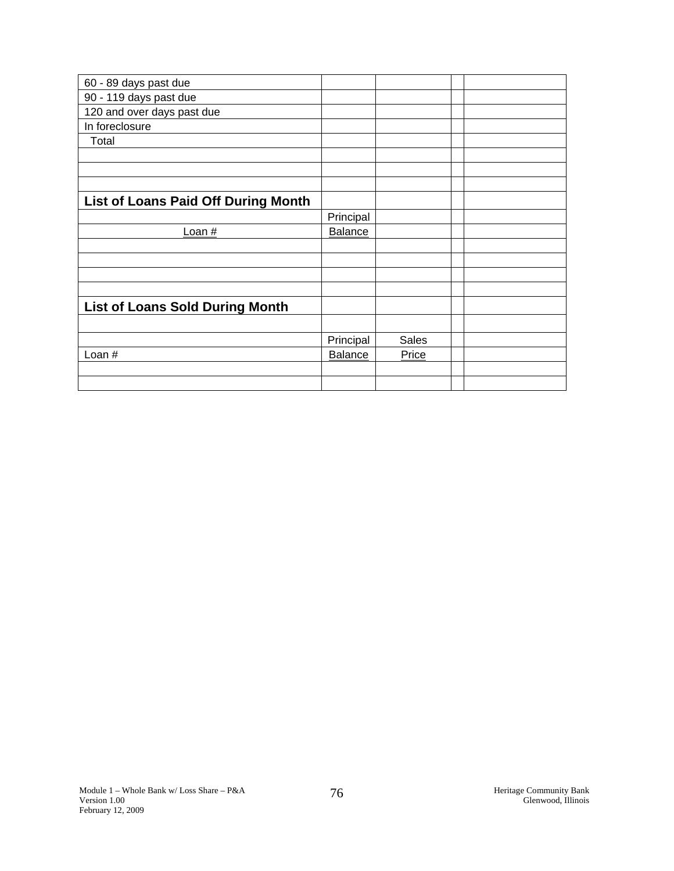| 60 - 89 days past due                      |           |              |  |
|--------------------------------------------|-----------|--------------|--|
| 90 - 119 days past due                     |           |              |  |
| 120 and over days past due                 |           |              |  |
| In foreclosure                             |           |              |  |
| Total                                      |           |              |  |
|                                            |           |              |  |
|                                            |           |              |  |
|                                            |           |              |  |
| <b>List of Loans Paid Off During Month</b> |           |              |  |
|                                            | Principal |              |  |
| Loan $#$                                   | Balance   |              |  |
|                                            |           |              |  |
|                                            |           |              |  |
|                                            |           |              |  |
|                                            |           |              |  |
| <b>List of Loans Sold During Month</b>     |           |              |  |
|                                            |           |              |  |
|                                            | Principal | <b>Sales</b> |  |
| Loan $#$                                   | Balance   | Price        |  |
|                                            |           |              |  |
|                                            |           |              |  |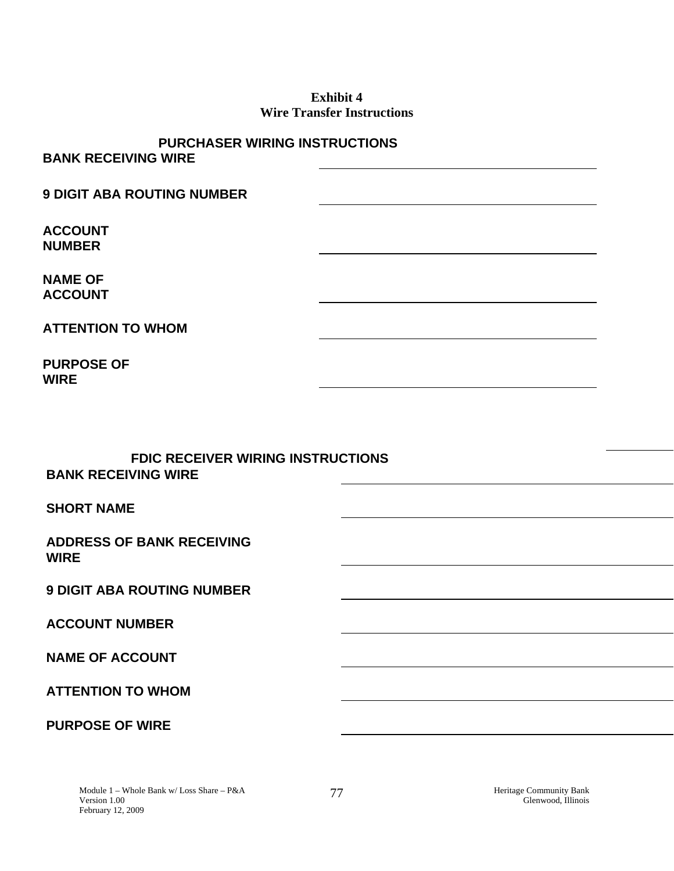#### **Exhibit 4 Wire Transfer Instructions**

#### **PURCHASER WIRING INSTRUCTIONS BANK RECEIVING WIRE**

**9 DIGIT ABA ROUTING NUMBER ACCOUNT NUMBER NAME OF ACCOUNT ATTENTION TO WHOM** 

**PURPOSE OF WIRE** 

### **FDIC RECEIVER WIRING INSTRUCTIONS BANK RECEIVING WIRE**

**SHORT NAME** 

**ADDRESS OF BANK RECEIVING WIRE** 

**9 DIGIT ABA ROUTING NUMBER** 

**ACCOUNT NUMBER** 

**NAME OF ACCOUNT** 

**ATTENTION TO WHOM** 

**PURPOSE OF WIRE**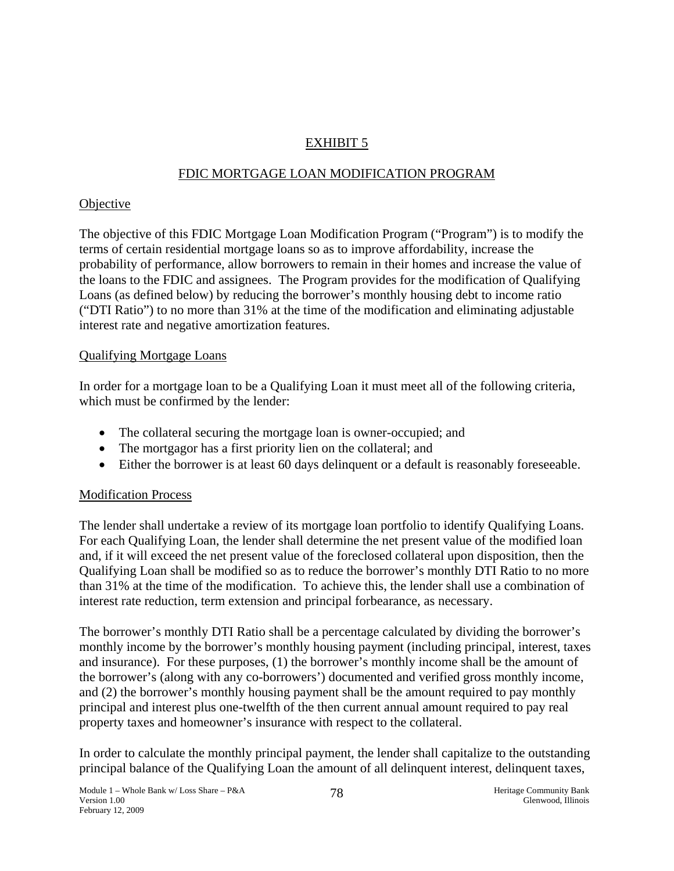# EXHIBIT 5

# FDIC MORTGAGE LOAN MODIFICATION PROGRAM

# **Objective**

The objective of this FDIC Mortgage Loan Modification Program ("Program") is to modify the terms of certain residential mortgage loans so as to improve affordability, increase the probability of performance, allow borrowers to remain in their homes and increase the value of the loans to the FDIC and assignees. The Program provides for the modification of Qualifying Loans (as defined below) by reducing the borrower's monthly housing debt to income ratio ("DTI Ratio") to no more than 31% at the time of the modification and eliminating adjustable interest rate and negative amortization features.

# Qualifying Mortgage Loans

In order for a mortgage loan to be a Qualifying Loan it must meet all of the following criteria, which must be confirmed by the lender:

- The collateral securing the mortgage loan is owner-occupied; and
- The mortgagor has a first priority lien on the collateral; and
- Either the borrower is at least 60 days delinquent or a default is reasonably foreseeable. Modification Process

The lender shall undertake a review of its mortgage loan portfolio to identify Qualifying Loans. For each Qualifying Loan, the lender shall determine the net present value of the modified loan and, if it will exceed the net present value of the foreclosed collateral upon disposition, then the Qualifying Loan shall be modified so as to reduce the borrower's monthly DTI Ratio to no more than 31% at the time of the modification. To achieve this, the lender shall use a combination of interest rate reduction, term extension and principal forbearance, as necessary.

The borrower's monthly DTI Ratio shall be a percentage calculated by dividing the borrower's monthly income by the borrower's monthly housing payment (including principal, interest, taxes and insurance). For these purposes, (1) the borrower's monthly income shall be the amount of the borrower's (along with any co-borrowers') documented and verified gross monthly income, and (2) the borrower's monthly housing payment shall be the amount required to pay monthly principal and interest plus one-twelfth of the then current annual amount required to pay real property taxes and homeowner's insurance with respect to the collateral.

In order to calculate the monthly principal payment, the lender shall capitalize to the outstanding principal balance of the Qualifying Loan the amount of all delinquent interest, delinquent taxes,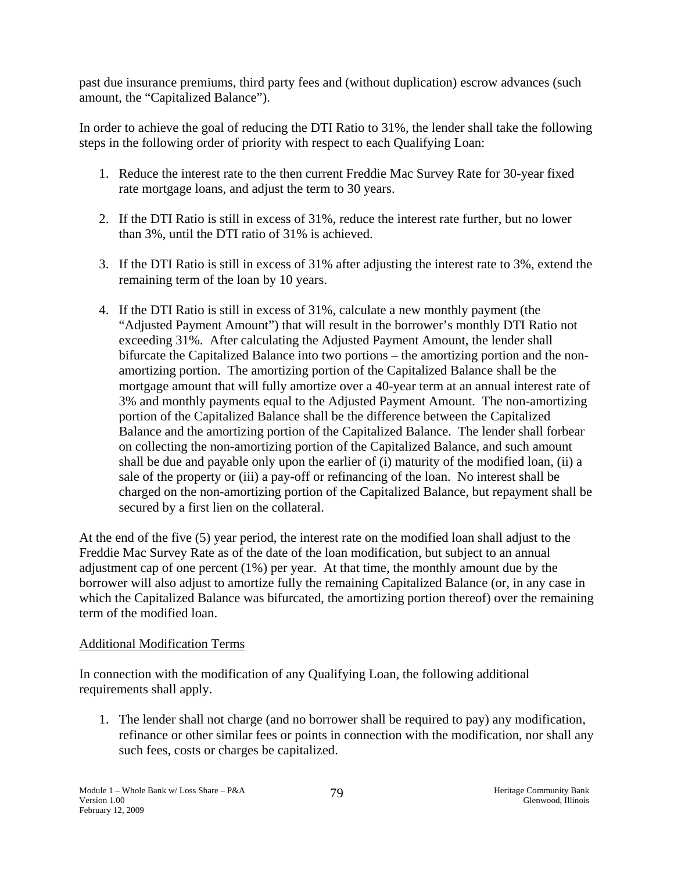past due insurance premiums, third party fees and (without duplication) escrow advances (such amount, the "Capitalized Balance").

In order to achieve the goal of reducing the DTI Ratio to 31%, the lender shall take the following steps in the following order of priority with respect to each Qualifying Loan:

- 1. Reduce the interest rate to the then current Freddie Mac Survey Rate for 30-year fixed rate mortgage loans, and adjust the term to 30 years.
- 2. If the DTI Ratio is still in excess of 31%, reduce the interest rate further, but no lower than 3%, until the DTI ratio of 31% is achieved.
- 3. If the DTI Ratio is still in excess of 31% after adjusting the interest rate to 3%, extend the remaining term of the loan by 10 years.
- 4. If the DTI Ratio is still in excess of 31%, calculate a new monthly payment (the "Adjusted Payment Amount") that will result in the borrower's monthly DTI Ratio not exceeding 31%. After calculating the Adjusted Payment Amount, the lender shall bifurcate the Capitalized Balance into two portions – the amortizing portion and the nonamortizing portion. The amortizing portion of the Capitalized Balance shall be the mortgage amount that will fully amortize over a 40-year term at an annual interest rate of 3% and monthly payments equal to the Adjusted Payment Amount. The non-amortizing portion of the Capitalized Balance shall be the difference between the Capitalized Balance and the amortizing portion of the Capitalized Balance. The lender shall forbear on collecting the non-amortizing portion of the Capitalized Balance, and such amount shall be due and payable only upon the earlier of (i) maturity of the modified loan, (ii) a sale of the property or (iii) a pay-off or refinancing of the loan. No interest shall be charged on the non-amortizing portion of the Capitalized Balance, but repayment shall be secured by a first lien on the collateral.

At the end of the five (5) year period, the interest rate on the modified loan shall adjust to the Freddie Mac Survey Rate as of the date of the loan modification, but subject to an annual adjustment cap of one percent (1%) per year. At that time, the monthly amount due by the borrower will also adjust to amortize fully the remaining Capitalized Balance (or, in any case in which the Capitalized Balance was bifurcated, the amortizing portion thereof) over the remaining term of the modified loan.

### Additional Modification Terms

In connection with the modification of any Qualifying Loan, the following additional requirements shall apply.

1. The lender shall not charge (and no borrower shall be required to pay) any modification, refinance or other similar fees or points in connection with the modification, nor shall any such fees, costs or charges be capitalized.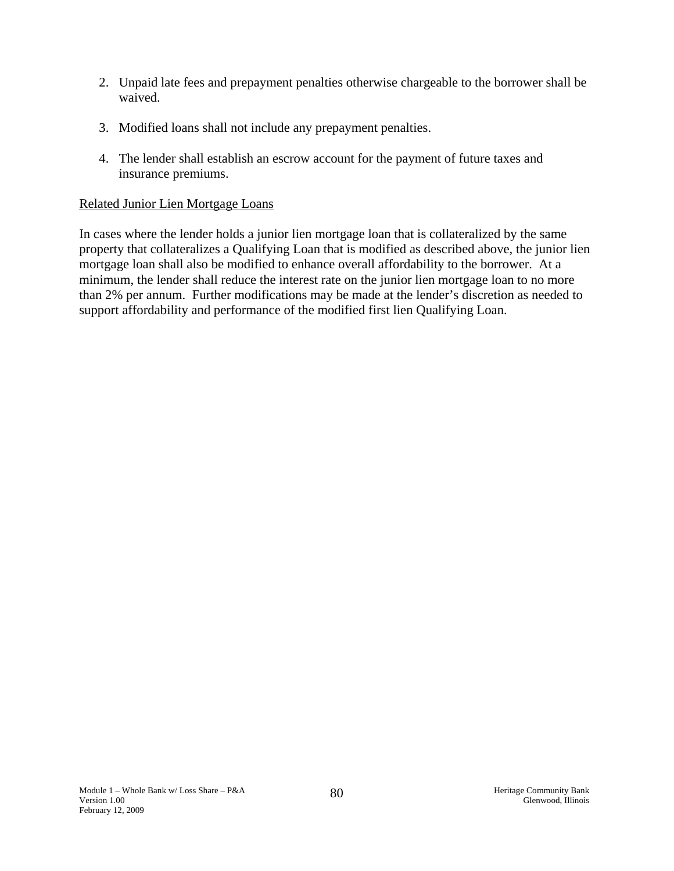- 2. Unpaid late fees and prepayment penalties otherwise chargeable to the borrower shall be waived.
- 3. Modified loans shall not include any prepayment penalties.
- 4. The lender shall establish an escrow account for the payment of future taxes and insurance premiums.

### Related Junior Lien Mortgage Loans

In cases where the lender holds a junior lien mortgage loan that is collateralized by the same property that collateralizes a Qualifying Loan that is modified as described above, the junior lien mortgage loan shall also be modified to enhance overall affordability to the borrower. At a minimum, the lender shall reduce the interest rate on the junior lien mortgage loan to no more than 2% per annum. Further modifications may be made at the lender's discretion as needed to support affordability and performance of the modified first lien Qualifying Loan.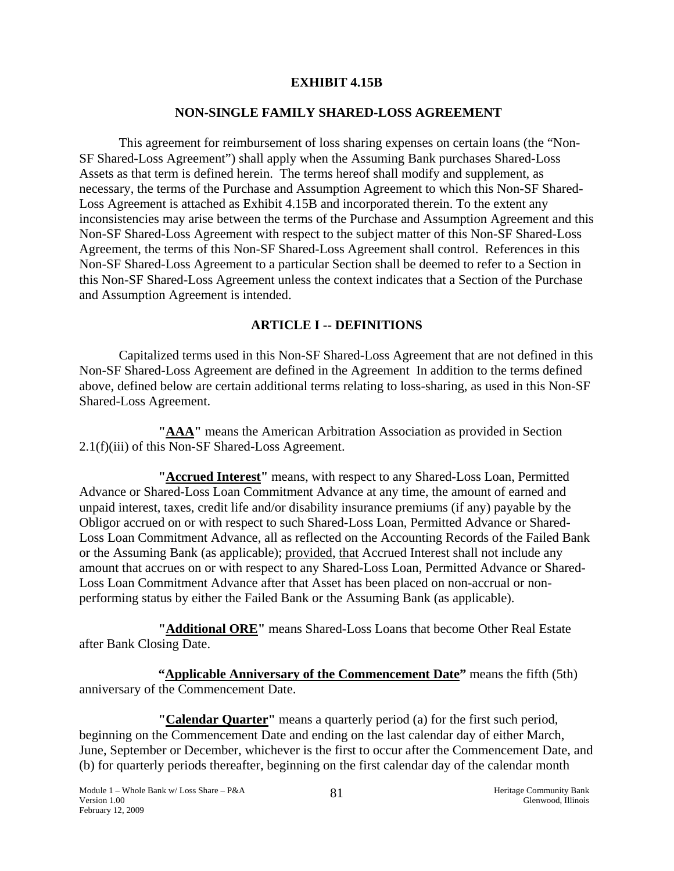#### **EXHIBIT 4.15B**

#### **NON-SINGLE FAMILY SHARED-LOSS AGREEMENT**

This agreement for reimbursement of loss sharing expenses on certain loans (the "Non-SF Shared-Loss Agreement") shall apply when the Assuming Bank purchases Shared-Loss Assets as that term is defined herein. The terms hereof shall modify and supplement, as necessary, the terms of the Purchase and Assumption Agreement to which this Non-SF Shared-Loss Agreement is attached as Exhibit 4.15B and incorporated therein. To the extent any inconsistencies may arise between the terms of the Purchase and Assumption Agreement and this Non-SF Shared-Loss Agreement with respect to the subject matter of this Non-SF Shared-Loss Agreement, the terms of this Non-SF Shared-Loss Agreement shall control. References in this Non-SF Shared-Loss Agreement to a particular Section shall be deemed to refer to a Section in this Non-SF Shared-Loss Agreement unless the context indicates that a Section of the Purchase and Assumption Agreement is intended.

### **ARTICLE I -- DEFINITIONS**

Capitalized terms used in this Non-SF Shared-Loss Agreement that are not defined in this Non-SF Shared-Loss Agreement are defined in the Agreement In addition to the terms defined above, defined below are certain additional terms relating to loss-sharing, as used in this Non-SF Shared-Loss Agreement.

**"AAA"** means the American Arbitration Association as provided in Section 2.1(f)(iii) of this Non-SF Shared-Loss Agreement.

**"Accrued Interest"** means, with respect to any Shared-Loss Loan, Permitted Advance or Shared-Loss Loan Commitment Advance at any time, the amount of earned and unpaid interest, taxes, credit life and/or disability insurance premiums (if any) payable by the Obligor accrued on or with respect to such Shared-Loss Loan, Permitted Advance or Shared-Loss Loan Commitment Advance, all as reflected on the Accounting Records of the Failed Bank or the Assuming Bank (as applicable); provided, that Accrued Interest shall not include any amount that accrues on or with respect to any Shared-Loss Loan, Permitted Advance or Shared-Loss Loan Commitment Advance after that Asset has been placed on non-accrual or nonperforming status by either the Failed Bank or the Assuming Bank (as applicable).

**"Additional ORE"** means Shared-Loss Loans that become Other Real Estate after Bank Closing Date.

**Examplicable Anniversary of the Commencement Date**" means the fifth (5th) anniversary of the Commencement Date.

**"Calendar Quarter"** means a quarterly period (a) for the first such period, beginning on the Commencement Date and ending on the last calendar day of either March, June, September or December, whichever is the first to occur after the Commencement Date, and (b) for quarterly periods thereafter, beginning on the first calendar day of the calendar month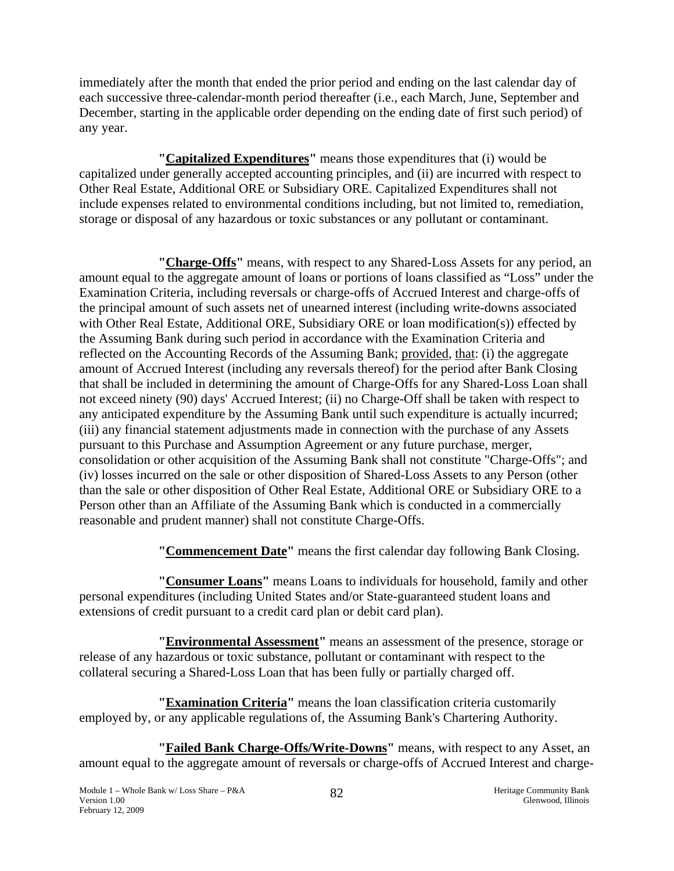immediately after the month that ended the prior period and ending on the last calendar day of each successive three-calendar-month period thereafter (i.e., each March, June, September and December, starting in the applicable order depending on the ending date of first such period) of any year.

**"Capitalized Expenditures"** means those expenditures that (i) would be capitalized under generally accepted accounting principles, and (ii) are incurred with respect to Other Real Estate, Additional ORE or Subsidiary ORE. Capitalized Expenditures shall not include expenses related to environmental conditions including, but not limited to, remediation, storage or disposal of any hazardous or toxic substances or any pollutant or contaminant.

**"Charge-Offs"** means, with respect to any Shared-Loss Assets for any period, an amount equal to the aggregate amount of loans or portions of loans classified as "Loss" under the Examination Criteria, including reversals or charge-offs of Accrued Interest and charge-offs of the principal amount of such assets net of unearned interest (including write-downs associated with Other Real Estate, Additional ORE, Subsidiary ORE or loan modification(s)) effected by the Assuming Bank during such period in accordance with the Examination Criteria and reflected on the Accounting Records of the Assuming Bank; provided, that: (i) the aggregate amount of Accrued Interest (including any reversals thereof) for the period after Bank Closing that shall be included in determining the amount of Charge-Offs for any Shared-Loss Loan shall not exceed ninety (90) days' Accrued Interest; (ii) no Charge-Off shall be taken with respect to any anticipated expenditure by the Assuming Bank until such expenditure is actually incurred; (iii) any financial statement adjustments made in connection with the purchase of any Assets pursuant to this Purchase and Assumption Agreement or any future purchase, merger, consolidation or other acquisition of the Assuming Bank shall not constitute "Charge-Offs"; and (iv) losses incurred on the sale or other disposition of Shared-Loss Assets to any Person (other than the sale or other disposition of Other Real Estate, Additional ORE or Subsidiary ORE to a Person other than an Affiliate of the Assuming Bank which is conducted in a commercially reasonable and prudent manner) shall not constitute Charge-Offs.

**"Commencement Date"** means the first calendar day following Bank Closing.

**"Consumer Loans"** means Loans to individuals for household, family and other personal expenditures (including United States and/or State-guaranteed student loans and extensions of credit pursuant to a credit card plan or debit card plan).

**"Environmental Assessment"** means an assessment of the presence, storage or release of any hazardous or toxic substance, pollutant or contaminant with respect to the collateral securing a Shared-Loss Loan that has been fully or partially charged off.

**"Examination Criteria"** means the loan classification criteria customarily employed by, or any applicable regulations of, the Assuming Bank's Chartering Authority.

**"Failed Bank Charge-Offs/Write-Downs"** means, with respect to any Asset, an amount equal to the aggregate amount of reversals or charge-offs of Accrued Interest and charge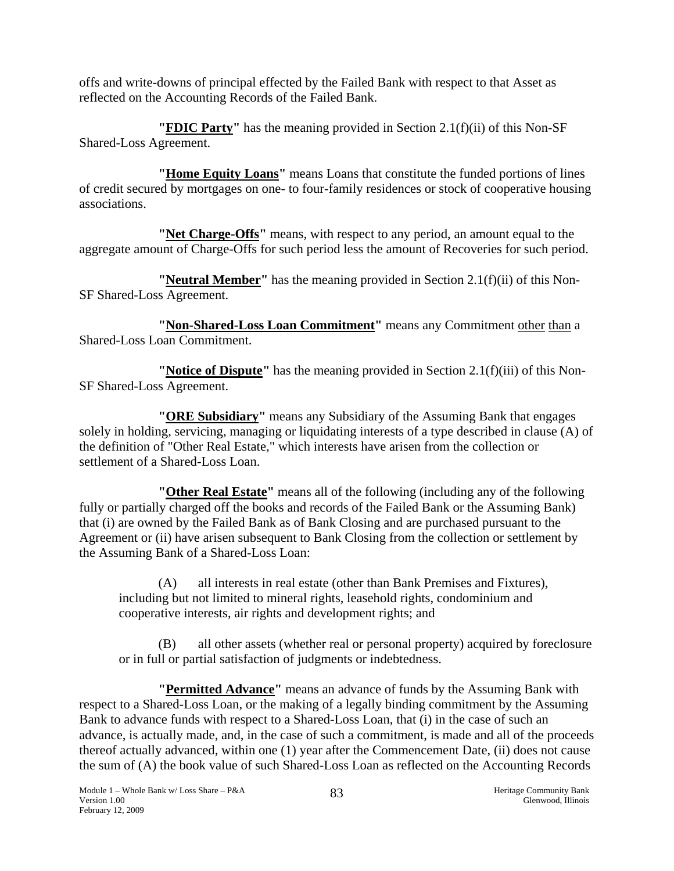offs and write-downs of principal effected by the Failed Bank with respect to that Asset as reflected on the Accounting Records of the Failed Bank.

**"FDIC Party"** has the meaning provided in Section 2.1(f)(ii) of this Non-SF Shared-Loss Agreement.

**"Home Equity Loans"** means Loans that constitute the funded portions of lines of credit secured by mortgages on one- to four-family residences or stock of cooperative housing associations.

**"Net Charge-Offs"** means, with respect to any period, an amount equal to the aggregate amount of Charge-Offs for such period less the amount of Recoveries for such period.

 SF Shared-Loss Agreement. **"Neutral Member"** has the meaning provided in Section 2.1(f)(ii) of this Non-

**"Non-Shared-Loss Loan Commitment"** means any Commitment other than a Shared-Loss Loan Commitment.

**"Notice of Dispute"** has the meaning provided in Section 2.1(f)(iii) of this Non-SF Shared-Loss Agreement.

**"ORE Subsidiary"** means any Subsidiary of the Assuming Bank that engages solely in holding, servicing, managing or liquidating interests of a type described in clause (A) of the definition of "Other Real Estate," which interests have arisen from the collection or settlement of a Shared-Loss Loan.

**"Other Real Estate"** means all of the following (including any of the following fully or partially charged off the books and records of the Failed Bank or the Assuming Bank) that (i) are owned by the Failed Bank as of Bank Closing and are purchased pursuant to the Agreement or (ii) have arisen subsequent to Bank Closing from the collection or settlement by the Assuming Bank of a Shared-Loss Loan:

(A) all interests in real estate (other than Bank Premises and Fixtures), including but not limited to mineral rights, leasehold rights, condominium and cooperative interests, air rights and development rights; and

(B) all other assets (whether real or personal property) acquired by foreclosure or in full or partial satisfaction of judgments or indebtedness.

**"Permitted Advance"** means an advance of funds by the Assuming Bank with respect to a Shared-Loss Loan, or the making of a legally binding commitment by the Assuming Bank to advance funds with respect to a Shared-Loss Loan, that (i) in the case of such an advance, is actually made, and, in the case of such a commitment, is made and all of the proceeds thereof actually advanced, within one (1) year after the Commencement Date, (ii) does not cause the sum of (A) the book value of such Shared-Loss Loan as reflected on the Accounting Records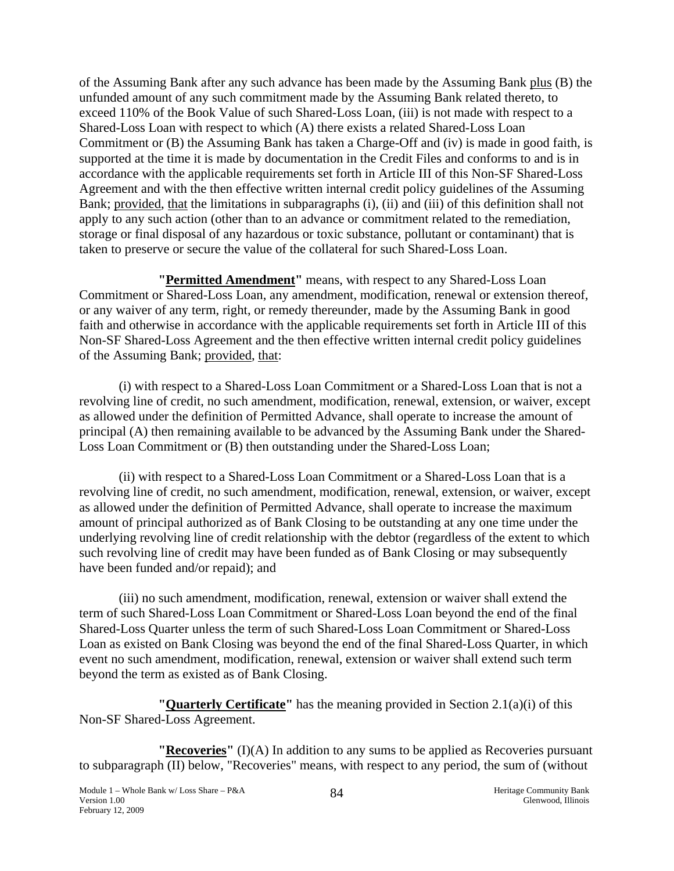of the Assuming Bank after any such advance has been made by the Assuming Bank plus (B) the unfunded amount of any such commitment made by the Assuming Bank related thereto, to exceed 110% of the Book Value of such Shared-Loss Loan, (iii) is not made with respect to a Shared-Loss Loan with respect to which (A) there exists a related Shared-Loss Loan Commitment or (B) the Assuming Bank has taken a Charge-Off and (iv) is made in good faith, is supported at the time it is made by documentation in the Credit Files and conforms to and is in accordance with the applicable requirements set forth in Article III of this Non-SF Shared-Loss Agreement and with the then effective written internal credit policy guidelines of the Assuming Bank; provided, that the limitations in subparagraphs (i), (ii) and (iii) of this definition shall not apply to any such action (other than to an advance or commitment related to the remediation, storage or final disposal of any hazardous or toxic substance, pollutant or contaminant) that is taken to preserve or secure the value of the collateral for such Shared-Loss Loan.

**"Permitted Amendment"** means, with respect to any Shared-Loss Loan Commitment or Shared-Loss Loan, any amendment, modification, renewal or extension thereof, or any waiver of any term, right, or remedy thereunder, made by the Assuming Bank in good faith and otherwise in accordance with the applicable requirements set forth in Article III of this Non-SF Shared-Loss Agreement and the then effective written internal credit policy guidelines of the Assuming Bank; provided, that:

(i) with respect to a Shared-Loss Loan Commitment or a Shared-Loss Loan that is not a revolving line of credit, no such amendment, modification, renewal, extension, or waiver, except as allowed under the definition of Permitted Advance, shall operate to increase the amount of principal (A) then remaining available to be advanced by the Assuming Bank under the Shared-Loss Loan Commitment or (B) then outstanding under the Shared-Loss Loan;

(ii) with respect to a Shared-Loss Loan Commitment or a Shared-Loss Loan that is a revolving line of credit, no such amendment, modification, renewal, extension, or waiver, except as allowed under the definition of Permitted Advance, shall operate to increase the maximum amount of principal authorized as of Bank Closing to be outstanding at any one time under the underlying revolving line of credit relationship with the debtor (regardless of the extent to which such revolving line of credit may have been funded as of Bank Closing or may subsequently have been funded and/or repaid); and

(iii) no such amendment, modification, renewal, extension or waiver shall extend the term of such Shared-Loss Loan Commitment or Shared-Loss Loan beyond the end of the final Shared-Loss Quarter unless the term of such Shared-Loss Loan Commitment or Shared-Loss Loan as existed on Bank Closing was beyond the end of the final Shared-Loss Quarter, in which event no such amendment, modification, renewal, extension or waiver shall extend such term beyond the term as existed as of Bank Closing.

**"Quarterly Certificate"** has the meaning provided in Section 2.1(a)(i) of this Non-SF Shared-Loss Agreement.

**"Recoveries"** (I)(A) In addition to any sums to be applied as Recoveries pursuant to subparagraph (II) below, "Recoveries" means, with respect to any period, the sum of (without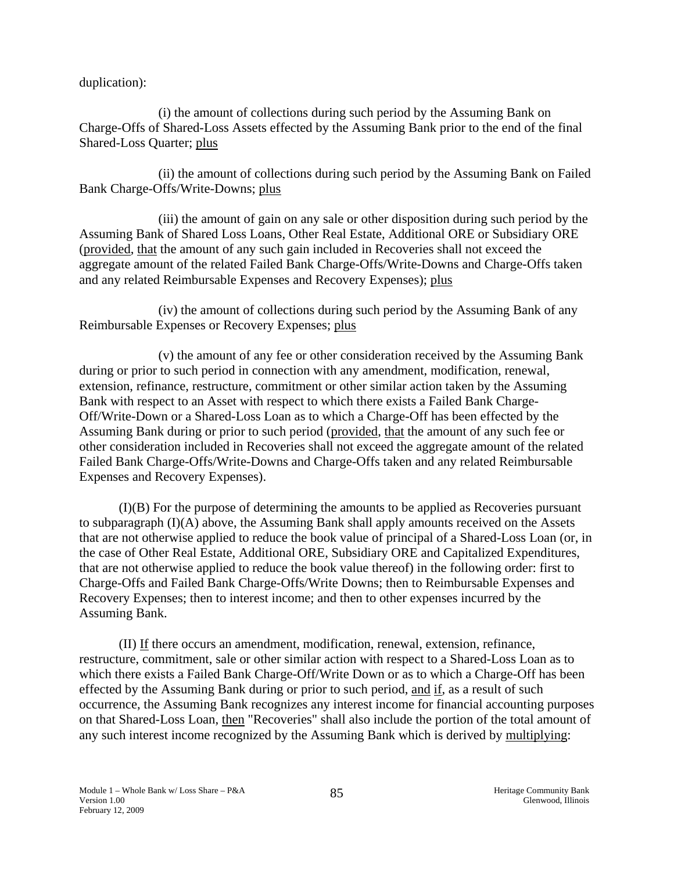duplication):

Shared-Loss Quarter; plus (i) the amount of collections during such period by the Assuming Bank on Charge-Offs of Shared-Loss Assets effected by the Assuming Bank prior to the end of the final

(ii) the amount of collections during such period by the Assuming Bank on Failed Bank Charge-Offs/Write-Downs; plus

(iii) the amount of gain on any sale or other disposition during such period by the Assuming Bank of Shared Loss Loans, Other Real Estate, Additional ORE or Subsidiary ORE (provided, that the amount of any such gain included in Recoveries shall not exceed the aggregate amount of the related Failed Bank Charge-Offs/Write-Downs and Charge-Offs taken and any related Reimbursable Expenses and Recovery Expenses); plus

(iv) the amount of collections during such period by the Assuming Bank of any Reimbursable Expenses or Recovery Expenses; plus

(v) the amount of any fee or other consideration received by the Assuming Bank during or prior to such period in connection with any amendment, modification, renewal, extension, refinance, restructure, commitment or other similar action taken by the Assuming Bank with respect to an Asset with respect to which there exists a Failed Bank Charge-Off/Write-Down or a Shared-Loss Loan as to which a Charge-Off has been effected by the Assuming Bank during or prior to such period (provided, that the amount of any such fee or other consideration included in Recoveries shall not exceed the aggregate amount of the related Failed Bank Charge-Offs/Write-Downs and Charge-Offs taken and any related Reimbursable Expenses and Recovery Expenses).

(I)(B) For the purpose of determining the amounts to be applied as Recoveries pursuant to subparagraph (I)(A) above, the Assuming Bank shall apply amounts received on the Assets that are not otherwise applied to reduce the book value of principal of a Shared-Loss Loan (or, in the case of Other Real Estate, Additional ORE, Subsidiary ORE and Capitalized Expenditures, that are not otherwise applied to reduce the book value thereof) in the following order: first to Charge-Offs and Failed Bank Charge-Offs/Write Downs; then to Reimbursable Expenses and Recovery Expenses; then to interest income; and then to other expenses incurred by the Assuming Bank.

(II) If there occurs an amendment, modification, renewal, extension, refinance, restructure, commitment, sale or other similar action with respect to a Shared-Loss Loan as to which there exists a Failed Bank Charge-Off/Write Down or as to which a Charge-Off has been effected by the Assuming Bank during or prior to such period, and if, as a result of such occurrence, the Assuming Bank recognizes any interest income for financial accounting purposes on that Shared-Loss Loan, then "Recoveries" shall also include the portion of the total amount of any such interest income recognized by the Assuming Bank which is derived by multiplying: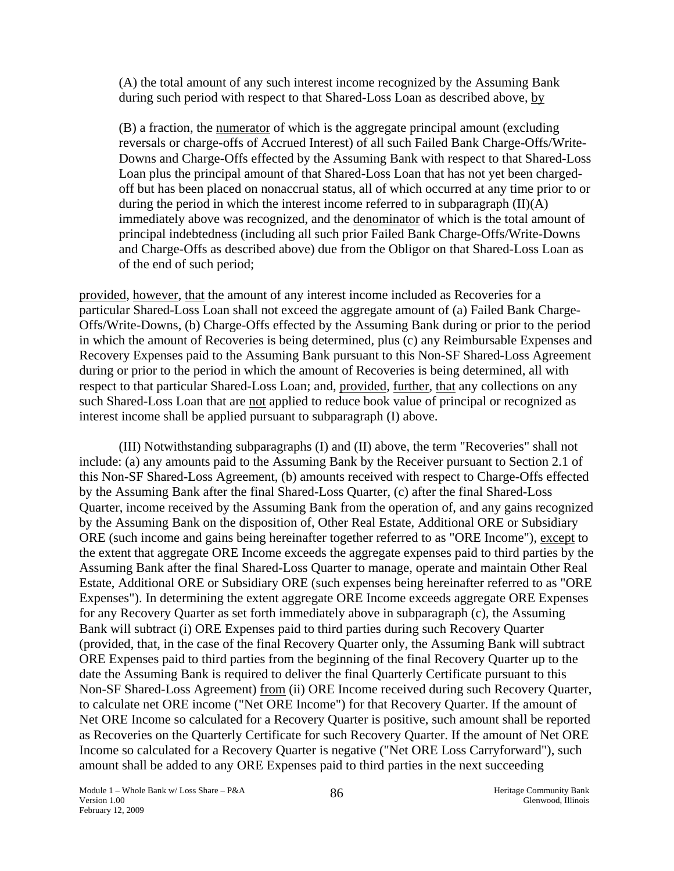(A) the total amount of any such interest income recognized by the Assuming Bank during such period with respect to that Shared-Loss Loan as described above, by

(B) a fraction, the numerator of which is the aggregate principal amount (excluding reversals or charge-offs of Accrued Interest) of all such Failed Bank Charge-Offs/Write-Downs and Charge-Offs effected by the Assuming Bank with respect to that Shared-Loss Loan plus the principal amount of that Shared-Loss Loan that has not yet been chargedoff but has been placed on nonaccrual status, all of which occurred at any time prior to or during the period in which the interest income referred to in subparagraph  $(II)(A)$ immediately above was recognized, and the denominator of which is the total amount of principal indebtedness (including all such prior Failed Bank Charge-Offs/Write-Downs and Charge-Offs as described above) due from the Obligor on that Shared-Loss Loan as of the end of such period;

provided, however, that the amount of any interest income included as Recoveries for a particular Shared-Loss Loan shall not exceed the aggregate amount of (a) Failed Bank Charge-Offs/Write-Downs, (b) Charge-Offs effected by the Assuming Bank during or prior to the period in which the amount of Recoveries is being determined, plus (c) any Reimbursable Expenses and Recovery Expenses paid to the Assuming Bank pursuant to this Non-SF Shared-Loss Agreement during or prior to the period in which the amount of Recoveries is being determined, all with respect to that particular Shared-Loss Loan; and, provided, further, that any collections on any such Shared-Loss Loan that are not applied to reduce book value of principal or recognized as interest income shall be applied pursuant to subparagraph (I) above.

(III) Notwithstanding subparagraphs (I) and (II) above, the term "Recoveries" shall not include: (a) any amounts paid to the Assuming Bank by the Receiver pursuant to Section 2.1 of this Non-SF Shared-Loss Agreement, (b) amounts received with respect to Charge-Offs effected by the Assuming Bank after the final Shared-Loss Quarter, (c) after the final Shared-Loss Quarter, income received by the Assuming Bank from the operation of, and any gains recognized by the Assuming Bank on the disposition of, Other Real Estate, Additional ORE or Subsidiary ORE (such income and gains being hereinafter together referred to as "ORE Income"), except to the extent that aggregate ORE Income exceeds the aggregate expenses paid to third parties by the Assuming Bank after the final Shared-Loss Quarter to manage, operate and maintain Other Real Estate, Additional ORE or Subsidiary ORE (such expenses being hereinafter referred to as "ORE Expenses"). In determining the extent aggregate ORE Income exceeds aggregate ORE Expenses for any Recovery Quarter as set forth immediately above in subparagraph (c), the Assuming Bank will subtract (i) ORE Expenses paid to third parties during such Recovery Quarter (provided, that, in the case of the final Recovery Quarter only, the Assuming Bank will subtract ORE Expenses paid to third parties from the beginning of the final Recovery Quarter up to the date the Assuming Bank is required to deliver the final Quarterly Certificate pursuant to this Non-SF Shared-Loss Agreement) from (ii) ORE Income received during such Recovery Quarter, to calculate net ORE income ("Net ORE Income") for that Recovery Quarter. If the amount of Net ORE Income so calculated for a Recovery Quarter is positive, such amount shall be reported as Recoveries on the Quarterly Certificate for such Recovery Quarter. If the amount of Net ORE Income so calculated for a Recovery Quarter is negative ("Net ORE Loss Carryforward"), such amount shall be added to any ORE Expenses paid to third parties in the next succeeding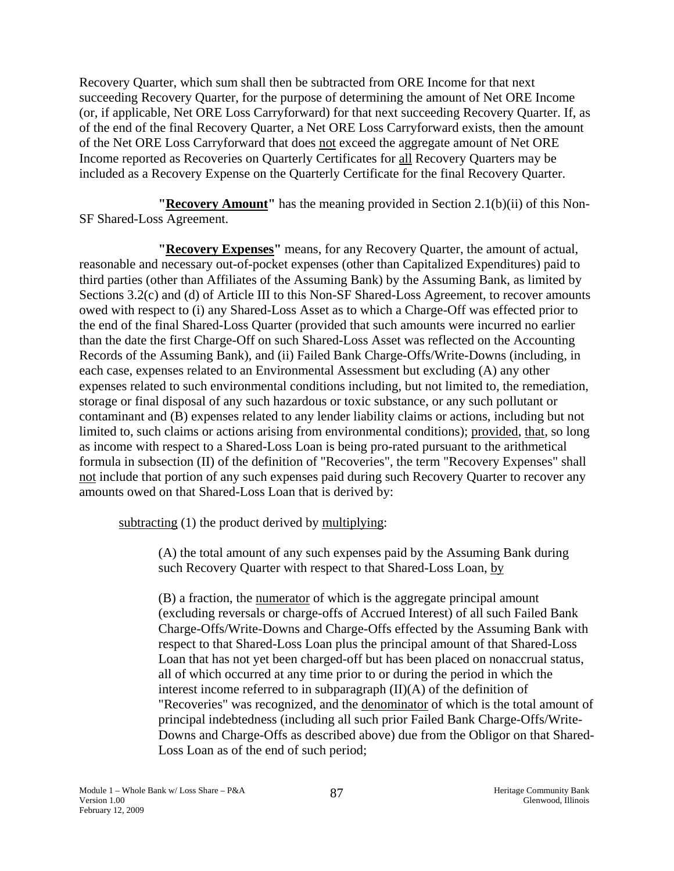Recovery Quarter, which sum shall then be subtracted from ORE Income for that next succeeding Recovery Quarter, for the purpose of determining the amount of Net ORE Income (or, if applicable, Net ORE Loss Carryforward) for that next succeeding Recovery Quarter. If, as of the end of the final Recovery Quarter, a Net ORE Loss Carryforward exists, then the amount of the Net ORE Loss Carryforward that does not exceed the aggregate amount of Net ORE Income reported as Recoveries on Quarterly Certificates for all Recovery Quarters may be included as a Recovery Expense on the Quarterly Certificate for the final Recovery Quarter.

**"Recovery Amount"** has the meaning provided in Section 2.1(b)(ii) of this Non-SF Shared-Loss Agreement.

**"Recovery Expenses"** means, for any Recovery Quarter, the amount of actual, reasonable and necessary out-of-pocket expenses (other than Capitalized Expenditures) paid to third parties (other than Affiliates of the Assuming Bank) by the Assuming Bank, as limited by Sections 3.2(c) and (d) of Article III to this Non-SF Shared-Loss Agreement, to recover amounts owed with respect to (i) any Shared-Loss Asset as to which a Charge-Off was effected prior to the end of the final Shared-Loss Quarter (provided that such amounts were incurred no earlier than the date the first Charge-Off on such Shared-Loss Asset was reflected on the Accounting Records of the Assuming Bank), and (ii) Failed Bank Charge-Offs/Write-Downs (including, in each case, expenses related to an Environmental Assessment but excluding (A) any other expenses related to such environmental conditions including, but not limited to, the remediation, storage or final disposal of any such hazardous or toxic substance, or any such pollutant or contaminant and (B) expenses related to any lender liability claims or actions, including but not limited to, such claims or actions arising from environmental conditions); provided, that, so long as income with respect to a Shared-Loss Loan is being pro-rated pursuant to the arithmetical formula in subsection (II) of the definition of "Recoveries", the term "Recovery Expenses" shall not include that portion of any such expenses paid during such Recovery Quarter to recover any amounts owed on that Shared-Loss Loan that is derived by:

subtracting (1) the product derived by multiplying:

(A) the total amount of any such expenses paid by the Assuming Bank during such Recovery Quarter with respect to that Shared-Loss Loan, by

(B) a fraction, the numerator of which is the aggregate principal amount (excluding reversals or charge-offs of Accrued Interest) of all such Failed Bank Charge-Offs/Write-Downs and Charge-Offs effected by the Assuming Bank with respect to that Shared-Loss Loan plus the principal amount of that Shared-Loss Loan that has not yet been charged-off but has been placed on nonaccrual status, all of which occurred at any time prior to or during the period in which the interest income referred to in subparagraph (II)(A) of the definition of "Recoveries" was recognized, and the denominator of which is the total amount of principal indebtedness (including all such prior Failed Bank Charge-Offs/Write-Downs and Charge-Offs as described above) due from the Obligor on that Shared-Loss Loan as of the end of such period;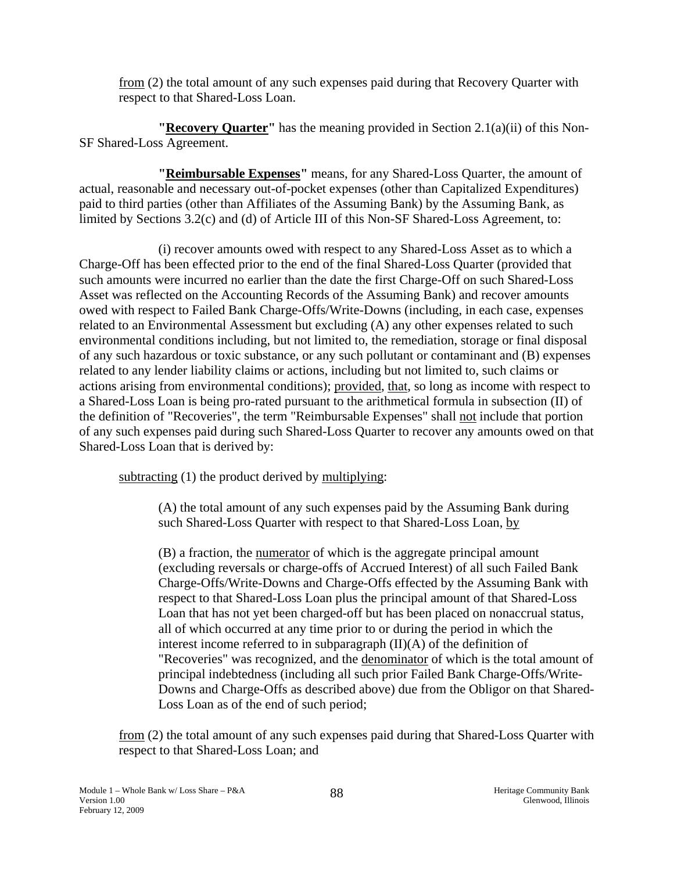from (2) the total amount of any such expenses paid during that Recovery Quarter with respect to that Shared-Loss Loan.

**"Recovery Quarter"** has the meaning provided in Section 2.1(a)(ii) of this Non-SF Shared-Loss Agreement.

**"Reimbursable Expenses"** means, for any Shared-Loss Quarter, the amount of actual, reasonable and necessary out-of-pocket expenses (other than Capitalized Expenditures) paid to third parties (other than Affiliates of the Assuming Bank) by the Assuming Bank, as limited by Sections 3.2(c) and (d) of Article III of this Non-SF Shared-Loss Agreement, to:

(i) recover amounts owed with respect to any Shared-Loss Asset as to which a Charge-Off has been effected prior to the end of the final Shared-Loss Quarter (provided that such amounts were incurred no earlier than the date the first Charge-Off on such Shared-Loss Asset was reflected on the Accounting Records of the Assuming Bank) and recover amounts owed with respect to Failed Bank Charge-Offs/Write-Downs (including, in each case, expenses related to an Environmental Assessment but excluding (A) any other expenses related to such environmental conditions including, but not limited to, the remediation, storage or final disposal of any such hazardous or toxic substance, or any such pollutant or contaminant and (B) expenses related to any lender liability claims or actions, including but not limited to, such claims or actions arising from environmental conditions); provided, that, so long as income with respect to a Shared-Loss Loan is being pro-rated pursuant to the arithmetical formula in subsection (II) of the definition of "Recoveries", the term "Reimbursable Expenses" shall not include that portion of any such expenses paid during such Shared-Loss Quarter to recover any amounts owed on that Shared-Loss Loan that is derived by:

subtracting (1) the product derived by multiplying:

(A) the total amount of any such expenses paid by the Assuming Bank during such Shared-Loss Quarter with respect to that Shared-Loss Loan, by

(B) a fraction, the numerator of which is the aggregate principal amount (excluding reversals or charge-offs of Accrued Interest) of all such Failed Bank Charge-Offs/Write-Downs and Charge-Offs effected by the Assuming Bank with respect to that Shared-Loss Loan plus the principal amount of that Shared-Loss Loan that has not yet been charged-off but has been placed on nonaccrual status, all of which occurred at any time prior to or during the period in which the interest income referred to in subparagraph  $(II)(A)$  of the definition of "Recoveries" was recognized, and the denominator of which is the total amount of principal indebtedness (including all such prior Failed Bank Charge-Offs/Write-Downs and Charge-Offs as described above) due from the Obligor on that Shared-Loss Loan as of the end of such period;

from (2) the total amount of any such expenses paid during that Shared-Loss Quarter with respect to that Shared-Loss Loan; and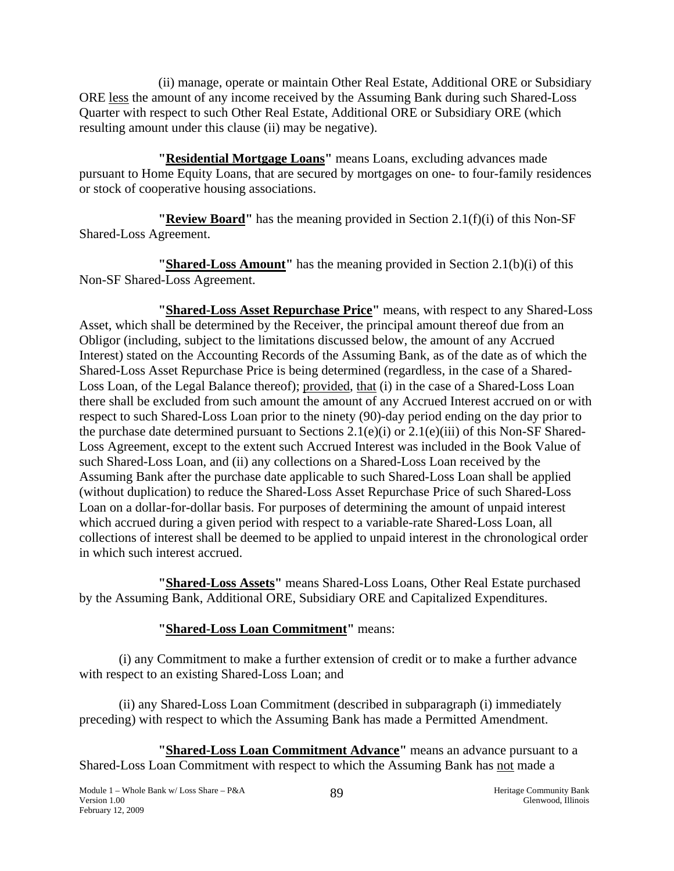(ii) manage, operate or maintain Other Real Estate, Additional ORE or Subsidiary ORE less the amount of any income received by the Assuming Bank during such Shared-Loss Quarter with respect to such Other Real Estate, Additional ORE or Subsidiary ORE (which resulting amount under this clause (ii) may be negative).

**"Residential Mortgage Loans"** means Loans, excluding advances made pursuant to Home Equity Loans, that are secured by mortgages on one- to four-family residences or stock of cooperative housing associations.

**"Review Board"** has the meaning provided in Section 2.1(f)(i) of this Non-SF Shared-Loss Agreement.

**"Shared-Loss Amount"** has the meaning provided in Section 2.1(b)(i) of this Non-SF Shared-Loss Agreement.

 in which such interest accrued. **"Shared-Loss Asset Repurchase Price"** means, with respect to any Shared-Loss Asset, which shall be determined by the Receiver, the principal amount thereof due from an Obligor (including, subject to the limitations discussed below, the amount of any Accrued Interest) stated on the Accounting Records of the Assuming Bank, as of the date as of which the Shared-Loss Asset Repurchase Price is being determined (regardless, in the case of a Shared-Loss Loan, of the Legal Balance thereof); provided, that (i) in the case of a Shared-Loss Loan there shall be excluded from such amount the amount of any Accrued Interest accrued on or with respect to such Shared-Loss Loan prior to the ninety (90)-day period ending on the day prior to the purchase date determined pursuant to Sections  $2.1(e)(i)$  or  $2.1(e)(iii)$  of this Non-SF Shared-Loss Agreement, except to the extent such Accrued Interest was included in the Book Value of such Shared-Loss Loan, and (ii) any collections on a Shared-Loss Loan received by the Assuming Bank after the purchase date applicable to such Shared-Loss Loan shall be applied (without duplication) to reduce the Shared-Loss Asset Repurchase Price of such Shared-Loss Loan on a dollar-for-dollar basis. For purposes of determining the amount of unpaid interest which accrued during a given period with respect to a variable-rate Shared-Loss Loan, all collections of interest shall be deemed to be applied to unpaid interest in the chronological order

**"Shared-Loss Assets"** means Shared-Loss Loans, Other Real Estate purchased by the Assuming Bank, Additional ORE, Subsidiary ORE and Capitalized Expenditures.

# **"Shared-Loss Loan Commitment"** means:

(i) any Commitment to make a further extension of credit or to make a further advance with respect to an existing Shared-Loss Loan; and

(ii) any Shared-Loss Loan Commitment (described in subparagraph (i) immediately preceding) with respect to which the Assuming Bank has made a Permitted Amendment.

**"Shared-Loss Loan Commitment Advance"** means an advance pursuant to a Shared-Loss Loan Commitment with respect to which the Assuming Bank has not made a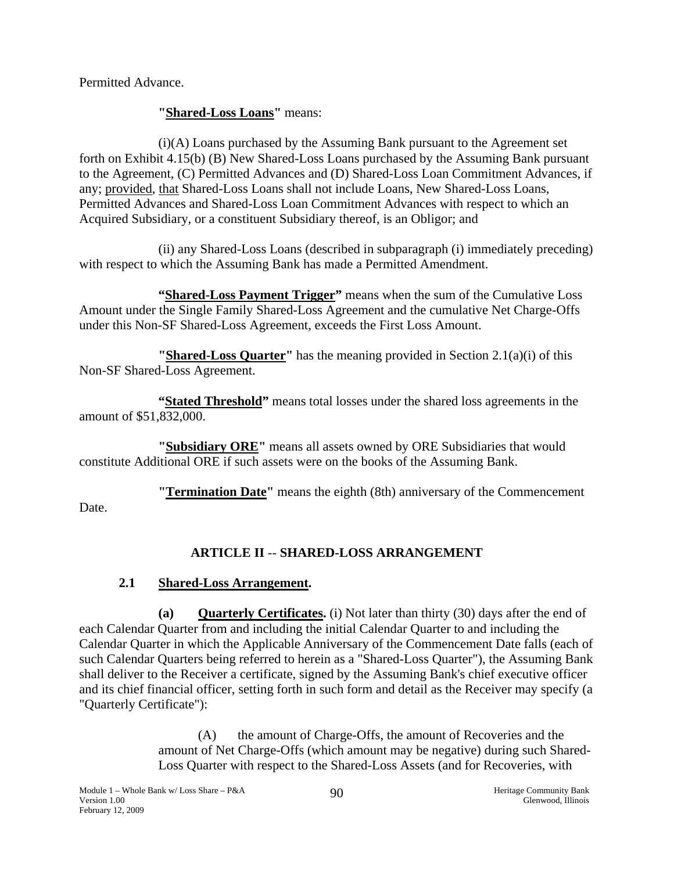Permitted Advance.

# **"Shared-Loss Loans"** means:

(i)(A) Loans purchased by the Assuming Bank pursuant to the Agreement set forth on Exhibit 4.15(b) (B) New Shared-Loss Loans purchased by the Assuming Bank pursuant to the Agreement, (C) Permitted Advances and (D) Shared-Loss Loan Commitment Advances, if any; provided, that Shared-Loss Loans shall not include Loans, New Shared-Loss Loans, Permitted Advances and Shared-Loss Loan Commitment Advances with respect to which an Acquired Subsidiary, or a constituent Subsidiary thereof, is an Obligor; and

(ii) any Shared-Loss Loans (described in subparagraph (i) immediately preceding) with respect to which the Assuming Bank has made a Permitted Amendment.

**"Shared-Loss Payment Trigger"** means when the sum of the Cumulative Loss Amount under the Single Family Shared-Loss Agreement and the cumulative Net Charge-Offs under this Non-SF Shared-Loss Agreement, exceeds the First Loss Amount.

**"Shared-Loss Quarter"** has the meaning provided in Section 2.1(a)(i) of this Non-SF Shared-Loss Agreement.

**"Stated Threshold"** means total losses under the shared loss agreements in the amount of \$51,832,000.

**"Subsidiary ORE"** means all assets owned by ORE Subsidiaries that would constitute Additional ORE if such assets were on the books of the Assuming Bank.

**"Termination Date"** means the eighth (8th) anniversary of the Commencement Date.

# **ARTICLE II** -- **SHARED-LOSS ARRANGEMENT**

# **2.1 Shared-Loss Arrangement.**

**(a) Quarterly Certificates.** (i) Not later than thirty (30) days after the end of each Calendar Quarter from and including the initial Calendar Quarter to and including the Calendar Quarter in which the Applicable Anniversary of the Commencement Date falls (each of such Calendar Quarters being referred to herein as a "Shared-Loss Quarter"), the Assuming Bank shall deliver to the Receiver a certificate, signed by the Assuming Bank's chief executive officer and its chief financial officer, setting forth in such form and detail as the Receiver may specify (a "Quarterly Certificate"):

> (A) the amount of Charge-Offs, the amount of Recoveries and the amount of Net Charge-Offs (which amount may be negative) during such Shared-Loss Quarter with respect to the Shared-Loss Assets (and for Recoveries, with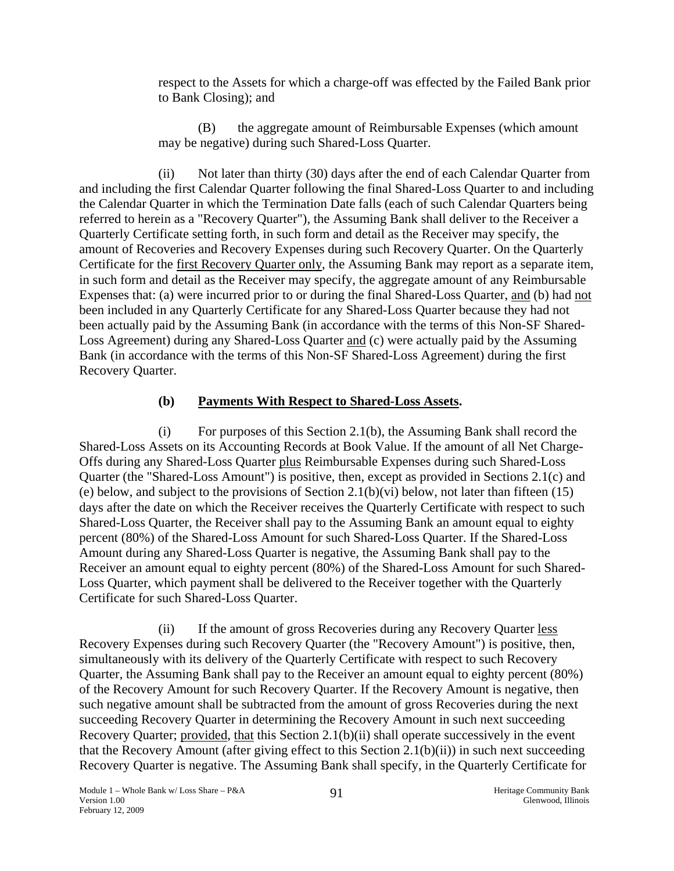respect to the Assets for which a charge-off was effected by the Failed Bank prior to Bank Closing); and

(B) the aggregate amount of Reimbursable Expenses (which amount may be negative) during such Shared-Loss Quarter.

(ii) Not later than thirty (30) days after the end of each Calendar Quarter from and including the first Calendar Quarter following the final Shared-Loss Quarter to and including the Calendar Quarter in which the Termination Date falls (each of such Calendar Quarters being referred to herein as a "Recovery Quarter"), the Assuming Bank shall deliver to the Receiver a Quarterly Certificate setting forth, in such form and detail as the Receiver may specify, the amount of Recoveries and Recovery Expenses during such Recovery Quarter. On the Quarterly Certificate for the first Recovery Quarter only, the Assuming Bank may report as a separate item, in such form and detail as the Receiver may specify, the aggregate amount of any Reimbursable Expenses that: (a) were incurred prior to or during the final Shared-Loss Quarter, and (b) had not been included in any Quarterly Certificate for any Shared-Loss Quarter because they had not been actually paid by the Assuming Bank (in accordance with the terms of this Non-SF Shared-Loss Agreement) during any Shared-Loss Quarter and (c) were actually paid by the Assuming Bank (in accordance with the terms of this Non-SF Shared-Loss Agreement) during the first Recovery Quarter.

## **(b) Payments With Respect to Shared-Loss Assets.**

 $(i)$  For purposes of this Section 2.1(b), the Assuming Bank shall record the Shared-Loss Assets on its Accounting Records at Book Value. If the amount of all Net Charge-Offs during any Shared-Loss Quarter plus Reimbursable Expenses during such Shared-Loss Quarter (the "Shared-Loss Amount") is positive, then, except as provided in Sections 2.1(c) and (e) below, and subject to the provisions of Section 2.1(b)(vi) below, not later than fifteen (15) days after the date on which the Receiver receives the Quarterly Certificate with respect to such Shared-Loss Quarter, the Receiver shall pay to the Assuming Bank an amount equal to eighty percent (80%) of the Shared-Loss Amount for such Shared-Loss Quarter. If the Shared-Loss Amount during any Shared-Loss Quarter is negative, the Assuming Bank shall pay to the Receiver an amount equal to eighty percent (80%) of the Shared-Loss Amount for such Shared-Loss Quarter, which payment shall be delivered to the Receiver together with the Quarterly Certificate for such Shared-Loss Quarter.

(ii) If the amount of gross Recoveries during any Recovery Quarter less Recovery Expenses during such Recovery Quarter (the "Recovery Amount") is positive, then, simultaneously with its delivery of the Quarterly Certificate with respect to such Recovery Quarter, the Assuming Bank shall pay to the Receiver an amount equal to eighty percent (80%) of the Recovery Amount for such Recovery Quarter. If the Recovery Amount is negative, then such negative amount shall be subtracted from the amount of gross Recoveries during the next succeeding Recovery Quarter in determining the Recovery Amount in such next succeeding Recovery Quarter; provided, that this Section 2.1(b)(ii) shall operate successively in the event that the Recovery Amount (after giving effect to this Section 2.1(b)(ii)) in such next succeeding Recovery Quarter is negative. The Assuming Bank shall specify, in the Quarterly Certificate for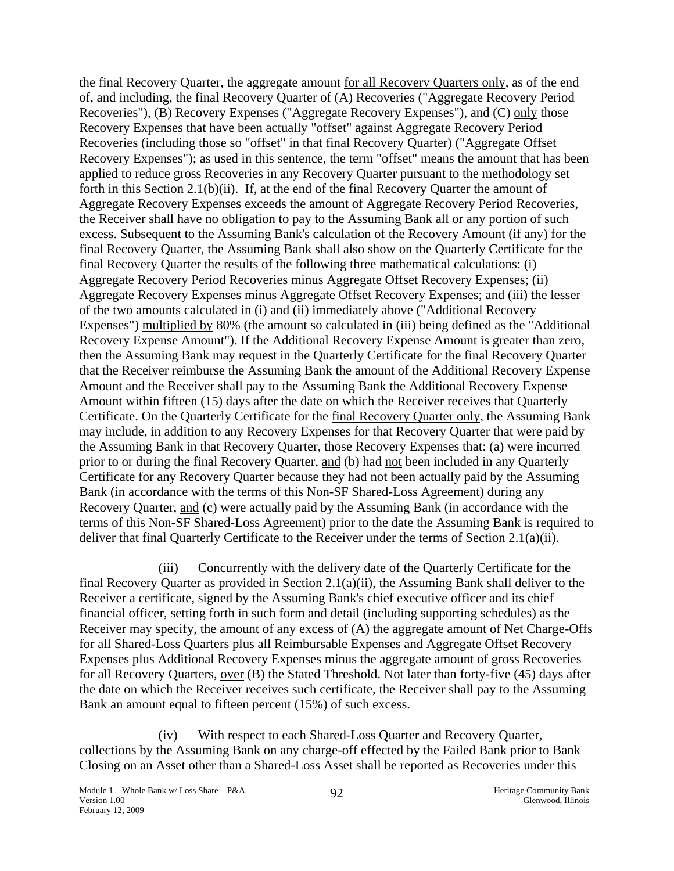the final Recovery Quarter, the aggregate amount for all Recovery Quarters only, as of the end of, and including, the final Recovery Quarter of (A) Recoveries ("Aggregate Recovery Period Recoveries"), (B) Recovery Expenses ("Aggregate Recovery Expenses"), and (C) only those Recovery Expenses that have been actually "offset" against Aggregate Recovery Period Recoveries (including those so "offset" in that final Recovery Quarter) ("Aggregate Offset Recovery Expenses"); as used in this sentence, the term "offset" means the amount that has been applied to reduce gross Recoveries in any Recovery Quarter pursuant to the methodology set forth in this Section 2.1(b)(ii). If, at the end of the final Recovery Quarter the amount of Aggregate Recovery Expenses exceeds the amount of Aggregate Recovery Period Recoveries, the Receiver shall have no obligation to pay to the Assuming Bank all or any portion of such excess. Subsequent to the Assuming Bank's calculation of the Recovery Amount (if any) for the final Recovery Quarter, the Assuming Bank shall also show on the Quarterly Certificate for the final Recovery Quarter the results of the following three mathematical calculations: (i) Aggregate Recovery Period Recoveries minus Aggregate Offset Recovery Expenses; (ii) Aggregate Recovery Expenses minus Aggregate Offset Recovery Expenses; and (iii) the lesser of the two amounts calculated in (i) and (ii) immediately above ("Additional Recovery Expenses") multiplied by 80% (the amount so calculated in (iii) being defined as the "Additional Recovery Expense Amount"). If the Additional Recovery Expense Amount is greater than zero, then the Assuming Bank may request in the Quarterly Certificate for the final Recovery Quarter that the Receiver reimburse the Assuming Bank the amount of the Additional Recovery Expense Amount and the Receiver shall pay to the Assuming Bank the Additional Recovery Expense Amount within fifteen (15) days after the date on which the Receiver receives that Quarterly Certificate. On the Quarterly Certificate for the final Recovery Quarter only, the Assuming Bank may include, in addition to any Recovery Expenses for that Recovery Quarter that were paid by the Assuming Bank in that Recovery Quarter, those Recovery Expenses that: (a) were incurred prior to or during the final Recovery Quarter, and (b) had not been included in any Quarterly Certificate for any Recovery Quarter because they had not been actually paid by the Assuming Bank (in accordance with the terms of this Non-SF Shared-Loss Agreement) during any Recovery Quarter, and (c) were actually paid by the Assuming Bank (in accordance with the terms of this Non-SF Shared-Loss Agreement) prior to the date the Assuming Bank is required to deliver that final Quarterly Certificate to the Receiver under the terms of Section 2.1(a)(ii).

(iii) Concurrently with the delivery date of the Quarterly Certificate for the final Recovery Quarter as provided in Section 2.1(a)(ii), the Assuming Bank shall deliver to the Receiver a certificate, signed by the Assuming Bank's chief executive officer and its chief financial officer, setting forth in such form and detail (including supporting schedules) as the Receiver may specify, the amount of any excess of (A) the aggregate amount of Net Charge-Offs for all Shared-Loss Quarters plus all Reimbursable Expenses and Aggregate Offset Recovery Expenses plus Additional Recovery Expenses minus the aggregate amount of gross Recoveries for all Recovery Quarters, over (B) the Stated Threshold. Not later than forty-five (45) days after the date on which the Receiver receives such certificate, the Receiver shall pay to the Assuming Bank an amount equal to fifteen percent (15%) of such excess.

(iv) With respect to each Shared-Loss Quarter and Recovery Quarter, collections by the Assuming Bank on any charge-off effected by the Failed Bank prior to Bank Closing on an Asset other than a Shared-Loss Asset shall be reported as Recoveries under this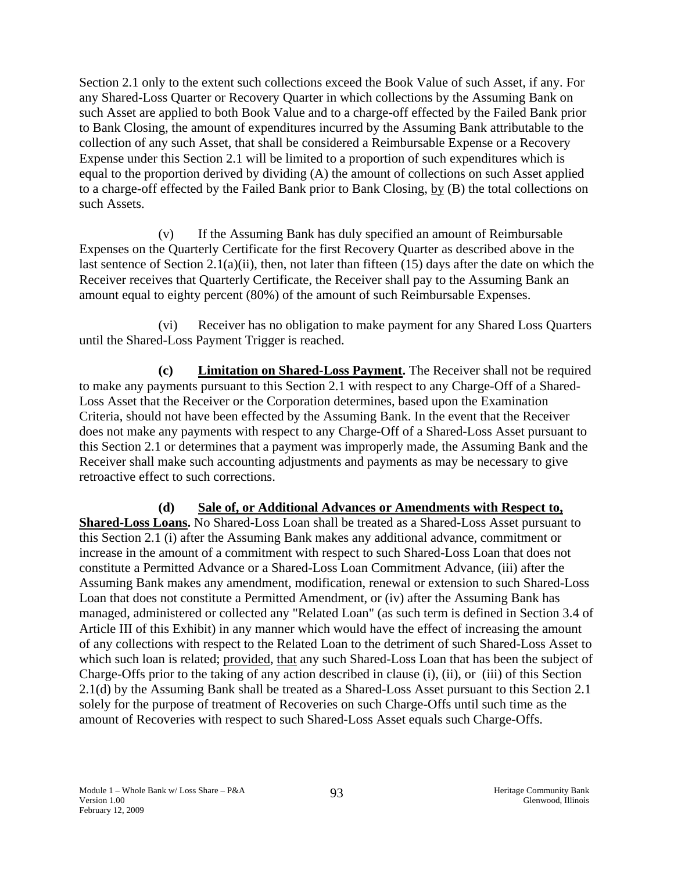Section 2.1 only to the extent such collections exceed the Book Value of such Asset, if any. For any Shared-Loss Quarter or Recovery Quarter in which collections by the Assuming Bank on such Asset are applied to both Book Value and to a charge-off effected by the Failed Bank prior to Bank Closing, the amount of expenditures incurred by the Assuming Bank attributable to the collection of any such Asset, that shall be considered a Reimbursable Expense or a Recovery Expense under this Section 2.1 will be limited to a proportion of such expenditures which is equal to the proportion derived by dividing (A) the amount of collections on such Asset applied to a charge-off effected by the Failed Bank prior to Bank Closing, by (B) the total collections on such Assets.

(v) If the Assuming Bank has duly specified an amount of Reimbursable Expenses on the Quarterly Certificate for the first Recovery Quarter as described above in the last sentence of Section 2.1(a)(ii), then, not later than fifteen (15) days after the date on which the Receiver receives that Quarterly Certificate, the Receiver shall pay to the Assuming Bank an amount equal to eighty percent (80%) of the amount of such Reimbursable Expenses.

(vi) Receiver has no obligation to make payment for any Shared Loss Quarters until the Shared-Loss Payment Trigger is reached.

**(c) Limitation on Shared-Loss Payment.** The Receiver shall not be required to make any payments pursuant to this Section 2.1 with respect to any Charge-Off of a Shared-Loss Asset that the Receiver or the Corporation determines, based upon the Examination Criteria, should not have been effected by the Assuming Bank. In the event that the Receiver does not make any payments with respect to any Charge-Off of a Shared-Loss Asset pursuant to this Section 2.1 or determines that a payment was improperly made, the Assuming Bank and the Receiver shall make such accounting adjustments and payments as may be necessary to give retroactive effect to such corrections.

### **(d) Sale of, or Additional Advances or Amendments with Respect to,**

**Shared-Loss Loans.** No Shared-Loss Loan shall be treated as a Shared-Loss Asset pursuant to this Section 2.1 (i) after the Assuming Bank makes any additional advance, commitment or increase in the amount of a commitment with respect to such Shared-Loss Loan that does not constitute a Permitted Advance or a Shared-Loss Loan Commitment Advance, (iii) after the Assuming Bank makes any amendment, modification, renewal or extension to such Shared-Loss Loan that does not constitute a Permitted Amendment, or (iv) after the Assuming Bank has managed, administered or collected any "Related Loan" (as such term is defined in Section 3.4 of Article III of this Exhibit) in any manner which would have the effect of increasing the amount of any collections with respect to the Related Loan to the detriment of such Shared-Loss Asset to which such loan is related; provided, that any such Shared-Loss Loan that has been the subject of Charge-Offs prior to the taking of any action described in clause (i), (ii), or (iii) of this Section 2.1(d) by the Assuming Bank shall be treated as a Shared-Loss Asset pursuant to this Section 2.1 solely for the purpose of treatment of Recoveries on such Charge-Offs until such time as the amount of Recoveries with respect to such Shared-Loss Asset equals such Charge-Offs.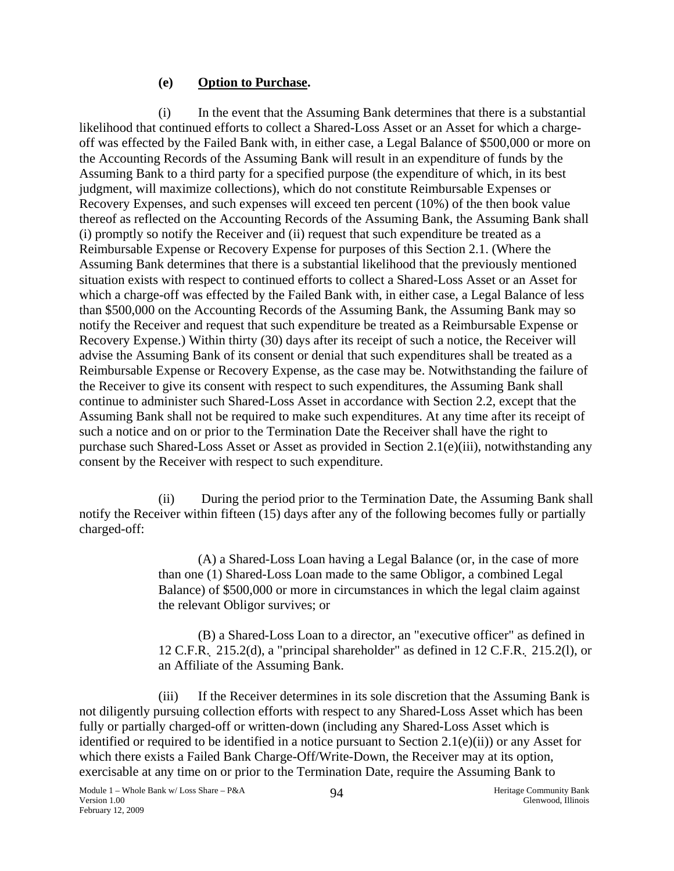#### **(e) Option to Purchase.**

(i) In the event that the Assuming Bank determines that there is a substantial likelihood that continued efforts to collect a Shared-Loss Asset or an Asset for which a chargeoff was effected by the Failed Bank with, in either case, a Legal Balance of \$500,000 or more on the Accounting Records of the Assuming Bank will result in an expenditure of funds by the Assuming Bank to a third party for a specified purpose (the expenditure of which, in its best judgment, will maximize collections), which do not constitute Reimbursable Expenses or Recovery Expenses, and such expenses will exceed ten percent (10%) of the then book value thereof as reflected on the Accounting Records of the Assuming Bank, the Assuming Bank shall (i) promptly so notify the Receiver and (ii) request that such expenditure be treated as a Reimbursable Expense or Recovery Expense for purposes of this Section 2.1. (Where the Assuming Bank determines that there is a substantial likelihood that the previously mentioned situation exists with respect to continued efforts to collect a Shared-Loss Asset or an Asset for which a charge-off was effected by the Failed Bank with, in either case, a Legal Balance of less than \$500,000 on the Accounting Records of the Assuming Bank, the Assuming Bank may so notify the Receiver and request that such expenditure be treated as a Reimbursable Expense or Recovery Expense.) Within thirty (30) days after its receipt of such a notice, the Receiver will advise the Assuming Bank of its consent or denial that such expenditures shall be treated as a Reimbursable Expense or Recovery Expense, as the case may be. Notwithstanding the failure of the Receiver to give its consent with respect to such expenditures, the Assuming Bank shall continue to administer such Shared-Loss Asset in accordance with Section 2.2, except that the Assuming Bank shall not be required to make such expenditures. At any time after its receipt of such a notice and on or prior to the Termination Date the Receiver shall have the right to purchase such Shared-Loss Asset or Asset as provided in Section 2.1(e)(iii), notwithstanding any consent by the Receiver with respect to such expenditure.

(ii) During the period prior to the Termination Date, the Assuming Bank shall notify the Receiver within fifteen (15) days after any of the following becomes fully or partially charged-off:

> (A) a Shared-Loss Loan having a Legal Balance (or, in the case of more than one (1) Shared-Loss Loan made to the same Obligor, a combined Legal Balance) of \$500,000 or more in circumstances in which the legal claim against the relevant Obligor survives; or

(B) a Shared-Loss Loan to a director, an "executive officer" as defined in 12 C.F.R. 215.2(d), a "principal shareholder" as defined in 12 C.F.R. 215.2(l), or an Affiliate of the Assuming Bank.

(iii) If the Receiver determines in its sole discretion that the Assuming Bank is not diligently pursuing collection efforts with respect to any Shared-Loss Asset which has been fully or partially charged-off or written-down (including any Shared-Loss Asset which is identified or required to be identified in a notice pursuant to Section 2.1(e)(ii)) or any Asset for which there exists a Failed Bank Charge-Off/Write-Down, the Receiver may at its option, exercisable at any time on or prior to the Termination Date, require the Assuming Bank to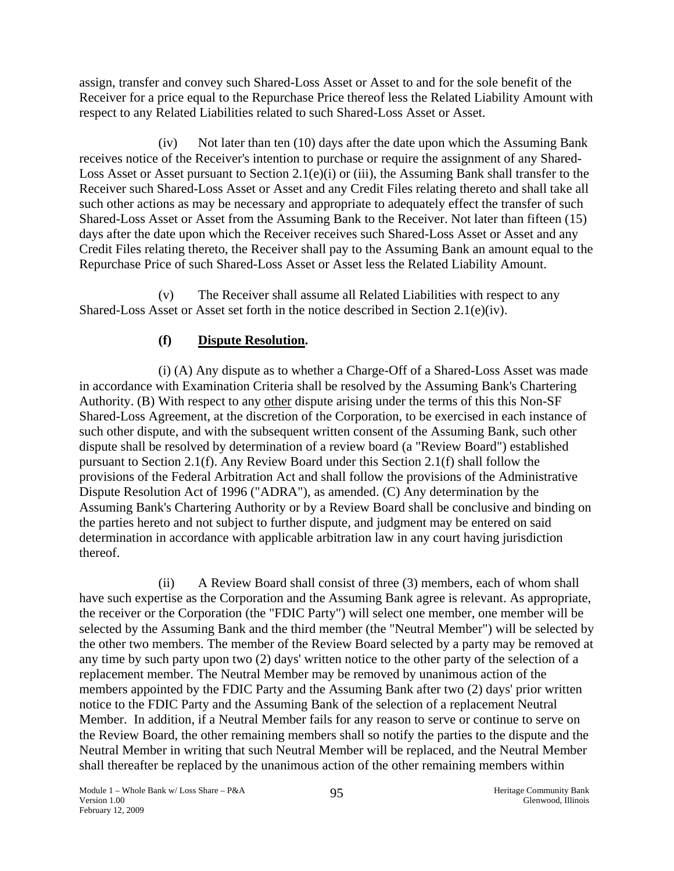assign, transfer and convey such Shared-Loss Asset or Asset to and for the sole benefit of the Receiver for a price equal to the Repurchase Price thereof less the Related Liability Amount with respect to any Related Liabilities related to such Shared-Loss Asset or Asset.

(iv) Not later than ten (10) days after the date upon which the Assuming Bank receives notice of the Receiver's intention to purchase or require the assignment of any Shared-Loss Asset or Asset pursuant to Section 2.1(e)(i) or (iii), the Assuming Bank shall transfer to the Receiver such Shared-Loss Asset or Asset and any Credit Files relating thereto and shall take all such other actions as may be necessary and appropriate to adequately effect the transfer of such Shared-Loss Asset or Asset from the Assuming Bank to the Receiver. Not later than fifteen (15) days after the date upon which the Receiver receives such Shared-Loss Asset or Asset and any Credit Files relating thereto, the Receiver shall pay to the Assuming Bank an amount equal to the Repurchase Price of such Shared-Loss Asset or Asset less the Related Liability Amount.

(v) The Receiver shall assume all Related Liabilities with respect to any Shared-Loss Asset or Asset set forth in the notice described in Section 2.1(e)(iv).

# **(f) Dispute Resolution.**

(i) (A) Any dispute as to whether a Charge-Off of a Shared-Loss Asset was made in accordance with Examination Criteria shall be resolved by the Assuming Bank's Chartering Authority. (B) With respect to any other dispute arising under the terms of this this Non-SF Shared-Loss Agreement, at the discretion of the Corporation, to be exercised in each instance of such other dispute, and with the subsequent written consent of the Assuming Bank, such other dispute shall be resolved by determination of a review board (a "Review Board") established pursuant to Section 2.1(f). Any Review Board under this Section 2.1(f) shall follow the provisions of the Federal Arbitration Act and shall follow the provisions of the Administrative Dispute Resolution Act of 1996 ("ADRA"), as amended. (C) Any determination by the Assuming Bank's Chartering Authority or by a Review Board shall be conclusive and binding on the parties hereto and not subject to further dispute, and judgment may be entered on said determination in accordance with applicable arbitration law in any court having jurisdiction thereof.

(ii) A Review Board shall consist of three (3) members, each of whom shall have such expertise as the Corporation and the Assuming Bank agree is relevant. As appropriate, the receiver or the Corporation (the "FDIC Party") will select one member, one member will be selected by the Assuming Bank and the third member (the "Neutral Member") will be selected by the other two members. The member of the Review Board selected by a party may be removed at any time by such party upon two (2) days' written notice to the other party of the selection of a replacement member. The Neutral Member may be removed by unanimous action of the members appointed by the FDIC Party and the Assuming Bank after two (2) days' prior written notice to the FDIC Party and the Assuming Bank of the selection of a replacement Neutral Member. In addition, if a Neutral Member fails for any reason to serve or continue to serve on the Review Board, the other remaining members shall so notify the parties to the dispute and the Neutral Member in writing that such Neutral Member will be replaced, and the Neutral Member shall thereafter be replaced by the unanimous action of the other remaining members within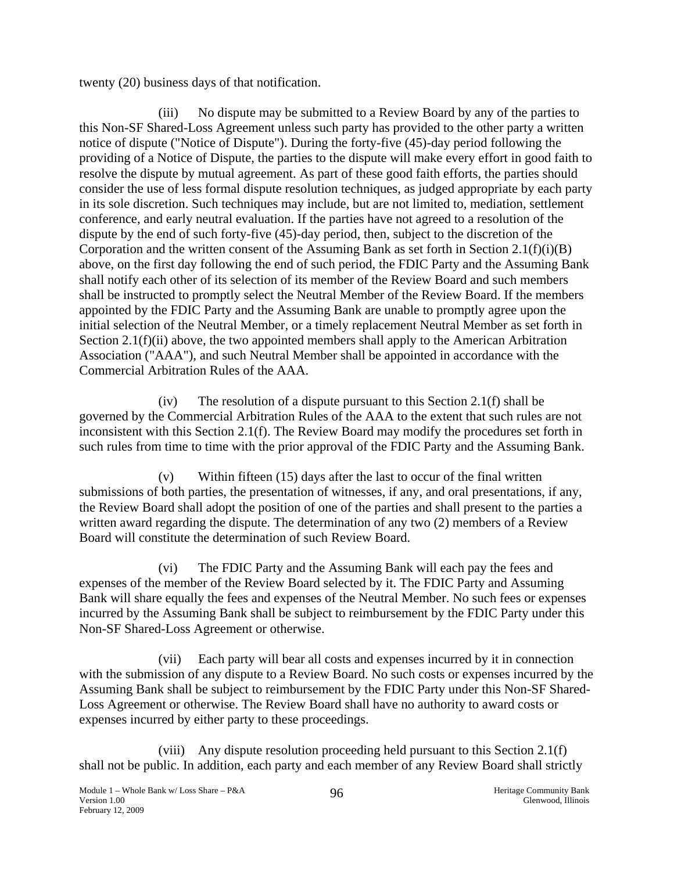twenty (20) business days of that notification.

(iii) No dispute may be submitted to a Review Board by any of the parties to this Non-SF Shared-Loss Agreement unless such party has provided to the other party a written notice of dispute ("Notice of Dispute"). During the forty-five (45)-day period following the providing of a Notice of Dispute, the parties to the dispute will make every effort in good faith to resolve the dispute by mutual agreement. As part of these good faith efforts, the parties should consider the use of less formal dispute resolution techniques, as judged appropriate by each party in its sole discretion. Such techniques may include, but are not limited to, mediation, settlement conference, and early neutral evaluation. If the parties have not agreed to a resolution of the dispute by the end of such forty-five (45)-day period, then, subject to the discretion of the Corporation and the written consent of the Assuming Bank as set forth in Section 2.1(f)(i)(B) above, on the first day following the end of such period, the FDIC Party and the Assuming Bank shall notify each other of its selection of its member of the Review Board and such members shall be instructed to promptly select the Neutral Member of the Review Board. If the members appointed by the FDIC Party and the Assuming Bank are unable to promptly agree upon the initial selection of the Neutral Member, or a timely replacement Neutral Member as set forth in Section 2.1(f)(ii) above, the two appointed members shall apply to the American Arbitration Association ("AAA"), and such Neutral Member shall be appointed in accordance with the Commercial Arbitration Rules of the AAA.

(iv) The resolution of a dispute pursuant to this Section 2.1(f) shall be governed by the Commercial Arbitration Rules of the AAA to the extent that such rules are not inconsistent with this Section 2.1(f). The Review Board may modify the procedures set forth in such rules from time to time with the prior approval of the FDIC Party and the Assuming Bank.

(v) Within fifteen (15) days after the last to occur of the final written submissions of both parties, the presentation of witnesses, if any, and oral presentations, if any, the Review Board shall adopt the position of one of the parties and shall present to the parties a written award regarding the dispute. The determination of any two (2) members of a Review Board will constitute the determination of such Review Board.

(vi) The FDIC Party and the Assuming Bank will each pay the fees and expenses of the member of the Review Board selected by it. The FDIC Party and Assuming Bank will share equally the fees and expenses of the Neutral Member. No such fees or expenses incurred by the Assuming Bank shall be subject to reimbursement by the FDIC Party under this Non-SF Shared-Loss Agreement or otherwise.

(vii) Each party will bear all costs and expenses incurred by it in connection with the submission of any dispute to a Review Board. No such costs or expenses incurred by the Assuming Bank shall be subject to reimbursement by the FDIC Party under this Non-SF Shared-Loss Agreement or otherwise. The Review Board shall have no authority to award costs or expenses incurred by either party to these proceedings.

(viii) Any dispute resolution proceeding held pursuant to this Section 2.1(f) shall not be public. In addition, each party and each member of any Review Board shall strictly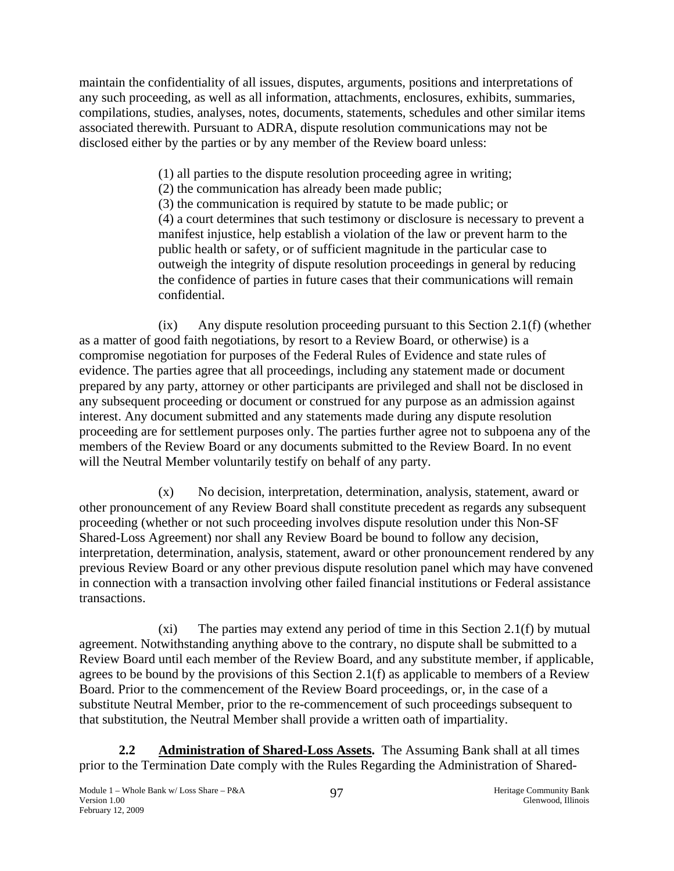maintain the confidentiality of all issues, disputes, arguments, positions and interpretations of any such proceeding, as well as all information, attachments, enclosures, exhibits, summaries, compilations, studies, analyses, notes, documents, statements, schedules and other similar items associated therewith. Pursuant to ADRA, dispute resolution communications may not be disclosed either by the parties or by any member of the Review board unless:

(1) all parties to the dispute resolution proceeding agree in writing;

(2) the communication has already been made public;

(3) the communication is required by statute to be made public; or (4) a court determines that such testimony or disclosure is necessary to prevent a manifest injustice, help establish a violation of the law or prevent harm to the public health or safety, or of sufficient magnitude in the particular case to outweigh the integrity of dispute resolution proceedings in general by reducing the confidence of parties in future cases that their communications will remain confidential.

(ix) Any dispute resolution proceeding pursuant to this Section 2.1(f) (whether as a matter of good faith negotiations, by resort to a Review Board, or otherwise) is a compromise negotiation for purposes of the Federal Rules of Evidence and state rules of evidence. The parties agree that all proceedings, including any statement made or document prepared by any party, attorney or other participants are privileged and shall not be disclosed in any subsequent proceeding or document or construed for any purpose as an admission against interest. Any document submitted and any statements made during any dispute resolution proceeding are for settlement purposes only. The parties further agree not to subpoena any of the members of the Review Board or any documents submitted to the Review Board. In no event will the Neutral Member voluntarily testify on behalf of any party.

(x) No decision, interpretation, determination, analysis, statement, award or other pronouncement of any Review Board shall constitute precedent as regards any subsequent proceeding (whether or not such proceeding involves dispute resolution under this Non-SF Shared-Loss Agreement) nor shall any Review Board be bound to follow any decision, interpretation, determination, analysis, statement, award or other pronouncement rendered by any previous Review Board or any other previous dispute resolution panel which may have convened in connection with a transaction involving other failed financial institutions or Federal assistance transactions.

(xi) The parties may extend any period of time in this Section 2.1(f) by mutual agreement. Notwithstanding anything above to the contrary, no dispute shall be submitted to a Review Board until each member of the Review Board, and any substitute member, if applicable, agrees to be bound by the provisions of this Section 2.1(f) as applicable to members of a Review Board. Prior to the commencement of the Review Board proceedings, or, in the case of a substitute Neutral Member, prior to the re-commencement of such proceedings subsequent to that substitution, the Neutral Member shall provide a written oath of impartiality.

**2.2 Administration of Shared-Loss Assets.** The Assuming Bank shall at all times prior to the Termination Date comply with the Rules Regarding the Administration of Shared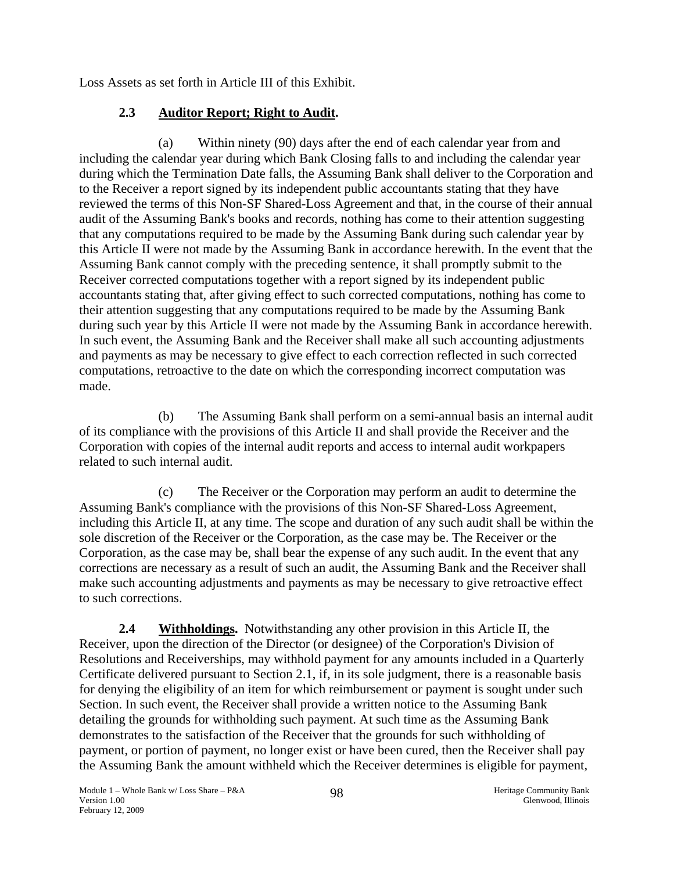Loss Assets as set forth in Article III of this Exhibit.

# **2.3 Auditor Report; Right to Audit.**

(a) Within ninety (90) days after the end of each calendar year from and including the calendar year during which Bank Closing falls to and including the calendar year during which the Termination Date falls, the Assuming Bank shall deliver to the Corporation and to the Receiver a report signed by its independent public accountants stating that they have reviewed the terms of this Non-SF Shared-Loss Agreement and that, in the course of their annual audit of the Assuming Bank's books and records, nothing has come to their attention suggesting that any computations required to be made by the Assuming Bank during such calendar year by this Article II were not made by the Assuming Bank in accordance herewith. In the event that the Assuming Bank cannot comply with the preceding sentence, it shall promptly submit to the Receiver corrected computations together with a report signed by its independent public accountants stating that, after giving effect to such corrected computations, nothing has come to their attention suggesting that any computations required to be made by the Assuming Bank during such year by this Article II were not made by the Assuming Bank in accordance herewith. In such event, the Assuming Bank and the Receiver shall make all such accounting adjustments and payments as may be necessary to give effect to each correction reflected in such corrected computations, retroactive to the date on which the corresponding incorrect computation was made.

(b) The Assuming Bank shall perform on a semi-annual basis an internal audit of its compliance with the provisions of this Article II and shall provide the Receiver and the Corporation with copies of the internal audit reports and access to internal audit workpapers related to such internal audit.

(c) The Receiver or the Corporation may perform an audit to determine the Assuming Bank's compliance with the provisions of this Non-SF Shared-Loss Agreement, including this Article II, at any time. The scope and duration of any such audit shall be within the sole discretion of the Receiver or the Corporation, as the case may be. The Receiver or the Corporation, as the case may be, shall bear the expense of any such audit. In the event that any corrections are necessary as a result of such an audit, the Assuming Bank and the Receiver shall make such accounting adjustments and payments as may be necessary to give retroactive effect to such corrections.

**2.4 Withholdings.** Notwithstanding any other provision in this Article II, the Receiver, upon the direction of the Director (or designee) of the Corporation's Division of Resolutions and Receiverships, may withhold payment for any amounts included in a Quarterly Certificate delivered pursuant to Section 2.1, if, in its sole judgment, there is a reasonable basis for denying the eligibility of an item for which reimbursement or payment is sought under such Section. In such event, the Receiver shall provide a written notice to the Assuming Bank detailing the grounds for withholding such payment. At such time as the Assuming Bank demonstrates to the satisfaction of the Receiver that the grounds for such withholding of payment, or portion of payment, no longer exist or have been cured, then the Receiver shall pay the Assuming Bank the amount withheld which the Receiver determines is eligible for payment,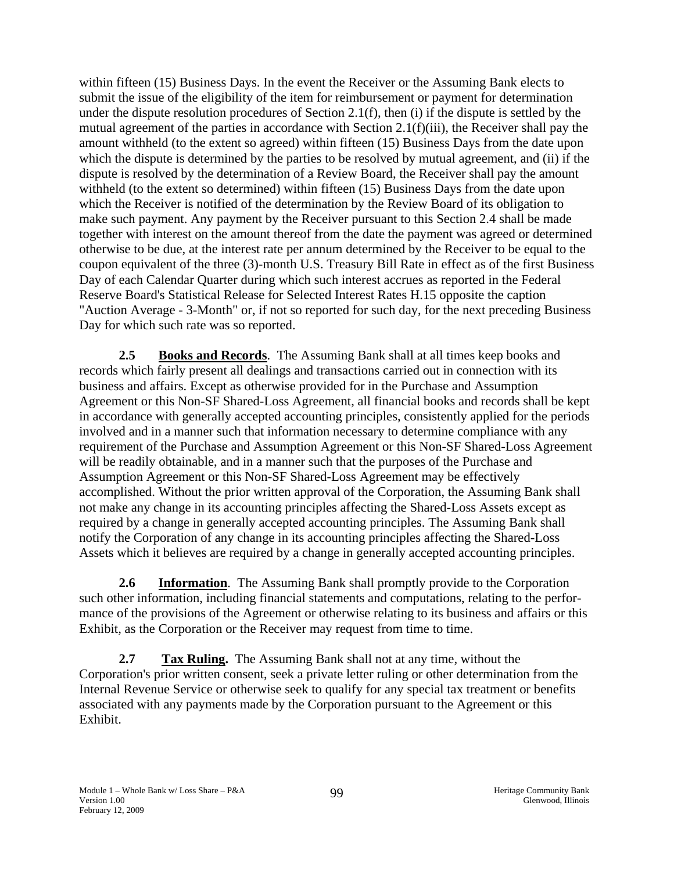within fifteen (15) Business Days. In the event the Receiver or the Assuming Bank elects to submit the issue of the eligibility of the item for reimbursement or payment for determination under the dispute resolution procedures of Section 2.1(f), then (i) if the dispute is settled by the mutual agreement of the parties in accordance with Section 2.1(f)(iii), the Receiver shall pay the amount withheld (to the extent so agreed) within fifteen (15) Business Days from the date upon which the dispute is determined by the parties to be resolved by mutual agreement, and (ii) if the dispute is resolved by the determination of a Review Board, the Receiver shall pay the amount withheld (to the extent so determined) within fifteen (15) Business Days from the date upon which the Receiver is notified of the determination by the Review Board of its obligation to make such payment. Any payment by the Receiver pursuant to this Section 2.4 shall be made together with interest on the amount thereof from the date the payment was agreed or determined otherwise to be due, at the interest rate per annum determined by the Receiver to be equal to the coupon equivalent of the three (3)-month U.S. Treasury Bill Rate in effect as of the first Business Day of each Calendar Quarter during which such interest accrues as reported in the Federal Reserve Board's Statistical Release for Selected Interest Rates H.15 opposite the caption "Auction Average - 3-Month" or, if not so reported for such day, for the next preceding Business Day for which such rate was so reported.

**2.5 Books and Records**. The Assuming Bank shall at all times keep books and records which fairly present all dealings and transactions carried out in connection with its business and affairs. Except as otherwise provided for in the Purchase and Assumption Agreement or this Non-SF Shared-Loss Agreement, all financial books and records shall be kept in accordance with generally accepted accounting principles, consistently applied for the periods involved and in a manner such that information necessary to determine compliance with any requirement of the Purchase and Assumption Agreement or this Non-SF Shared-Loss Agreement will be readily obtainable, and in a manner such that the purposes of the Purchase and Assumption Agreement or this Non-SF Shared-Loss Agreement may be effectively accomplished. Without the prior written approval of the Corporation, the Assuming Bank shall not make any change in its accounting principles affecting the Shared-Loss Assets except as required by a change in generally accepted accounting principles. The Assuming Bank shall notify the Corporation of any change in its accounting principles affecting the Shared-Loss Assets which it believes are required by a change in generally accepted accounting principles.

**2.6 Information**. The Assuming Bank shall promptly provide to the Corporation such other information, including financial statements and computations, relating to the performance of the provisions of the Agreement or otherwise relating to its business and affairs or this Exhibit, as the Corporation or the Receiver may request from time to time.

**2.7 Tax Ruling.** The Assuming Bank shall not at any time, without the Corporation's prior written consent, seek a private letter ruling or other determination from the Internal Revenue Service or otherwise seek to qualify for any special tax treatment or benefits associated with any payments made by the Corporation pursuant to the Agreement or this Exhibit.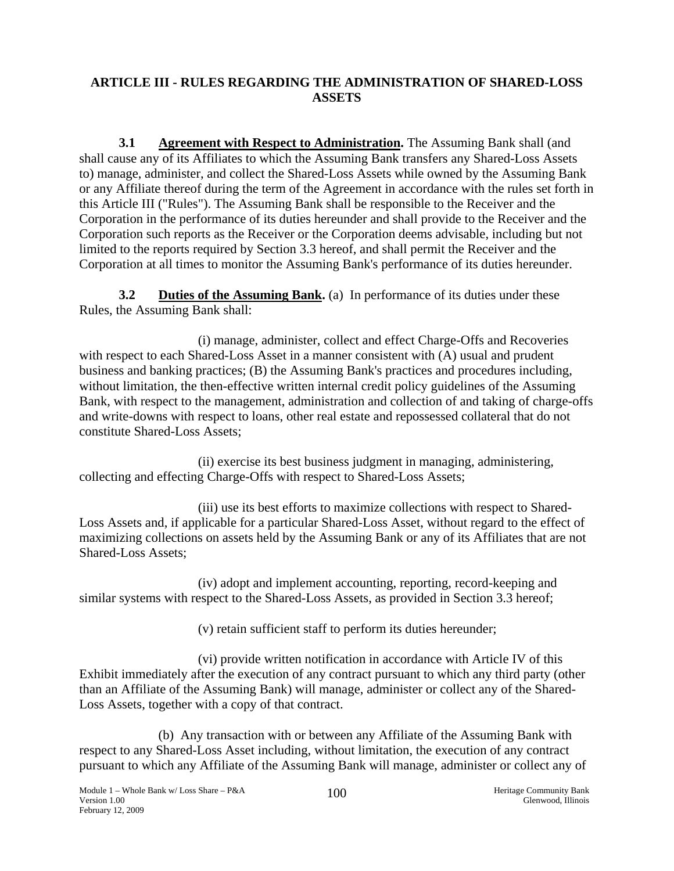# **ARTICLE III - RULES REGARDING THE ADMINISTRATION OF SHARED-LOSS ASSETS**

**3.1** Agreement with Respect to Administration. The Assuming Bank shall (and shall cause any of its Affiliates to which the Assuming Bank transfers any Shared-Loss Assets to) manage, administer, and collect the Shared-Loss Assets while owned by the Assuming Bank or any Affiliate thereof during the term of the Agreement in accordance with the rules set forth in this Article III ("Rules"). The Assuming Bank shall be responsible to the Receiver and the Corporation in the performance of its duties hereunder and shall provide to the Receiver and the Corporation such reports as the Receiver or the Corporation deems advisable, including but not limited to the reports required by Section 3.3 hereof, and shall permit the Receiver and the Corporation at all times to monitor the Assuming Bank's performance of its duties hereunder.

**3.2 Duties of the Assuming Bank.** (a) In performance of its duties under these Rules, the Assuming Bank shall:

(i) manage, administer, collect and effect Charge-Offs and Recoveries with respect to each Shared-Loss Asset in a manner consistent with (A) usual and prudent business and banking practices; (B) the Assuming Bank's practices and procedures including, without limitation, the then-effective written internal credit policy guidelines of the Assuming Bank, with respect to the management, administration and collection of and taking of charge-offs and write-downs with respect to loans, other real estate and repossessed collateral that do not constitute Shared-Loss Assets;

(ii) exercise its best business judgment in managing, administering, collecting and effecting Charge-Offs with respect to Shared-Loss Assets;

(iii) use its best efforts to maximize collections with respect to Shared-Loss Assets and, if applicable for a particular Shared-Loss Asset, without regard to the effect of maximizing collections on assets held by the Assuming Bank or any of its Affiliates that are not Shared-Loss Assets;

(iv) adopt and implement accounting, reporting, record-keeping and similar systems with respect to the Shared-Loss Assets, as provided in Section 3.3 hereof;

(v) retain sufficient staff to perform its duties hereunder;

(vi) provide written notification in accordance with Article IV of this Exhibit immediately after the execution of any contract pursuant to which any third party (other than an Affiliate of the Assuming Bank) will manage, administer or collect any of the Shared-Loss Assets, together with a copy of that contract.

(b) Any transaction with or between any Affiliate of the Assuming Bank with respect to any Shared-Loss Asset including, without limitation, the execution of any contract pursuant to which any Affiliate of the Assuming Bank will manage, administer or collect any of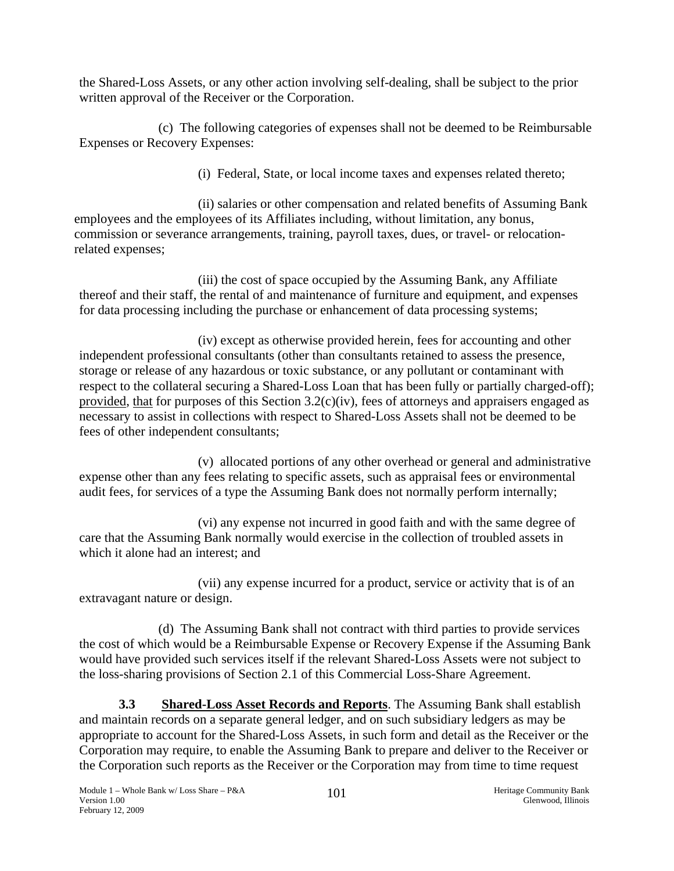the Shared-Loss Assets, or any other action involving self-dealing, shall be subject to the prior written approval of the Receiver or the Corporation.

(c) The following categories of expenses shall not be deemed to be Reimbursable Expenses or Recovery Expenses:

(i) Federal, State, or local income taxes and expenses related thereto;

(ii) salaries or other compensation and related benefits of Assuming Bank employees and the employees of its Affiliates including, without limitation, any bonus, commission or severance arrangements, training, payroll taxes, dues, or travel- or relocationrelated expenses;

(iii) the cost of space occupied by the Assuming Bank, any Affiliate thereof and their staff, the rental of and maintenance of furniture and equipment, and expenses for data processing including the purchase or enhancement of data processing systems;

(iv) except as otherwise provided herein, fees for accounting and other independent professional consultants (other than consultants retained to assess the presence, storage or release of any hazardous or toxic substance, or any pollutant or contaminant with respect to the collateral securing a Shared-Loss Loan that has been fully or partially charged-off); provided, that for purposes of this Section 3.2(c)(iv), fees of attorneys and appraisers engaged as necessary to assist in collections with respect to Shared-Loss Assets shall not be deemed to be fees of other independent consultants;

(v) allocated portions of any other overhead or general and administrative expense other than any fees relating to specific assets, such as appraisal fees or environmental audit fees, for services of a type the Assuming Bank does not normally perform internally;

(vi) any expense not incurred in good faith and with the same degree of care that the Assuming Bank normally would exercise in the collection of troubled assets in which it alone had an interest; and

(vii) any expense incurred for a product, service or activity that is of an extravagant nature or design.

(d) The Assuming Bank shall not contract with third parties to provide services the cost of which would be a Reimbursable Expense or Recovery Expense if the Assuming Bank would have provided such services itself if the relevant Shared-Loss Assets were not subject to the loss-sharing provisions of Section 2.1 of this Commercial Loss-Share Agreement.

**3.3 Shared-Loss Asset Records and Reports**. The Assuming Bank shall establish and maintain records on a separate general ledger, and on such subsidiary ledgers as may be appropriate to account for the Shared-Loss Assets, in such form and detail as the Receiver or the Corporation may require, to enable the Assuming Bank to prepare and deliver to the Receiver or the Corporation such reports as the Receiver or the Corporation may from time to time request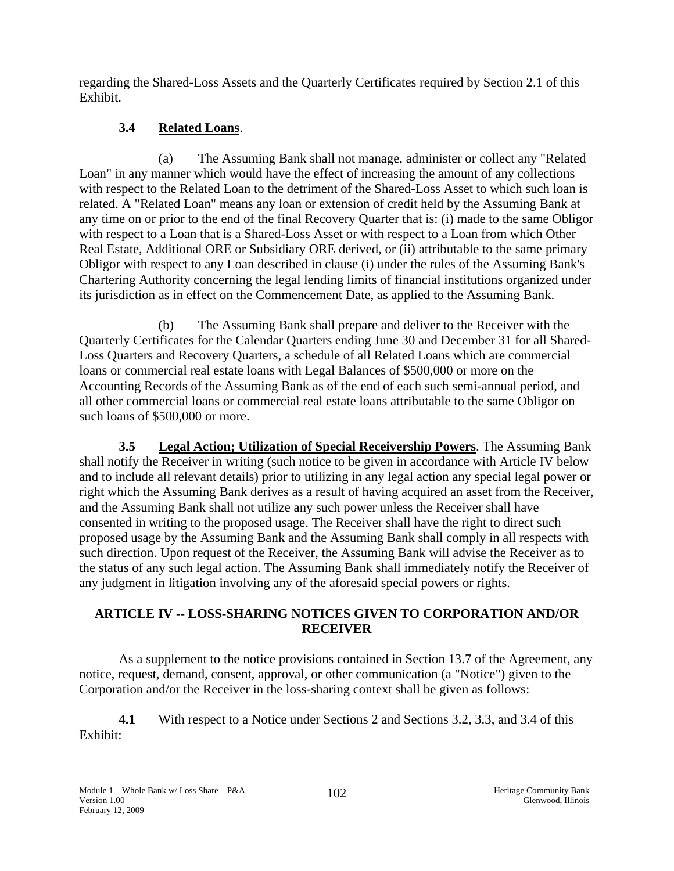regarding the Shared-Loss Assets and the Quarterly Certificates required by Section 2.1 of this Exhibit.

# **3.4 Related Loans**.

(a) The Assuming Bank shall not manage, administer or collect any "Related Loan" in any manner which would have the effect of increasing the amount of any collections with respect to the Related Loan to the detriment of the Shared-Loss Asset to which such loan is related. A "Related Loan" means any loan or extension of credit held by the Assuming Bank at any time on or prior to the end of the final Recovery Quarter that is: (i) made to the same Obligor with respect to a Loan that is a Shared-Loss Asset or with respect to a Loan from which Other Real Estate, Additional ORE or Subsidiary ORE derived, or (ii) attributable to the same primary Obligor with respect to any Loan described in clause (i) under the rules of the Assuming Bank's Chartering Authority concerning the legal lending limits of financial institutions organized under its jurisdiction as in effect on the Commencement Date, as applied to the Assuming Bank.

(b) The Assuming Bank shall prepare and deliver to the Receiver with the Quarterly Certificates for the Calendar Quarters ending June 30 and December 31 for all Shared-Loss Quarters and Recovery Quarters, a schedule of all Related Loans which are commercial loans or commercial real estate loans with Legal Balances of \$500,000 or more on the Accounting Records of the Assuming Bank as of the end of each such semi-annual period, and all other commercial loans or commercial real estate loans attributable to the same Obligor on such loans of \$500,000 or more.

**3.5 Legal Action; Utilization of Special Receivership Powers**. The Assuming Bank shall notify the Receiver in writing (such notice to be given in accordance with Article IV below and to include all relevant details) prior to utilizing in any legal action any special legal power or right which the Assuming Bank derives as a result of having acquired an asset from the Receiver, and the Assuming Bank shall not utilize any such power unless the Receiver shall have consented in writing to the proposed usage. The Receiver shall have the right to direct such proposed usage by the Assuming Bank and the Assuming Bank shall comply in all respects with such direction. Upon request of the Receiver, the Assuming Bank will advise the Receiver as to the status of any such legal action. The Assuming Bank shall immediately notify the Receiver of any judgment in litigation involving any of the aforesaid special powers or rights.

# **ARTICLE IV -- LOSS-SHARING NOTICES GIVEN TO CORPORATION AND/OR RECEIVER**

As a supplement to the notice provisions contained in Section 13.7 of the Agreement, any notice, request, demand, consent, approval, or other communication (a "Notice") given to the Corporation and/or the Receiver in the loss-sharing context shall be given as follows:

**4.1** With respect to a Notice under Sections 2 and Sections 3.2, 3.3, and 3.4 of this Exhibit: